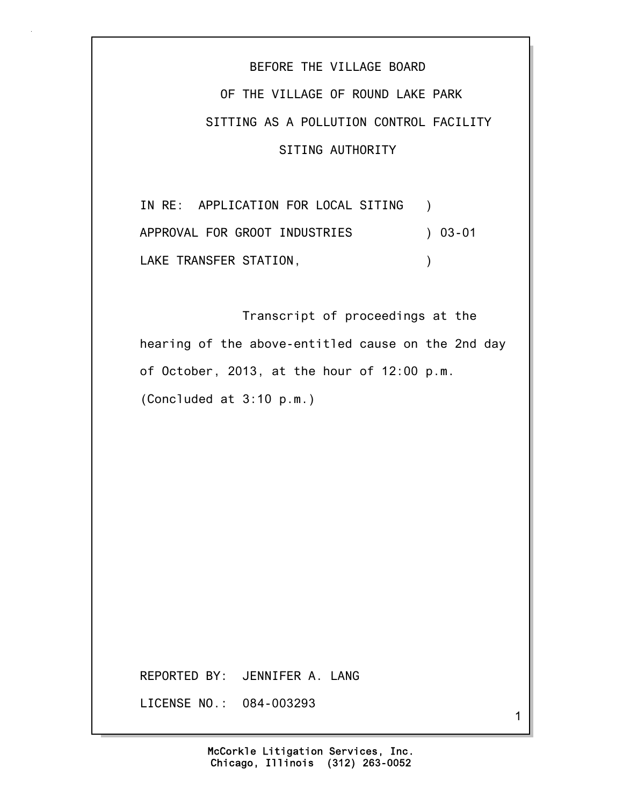BEFORE THE VILLAGE BOARD OF THE VILLAGE OF ROUND LAKE PARK SITTING AS A POLLUTION CONTROL FACILITY SITING AUTHORITY

IN RE: APPLICATION FOR LOCAL SITING ) APPROVAL FOR GROOT INDUSTRIES ) 03-01 LAKE TRANSFER STATION, THE RESERVE OF STATION

 Transcript of proceedings at the hearing of the above-entitled cause on the 2nd day of October, 2013, at the hour of 12:00 p.m. (Concluded at 3:10 p.m.)

REPORTED BY: JENNIFER A. LANG

LICENSE NO.: 084-003293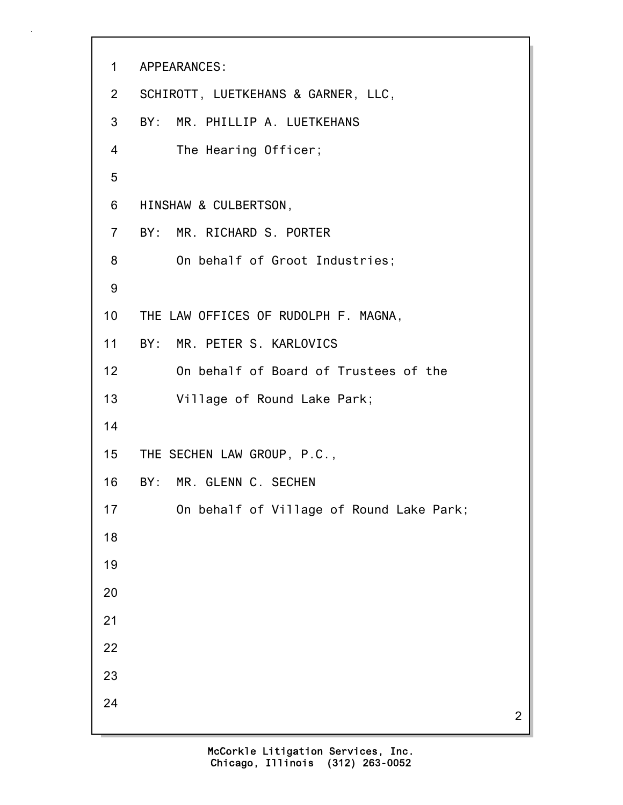```
1 APPEARANCES:
2 SCHIROTT, LUETKEHANS & GARNER, LLC,
3 BY: MR. PHILLIP A. LUETKEHANS
4 The Hearing Officer;
5
6 HINSHAW & CULBERTSON,
7 BY: MR. RICHARD S. PORTER
8 On behalf of Groot Industries;
9
10 THE LAW OFFICES OF RUDOLPH F. MAGNA,
11 BY: MR. PETER S. KARLOVICS
12 On behalf of Board of Trustees of the
13 Village of Round Lake Park;
14
15 THE SECHEN LAW GROUP, P.C.,
16 BY: MR. GLENN C. SECHEN
17 On behalf of Village of Round Lake Park;
18
19
20
21
22
23
24
```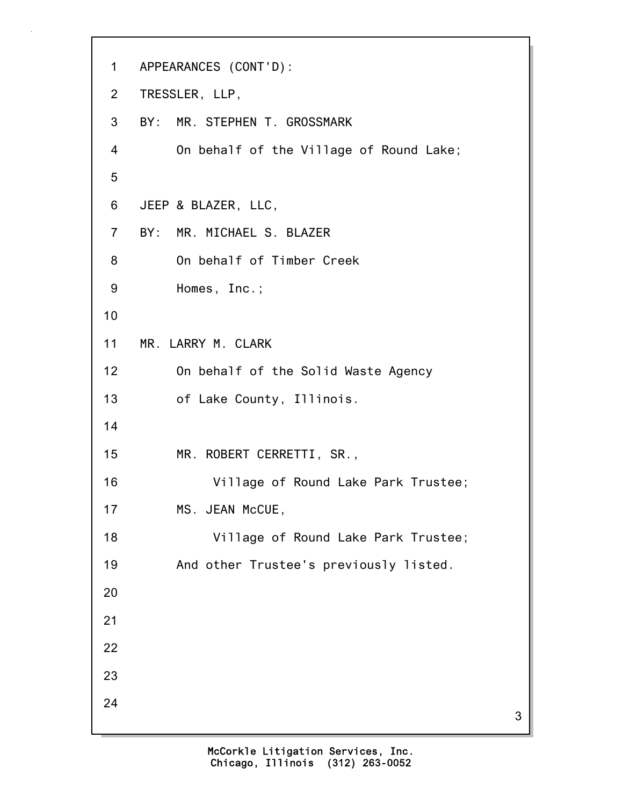```
1 APPEARANCES (CONT'D):
2 TRESSLER, LLP,
3 BY: MR. STEPHEN T. GROSSMARK
4 On behalf of the Village of Round Lake;
5
6 JEEP & BLAZER, LLC,
7 BY: MR. MICHAEL S. BLAZER
8 On behalf of Timber Creek
9 Homes, Inc.;
10
11 MR. LARRY M. CLARK
12 On behalf of the Solid Waste Agency
13 of Lake County, Illinois.
14
15 MR. ROBERT CERRETTI, SR.,
16 Village of Round Lake Park Trustee;
17 MS. JEAN McCUE,
18 Village of Round Lake Park Trustee;
19 And other Trustee's previously listed.
20
21
22
23
24
```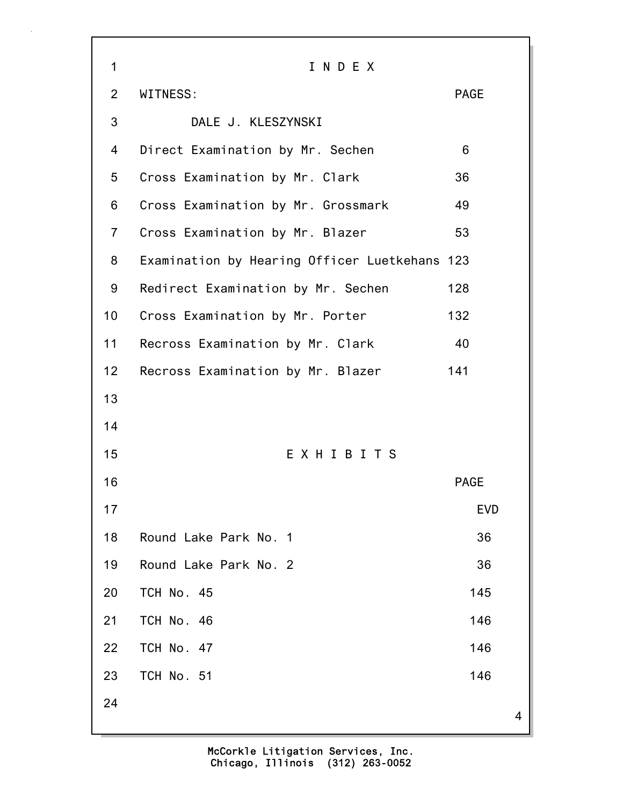| 1               | INDEX                                         |             |                |
|-----------------|-----------------------------------------------|-------------|----------------|
| $\overline{2}$  | WITNESS:                                      | <b>PAGE</b> |                |
| 3               | DALE J. KLESZYNSKI                            |             |                |
| 4               | Direct Examination by Mr. Sechen              | 6           |                |
| 5               | Cross Examination by Mr. Clark                | 36          |                |
| 6               | Cross Examination by Mr. Grossmark            | 49          |                |
| $\overline{7}$  | Cross Examination by Mr. Blazer               | 53          |                |
| 8               | Examination by Hearing Officer Luetkehans 123 |             |                |
| 9               | Redirect Examination by Mr. Sechen            | 128         |                |
| 10              | Cross Examination by Mr. Porter               | 132         |                |
| 11              | Recross Examination by Mr. Clark              | -40         |                |
| 12 <sub>2</sub> | Recross Examination by Mr. Blazer             | 141         |                |
| 13              |                                               |             |                |
| 14              |                                               |             |                |
| 15              | EXHIBITS                                      |             |                |
| 16              |                                               | <b>PAGE</b> |                |
| 17              |                                               | <b>EVD</b>  |                |
| 18              | Round Lake Park No. 1                         | 36          |                |
| 19              | Round Lake Park No. 2                         | 36          |                |
| 20              | TCH No. 45                                    | 145         |                |
| 21              | TCH No. 46                                    | 146         |                |
| 22              | TCH No. 47                                    | 146         |                |
| 23              | TCH No. 51                                    | 146         |                |
| 24              |                                               |             | $\overline{4}$ |
|                 |                                               |             |                |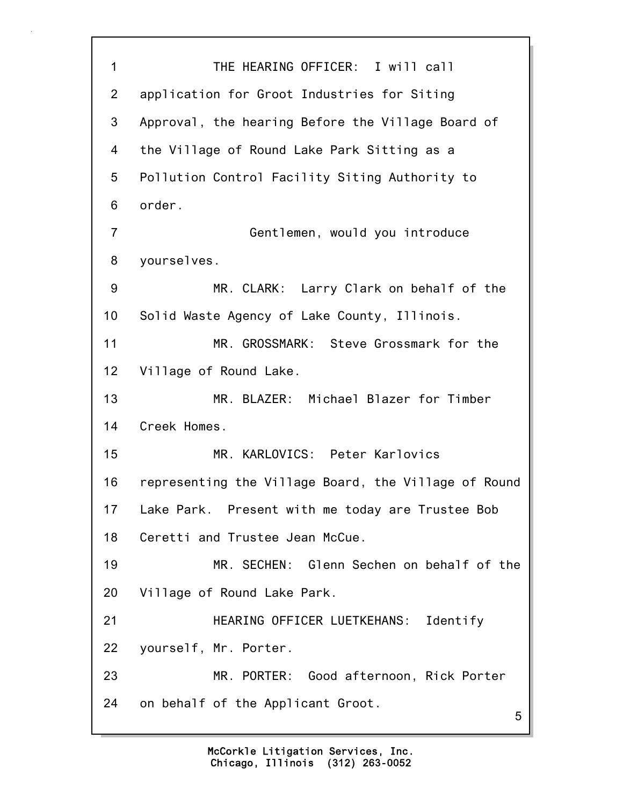5 1 THE HEARING OFFICER: I will call 2 application for Groot Industries for Siting 3 Approval, the hearing Before the Village Board of 4 the Village of Round Lake Park Sitting as a 5 Pollution Control Facility Siting Authority to 6 order. 7 Gentlemen, would you introduce 8 yourselves. 9 MR. CLARK: Larry Clark on behalf of the 10 Solid Waste Agency of Lake County, Illinois. 11 MR. GROSSMARK: Steve Grossmark for the 12 Village of Round Lake. 13 MR. BLAZER: Michael Blazer for Timber 14 Creek Homes. 15 MR. KARLOVICS: Peter Karlovics 16 representing the Village Board, the Village of Round 17 Lake Park. Present with me today are Trustee Bob 18 Ceretti and Trustee Jean McCue. 19 MR. SECHEN: Glenn Sechen on behalf of the 20 Village of Round Lake Park. 21 HEARING OFFICER LUETKEHANS: Identify 22 yourself, Mr. Porter. 23 MR. PORTER: Good afternoon, Rick Porter 24 on behalf of the Applicant Groot.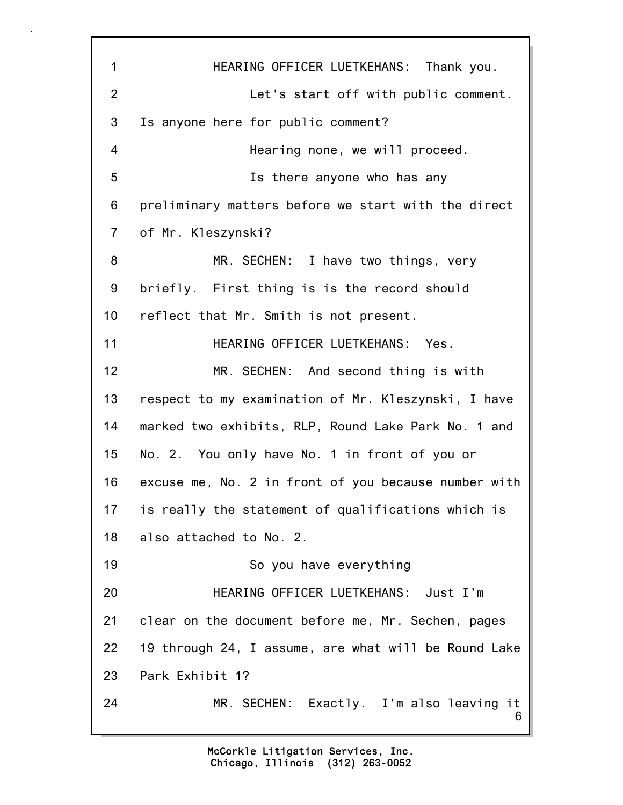6 1 HEARING OFFICER LUETKEHANS: Thank you. 2 Let's start off with public comment. 3 Is anyone here for public comment? 4 Hearing none, we will proceed. 5 Is there anyone who has any 6 preliminary matters before we start with the direct 7 of Mr. Kleszynski? 8 MR. SECHEN: I have two things, very 9 briefly. First thing is is the record should 10 reflect that Mr. Smith is not present. 11 **HEARING OFFICER LUETKEHANS: Yes.** 12 MR. SECHEN: And second thing is with 13 respect to my examination of Mr. Kleszynski, I have 14 marked two exhibits, RLP, Round Lake Park No. 1 and 15 No. 2. You only have No. 1 in front of you or 16 excuse me, No. 2 in front of you because number with 17 is really the statement of qualifications which is 18 also attached to No. 2. 19 So you have everything 20 HEARING OFFICER LUETKEHANS: Just I'm 21 clear on the document before me, Mr. Sechen, pages 22 19 through 24, I assume, are what will be Round Lake 23 Park Exhibit 1? 24 MR. SECHEN: Exactly. I'm also leaving it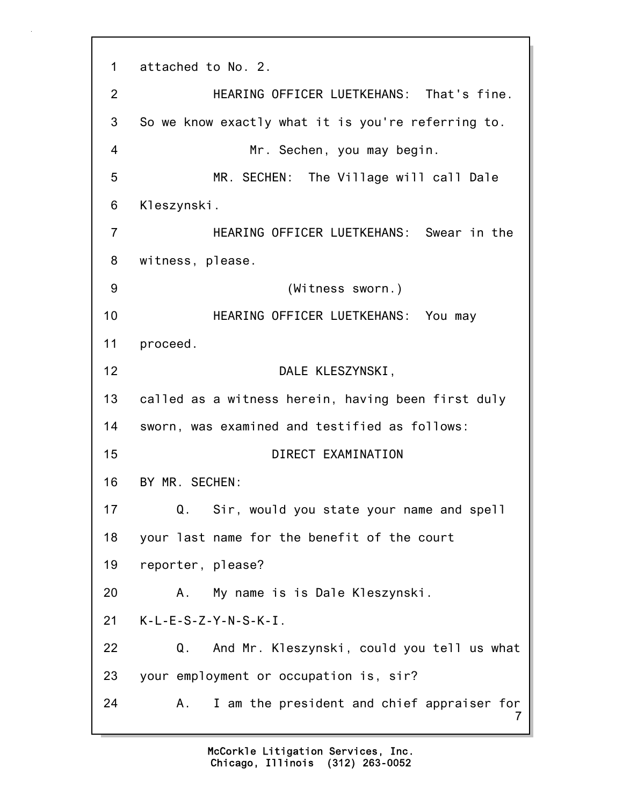7 1 attached to No. 2. 2 HEARING OFFICER LUETKEHANS: That's fine. 3 So we know exactly what it is you're referring to. 4 Mr. Sechen, you may begin. 5 MR. SECHEN: The Village will call Dale 6 Kleszynski. 7 HEARING OFFICER LUETKEHANS: Swear in the 8 witness, please. 9 (Witness sworn.) 10 HEARING OFFICER LUETKEHANS: You may 11 proceed. 12 DALE KLESZYNSKI, 13 called as a witness herein, having been first duly 14 sworn, was examined and testified as follows: 15 DIRECT EXAMINATION 16 BY MR. SECHEN: 17 Q. Sir, would you state your name and spell 18 your last name for the benefit of the court 19 reporter, please? 20 A. My name is is Dale Kleszynski. 21 K-L-E-S-Z-Y-N-S-K-I. 22 Q. And Mr. Kleszynski, could you tell us what 23 your employment or occupation is, sir? 24 A. I am the president and chief appraiser for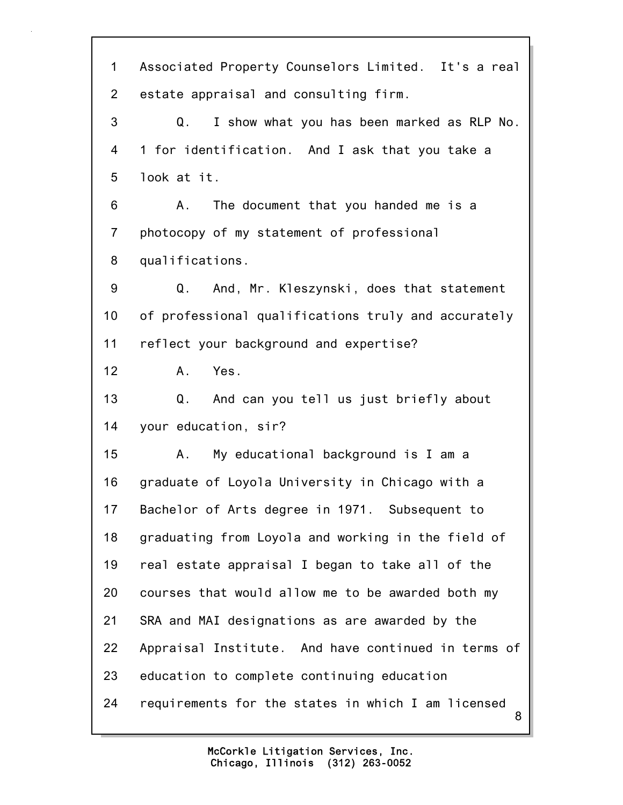8 1 Associated Property Counselors Limited. It's a real 2 estate appraisal and consulting firm. 3 Q. I show what you has been marked as RLP No. 4 1 for identification. And I ask that you take a 5 look at it. 6 A. The document that you handed me is a 7 photocopy of my statement of professional 8 qualifications. 9 Q. And, Mr. Kleszynski, does that statement 10 of professional qualifications truly and accurately 11 reflect your background and expertise? 12 A. Yes. 13 Q. And can you tell us just briefly about 14 your education, sir? 15 A. My educational background is I am a 16 graduate of Loyola University in Chicago with a 17 Bachelor of Arts degree in 1971. Subsequent to 18 graduating from Loyola and working in the field of 19 real estate appraisal I began to take all of the 20 courses that would allow me to be awarded both my 21 SRA and MAI designations as are awarded by the 22 Appraisal Institute. And have continued in terms of 23 education to complete continuing education 24 requirements for the states in which I am licensed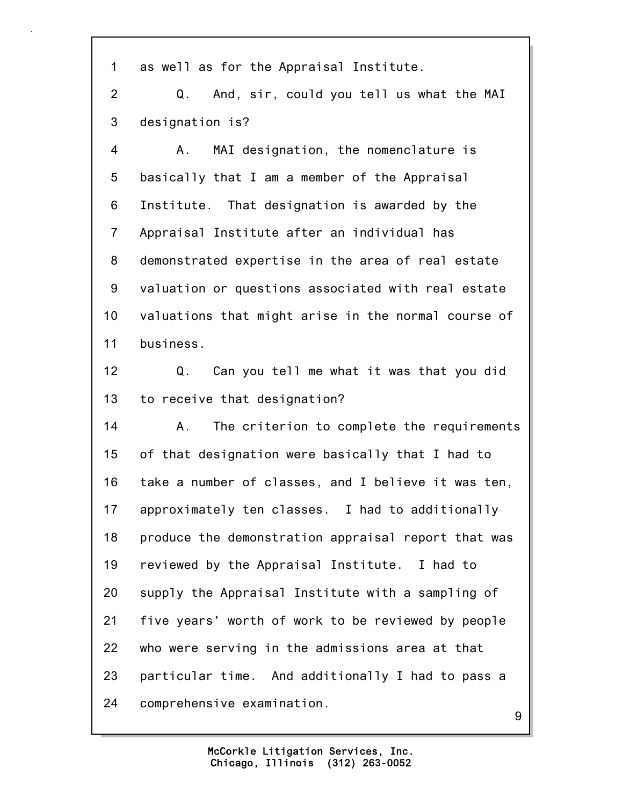1 as well as for the Appraisal Institute.

2 Q. And, sir, could you tell us what the MAI 3 designation is?

4 A. MAI designation, the nomenclature is 5 basically that I am a member of the Appraisal 6 Institute. That designation is awarded by the 7 Appraisal Institute after an individual has 8 demonstrated expertise in the area of real estate 9 valuation or questions associated with real estate 10 valuations that might arise in the normal course of 11 business.

12 Q. Can you tell me what it was that you did 13 to receive that designation?

14 A. The criterion to complete the requirements 15 of that designation were basically that I had to 16 take a number of classes, and I believe it was ten, 17 approximately ten classes. I had to additionally 18 produce the demonstration appraisal report that was 19 reviewed by the Appraisal Institute. I had to 20 supply the Appraisal Institute with a sampling of 21 five years' worth of work to be reviewed by people 22 who were serving in the admissions area at that 23 particular time. And additionally I had to pass a 24 comprehensive examination.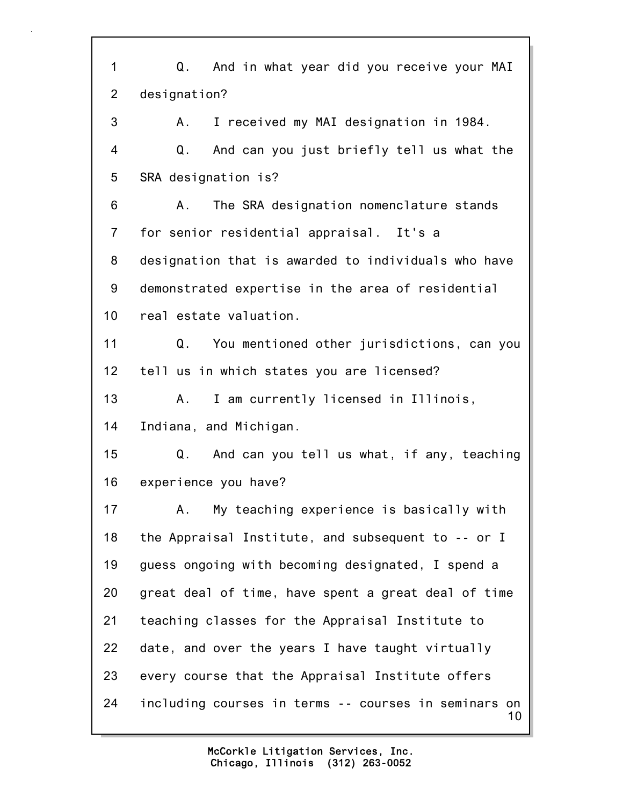10 1 Q. And in what year did you receive your MAI 2 designation? 3 A. I received my MAI designation in 1984. 4 Q. And can you just briefly tell us what the 5 SRA designation is? 6 A. The SRA designation nomenclature stands 7 for senior residential appraisal. It's a 8 designation that is awarded to individuals who have 9 demonstrated expertise in the area of residential 10 real estate valuation. 11 Q. You mentioned other jurisdictions, can you 12 tell us in which states you are licensed? 13 A. I am currently licensed in Illinois, 14 Indiana, and Michigan. 15 Q. And can you tell us what, if any, teaching 16 experience you have? 17 A. My teaching experience is basically with 18 the Appraisal Institute, and subsequent to -- or I 19 guess ongoing with becoming designated, I spend a 20 great deal of time, have spent a great deal of time 21 teaching classes for the Appraisal Institute to 22 date, and over the years I have taught virtually 23 every course that the Appraisal Institute offers 24 including courses in terms -- courses in seminars on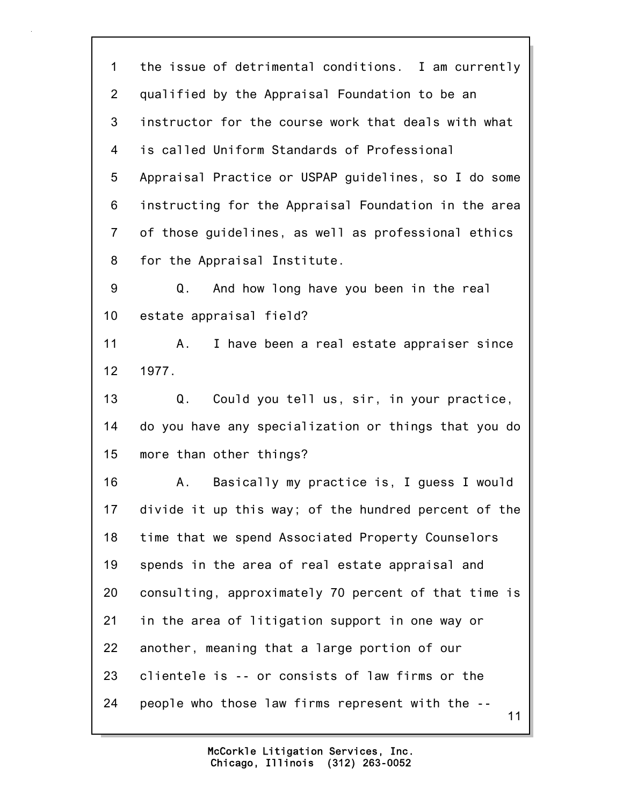11 1 the issue of detrimental conditions. I am currently 2 qualified by the Appraisal Foundation to be an 3 instructor for the course work that deals with what 4 is called Uniform Standards of Professional 5 Appraisal Practice or USPAP guidelines, so I do some 6 instructing for the Appraisal Foundation in the area 7 of those guidelines, as well as professional ethics 8 for the Appraisal Institute. 9 Q. And how long have you been in the real 10 estate appraisal field? 11 A. I have been a real estate appraiser since 12 1977. 13 Q. Could you tell us, sir, in your practice, 14 do you have any specialization or things that you do 15 more than other things? 16 A. Basically my practice is, I guess I would 17 divide it up this way; of the hundred percent of the 18 time that we spend Associated Property Counselors 19 spends in the area of real estate appraisal and 20 consulting, approximately 70 percent of that time is 21 in the area of litigation support in one way or 22 another, meaning that a large portion of our 23 clientele is -- or consists of law firms or the 24 people who those law firms represent with the --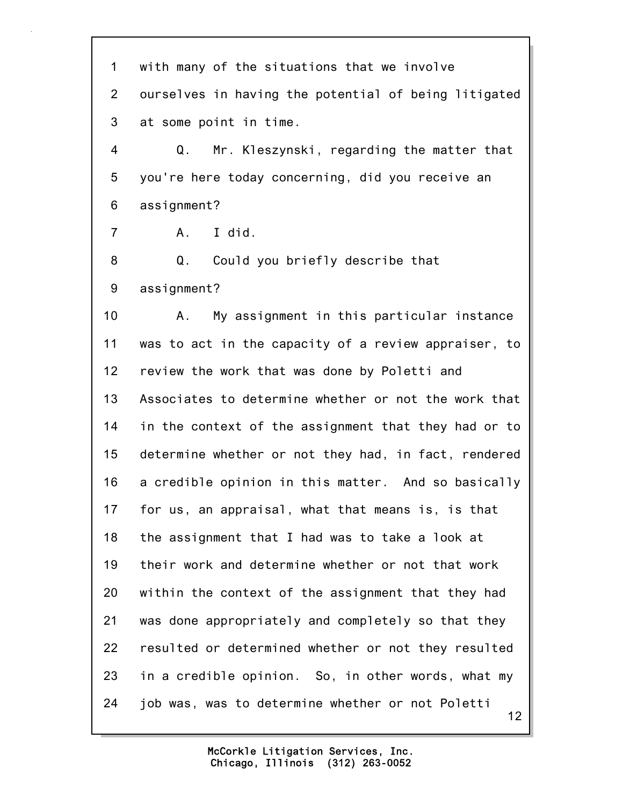12 1 with many of the situations that we involve 2 ourselves in having the potential of being litigated 3 at some point in time. 4 Q. Mr. Kleszynski, regarding the matter that 5 you're here today concerning, did you receive an 6 assignment? 7 A. I did. 8 Q. Could you briefly describe that 9 assignment? 10 A. My assignment in this particular instance 11 was to act in the capacity of a review appraiser, to 12 review the work that was done by Poletti and 13 Associates to determine whether or not the work that 14 in the context of the assignment that they had or to 15 determine whether or not they had, in fact, rendered 16 a credible opinion in this matter. And so basically 17 for us, an appraisal, what that means is, is that 18 the assignment that I had was to take a look at 19 their work and determine whether or not that work 20 within the context of the assignment that they had 21 was done appropriately and completely so that they 22 resulted or determined whether or not they resulted 23 in a credible opinion. So, in other words, what my 24 job was, was to determine whether or not Poletti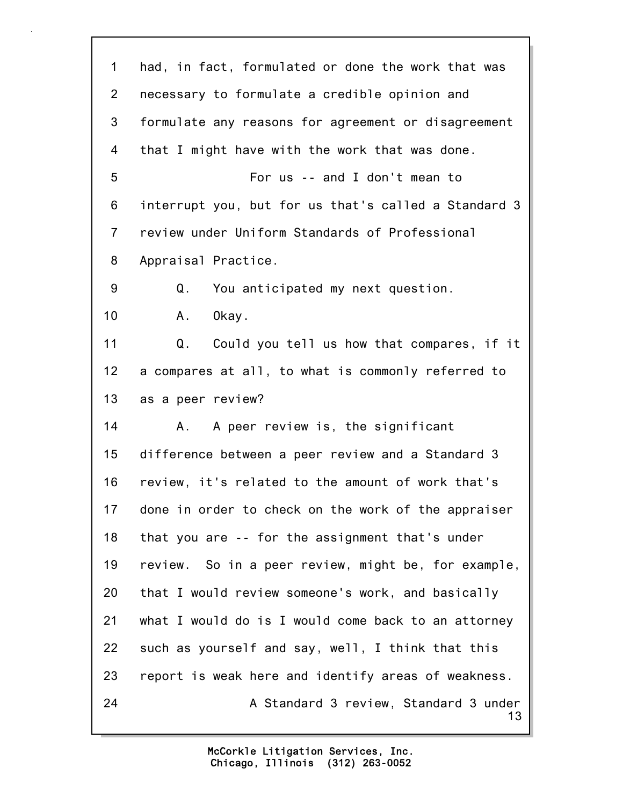13 1 had, in fact, formulated or done the work that was 2 necessary to formulate a credible opinion and 3 formulate any reasons for agreement or disagreement 4 that I might have with the work that was done. 5 For us -- and I don't mean to 6 interrupt you, but for us that's called a Standard 3 7 review under Uniform Standards of Professional 8 Appraisal Practice. 9 Q. You anticipated my next question. 10 A. Okay. 11 Q. Could you tell us how that compares, if it 12 a compares at all, to what is commonly referred to 13 as a peer review? 14 A. A peer review is, the significant 15 difference between a peer review and a Standard 3 16 review, it's related to the amount of work that's 17 done in order to check on the work of the appraiser 18 that you are -- for the assignment that's under 19 review. So in a peer review, might be, for example, 20 that I would review someone's work, and basically 21 what I would do is I would come back to an attorney 22 such as yourself and say, well, I think that this 23 report is weak here and identify areas of weakness. 24 A Standard 3 review, Standard 3 under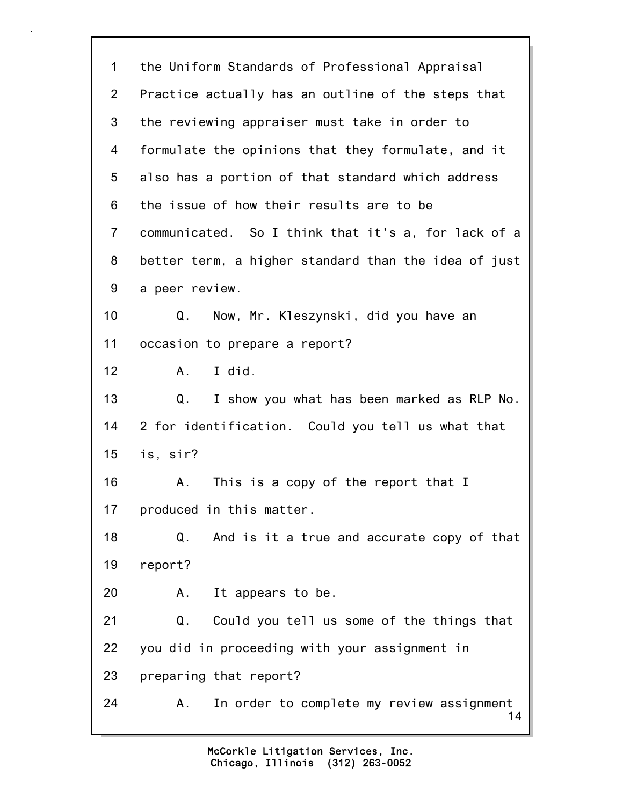14 1 the Uniform Standards of Professional Appraisal 2 Practice actually has an outline of the steps that 3 the reviewing appraiser must take in order to 4 formulate the opinions that they formulate, and it 5 also has a portion of that standard which address 6 the issue of how their results are to be 7 communicated. So I think that it's a, for lack of a 8 better term, a higher standard than the idea of just 9 a peer review. 10 Q. Now, Mr. Kleszynski, did you have an 11 occasion to prepare a report? 12 A. I did. 13 Q. I show you what has been marked as RLP No. 14 2 for identification. Could you tell us what that 15 is, sir? 16 A. This is a copy of the report that I 17 produced in this matter. 18 Q. And is it a true and accurate copy of that 19 report? 20 A. It appears to be. 21 Q. Could you tell us some of the things that 22 you did in proceeding with your assignment in 23 preparing that report? 24 A. In order to complete my review assignment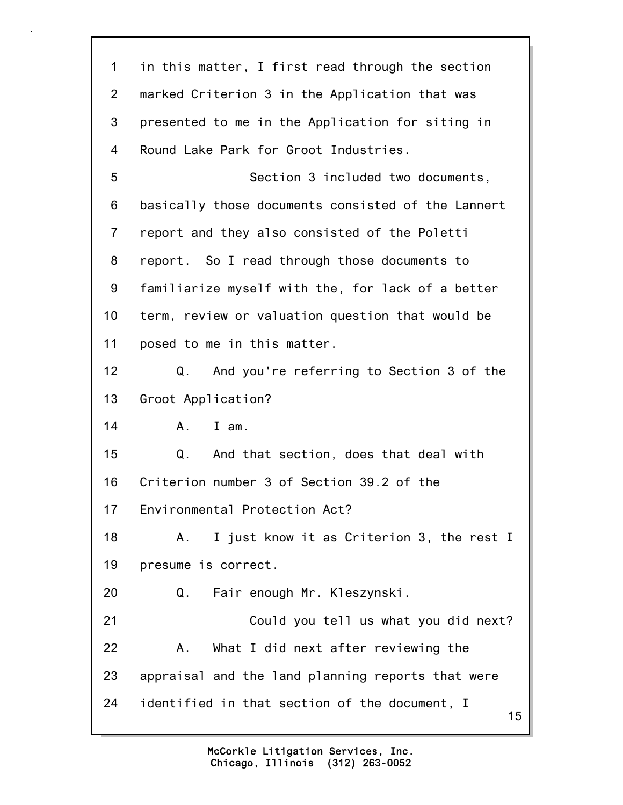| 1              | in this matter, I first read through the section    |  |
|----------------|-----------------------------------------------------|--|
| $\overline{2}$ | marked Criterion 3 in the Application that was      |  |
| 3              | presented to me in the Application for siting in    |  |
| 4              | Round Lake Park for Groot Industries.               |  |
| 5              | Section 3 included two documents,                   |  |
| 6              | basically those documents consisted of the Lannert  |  |
| $\overline{7}$ | report and they also consisted of the Poletti       |  |
| 8              | report. So I read through those documents to        |  |
| 9              | familiarize myself with the, for lack of a better   |  |
| 10             | term, review or valuation question that would be    |  |
| 11             | posed to me in this matter.                         |  |
| 12             | And you're referring to Section 3 of the<br>Q.      |  |
| 13             | Groot Application?                                  |  |
| 14             | $A_{-}$<br>$I$ am.                                  |  |
| 15             | And that section, does that deal with<br>Q.         |  |
| 16             | Criterion number 3 of Section 39.2 of the           |  |
| 17             | Environmental Protection Act?                       |  |
| 18             | I just know it as Criterion 3, the rest I<br>Α.     |  |
| 19             | presume is correct.                                 |  |
| 20             | Q.<br>Fair enough Mr. Kleszynski.                   |  |
| 21             | Could you tell us what you did next?                |  |
| 22             | What I did next after reviewing the<br>Α.           |  |
| 23             | appraisal and the land planning reports that were   |  |
| 24             | identified in that section of the document, I<br>15 |  |
|                |                                                     |  |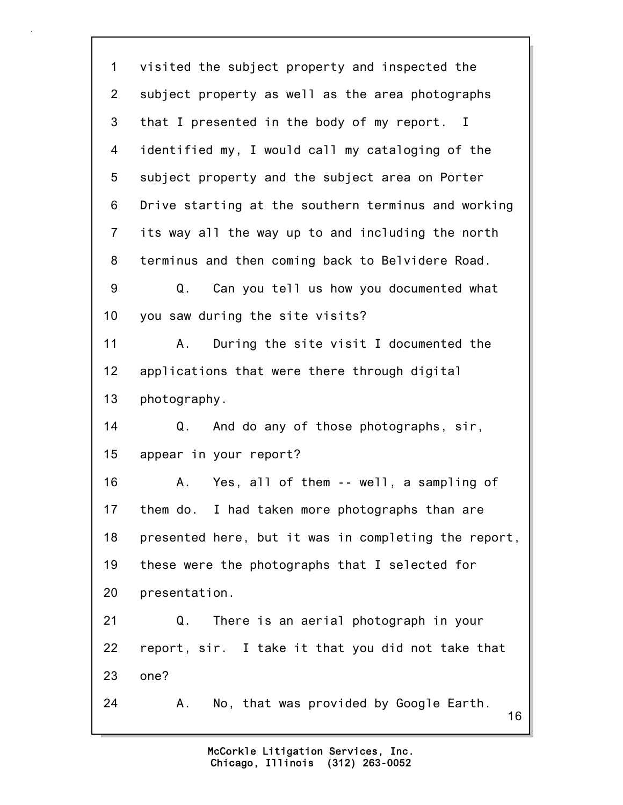16 1 visited the subject property and inspected the 2 subject property as well as the area photographs 3 that I presented in the body of my report. I 4 identified my, I would call my cataloging of the 5 subject property and the subject area on Porter 6 Drive starting at the southern terminus and working 7 its way all the way up to and including the north 8 terminus and then coming back to Belvidere Road. 9 Q. Can you tell us how you documented what 10 you saw during the site visits? 11 A. During the site visit I documented the 12 applications that were there through digital 13 photography. 14 Q. And do any of those photographs, sir, 15 appear in your report? 16 A. Yes, all of them -- well, a sampling of 17 them do. I had taken more photographs than are 18 presented here, but it was in completing the report, 19 these were the photographs that I selected for 20 presentation. 21 Q. There is an aerial photograph in your 22 report, sir. I take it that you did not take that 23 one? 24 A. No, that was provided by Google Earth.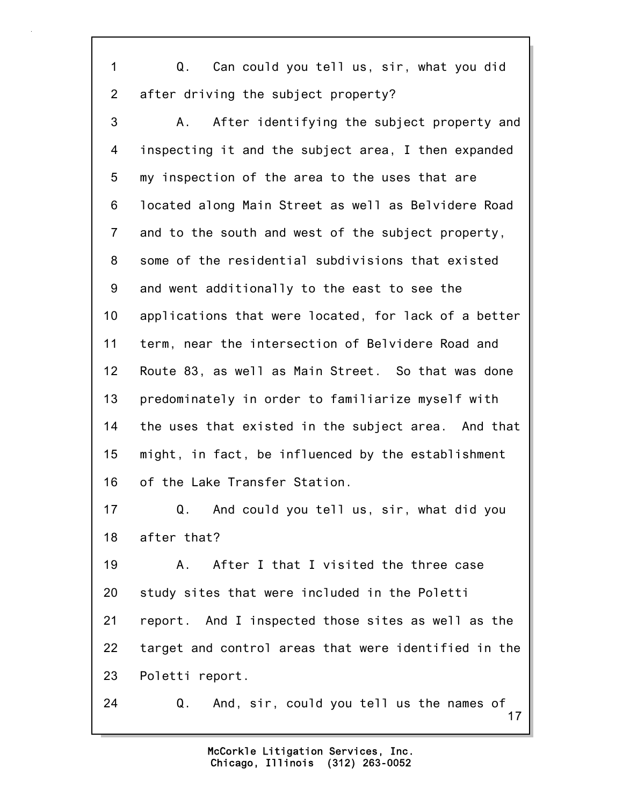1 Q. Can could you tell us, sir, what you did 2 after driving the subject property?

3 A. After identifying the subject property and 4 inspecting it and the subject area, I then expanded 5 my inspection of the area to the uses that are 6 located along Main Street as well as Belvidere Road 7 and to the south and west of the subject property, 8 some of the residential subdivisions that existed 9 and went additionally to the east to see the 10 applications that were located, for lack of a better 11 term, near the intersection of Belvidere Road and 12 Route 83, as well as Main Street. So that was done 13 predominately in order to familiarize myself with 14 the uses that existed in the subject area. And that 15 might, in fact, be influenced by the establishment 16 of the Lake Transfer Station.

17 Q. And could you tell us, sir, what did you 18 after that?

19 A. After I that I visited the three case 20 study sites that were included in the Poletti 21 report. And I inspected those sites as well as the 22 target and control areas that were identified in the 23 Poletti report.

17 24 Q. And, sir, could you tell us the names of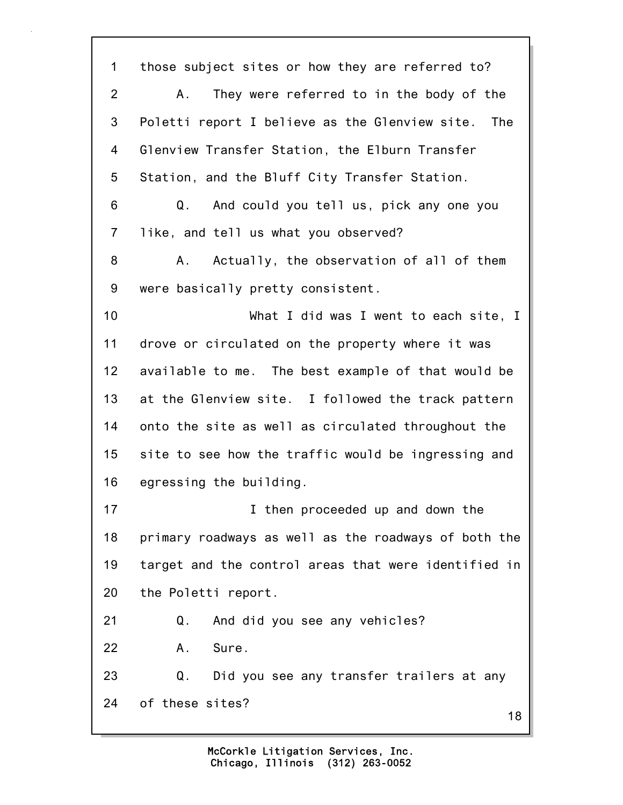18 1 those subject sites or how they are referred to? 2 A. They were referred to in the body of the 3 Poletti report I believe as the Glenview site. The 4 Glenview Transfer Station, the Elburn Transfer 5 Station, and the Bluff City Transfer Station. 6 Q. And could you tell us, pick any one you 7 like, and tell us what you observed? 8 A. Actually, the observation of all of them 9 were basically pretty consistent. 10 What I did was I went to each site, I 11 drove or circulated on the property where it was 12 available to me. The best example of that would be 13 at the Glenview site. I followed the track pattern 14 onto the site as well as circulated throughout the 15 site to see how the traffic would be ingressing and 16 egressing the building. 17 **I** then proceeded up and down the 18 primary roadways as well as the roadways of both the 19 target and the control areas that were identified in 20 the Poletti report. 21 Q. And did you see any vehicles? 22 A. Sure. 23 Q. Did you see any transfer trailers at any 24 of these sites?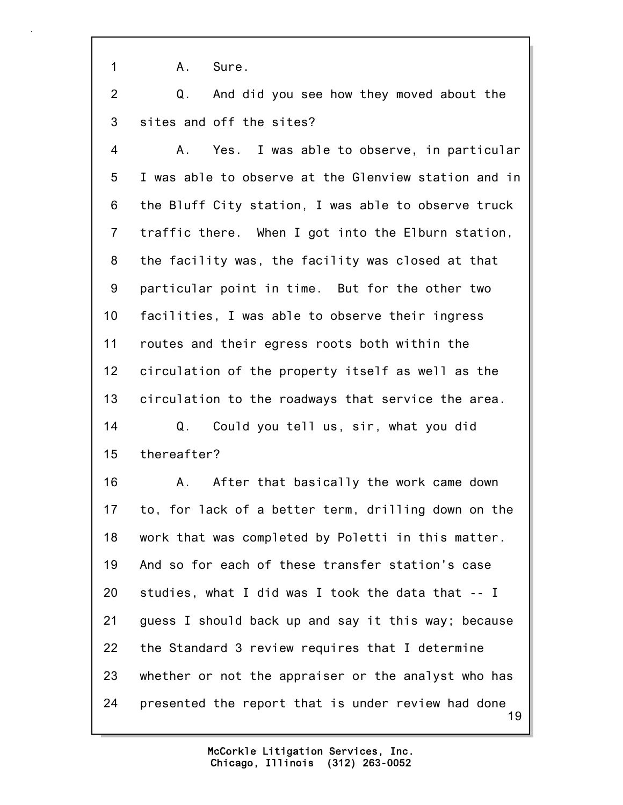1 A. Sure.

2 Q. And did you see how they moved about the 3 sites and off the sites?

4 A. Yes. I was able to observe, in particular 5 I was able to observe at the Glenview station and in 6 the Bluff City station, I was able to observe truck 7 traffic there. When I got into the Elburn station, 8 the facility was, the facility was closed at that 9 particular point in time. But for the other two 10 facilities, I was able to observe their ingress 11 routes and their egress roots both within the 12 circulation of the property itself as well as the 13 circulation to the roadways that service the area. 14 Q. Could you tell us, sir, what you did 15 thereafter?

19 16 A. After that basically the work came down 17 to, for lack of a better term, drilling down on the 18 work that was completed by Poletti in this matter. 19 And so for each of these transfer station's case 20 studies, what I did was I took the data that -- I 21 guess I should back up and say it this way; because 22 the Standard 3 review requires that I determine 23 whether or not the appraiser or the analyst who has 24 presented the report that is under review had done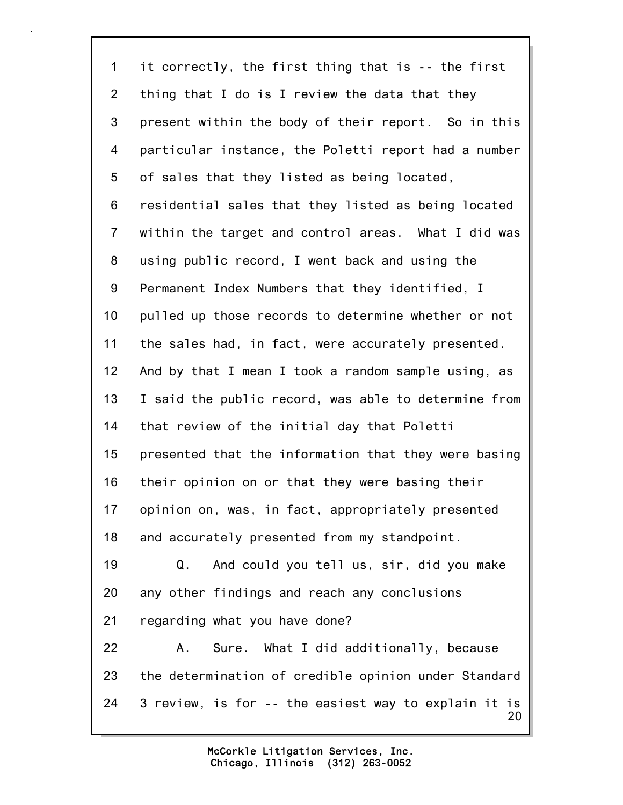20 1 it correctly, the first thing that is -- the first 2 thing that I do is I review the data that they 3 present within the body of their report. So in this 4 particular instance, the Poletti report had a number 5 of sales that they listed as being located, 6 residential sales that they listed as being located 7 within the target and control areas. What I did was 8 using public record, I went back and using the 9 Permanent Index Numbers that they identified, I 10 pulled up those records to determine whether or not 11 the sales had, in fact, were accurately presented. 12 And by that I mean I took a random sample using, as 13 I said the public record, was able to determine from 14 that review of the initial day that Poletti 15 presented that the information that they were basing 16 their opinion on or that they were basing their 17 opinion on, was, in fact, appropriately presented 18 and accurately presented from my standpoint. 19 Q. And could you tell us, sir, did you make 20 any other findings and reach any conclusions 21 regarding what you have done? 22 A. Sure. What I did additionally, because 23 the determination of credible opinion under Standard 24 3 review, is for -- the easiest way to explain it is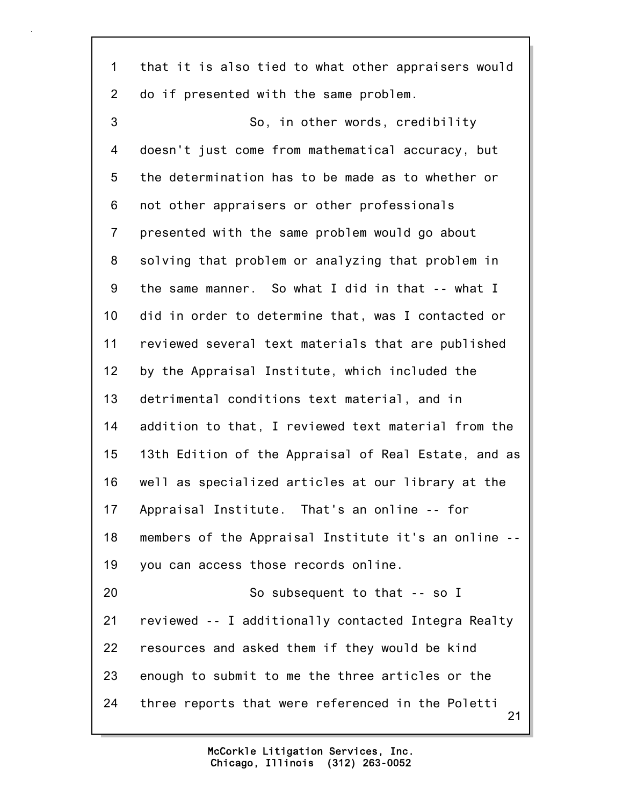1 that it is also tied to what other appraisers would 2 do if presented with the same problem.

21 3 So, in other words, credibility 4 doesn't just come from mathematical accuracy, but 5 the determination has to be made as to whether or 6 not other appraisers or other professionals 7 presented with the same problem would go about 8 solving that problem or analyzing that problem in 9 the same manner. So what I did in that -- what I 10 did in order to determine that, was I contacted or 11 reviewed several text materials that are published 12 by the Appraisal Institute, which included the 13 detrimental conditions text material, and in 14 addition to that, I reviewed text material from the 15 13th Edition of the Appraisal of Real Estate, and as 16 well as specialized articles at our library at the 17 Appraisal Institute. That's an online -- for 18 members of the Appraisal Institute it's an online -- 19 you can access those records online. 20 So subsequent to that -- so I 21 reviewed -- I additionally contacted Integra Realty 22 resources and asked them if they would be kind 23 enough to submit to me the three articles or the 24 three reports that were referenced in the Poletti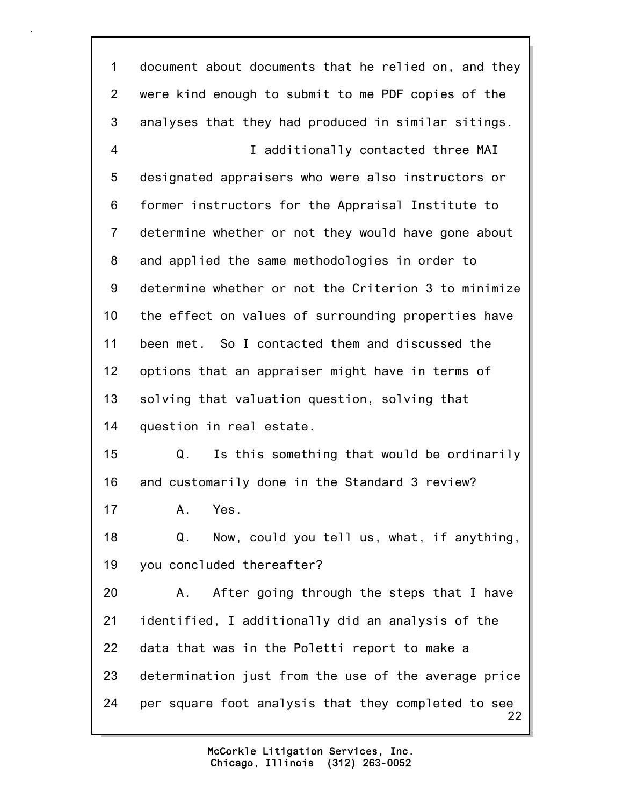22 1 document about documents that he relied on, and they 2 were kind enough to submit to me PDF copies of the 3 analyses that they had produced in similar sitings. 4 I additionally contacted three MAI 5 designated appraisers who were also instructors or 6 former instructors for the Appraisal Institute to 7 determine whether or not they would have gone about 8 and applied the same methodologies in order to 9 determine whether or not the Criterion 3 to minimize 10 the effect on values of surrounding properties have 11 been met. So I contacted them and discussed the 12 options that an appraiser might have in terms of 13 solving that valuation question, solving that 14 question in real estate. 15 Q. Is this something that would be ordinarily 16 and customarily done in the Standard 3 review? 17 A. Yes. 18 Q. Now, could you tell us, what, if anything, 19 you concluded thereafter? 20 A. After going through the steps that I have 21 identified, I additionally did an analysis of the 22 data that was in the Poletti report to make a 23 determination just from the use of the average price 24 per square foot analysis that they completed to see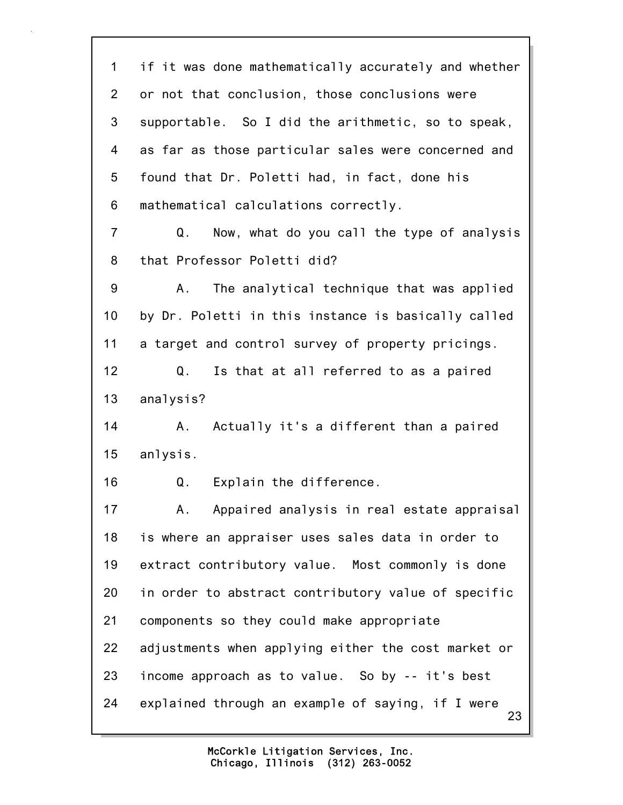23 1 if it was done mathematically accurately and whether 2 or not that conclusion, those conclusions were 3 supportable. So I did the arithmetic, so to speak, 4 as far as those particular sales were concerned and 5 found that Dr. Poletti had, in fact, done his 6 mathematical calculations correctly. 7 Q. Now, what do you call the type of analysis 8 that Professor Poletti did? 9 A. The analytical technique that was applied 10 by Dr. Poletti in this instance is basically called 11 a target and control survey of property pricings. 12 Q. Is that at all referred to as a paired 13 analysis? 14 A. Actually it's a different than a paired 15 anlysis. 16 Q. Explain the difference. 17 A. Appaired analysis in real estate appraisal 18 is where an appraiser uses sales data in order to 19 extract contributory value. Most commonly is done 20 in order to abstract contributory value of specific 21 components so they could make appropriate 22 adjustments when applying either the cost market or 23 income approach as to value. So by -- it's best 24 explained through an example of saying, if I were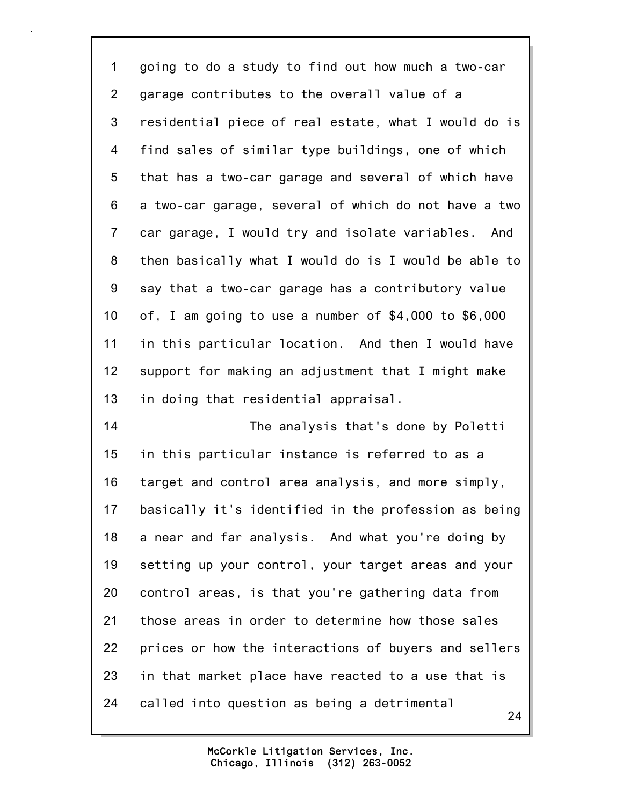1 going to do a study to find out how much a two-car 2 garage contributes to the overall value of a 3 residential piece of real estate, what I would do is 4 find sales of similar type buildings, one of which 5 that has a two-car garage and several of which have 6 a two-car garage, several of which do not have a two 7 car garage, I would try and isolate variables. And 8 then basically what I would do is I would be able to 9 say that a two-car garage has a contributory value 10 of, I am going to use a number of \$4,000 to \$6,000 11 in this particular location. And then I would have 12 support for making an adjustment that I might make 13 in doing that residential appraisal. 14 The analysis that's done by Poletti

24 15 in this particular instance is referred to as a 16 target and control area analysis, and more simply, 17 basically it's identified in the profession as being 18 a near and far analysis. And what you're doing by 19 setting up your control, your target areas and your 20 control areas, is that you're gathering data from 21 those areas in order to determine how those sales 22 prices or how the interactions of buyers and sellers 23 in that market place have reacted to a use that is 24 called into question as being a detrimental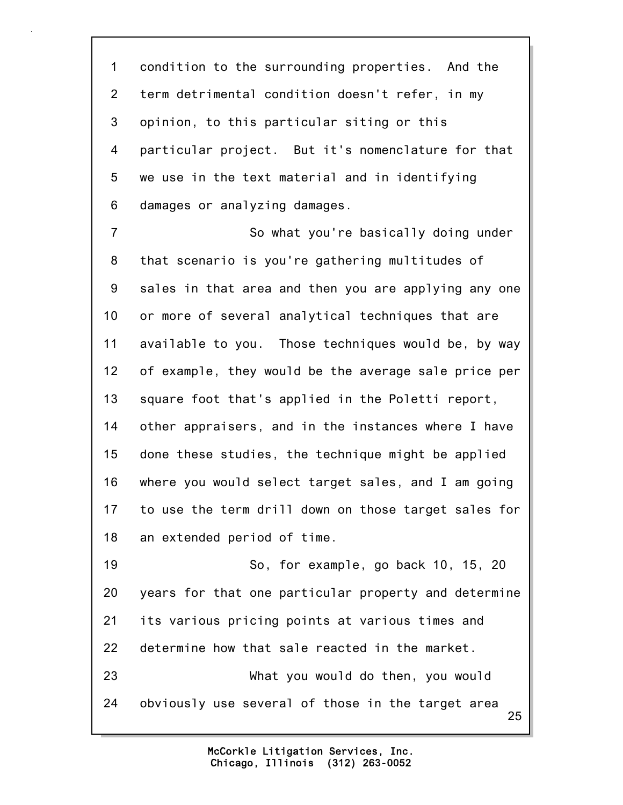1 condition to the surrounding properties. And the 2 term detrimental condition doesn't refer, in my 3 opinion, to this particular siting or this 4 particular project. But it's nomenclature for that 5 we use in the text material and in identifying 6 damages or analyzing damages.

7 So what you're basically doing under 8 that scenario is you're gathering multitudes of 9 sales in that area and then you are applying any one 10 or more of several analytical techniques that are 11 available to you. Those techniques would be, by way 12 of example, they would be the average sale price per 13 square foot that's applied in the Poletti report, 14 other appraisers, and in the instances where I have 15 done these studies, the technique might be applied 16 where you would select target sales, and I am going 17 to use the term drill down on those target sales for 18 an extended period of time. 19 So, for example, go back 10, 15, 20

25 20 years for that one particular property and determine 21 its various pricing points at various times and 22 determine how that sale reacted in the market. 23 What you would do then, you would 24 obviously use several of those in the target area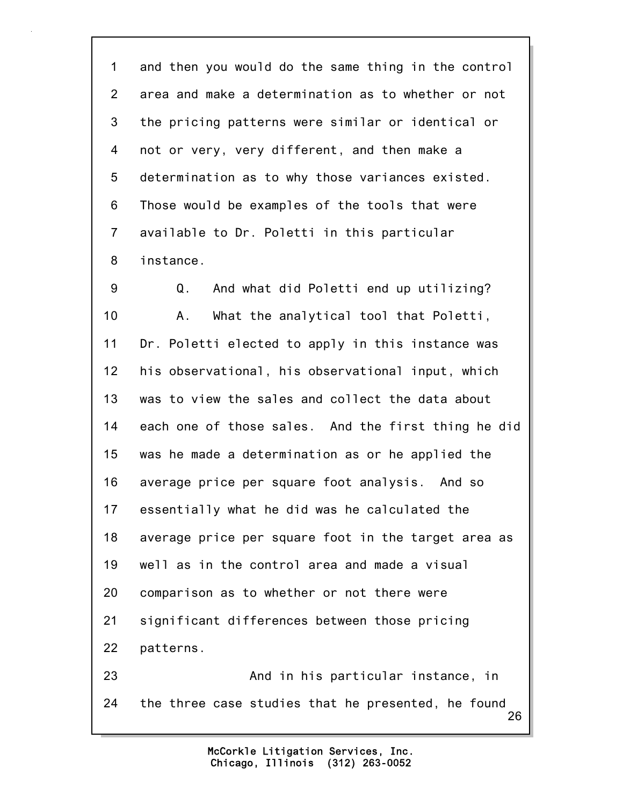1 and then you would do the same thing in the control 2 area and make a determination as to whether or not 3 the pricing patterns were similar or identical or 4 not or very, very different, and then make a 5 determination as to why those variances existed. 6 Those would be examples of the tools that were 7 available to Dr. Poletti in this particular 8 instance.

26 9 Q. And what did Poletti end up utilizing? 10 A. What the analytical tool that Poletti, 11 Dr. Poletti elected to apply in this instance was 12 his observational, his observational input, which 13 was to view the sales and collect the data about 14 each one of those sales. And the first thing he did 15 was he made a determination as or he applied the 16 average price per square foot analysis. And so 17 essentially what he did was he calculated the 18 average price per square foot in the target area as 19 well as in the control area and made a visual 20 comparison as to whether or not there were 21 significant differences between those pricing 22 patterns. 23 And in his particular instance, in 24 the three case studies that he presented, he found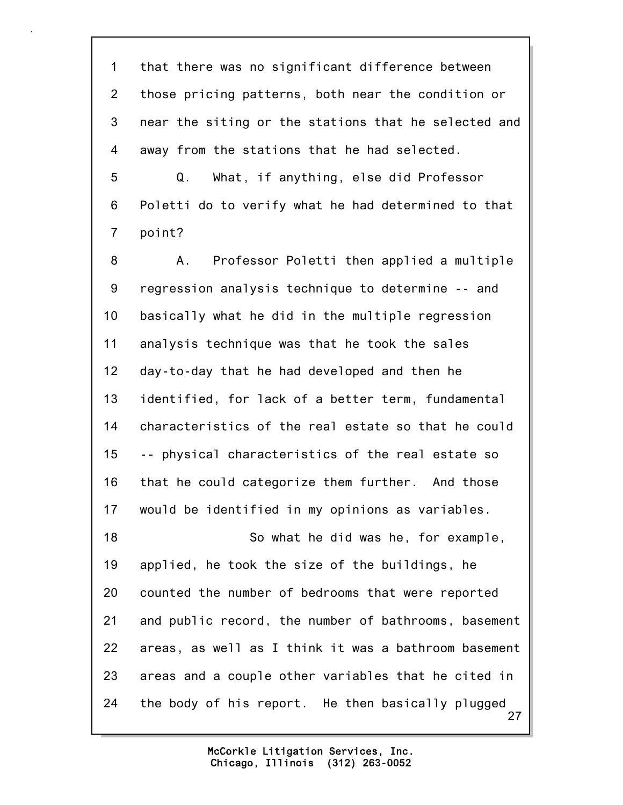1 that there was no significant difference between 2 those pricing patterns, both near the condition or 3 near the siting or the stations that he selected and 4 away from the stations that he had selected.

5 Q. What, if anything, else did Professor 6 Poletti do to verify what he had determined to that 7 point?

27 8 A. Professor Poletti then applied a multiple 9 regression analysis technique to determine -- and 10 basically what he did in the multiple regression 11 analysis technique was that he took the sales 12 day-to-day that he had developed and then he 13 identified, for lack of a better term, fundamental 14 characteristics of the real estate so that he could 15 -- physical characteristics of the real estate so 16 that he could categorize them further. And those 17 would be identified in my opinions as variables. 18 So what he did was he, for example, 19 applied, he took the size of the buildings, he 20 counted the number of bedrooms that were reported 21 and public record, the number of bathrooms, basement 22 areas, as well as I think it was a bathroom basement 23 areas and a couple other variables that he cited in 24 the body of his report. He then basically plugged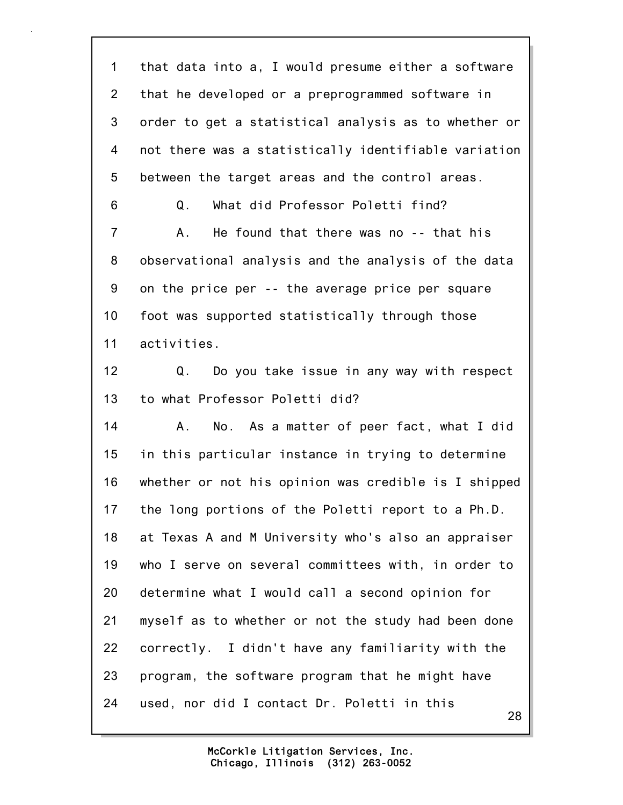28 1 that data into a, I would presume either a software 2 that he developed or a preprogrammed software in 3 order to get a statistical analysis as to whether or 4 not there was a statistically identifiable variation 5 between the target areas and the control areas. 6 Q. What did Professor Poletti find? 7 A. He found that there was no -- that his 8 observational analysis and the analysis of the data 9 on the price per -- the average price per square 10 foot was supported statistically through those 11 activities. 12 Q. Do you take issue in any way with respect 13 to what Professor Poletti did? 14 A. No. As a matter of peer fact, what I did 15 in this particular instance in trying to determine 16 whether or not his opinion was credible is I shipped 17 the long portions of the Poletti report to a Ph.D. 18 at Texas A and M University who's also an appraiser 19 who I serve on several committees with, in order to 20 determine what I would call a second opinion for 21 myself as to whether or not the study had been done 22 correctly. I didn't have any familiarity with the 23 program, the software program that he might have 24 used, nor did I contact Dr. Poletti in this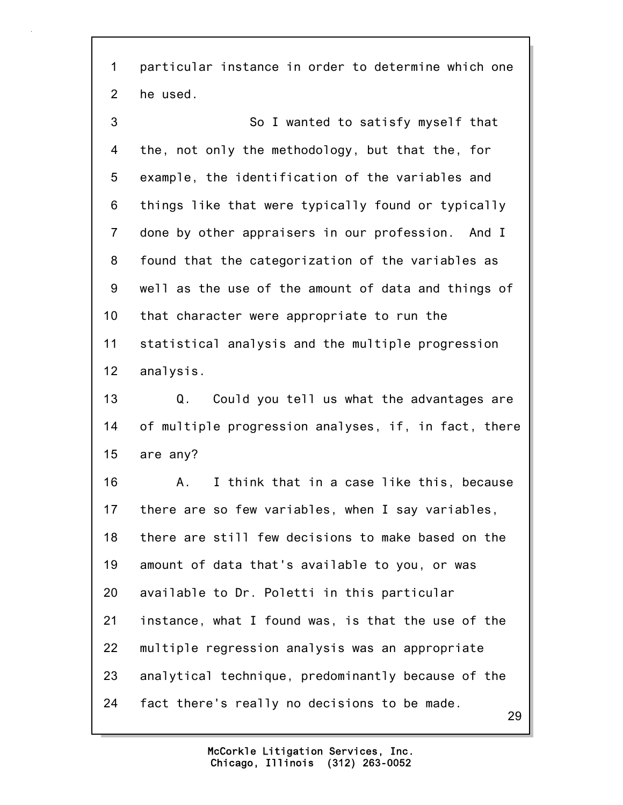1 particular instance in order to determine which one 2 he used.

3 So I wanted to satisfy myself that 4 the, not only the methodology, but that the, for 5 example, the identification of the variables and 6 things like that were typically found or typically 7 done by other appraisers in our profession. And I 8 found that the categorization of the variables as 9 well as the use of the amount of data and things of 10 that character were appropriate to run the 11 statistical analysis and the multiple progression 12 analysis.

13 Q. Could you tell us what the advantages are 14 of multiple progression analyses, if, in fact, there 15 are any?

16 A. I think that in a case like this, because 17 there are so few variables, when I say variables, 18 there are still few decisions to make based on the 19 amount of data that's available to you, or was 20 available to Dr. Poletti in this particular 21 instance, what I found was, is that the use of the 22 multiple regression analysis was an appropriate 23 analytical technique, predominantly because of the 24 fact there's really no decisions to be made.

> Chicago, Illinois (312) 263-0052 McCorkle Litigation Services, Inc.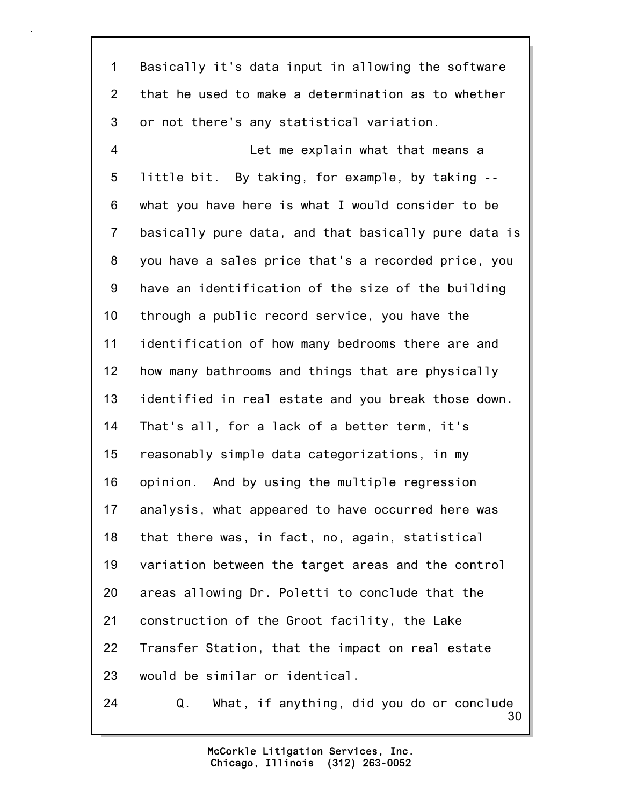1 Basically it's data input in allowing the software 2 that he used to make a determination as to whether 3 or not there's any statistical variation. 4 Let me explain what that means a 5 little bit. By taking, for example, by taking -- 6 what you have here is what I would consider to be 7 basically pure data, and that basically pure data is 8 you have a sales price that's a recorded price, you 9 have an identification of the size of the building 10 through a public record service, you have the 11 identification of how many bedrooms there are and 12 how many bathrooms and things that are physically 13 identified in real estate and you break those down. 14 That's all, for a lack of a better term, it's 15 reasonably simple data categorizations, in my 16 opinion. And by using the multiple regression 17 analysis, what appeared to have occurred here was 18 that there was, in fact, no, again, statistical 19 variation between the target areas and the control 20 areas allowing Dr. Poletti to conclude that the 21 construction of the Groot facility, the Lake 22 Transfer Station, that the impact on real estate 23 would be similar or identical. 24 Q. What, if anything, did you do or conclude

> Chicago, Illinois (312) 263-0052 McCorkle Litigation Services, Inc.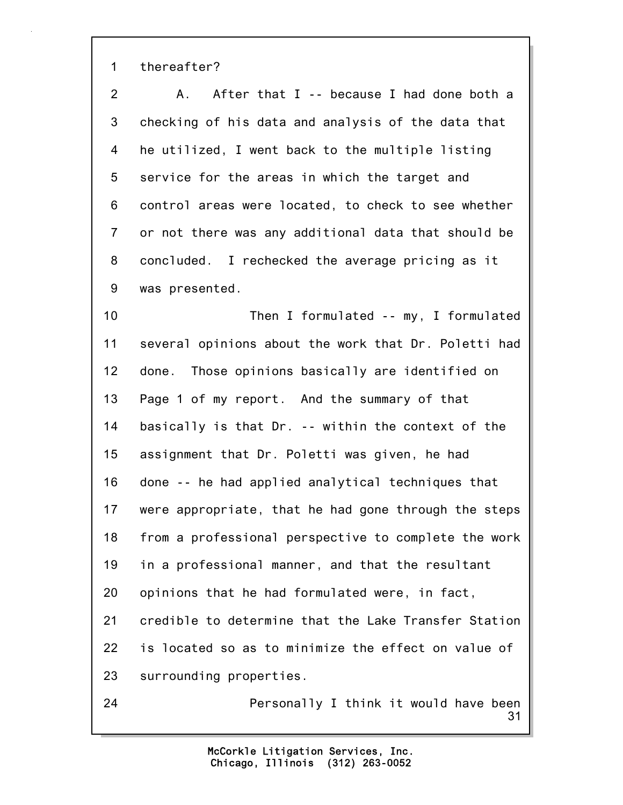1 thereafter?

2 A. After that I -- because I had done both a 3 checking of his data and analysis of the data that 4 he utilized, I went back to the multiple listing 5 service for the areas in which the target and 6 control areas were located, to check to see whether 7 or not there was any additional data that should be 8 concluded. I rechecked the average pricing as it 9 was presented.

10 Then I formulated -- my, I formulated 11 several opinions about the work that Dr. Poletti had 12 done. Those opinions basically are identified on 13 Page 1 of my report. And the summary of that 14 basically is that Dr. -- within the context of the 15 assignment that Dr. Poletti was given, he had 16 done -- he had applied analytical techniques that 17 were appropriate, that he had gone through the steps 18 from a professional perspective to complete the work 19 in a professional manner, and that the resultant 20 opinions that he had formulated were, in fact, 21 credible to determine that the Lake Transfer Station 22 is located so as to minimize the effect on value of 23 surrounding properties. 24 Personally I think it would have been

> Chicago, Illinois (312) 263-0052 McCorkle Litigation Services, Inc.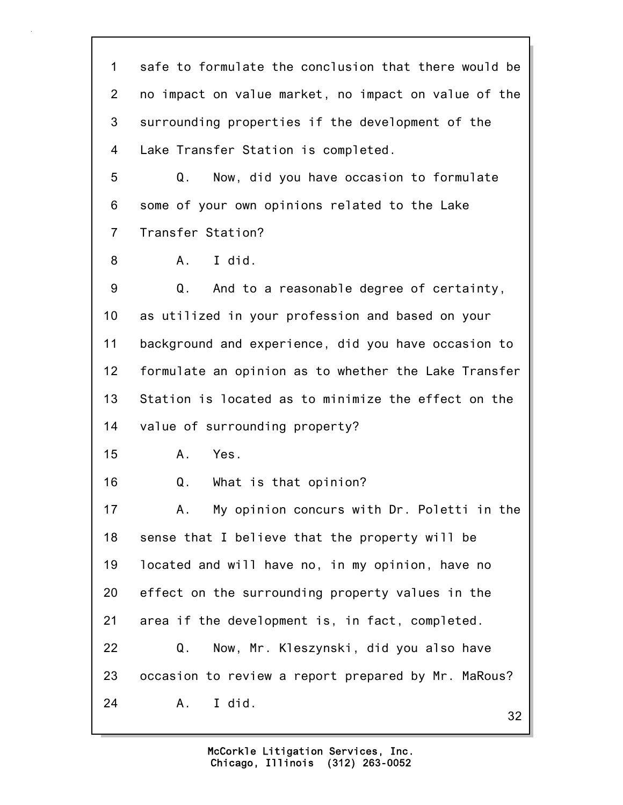32 1 safe to formulate the conclusion that there would be 2 no impact on value market, no impact on value of the 3 surrounding properties if the development of the 4 Lake Transfer Station is completed. 5 Q. Now, did you have occasion to formulate 6 some of your own opinions related to the Lake 7 Transfer Station? 8 A. I did. 9 Q. And to a reasonable degree of certainty, 10 as utilized in your profession and based on your 11 background and experience, did you have occasion to 12 formulate an opinion as to whether the Lake Transfer 13 Station is located as to minimize the effect on the 14 value of surrounding property? 15 A. Yes. 16 Q. What is that opinion? 17 A. My opinion concurs with Dr. Poletti in the 18 sense that I believe that the property will be 19 located and will have no, in my opinion, have no 20 effect on the surrounding property values in the 21 area if the development is, in fact, completed. 22 Q. Now, Mr. Kleszynski, did you also have 23 occasion to review a report prepared by Mr. MaRous? 24 A. I did.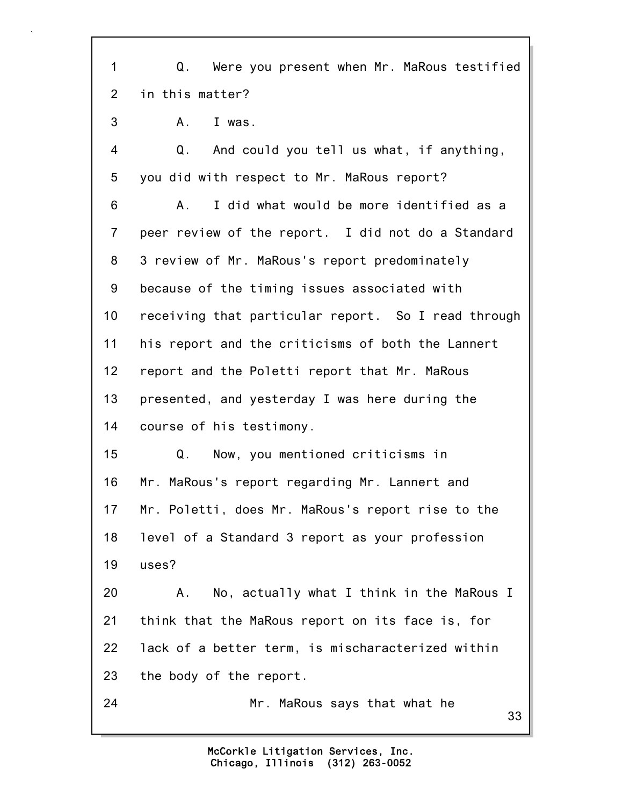1 Q. Were you present when Mr. MaRous testified 2 in this matter?

3 A. I was.

4 Q. And could you tell us what, if anything, 5 you did with respect to Mr. MaRous report?

6 A. I did what would be more identified as a 7 peer review of the report. I did not do a Standard 8 3 review of Mr. MaRous's report predominately 9 because of the timing issues associated with 10 receiving that particular report. So I read through 11 his report and the criticisms of both the Lannert 12 report and the Poletti report that Mr. MaRous 13 presented, and yesterday I was here during the 14 course of his testimony.

15 Q. Now, you mentioned criticisms in 16 Mr. MaRous's report regarding Mr. Lannert and 17 Mr. Poletti, does Mr. MaRous's report rise to the 18 level of a Standard 3 report as your profession 19 uses?

20 A. No, actually what I think in the MaRous I 21 think that the MaRous report on its face is, for 22 lack of a better term, is mischaracterized within 23 the body of the report.

24 Mr. MaRous says that what he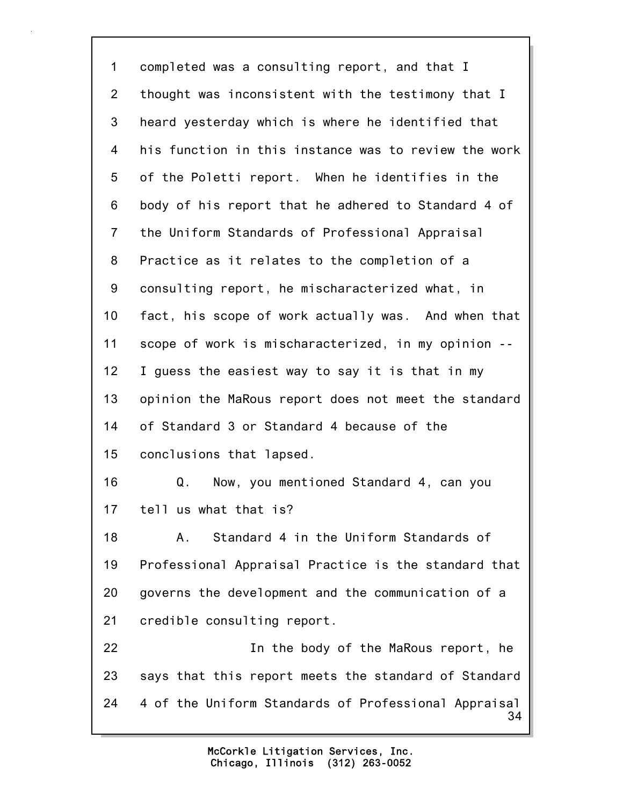34 1 completed was a consulting report, and that I 2 thought was inconsistent with the testimony that I 3 heard yesterday which is where he identified that 4 his function in this instance was to review the work 5 of the Poletti report. When he identifies in the 6 body of his report that he adhered to Standard 4 of 7 the Uniform Standards of Professional Appraisal 8 Practice as it relates to the completion of a 9 consulting report, he mischaracterized what, in 10 fact, his scope of work actually was. And when that 11 scope of work is mischaracterized, in my opinion -- 12 I guess the easiest way to say it is that in my 13 opinion the MaRous report does not meet the standard 14 of Standard 3 or Standard 4 because of the 15 conclusions that lapsed. 16 Q. Now, you mentioned Standard 4, can you 17 tell us what that is? 18 A. Standard 4 in the Uniform Standards of 19 Professional Appraisal Practice is the standard that 20 governs the development and the communication of a 21 credible consulting report. 22 In the body of the MaRous report, he 23 says that this report meets the standard of Standard 24 4 of the Uniform Standards of Professional Appraisal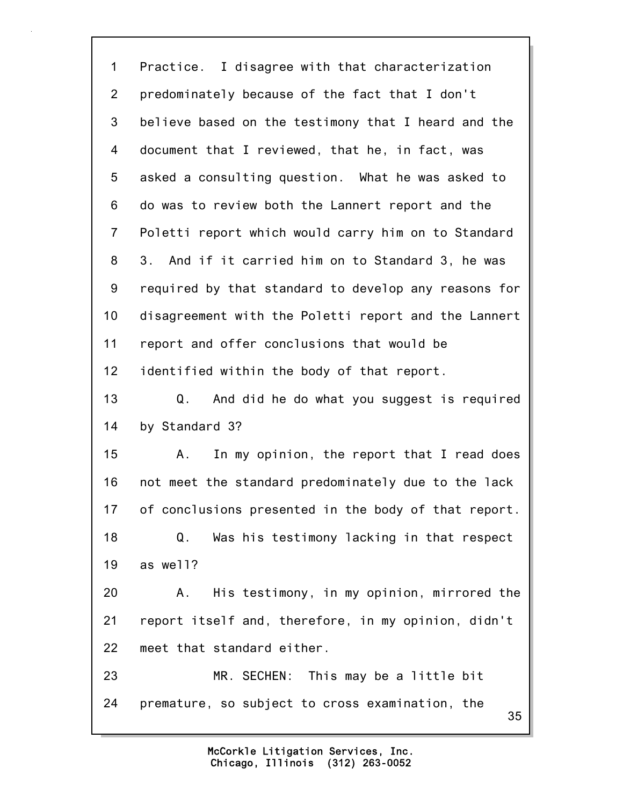35 1 Practice. I disagree with that characterization 2 predominately because of the fact that I don't 3 believe based on the testimony that I heard and the 4 document that I reviewed, that he, in fact, was 5 asked a consulting question. What he was asked to 6 do was to review both the Lannert report and the 7 Poletti report which would carry him on to Standard 8 3. And if it carried him on to Standard 3, he was 9 required by that standard to develop any reasons for 10 disagreement with the Poletti report and the Lannert 11 report and offer conclusions that would be 12 identified within the body of that report. 13 Q. And did he do what you suggest is required 14 by Standard 3? 15 A. In my opinion, the report that I read does 16 not meet the standard predominately due to the lack 17 of conclusions presented in the body of that report. 18 Q. Was his testimony lacking in that respect 19 as well? 20 A. His testimony, in my opinion, mirrored the 21 report itself and, therefore, in my opinion, didn't 22 meet that standard either. 23 MR. SECHEN: This may be a little bit 24 premature, so subject to cross examination, the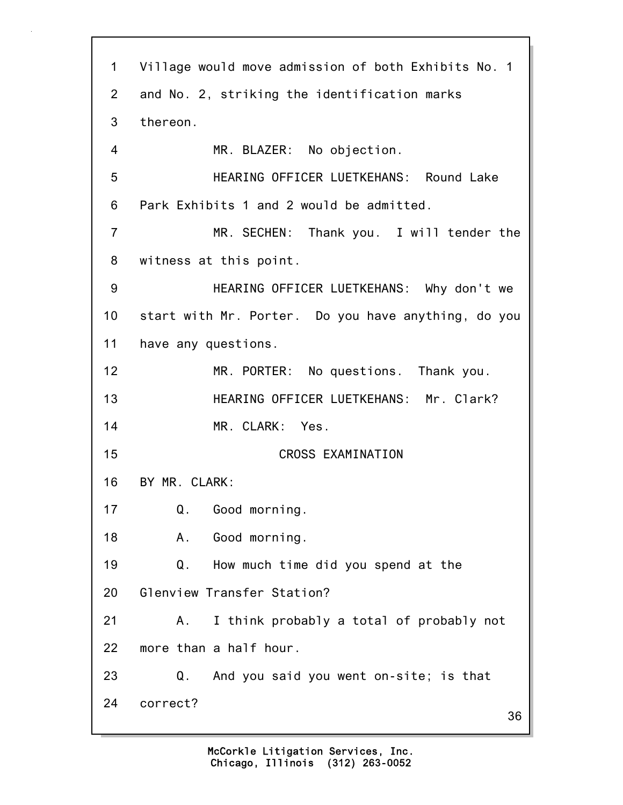36 1 Village would move admission of both Exhibits No. 1 2 and No. 2, striking the identification marks 3 thereon. 4 MR. BLAZER: No objection. 5 HEARING OFFICER LUETKEHANS: Round Lake 6 Park Exhibits 1 and 2 would be admitted. 7 MR. SECHEN: Thank you. I will tender the 8 witness at this point. 9 HEARING OFFICER LUETKEHANS: Why don't we 10 start with Mr. Porter. Do you have anything, do you 11 have any questions. 12 MR. PORTER: No questions. Thank you. 13 HEARING OFFICER LUETKEHANS: Mr. Clark? 14 MR. CLARK: Yes. 15 CROSS EXAMINATION 16 BY MR. CLARK: 17 Q. Good morning. 18 A. Good morning. 19 Q. How much time did you spend at the 20 Glenview Transfer Station? 21 A. I think probably a total of probably not 22 more than a half hour. 23 Q. And you said you went on-site; is that 24 correct?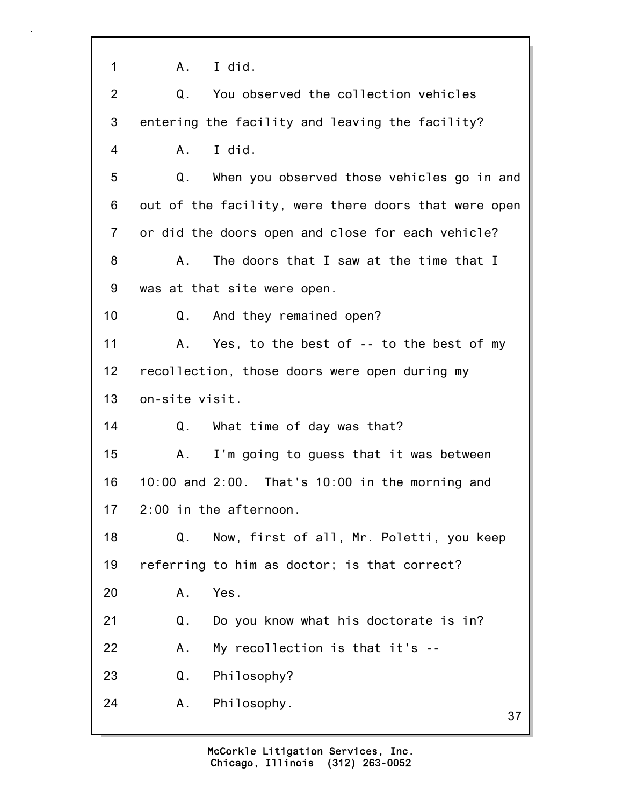1 A. I did.

| $\overline{2}$ | You observed the collection vehicles<br>Q.             |
|----------------|--------------------------------------------------------|
| 3              | entering the facility and leaving the facility?        |
| 4              | I did.<br>Α.                                           |
| 5              | Q.<br>When you observed those vehicles go in and       |
| 6              | out of the facility, were there doors that were open   |
| $\overline{7}$ | or did the doors open and close for each vehicle?      |
| 8              | The doors that I saw at the time that I<br>Α.          |
| 9              | was at that site were open.                            |
| 10             | And they remained open?<br>Q.                          |
| 11             | Yes, to the best of -- to the best of my<br>Α.         |
| 12             | recollection, those doors were open during my          |
| 13             | on-site visit.                                         |
| 14             | Q. What time of day was that?                          |
| 15             | I'm going to guess that it was between<br>Α.           |
| 16             | $10:00$ and $2:00$ . That's $10:00$ in the morning and |
| 17             | 2:00 in the afternoon.                                 |
| 18             | Now, first of all, Mr. Poletti, you keep<br>Q.         |
| 19             | referring to him as doctor; is that correct?           |
| 20             | Α.<br>Yes.                                             |
| 21             | Q.<br>Do you know what his doctorate is in?            |
| 22             | My recollection is that it's --<br>Α.                  |
| 23             | Philosophy?<br>Q.                                      |
| 24             | Philosophy.<br>Α.<br>37                                |
|                |                                                        |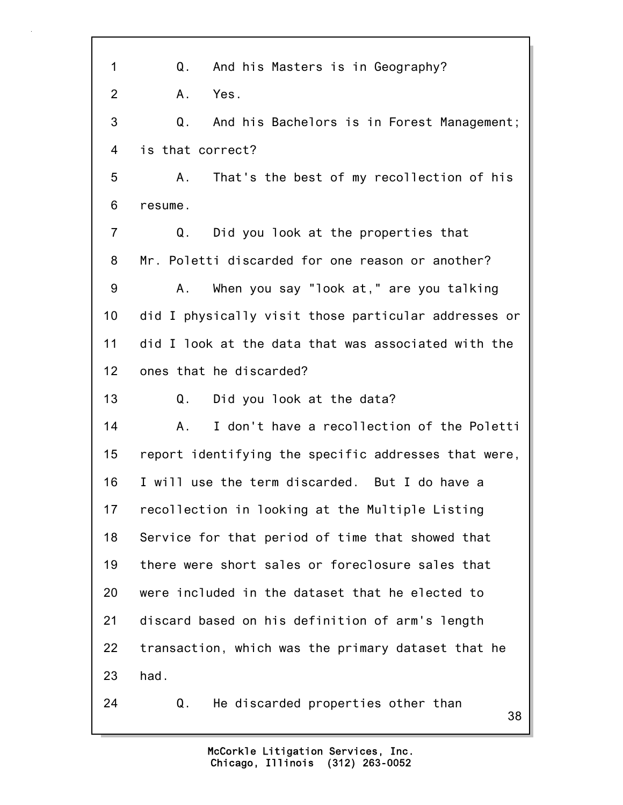| $\mathbf 1$     | And his Masters is in Geography?<br>Q.               |
|-----------------|------------------------------------------------------|
| $\overline{2}$  | Yes.<br>Α.                                           |
| 3               | Q.<br>And his Bachelors is in Forest Management;     |
| 4               | is that correct?                                     |
| 5               | That's the best of my recollection of his<br>А.      |
| 6               | resume.                                              |
| $\overline{7}$  | Did you look at the properties that<br>Q.            |
| 8               | Mr. Poletti discarded for one reason or another?     |
| 9               | When you say "look at," are you talking<br>A.        |
| 10              | did I physically visit those particular addresses or |
| 11              | did I look at the data that was associated with the  |
| 12 <sub>2</sub> | ones that he discarded?                              |
| 13              | Q.<br>Did you look at the data?                      |
| 14              | I don't have a recollection of the Poletti<br>Α.     |
| 15              | report identifying the specific addresses that were, |
| 16              | I will use the term discarded. But I do have a       |
| 17              | recollection in looking at the Multiple Listing      |
| 18              | Service for that period of time that showed that     |
| 19              | there were short sales or foreclosure sales that     |
| 20              | were included in the dataset that he elected to      |
| 21              | discard based on his definition of arm's length      |
| 22              | transaction, which was the primary dataset that he   |
| 23              | had.                                                 |
| 24              | He discarded properties other than<br>Q.<br>38       |
|                 |                                                      |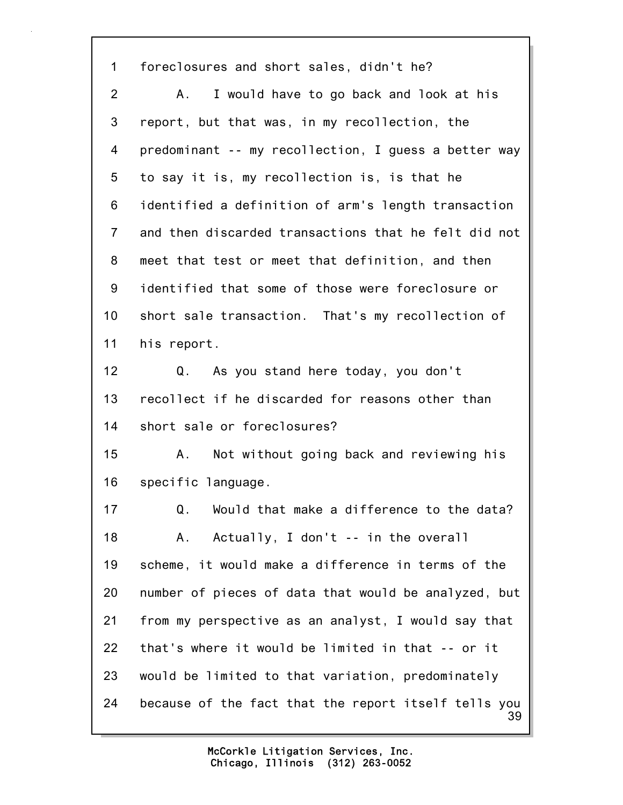39 1 foreclosures and short sales, didn't he? 2 A. I would have to go back and look at his 3 report, but that was, in my recollection, the 4 predominant -- my recollection, I guess a better way 5 to say it is, my recollection is, is that he 6 identified a definition of arm's length transaction 7 and then discarded transactions that he felt did not 8 meet that test or meet that definition, and then 9 identified that some of those were foreclosure or 10 short sale transaction. That's my recollection of 11 his report. 12 Q. As you stand here today, you don't 13 recollect if he discarded for reasons other than 14 short sale or foreclosures? 15 A. Not without going back and reviewing his 16 specific language. 17 Q. Would that make a difference to the data? 18 A. Actually, I don't -- in the overall 19 scheme, it would make a difference in terms of the 20 number of pieces of data that would be analyzed, but 21 from my perspective as an analyst, I would say that 22 that's where it would be limited in that -- or it 23 would be limited to that variation, predominately 24 because of the fact that the report itself tells you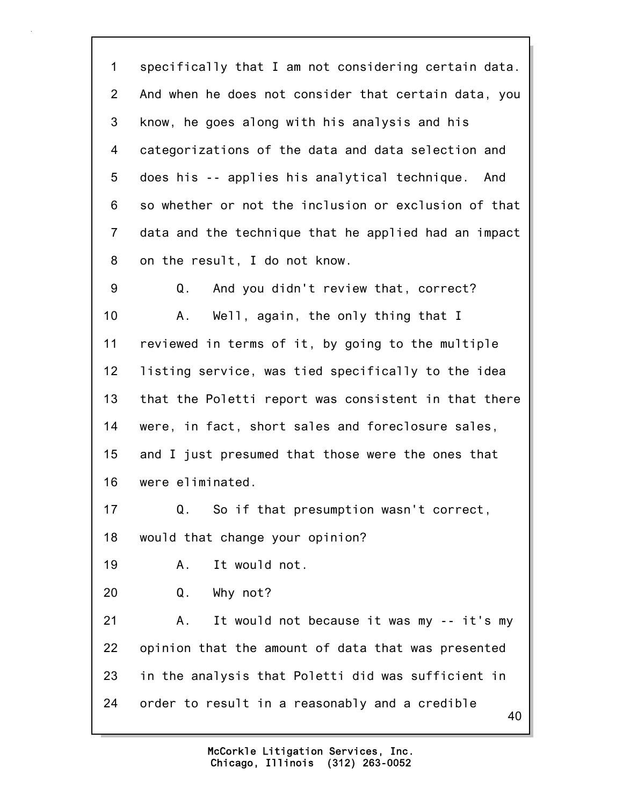1 specifically that I am not considering certain data. 2 And when he does not consider that certain data, you 3 know, he goes along with his analysis and his 4 categorizations of the data and data selection and 5 does his -- applies his analytical technique. And 6 so whether or not the inclusion or exclusion of that 7 data and the technique that he applied had an impact 8 on the result, I do not know. 9 Q. And you didn't review that, correct?

10 A. Well, again, the only thing that I 11 reviewed in terms of it, by going to the multiple 12 listing service, was tied specifically to the idea 13 that the Poletti report was consistent in that there 14 were, in fact, short sales and foreclosure sales, 15 and I just presumed that those were the ones that 16 were eliminated.

17 Q. So if that presumption wasn't correct, 18 would that change your opinion?

19 A. It would not.

20 Q. Why not?

40 21 A. It would not because it was my -- it's my 22 opinion that the amount of data that was presented 23 in the analysis that Poletti did was sufficient in 24 order to result in a reasonably and a credible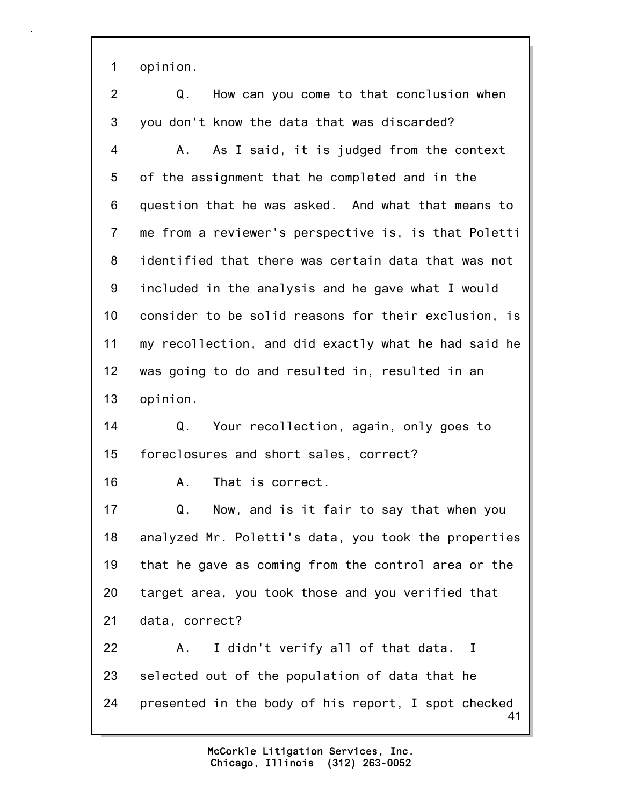1 opinion.

| $\overline{2}$  | Q.<br>How can you come to that conclusion when            |
|-----------------|-----------------------------------------------------------|
| 3               | you don't know the data that was discarded?               |
| 4               | As I said, it is judged from the context<br>А.            |
| 5               | of the assignment that he completed and in the            |
| 6               | question that he was asked. And what that means to        |
| $\overline{7}$  | me from a reviewer's perspective is, is that Poletti      |
| 8               | identified that there was certain data that was not       |
| 9               | included in the analysis and he gave what I would         |
| 10              | consider to be solid reasons for their exclusion, is      |
| 11              | my recollection, and did exactly what he had said he      |
| 12 <sub>2</sub> | was going to do and resulted in, resulted in an           |
| 13              | opinion.                                                  |
| 14              | Your recollection, again, only goes to<br>Q.              |
| 15              | foreclosures and short sales, correct?                    |
| 16              | That is correct.<br>А.                                    |
| 17              | Q.<br>Now, and is it fair to say that when you            |
| 18              | analyzed Mr. Poletti's data, you took the properties      |
| 19              | that he gave as coming from the control area or the       |
| 20              | target area, you took those and you verified that         |
| 21              | data, correct?                                            |
| 22              | I didn't verify all of that data. I<br>Α.                 |
| 23              | selected out of the population of data that he            |
| 24              | presented in the body of his report, I spot checked<br>41 |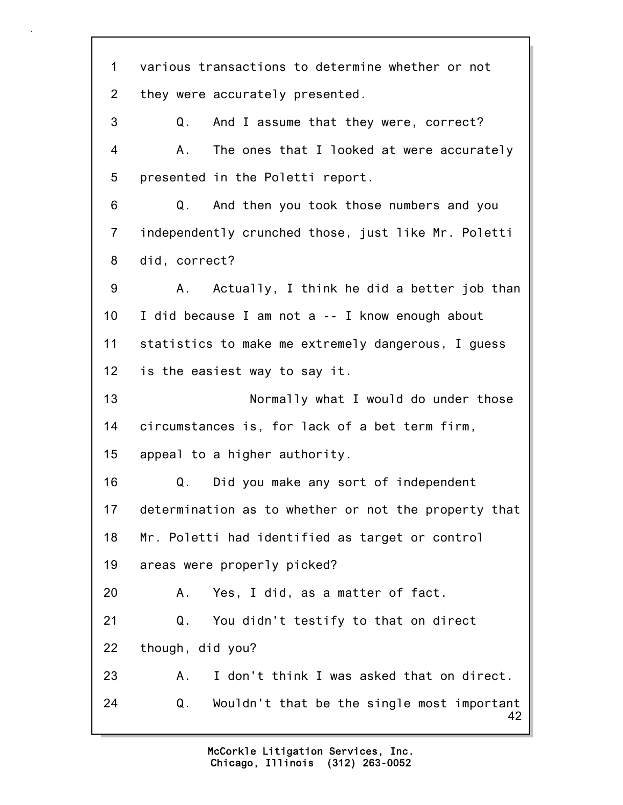42 1 various transactions to determine whether or not 2 they were accurately presented. 3 Q. And I assume that they were, correct? 4 A. The ones that I looked at were accurately 5 presented in the Poletti report. 6 Q. And then you took those numbers and you 7 independently crunched those, just like Mr. Poletti 8 did, correct? 9 A. Actually, I think he did a better job than 10 I did because I am not a -- I know enough about 11 statistics to make me extremely dangerous, I guess 12 is the easiest way to say it. 13 Normally what I would do under those 14 circumstances is, for lack of a bet term firm, 15 appeal to a higher authority. 16 Q. Did you make any sort of independent 17 determination as to whether or not the property that 18 Mr. Poletti had identified as target or control 19 areas were properly picked? 20 A. Yes, I did, as a matter of fact. 21 Q. You didn't testify to that on direct 22 though, did you? 23 A. I don't think I was asked that on direct. 24 Q. Wouldn't that be the single most important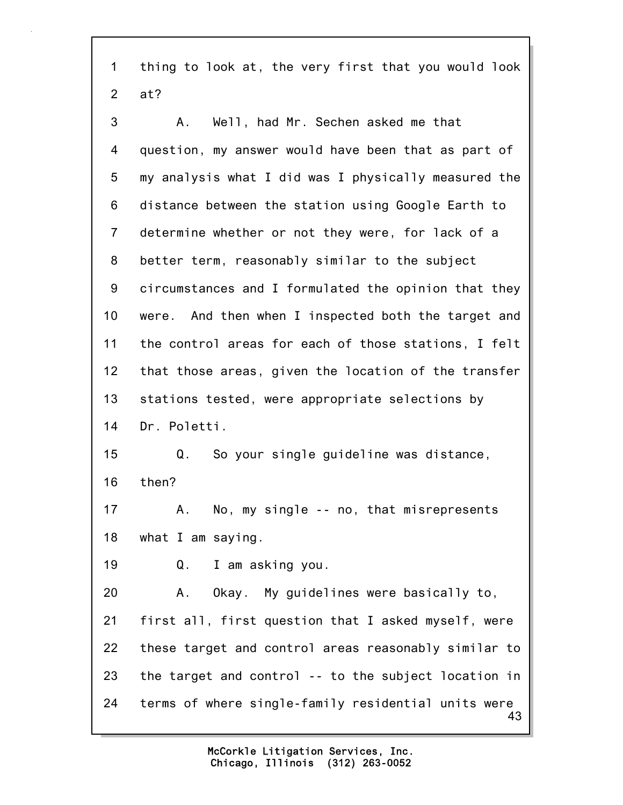1 thing to look at, the very first that you would look 2 at?

43 3 A. Well, had Mr. Sechen asked me that 4 question, my answer would have been that as part of 5 my analysis what I did was I physically measured the 6 distance between the station using Google Earth to 7 determine whether or not they were, for lack of a 8 better term, reasonably similar to the subject 9 circumstances and I formulated the opinion that they 10 were. And then when I inspected both the target and 11 the control areas for each of those stations, I felt 12 that those areas, given the location of the transfer 13 stations tested, were appropriate selections by 14 Dr. Poletti. 15 Q. So your single guideline was distance, 16 then? 17 A. No, my single -- no, that misrepresents 18 what I am saying. 19 Q. I am asking you. 20 A. Okay. My guidelines were basically to, 21 first all, first question that I asked myself, were 22 these target and control areas reasonably similar to 23 the target and control -- to the subject location in 24 terms of where single-family residential units were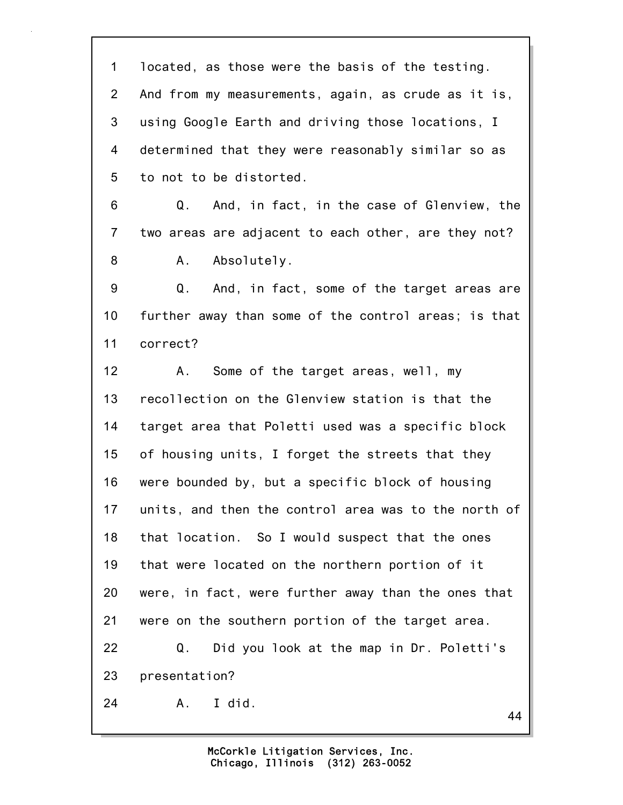44 1 located, as those were the basis of the testing. 2 And from my measurements, again, as crude as it is, 3 using Google Earth and driving those locations, I 4 determined that they were reasonably similar so as 5 to not to be distorted. 6 Q. And, in fact, in the case of Glenview, the 7 two areas are adjacent to each other, are they not? 8 A. Absolutely. 9 Q. And, in fact, some of the target areas are 10 further away than some of the control areas; is that 11 correct? 12 A. Some of the target areas, well, my 13 recollection on the Glenview station is that the 14 target area that Poletti used was a specific block 15 of housing units, I forget the streets that they 16 were bounded by, but a specific block of housing 17 units, and then the control area was to the north of 18 that location. So I would suspect that the ones 19 that were located on the northern portion of it 20 were, in fact, were further away than the ones that 21 were on the southern portion of the target area. 22 Q. Did you look at the map in Dr. Poletti's 23 presentation? 24 A. I did.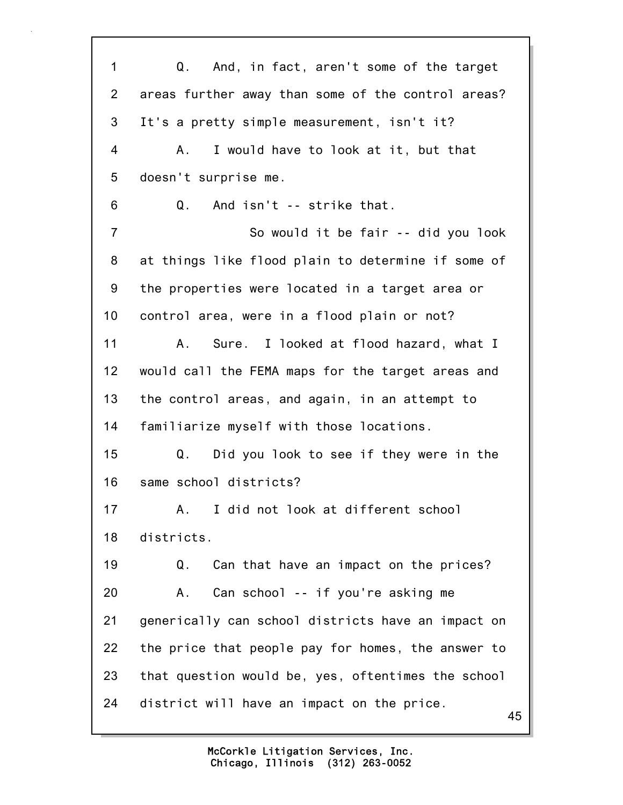45 1 Q. And, in fact, aren't some of the target 2 areas further away than some of the control areas? 3 It's a pretty simple measurement, isn't it? 4 A. I would have to look at it, but that 5 doesn't surprise me. 6 Q. And isn't -- strike that. 7 So would it be fair -- did you look 8 at things like flood plain to determine if some of 9 the properties were located in a target area or 10 control area, were in a flood plain or not? 11 A. Sure. I looked at flood hazard, what I 12 would call the FEMA maps for the target areas and 13 the control areas, and again, in an attempt to 14 familiarize myself with those locations. 15 Q. Did you look to see if they were in the 16 same school districts? 17 A. I did not look at different school 18 districts. 19 Q. Can that have an impact on the prices? 20 A. Can school -- if you're asking me 21 generically can school districts have an impact on 22 the price that people pay for homes, the answer to 23 that question would be, yes, oftentimes the school 24 district will have an impact on the price.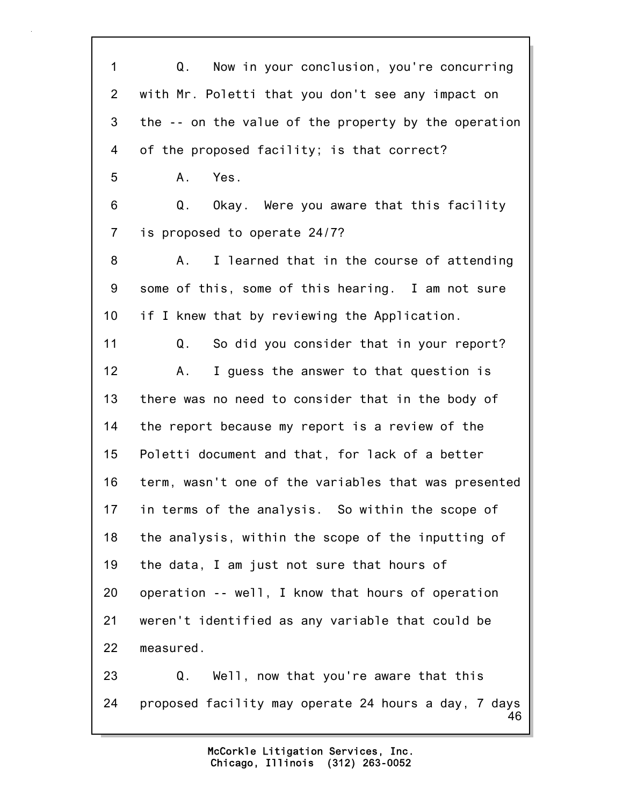46 1 Q. Now in your conclusion, you're concurring 2 with Mr. Poletti that you don't see any impact on 3 the -- on the value of the property by the operation 4 of the proposed facility; is that correct? 5 A. Yes. 6 Q. Okay. Were you aware that this facility 7 is proposed to operate 24/7? 8 A. I learned that in the course of attending 9 some of this, some of this hearing. I am not sure 10 if I knew that by reviewing the Application. 11 Q. So did you consider that in your report? 12 A. I guess the answer to that question is 13 there was no need to consider that in the body of 14 the report because my report is a review of the 15 Poletti document and that, for lack of a better 16 term, wasn't one of the variables that was presented 17 in terms of the analysis. So within the scope of 18 the analysis, within the scope of the inputting of 19 the data, I am just not sure that hours of 20 operation -- well, I know that hours of operation 21 weren't identified as any variable that could be 22 measured. 23 Q. Well, now that you're aware that this 24 proposed facility may operate 24 hours a day, 7 days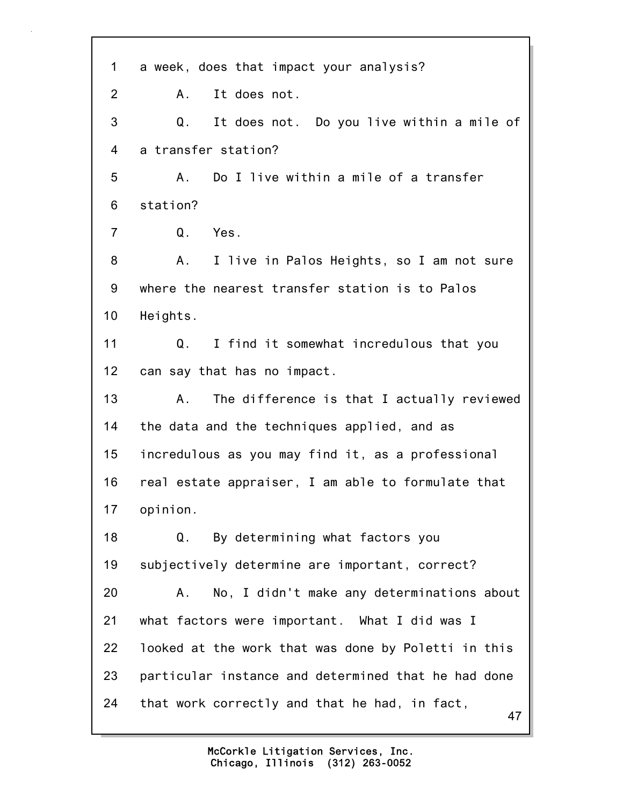47 1 a week, does that impact your analysis? 2 A. It does not. 3 Q. It does not. Do you live within a mile of 4 a transfer station? 5 A. Do I live within a mile of a transfer 6 station? 7 Q. Yes. 8 A. I live in Palos Heights, so I am not sure 9 where the nearest transfer station is to Palos 10 Heights. 11 Q. I find it somewhat incredulous that you 12 can say that has no impact. 13 A. The difference is that I actually reviewed 14 the data and the techniques applied, and as 15 incredulous as you may find it, as a professional 16 real estate appraiser, I am able to formulate that 17 opinion. 18 Q. By determining what factors you 19 subjectively determine are important, correct? 20 A. No, I didn't make any determinations about 21 what factors were important. What I did was I 22 looked at the work that was done by Poletti in this 23 particular instance and determined that he had done 24 that work correctly and that he had, in fact,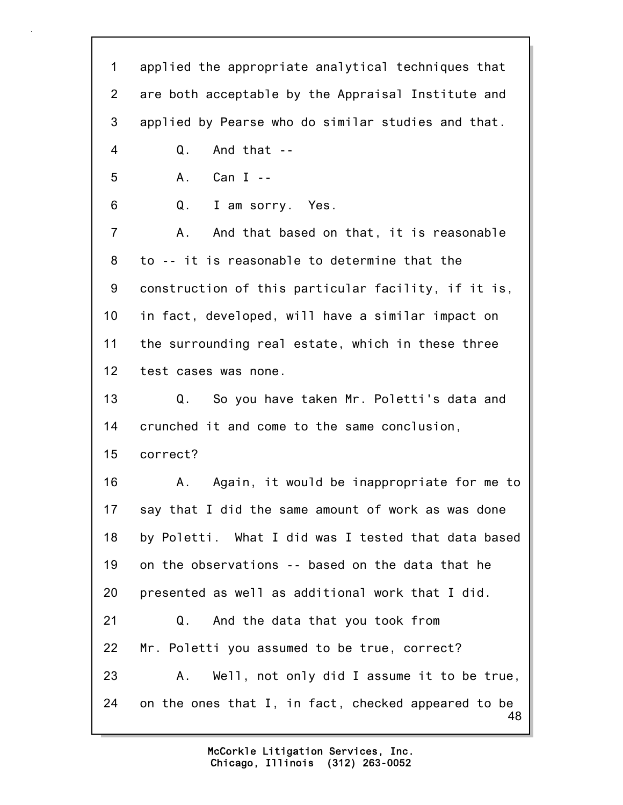48 1 applied the appropriate analytical techniques that 2 are both acceptable by the Appraisal Institute and 3 applied by Pearse who do similar studies and that. 4 Q. And that -- 5 A. Can I -- 6 Q. I am sorry. Yes. 7 A. And that based on that, it is reasonable 8 to -- it is reasonable to determine that the 9 construction of this particular facility, if it is, 10 in fact, developed, will have a similar impact on 11 the surrounding real estate, which in these three 12 test cases was none. 13 Q. So you have taken Mr. Poletti's data and 14 crunched it and come to the same conclusion, 15 correct? 16 A. Again, it would be inappropriate for me to 17 say that I did the same amount of work as was done 18 by Poletti. What I did was I tested that data based 19 on the observations -- based on the data that he 20 presented as well as additional work that I did. 21 Q. And the data that you took from 22 Mr. Poletti you assumed to be true, correct? 23 A. Well, not only did I assume it to be true, 24 on the ones that I, in fact, checked appeared to be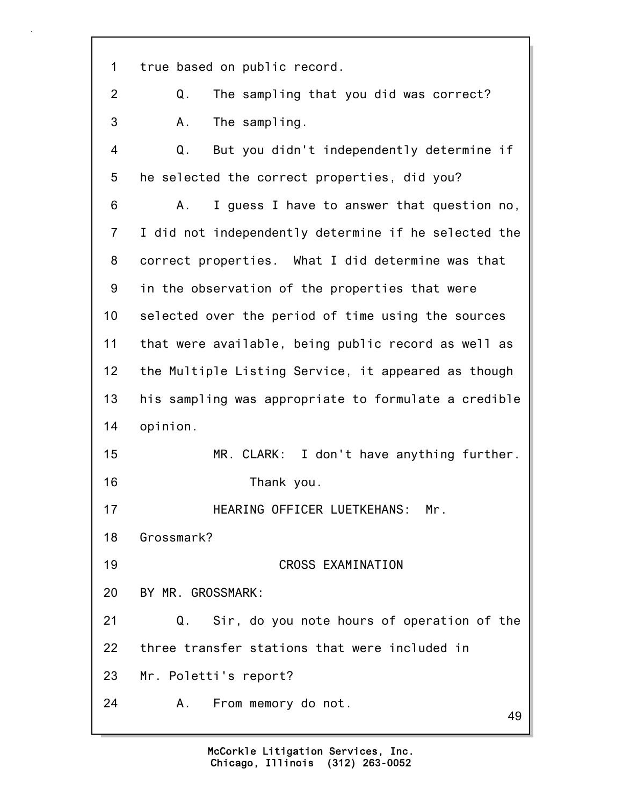49 1 true based on public record. 2 Q. The sampling that you did was correct? 3 A. The sampling. 4 Q. But you didn't independently determine if 5 he selected the correct properties, did you? 6 A. I guess I have to answer that question no, 7 I did not independently determine if he selected the 8 correct properties. What I did determine was that 9 in the observation of the properties that were 10 selected over the period of time using the sources 11 that were available, being public record as well as 12 the Multiple Listing Service, it appeared as though 13 his sampling was appropriate to formulate a credible 14 opinion. 15 MR. CLARK: I don't have anything further. 16 Thank you. 17 HEARING OFFICER LUETKEHANS: Mr. 18 Grossmark? 19 CROSS EXAMINATION 20 BY MR. GROSSMARK: 21 Q. Sir, do you note hours of operation of the 22 three transfer stations that were included in 23 Mr. Poletti's report? 24 A. From memory do not.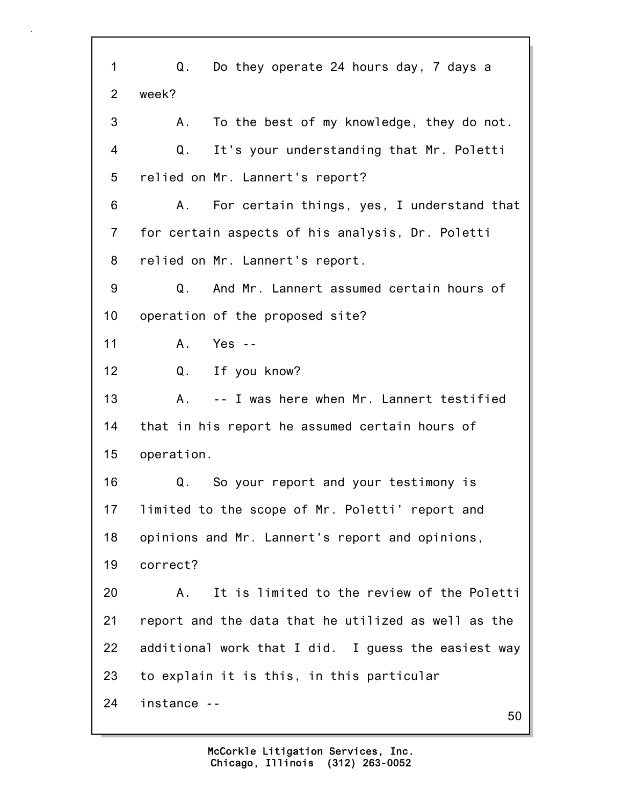50 1 Q. Do they operate 24 hours day, 7 days a 2 week? 3 A. To the best of my knowledge, they do not. 4 Q. It's your understanding that Mr. Poletti 5 relied on Mr. Lannert's report? 6 A. For certain things, yes, I understand that 7 for certain aspects of his analysis, Dr. Poletti 8 relied on Mr. Lannert's report. 9 Q. And Mr. Lannert assumed certain hours of 10 operation of the proposed site? 11 A. Yes -- 12 Q. If you know? 13 A. -- I was here when Mr. Lannert testified 14 that in his report he assumed certain hours of 15 operation. 16 Q. So your report and your testimony is 17 limited to the scope of Mr. Poletti' report and 18 opinions and Mr. Lannert's report and opinions, 19 correct? 20 A. It is limited to the review of the Poletti 21 report and the data that he utilized as well as the 22 additional work that I did. I guess the easiest way 23 to explain it is this, in this particular 24 instance --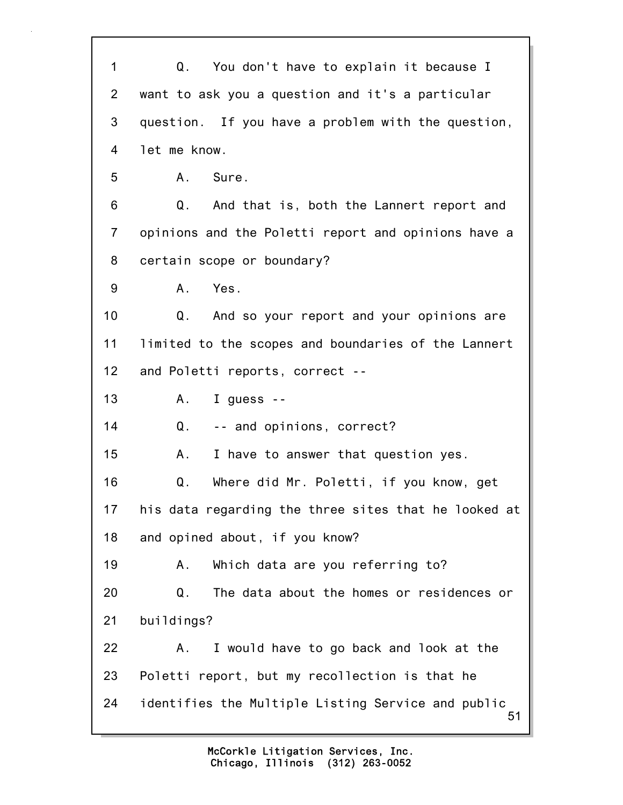51 1 Q. You don't have to explain it because I 2 want to ask you a question and it's a particular 3 question. If you have a problem with the question, 4 let me know. 5 A. Sure. 6 Q. And that is, both the Lannert report and 7 opinions and the Poletti report and opinions have a 8 certain scope or boundary? 9 A. Yes. 10 Q. And so your report and your opinions are 11 limited to the scopes and boundaries of the Lannert 12 and Poletti reports, correct -- 13 A. I guess -- 14 Q. -- and opinions, correct? 15 A. I have to answer that question yes. 16 Q. Where did Mr. Poletti, if you know, get 17 his data regarding the three sites that he looked at 18 and opined about, if you know? 19 A. Which data are you referring to? 20 Q. The data about the homes or residences or 21 buildings? 22 A. I would have to go back and look at the 23 Poletti report, but my recollection is that he 24 identifies the Multiple Listing Service and public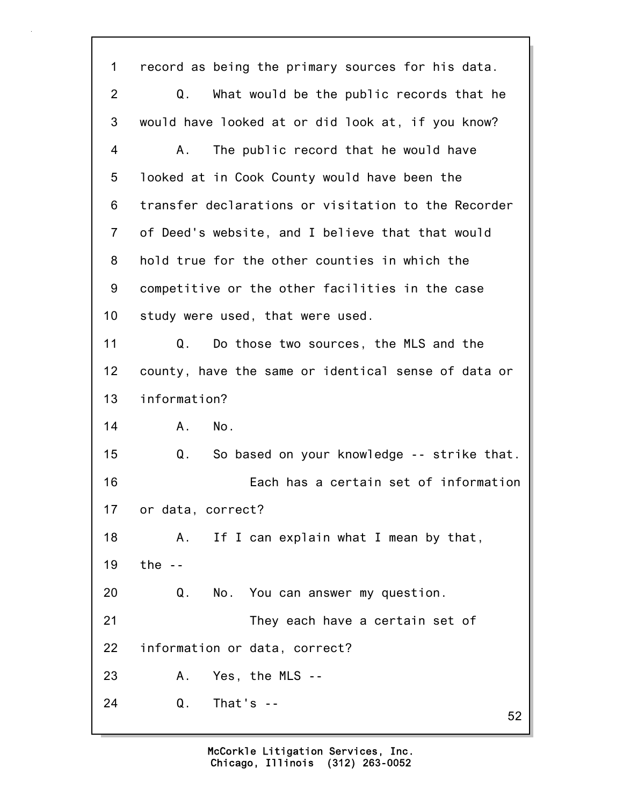52 1 record as being the primary sources for his data. 2 Q. What would be the public records that he 3 would have looked at or did look at, if you know? 4 A. The public record that he would have 5 looked at in Cook County would have been the 6 transfer declarations or visitation to the Recorder 7 of Deed's website, and I believe that that would 8 hold true for the other counties in which the 9 competitive or the other facilities in the case 10 study were used, that were used. 11 Q. Do those two sources, the MLS and the 12 county, have the same or identical sense of data or 13 information? 14 A. No. 15 Q. So based on your knowledge -- strike that. 16 Each has a certain set of information 17 or data, correct? 18 A. If I can explain what I mean by that, 19 the -- 20 Q. No. You can answer my question. 21 They each have a certain set of 22 information or data, correct? 23 A. Yes, the MLS -- 24 Q. That's --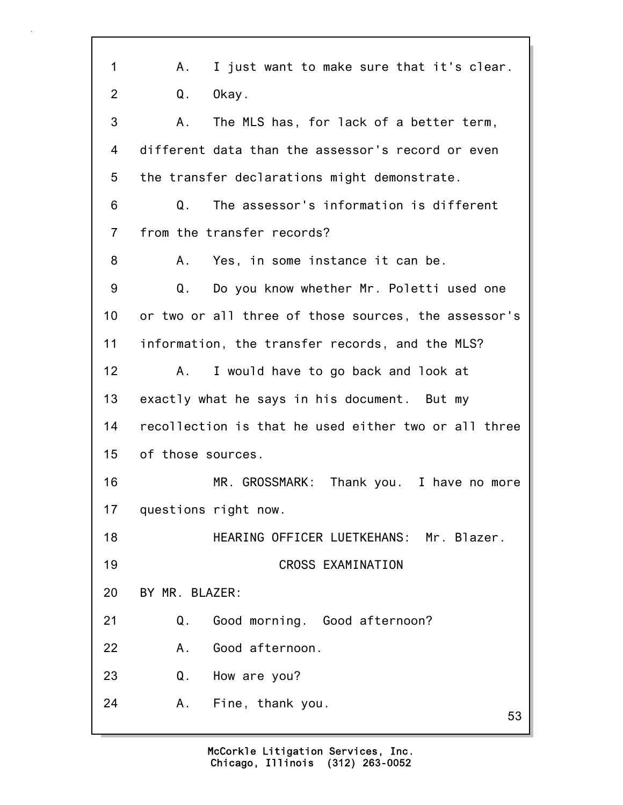| 1              | Α.<br>I just want to make sure that it's clear.      |
|----------------|------------------------------------------------------|
| $\overline{2}$ | Okay.<br>Q.                                          |
| 3              | The MLS has, for lack of a better term,<br>Α.        |
| 4              | different data than the assessor's record or even    |
| 5              | the transfer declarations might demonstrate.         |
| 6              | The assessor's information is different<br>Q.        |
| $\overline{7}$ | from the transfer records?                           |
| 8              | Yes, in some instance it can be.<br>А.               |
| 9              | Do you know whether Mr. Poletti used one<br>Q.       |
| 10             | or two or all three of those sources, the assessor's |
| 11             | information, the transfer records, and the MLS?      |
| 12             | I would have to go back and look at<br>А.            |
| 13             | exactly what he says in his document. But my         |
| 14             | recollection is that he used either two or all three |
| 15             | of those sources.                                    |
| 16             | MR. GROSSMARK:<br>Thank you. I have no more          |
| 17             | questions right now.                                 |
| 18             | HEARING OFFICER LUETKEHANS: Mr. Blazer.              |
| 19             | CROSS EXAMINATION                                    |
| 20             | BY MR. BLAZER:                                       |
| 21             | Q.<br>Good morning. Good afternoon?                  |
| 22             | Good afternoon.<br>Α.                                |
| 23             | Q.<br>How are you?                                   |
| 24             | Α.<br>Fine, thank you.<br>53                         |
|                |                                                      |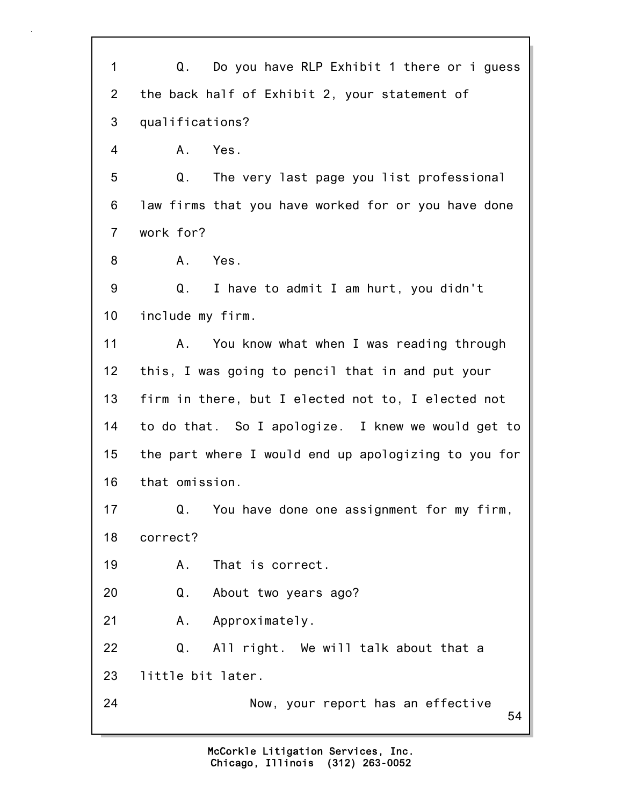54 1 Q. Do you have RLP Exhibit 1 there or i guess 2 the back half of Exhibit 2, your statement of 3 qualifications? 4 A. Yes. 5 Q. The very last page you list professional 6 law firms that you have worked for or you have done 7 work for? 8 A. Yes. 9 Q. I have to admit I am hurt, you didn't 10 include my firm. 11 A. You know what when I was reading through 12 this, I was going to pencil that in and put your 13 firm in there, but I elected not to, I elected not 14 to do that. So I apologize. I knew we would get to 15 the part where I would end up apologizing to you for 16 that omission. 17 Q. You have done one assignment for my firm, 18 correct? 19 A. That is correct. 20 Q. About two years ago? 21 A. Approximately. 22 Q. All right. We will talk about that a 23 little bit later. 24 Now, your report has an effective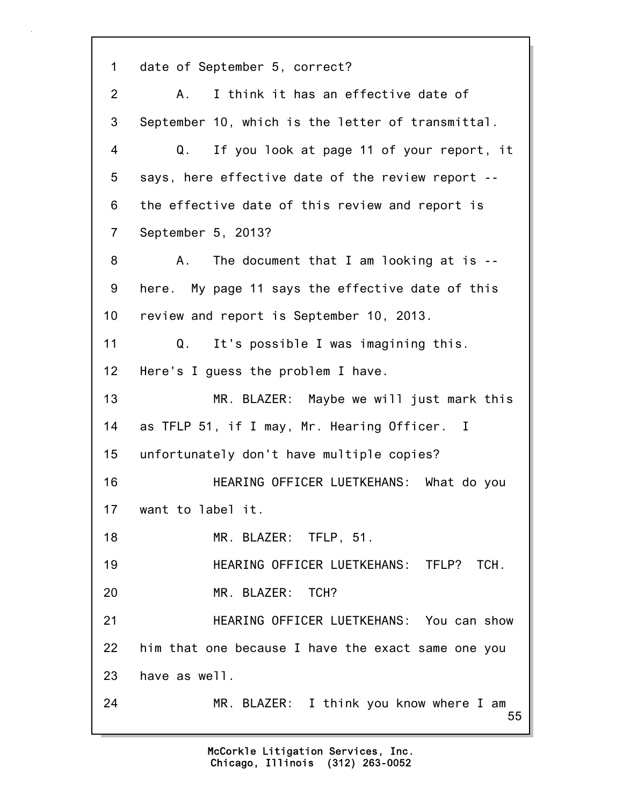55 1 date of September 5, correct? 2 A. I think it has an effective date of 3 September 10, which is the letter of transmittal. 4 Q. If you look at page 11 of your report, it 5 says, here effective date of the review report -- 6 the effective date of this review and report is 7 September 5, 2013? 8 A. The document that I am looking at is --9 here. My page 11 says the effective date of this 10 review and report is September 10, 2013. 11 Q. It's possible I was imagining this. 12 Here's I guess the problem I have. 13 MR. BLAZER: Maybe we will just mark this 14 as TFLP 51, if I may, Mr. Hearing Officer. I 15 unfortunately don't have multiple copies? 16 HEARING OFFICER LUETKEHANS: What do you 17 want to label it. 18 MR. BLAZER: TFLP, 51. 19 HEARING OFFICER LUETKEHANS: TFLP? TCH. 20 MR. BLAZER: TCH? 21 HEARING OFFICER LUETKEHANS: You can show 22 him that one because I have the exact same one you 23 have as well. 24 MR. BLAZER: I think you know where I am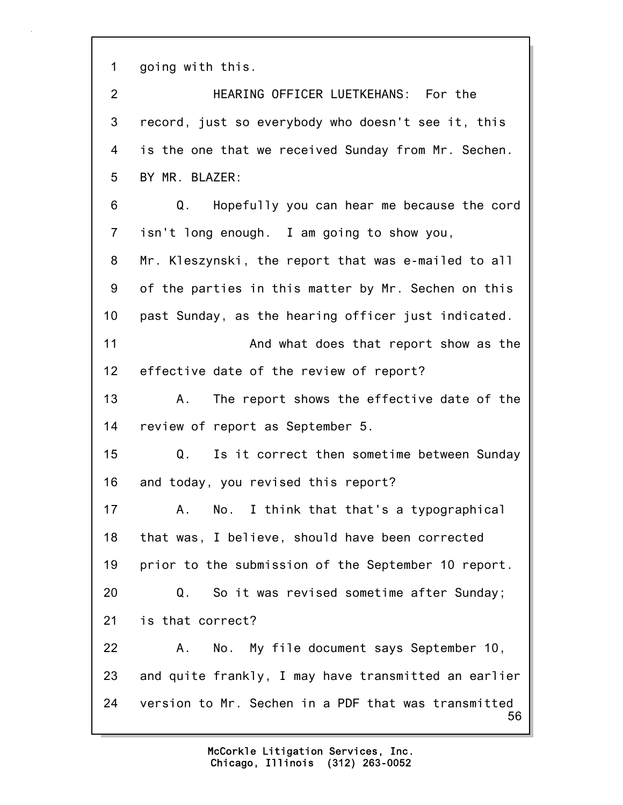1 going with this.

56 2 HEARING OFFICER LUETKEHANS: For the 3 record, just so everybody who doesn't see it, this 4 is the one that we received Sunday from Mr. Sechen. 5 BY MR. BLAZER: 6 Q. Hopefully you can hear me because the cord 7 isn't long enough. I am going to show you, 8 Mr. Kleszynski, the report that was e-mailed to all 9 of the parties in this matter by Mr. Sechen on this 10 past Sunday, as the hearing officer just indicated. 11 And what does that report show as the 12 effective date of the review of report? 13 A. The report shows the effective date of the 14 review of report as September 5. 15 Q. Is it correct then sometime between Sunday 16 and today, you revised this report? 17 A. No. I think that that's a typographical 18 that was, I believe, should have been corrected 19 prior to the submission of the September 10 report. 20 Q. So it was revised sometime after Sunday; 21 is that correct? 22 A. No. My file document says September 10, 23 and quite frankly, I may have transmitted an earlier 24 version to Mr. Sechen in a PDF that was transmitted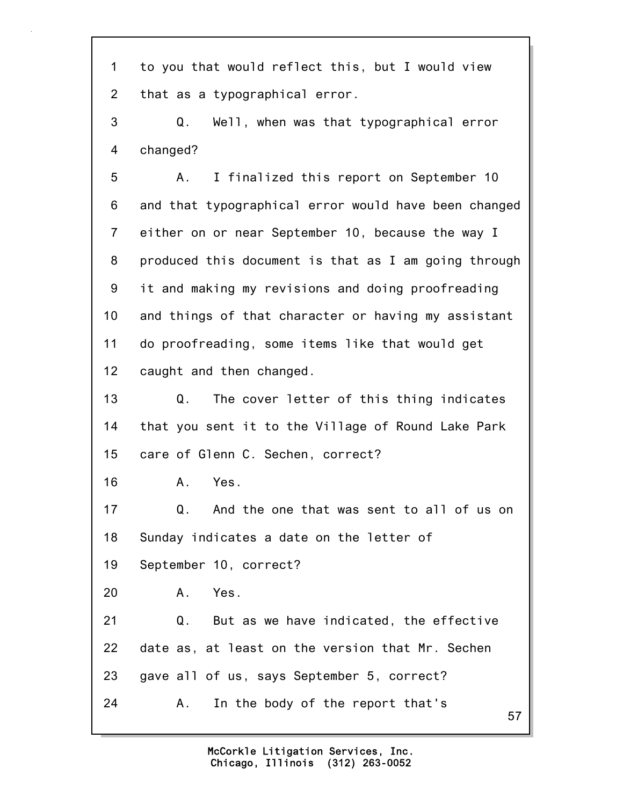57 1 to you that would reflect this, but I would view 2 that as a typographical error. 3 Q. Well, when was that typographical error 4 changed? 5 A. I finalized this report on September 10 6 and that typographical error would have been changed 7 either on or near September 10, because the way I 8 produced this document is that as I am going through 9 it and making my revisions and doing proofreading 10 and things of that character or having my assistant 11 do proofreading, some items like that would get 12 caught and then changed. 13 Q. The cover letter of this thing indicates 14 that you sent it to the Village of Round Lake Park 15 care of Glenn C. Sechen, correct? 16 A. Yes. 17 Q. And the one that was sent to all of us on 18 Sunday indicates a date on the letter of 19 September 10, correct? 20 A. Yes. 21 Q. But as we have indicated, the effective 22 date as, at least on the version that Mr. Sechen 23 gave all of us, says September 5, correct? 24 A. In the body of the report that's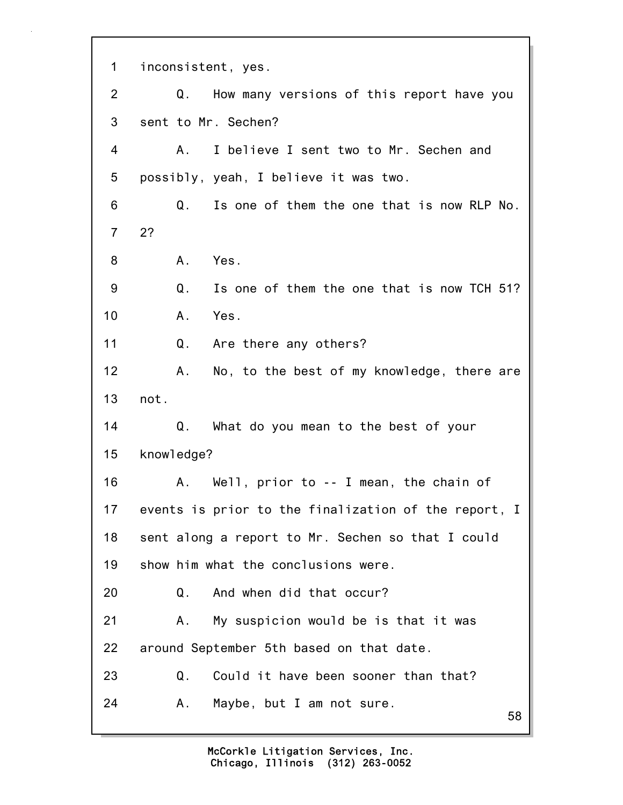58 1 inconsistent, yes. 2 Q. How many versions of this report have you 3 sent to Mr. Sechen? 4 A. I believe I sent two to Mr. Sechen and 5 possibly, yeah, I believe it was two. 6 Q. Is one of them the one that is now RLP No. 7 2? 8 A. Yes. 9 Q. Is one of them the one that is now TCH 51? 10 A. Yes. 11 Q. Are there any others? 12 A. No, to the best of my knowledge, there are 13 not. 14 Q. What do you mean to the best of your 15 knowledge? 16 A. Well, prior to -- I mean, the chain of 17 events is prior to the finalization of the report, I 18 sent along a report to Mr. Sechen so that I could 19 show him what the conclusions were. 20 Q. And when did that occur? 21 A. My suspicion would be is that it was 22 around September 5th based on that date. 23 Q. Could it have been sooner than that? 24 A. Maybe, but I am not sure.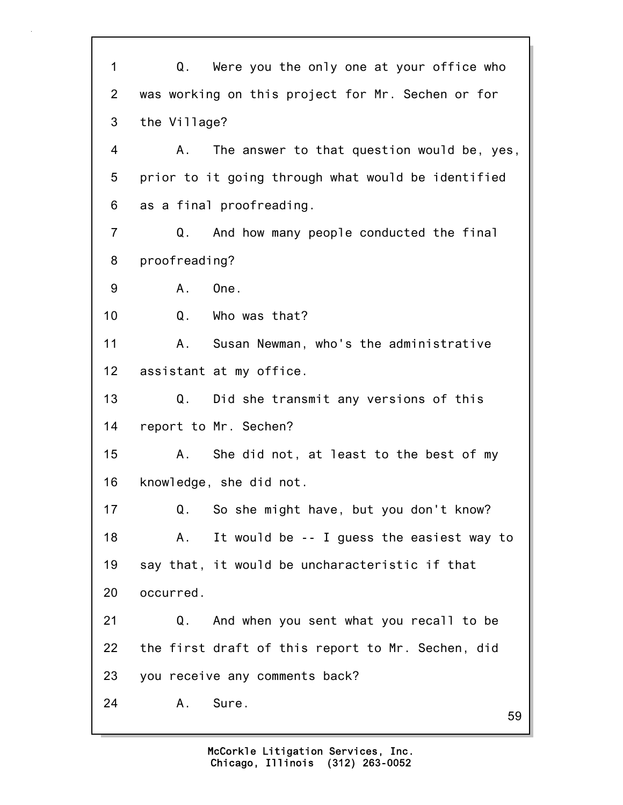59 1 Q. Were you the only one at your office who 2 was working on this project for Mr. Sechen or for 3 the Village? 4 A. The answer to that question would be, yes, 5 prior to it going through what would be identified 6 as a final proofreading. 7 Q. And how many people conducted the final 8 proofreading? 9 A. One. 10 Q. Who was that? 11 A. Susan Newman, who's the administrative 12 assistant at my office. 13 Q. Did she transmit any versions of this 14 report to Mr. Sechen? 15 A. She did not, at least to the best of my 16 knowledge, she did not. 17 Q. So she might have, but you don't know? 18 A. It would be -- I guess the easiest way to 19 say that, it would be uncharacteristic if that 20 occurred. 21 Q. And when you sent what you recall to be 22 the first draft of this report to Mr. Sechen, did 23 you receive any comments back? 24 A. Sure.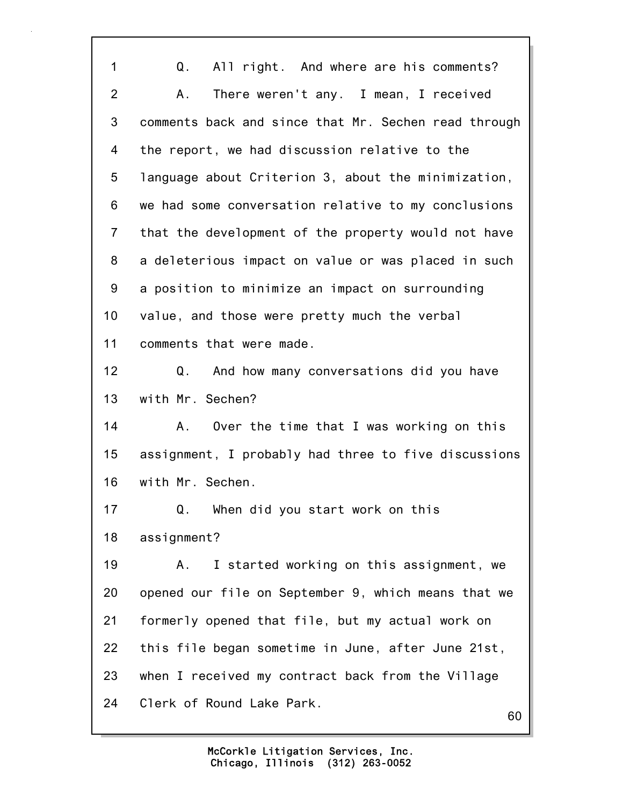1 Q. All right. And where are his comments? 2 A. There weren't any. I mean, I received 3 comments back and since that Mr. Sechen read through 4 the report, we had discussion relative to the 5 language about Criterion 3, about the minimization, 6 we had some conversation relative to my conclusions 7 that the development of the property would not have 8 a deleterious impact on value or was placed in such 9 a position to minimize an impact on surrounding 10 value, and those were pretty much the verbal 11 comments that were made. 12 Q. And how many conversations did you have 13 with Mr. Sechen? 14 A. Over the time that I was working on this 15 assignment, I probably had three to five discussions 16 with Mr. Sechen. 17 Q. When did you start work on this 18 assignment? 19 A. I started working on this assignment, we 20 opened our file on September 9, which means that we 21 formerly opened that file, but my actual work on 22 this file began sometime in June, after June 21st, 23 when I received my contract back from the Village 24 Clerk of Round Lake Park.

60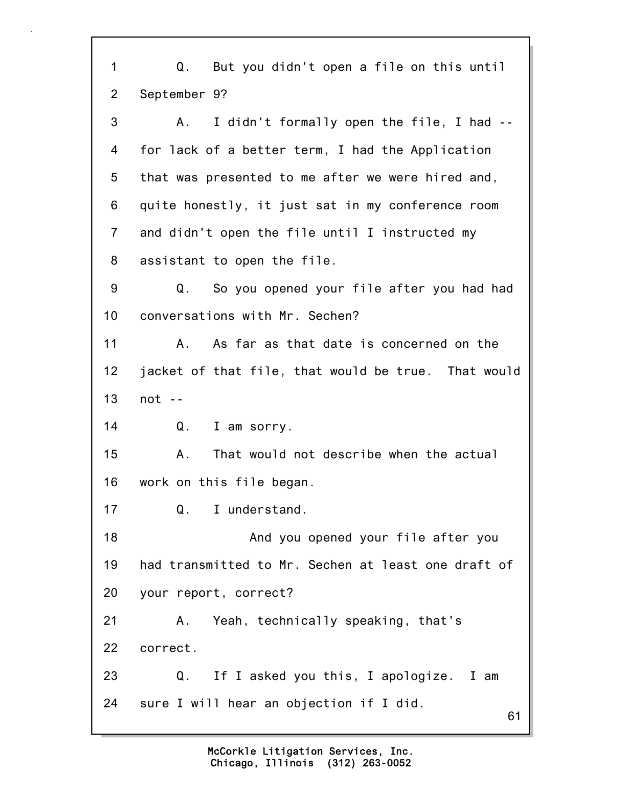61 1 Q. But you didn't open a file on this until 2 September 9? 3 A. I didn't formally open the file, I had -- 4 for lack of a better term, I had the Application 5 that was presented to me after we were hired and, 6 quite honestly, it just sat in my conference room 7 and didn't open the file until I instructed my 8 assistant to open the file. 9 Q. So you opened your file after you had had 10 conversations with Mr. Sechen? 11 A. As far as that date is concerned on the 12 jacket of that file, that would be true. That would 13 not -- 14 Q. I am sorry. 15 A. That would not describe when the actual 16 work on this file began. 17 Q. I understand. 18 And you opened your file after you 19 had transmitted to Mr. Sechen at least one draft of 20 your report, correct? 21 A. Yeah, technically speaking, that's 22 correct. 23 Q. If I asked you this, I apologize. I am 24 sure I will hear an objection if I did.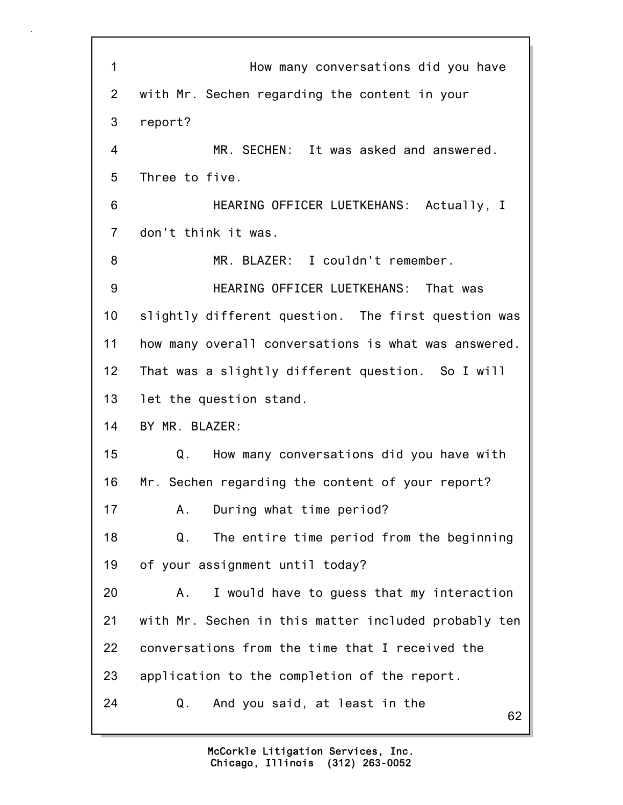| 1               | How many conversations did you have                  |
|-----------------|------------------------------------------------------|
| $\mathbf{2}$    | with Mr. Sechen regarding the content in your        |
| 3               | report?                                              |
| 4               | MR. SECHEN: It was asked and answered.               |
| 5               | Three to five.                                       |
| 6               | HEARING OFFICER LUETKEHANS: Actually, I              |
| $\overline{7}$  | don't think it was.                                  |
| 8               | MR. BLAZER: I couldn't remember.                     |
| 9               | HEARING OFFICER LUETKEHANS: That was                 |
| 10              | slightly different question. The first question was  |
| 11              | how many overall conversations is what was answered. |
| 12 <sub>2</sub> | That was a slightly different question. So I will    |
| 13              | let the question stand.                              |
| 14              | BY MR. BLAZER:                                       |
| 15              | How many conversations did you have with<br>Q.       |
| 16              | Mr. Sechen regarding the content of your report?     |
| 17              | During what time period?<br>Α.                       |
| 18              | The entire time period from the beginning<br>Q.      |
| 19              | of your assignment until today?                      |
| 20              | I would have to guess that my interaction<br>Α.      |
| 21              | with Mr. Sechen in this matter included probably ten |
| 22              | conversations from the time that I received the      |
| 23              | application to the completion of the report.         |
| 24              | And you said, at least in the<br>Q.<br>62            |

٦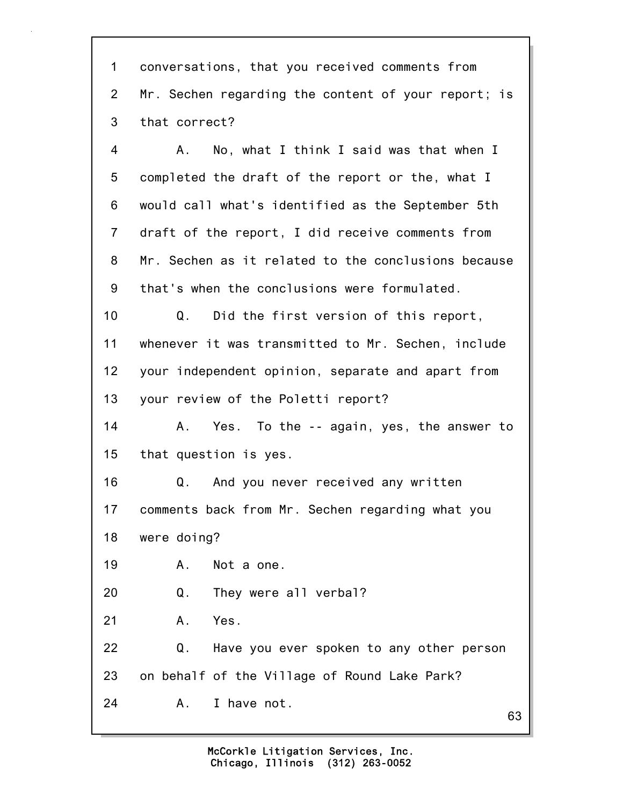1 conversations, that you received comments from 2 Mr. Sechen regarding the content of your report; is 3 that correct?

4 A. No, what I think I said was that when I 5 completed the draft of the report or the, what I 6 would call what's identified as the September 5th 7 draft of the report, I did receive comments from 8 Mr. Sechen as it related to the conclusions because 9 that's when the conclusions were formulated.

10 Q. Did the first version of this report, 11 whenever it was transmitted to Mr. Sechen, include 12 your independent opinion, separate and apart from 13 your review of the Poletti report?

14 A. Yes. To the -- again, yes, the answer to 15 that question is yes.

16 Q. And you never received any written 17 comments back from Mr. Sechen regarding what you 18 were doing?

19 A. Not a one.

20 Q. They were all verbal?

21 A. Yes.

22 Q. Have you ever spoken to any other person 23 on behalf of the Village of Round Lake Park? 24 A. I have not.

63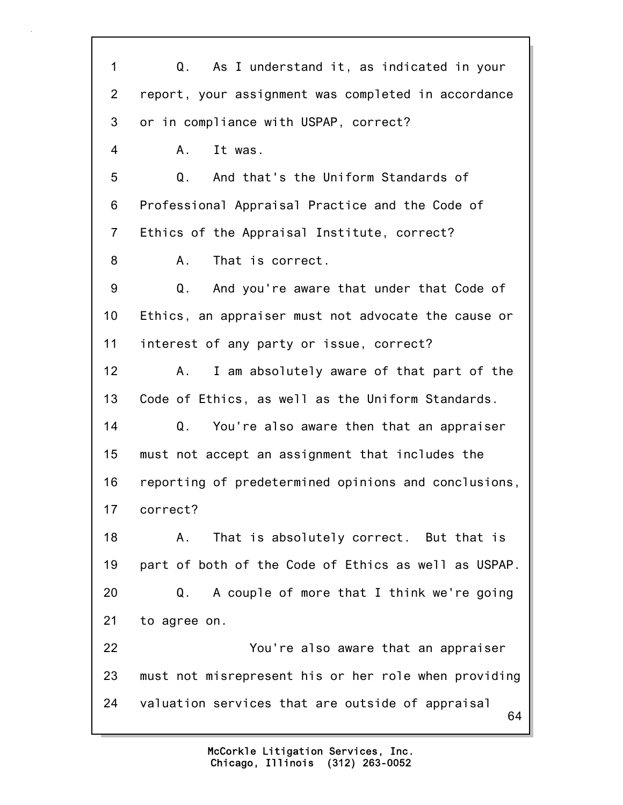64 1 Q. As I understand it, as indicated in your 2 report, your assignment was completed in accordance 3 or in compliance with USPAP, correct? 4 A. It was. 5 Q. And that's the Uniform Standards of 6 Professional Appraisal Practice and the Code of 7 Ethics of the Appraisal Institute, correct? 8 A. That is correct. 9 Q. And you're aware that under that Code of 10 Ethics, an appraiser must not advocate the cause or 11 interest of any party or issue, correct? 12 A. I am absolutely aware of that part of the 13 Code of Ethics, as well as the Uniform Standards. 14 Q. You're also aware then that an appraiser 15 must not accept an assignment that includes the 16 reporting of predetermined opinions and conclusions, 17 correct? 18 A. That is absolutely correct. But that is 19 part of both of the Code of Ethics as well as USPAP. 20 Q. A couple of more that I think we're going 21 to agree on. 22 You're also aware that an appraiser 23 must not misrepresent his or her role when providing 24 valuation services that are outside of appraisal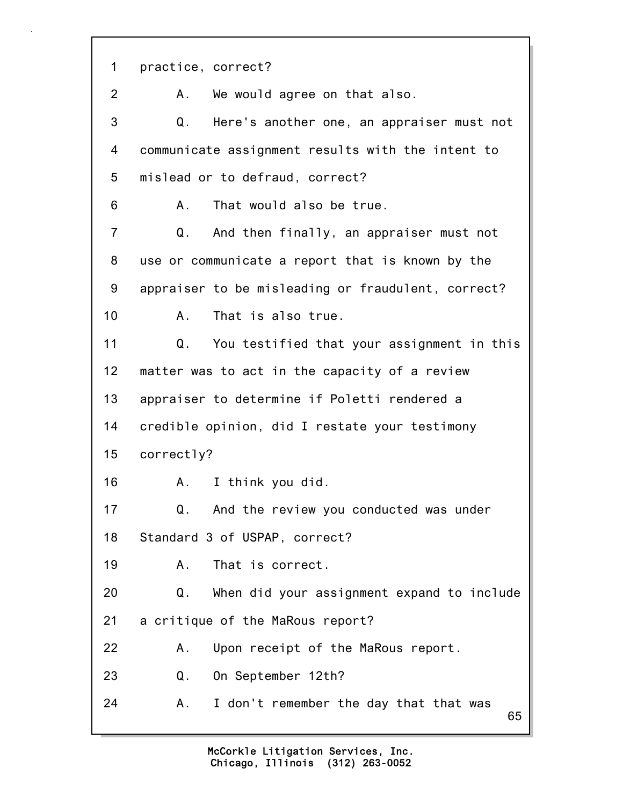1 practice, correct?

2 A. We would agree on that also.

3 Q. Here's another one, an appraiser must not 4 communicate assignment results with the intent to 5 mislead or to defraud, correct?

6 A. That would also be true.

7 Q. And then finally, an appraiser must not 8 use or communicate a report that is known by the 9 appraiser to be misleading or fraudulent, correct? 10 A. That is also true.

11 Q. You testified that your assignment in this 12 matter was to act in the capacity of a review 13 appraiser to determine if Poletti rendered a 14 credible opinion, did I restate your testimony 15 correctly?

16 A. I think you did.

17 Q. And the review you conducted was under 18 Standard 3 of USPAP, correct?

19 A. That is correct.

20 Q. When did your assignment expand to include 21 a critique of the MaRous report?

22 A. Upon receipt of the MaRous report.

23 Q. On September 12th?

24 A. I don't remember the day that that was

65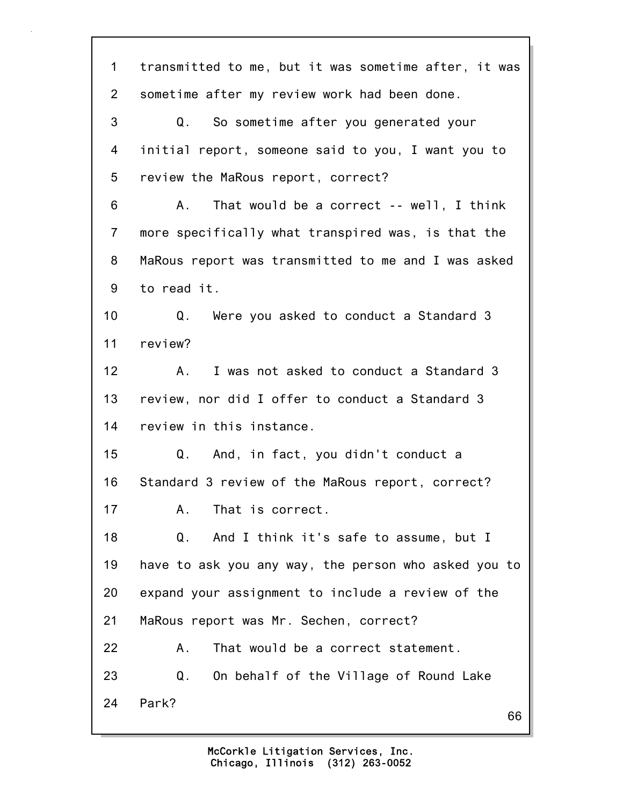66 1 transmitted to me, but it was sometime after, it was 2 sometime after my review work had been done. 3 Q. So sometime after you generated your 4 initial report, someone said to you, I want you to 5 review the MaRous report, correct? 6 A. That would be a correct -- well, I think 7 more specifically what transpired was, is that the 8 MaRous report was transmitted to me and I was asked 9 to read it. 10 Q. Were you asked to conduct a Standard 3 11 review? 12 A. I was not asked to conduct a Standard 3 13 review, nor did I offer to conduct a Standard 3 14 review in this instance. 15 Q. And, in fact, you didn't conduct a 16 Standard 3 review of the MaRous report, correct? 17 A. That is correct. 18 Q. And I think it's safe to assume, but I 19 have to ask you any way, the person who asked you to 20 expand your assignment to include a review of the 21 MaRous report was Mr. Sechen, correct? 22 A. That would be a correct statement. 23 Q. On behalf of the Village of Round Lake 24 Park?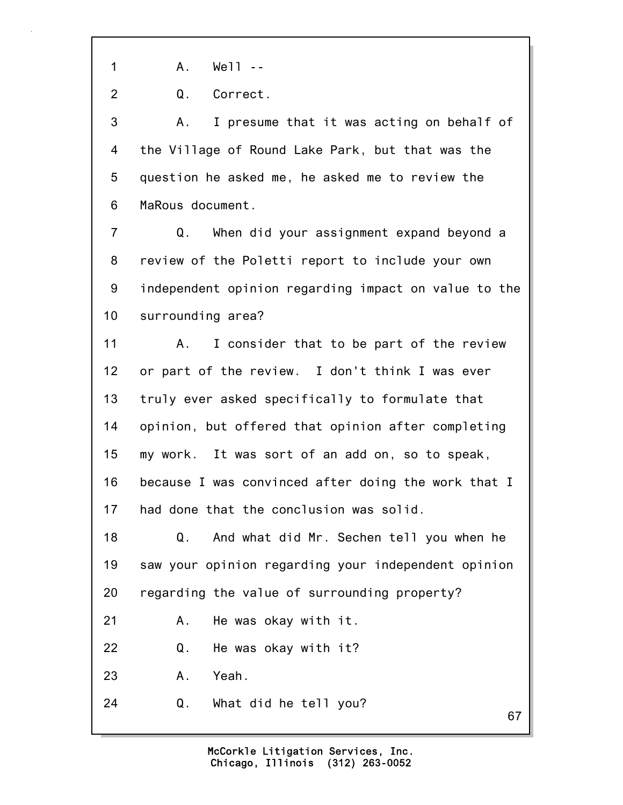1 A. Well --

2 Q. Correct.

3 A. I presume that it was acting on behalf of 4 the Village of Round Lake Park, but that was the 5 question he asked me, he asked me to review the 6 MaRous document.

7 Q. When did your assignment expand beyond a 8 review of the Poletti report to include your own 9 independent opinion regarding impact on value to the 10 surrounding area?

11 A. I consider that to be part of the review 12 or part of the review. I don't think I was ever 13 truly ever asked specifically to formulate that 14 opinion, but offered that opinion after completing 15 my work. It was sort of an add on, so to speak, 16 because I was convinced after doing the work that I 17 had done that the conclusion was solid.

18 Q. And what did Mr. Sechen tell you when he 19 saw your opinion regarding your independent opinion 20 regarding the value of surrounding property?

21 A. He was okay with it.

22 Q. He was okay with it?

23 A. Yeah.

24 Q. What did he tell you?

67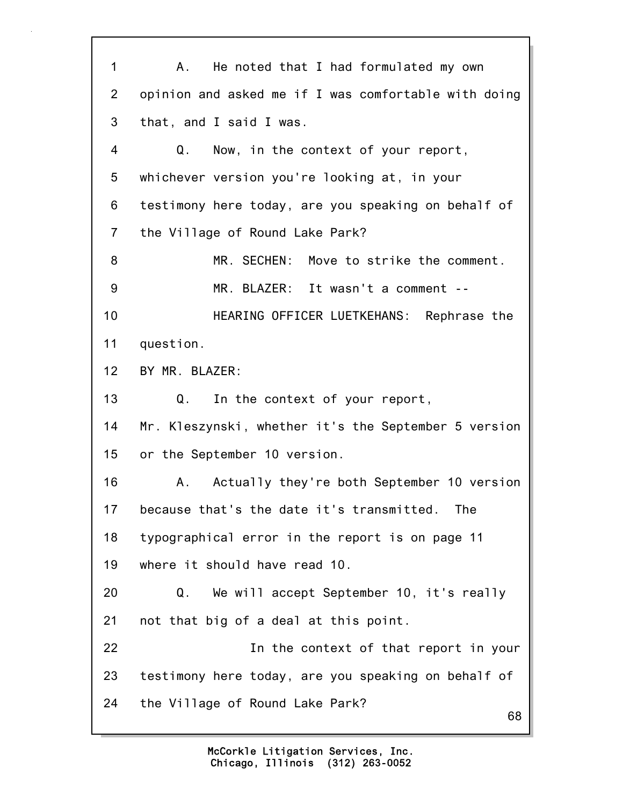68 1 A. He noted that I had formulated my own 2 opinion and asked me if I was comfortable with doing 3 that, and I said I was. 4 Q. Now, in the context of your report, 5 whichever version you're looking at, in your 6 testimony here today, are you speaking on behalf of 7 the Village of Round Lake Park? 8 MR. SECHEN: Move to strike the comment. 9 MR. BLAZER: It wasn't a comment -- 10 HEARING OFFICER LUETKEHANS: Rephrase the 11 question. 12 BY MR. BLAZER: 13 Q. In the context of your report, 14 Mr. Kleszynski, whether it's the September 5 version 15 or the September 10 version. 16 A. Actually they're both September 10 version 17 because that's the date it's transmitted. The 18 typographical error in the report is on page 11 19 where it should have read 10. 20 Q. We will accept September 10, it's really 21 not that big of a deal at this point. 22 In the context of that report in your 23 testimony here today, are you speaking on behalf of 24 the Village of Round Lake Park?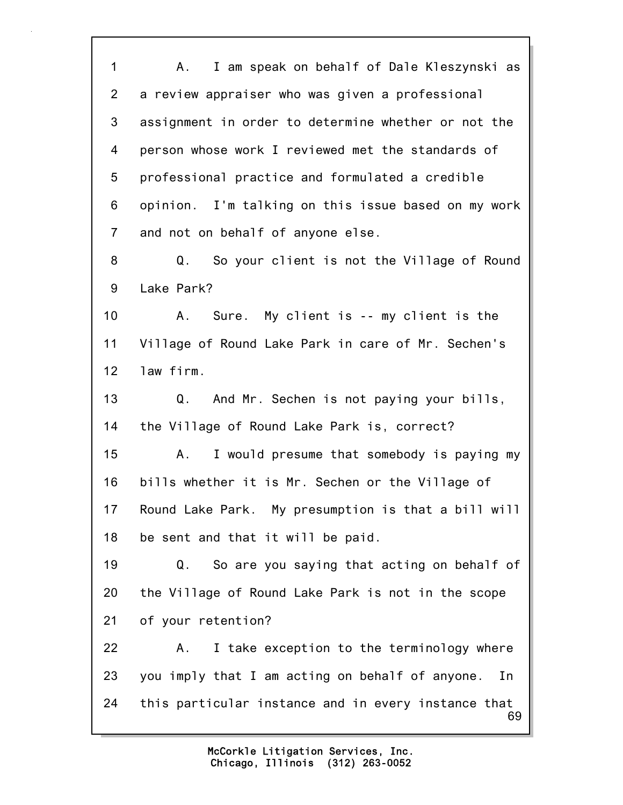69 1 A. I am speak on behalf of Dale Kleszynski as 2 a review appraiser who was given a professional 3 assignment in order to determine whether or not the 4 person whose work I reviewed met the standards of 5 professional practice and formulated a credible 6 opinion. I'm talking on this issue based on my work 7 and not on behalf of anyone else. 8 Q. So your client is not the Village of Round 9 Lake Park? 10 A. Sure. My client is -- my client is the 11 Village of Round Lake Park in care of Mr. Sechen's 12 law firm. 13 Q. And Mr. Sechen is not paying your bills, 14 the Village of Round Lake Park is, correct? 15 A. I would presume that somebody is paying my 16 bills whether it is Mr. Sechen or the Village of 17 Round Lake Park. My presumption is that a bill will 18 be sent and that it will be paid. 19 Q. So are you saying that acting on behalf of 20 the Village of Round Lake Park is not in the scope 21 of your retention? 22 A. I take exception to the terminology where 23 you imply that I am acting on behalf of anyone. In 24 this particular instance and in every instance that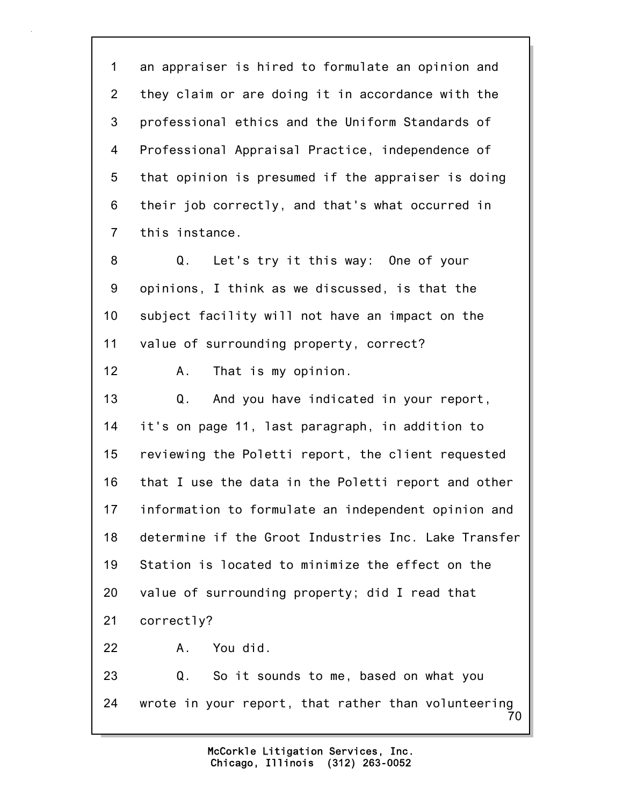1 an appraiser is hired to formulate an opinion and 2 they claim or are doing it in accordance with the 3 professional ethics and the Uniform Standards of 4 Professional Appraisal Practice, independence of 5 that opinion is presumed if the appraiser is doing 6 their job correctly, and that's what occurred in 7 this instance.

8 Q. Let's try it this way: One of your 9 opinions, I think as we discussed, is that the 10 subject facility will not have an impact on the 11 value of surrounding property, correct?

12 A. That is my opinion.

13 Q. And you have indicated in your report, 14 it's on page 11, last paragraph, in addition to 15 reviewing the Poletti report, the client requested 16 that I use the data in the Poletti report and other 17 information to formulate an independent opinion and 18 determine if the Groot Industries Inc. Lake Transfer 19 Station is located to minimize the effect on the 20 value of surrounding property; did I read that 21 correctly?

22 A. You did.

70 23 Q. So it sounds to me, based on what you 24 wrote in your report, that rather than volunteering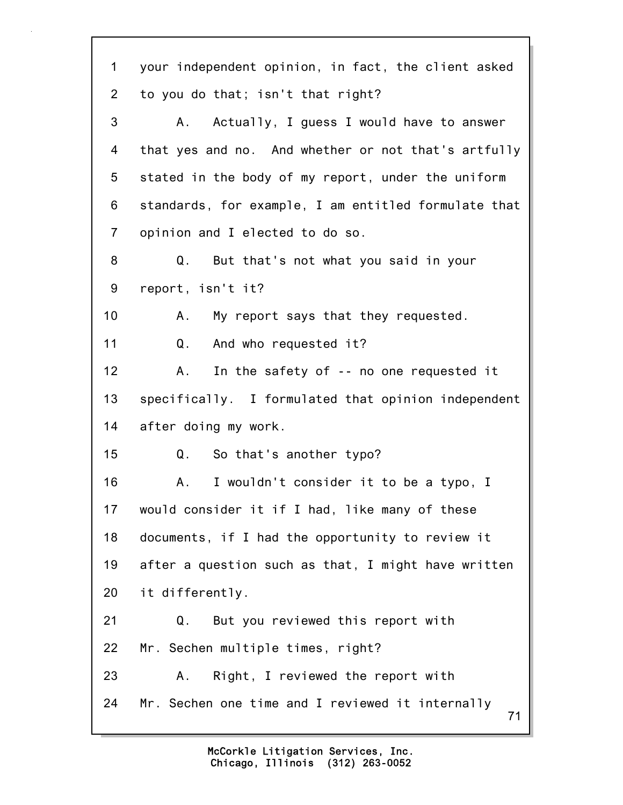71 1 your independent opinion, in fact, the client asked 2 to you do that; isn't that right? 3 A. Actually, I guess I would have to answer 4 that yes and no. And whether or not that's artfully 5 stated in the body of my report, under the uniform 6 standards, for example, I am entitled formulate that 7 opinion and I elected to do so. 8 Q. But that's not what you said in your 9 report, isn't it? 10 A. My report says that they requested. 11 Q. And who requested it? 12 A. In the safety of -- no one requested it 13 specifically. I formulated that opinion independent 14 after doing my work. 15 Q. So that's another typo? 16 A. I wouldn't consider it to be a typo, I 17 would consider it if I had, like many of these 18 documents, if I had the opportunity to review it 19 after a question such as that, I might have written 20 it differently. 21 Q. But you reviewed this report with 22 Mr. Sechen multiple times, right? 23 A. Right, I reviewed the report with 24 Mr. Sechen one time and I reviewed it internally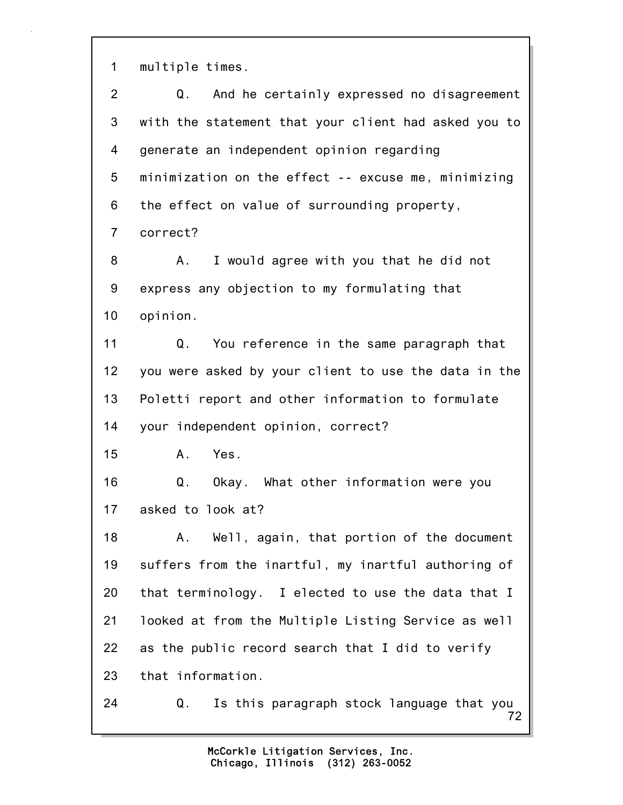1 multiple times.

| $\overline{2}$  | And he certainly expressed no disagreement<br>Q.      |
|-----------------|-------------------------------------------------------|
| 3               | with the statement that your client had asked you to  |
| 4               | generate an independent opinion regarding             |
| 5               | minimization on the effect -- excuse me, minimizing   |
| 6               | the effect on value of surrounding property,          |
| $\overline{7}$  | correct?                                              |
| 8               | I would agree with you that he did not<br>А.          |
| 9               | express any objection to my formulating that          |
| 10              | opinion.                                              |
| 11              | You reference in the same paragraph that<br>Q.        |
| 12 <sub>2</sub> | you were asked by your client to use the data in the  |
| 13              | Poletti report and other information to formulate     |
| 14              | your independent opinion, correct?                    |
| 15              | Yes.<br>А.                                            |
| 16              | Okay. What other information were you<br>Q.           |
| 17              | asked to look at?                                     |
| 18              | A. Well, again, that portion of the document          |
| 19              | suffers from the inartful, my inartful authoring of   |
| 20              | that terminology. I elected to use the data that I    |
| 21              | looked at from the Multiple Listing Service as well   |
| 22              | as the public record search that I did to verify      |
| 23              | that information.                                     |
| 24              | Is this paragraph stock language that you<br>Q.<br>72 |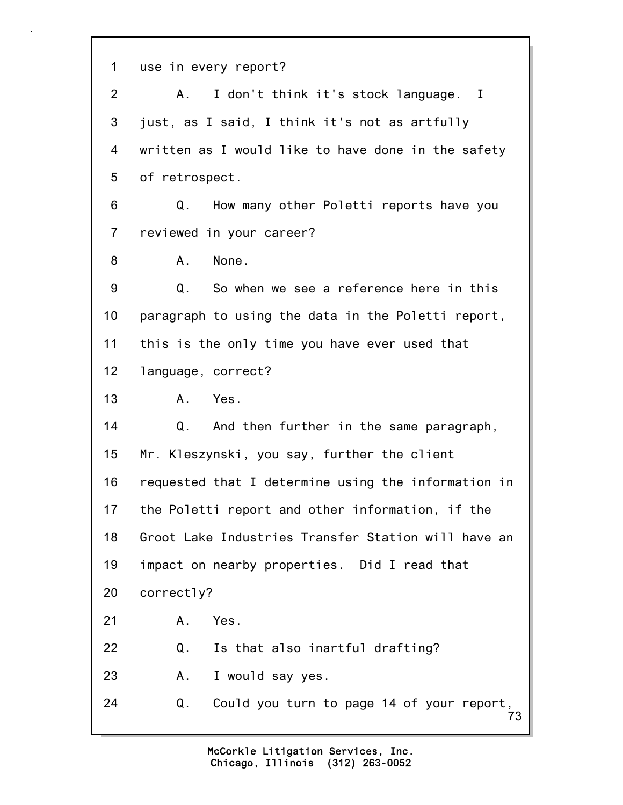73 1 use in every report? 2 A. I don't think it's stock language. I 3 just, as I said, I think it's not as artfully 4 written as I would like to have done in the safety 5 of retrospect. 6 Q. How many other Poletti reports have you 7 reviewed in your career? 8 A. None. 9 Q. So when we see a reference here in this 10 paragraph to using the data in the Poletti report, 11 this is the only time you have ever used that 12 language, correct? 13 A. Yes. 14 Q. And then further in the same paragraph, 15 Mr. Kleszynski, you say, further the client 16 requested that I determine using the information in 17 the Poletti report and other information, if the 18 Groot Lake Industries Transfer Station will have an 19 impact on nearby properties. Did I read that 20 correctly? 21 A. Yes. 22 Q. Is that also inartful drafting? 23 A. I would say yes. 24 Q. Could you turn to page 14 of your report,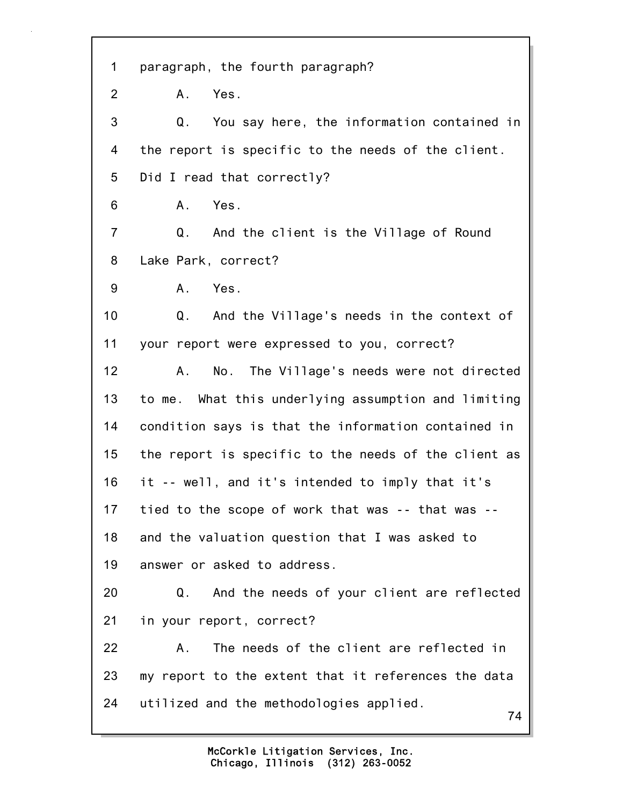74 1 paragraph, the fourth paragraph? 2 A. Yes. 3 Q. You say here, the information contained in 4 the report is specific to the needs of the client. 5 Did I read that correctly? 6 A. Yes. 7 Q. And the client is the Village of Round 8 Lake Park, correct? 9 A. Yes. 10 Q. And the Village's needs in the context of 11 your report were expressed to you, correct? 12 A. No. The Village's needs were not directed 13 to me. What this underlying assumption and limiting 14 condition says is that the information contained in 15 the report is specific to the needs of the client as 16 it -- well, and it's intended to imply that it's 17 tied to the scope of work that was -- that was -- 18 and the valuation question that I was asked to 19 answer or asked to address. 20 Q. And the needs of your client are reflected 21 in your report, correct? 22 A. The needs of the client are reflected in 23 my report to the extent that it references the data 24 utilized and the methodologies applied.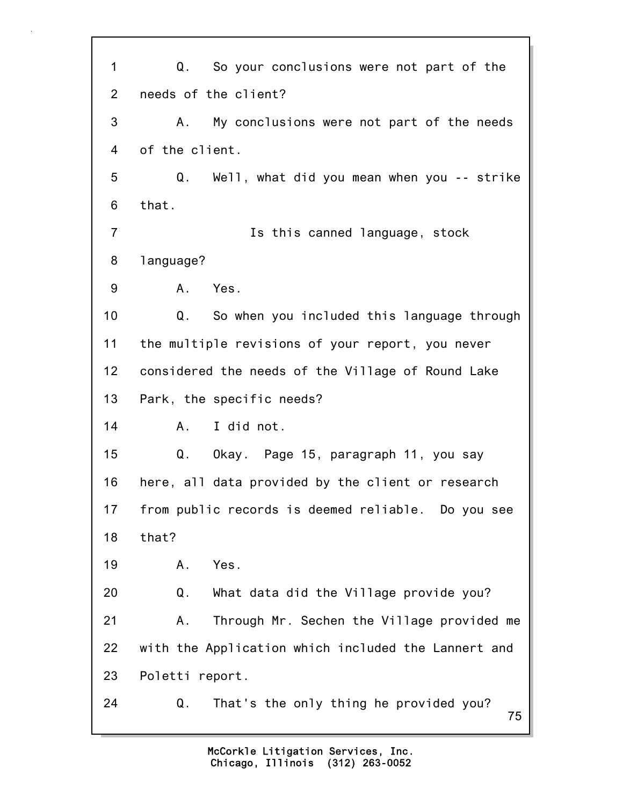75 1 Q. So your conclusions were not part of the 2 needs of the client? 3 A. My conclusions were not part of the needs 4 of the client. 5 Q. Well, what did you mean when you -- strike 6 that. 7 Is this canned language, stock 8 language? 9 A. Yes. 10 Q. So when you included this language through 11 the multiple revisions of your report, you never 12 considered the needs of the Village of Round Lake 13 Park, the specific needs? 14 A. I did not. 15 Q. Okay. Page 15, paragraph 11, you say 16 here, all data provided by the client or research 17 from public records is deemed reliable. Do you see 18 that? 19 A. Yes. 20 Q. What data did the Village provide you? 21 A. Through Mr. Sechen the Village provided me 22 with the Application which included the Lannert and 23 Poletti report. 24 Q. That's the only thing he provided you?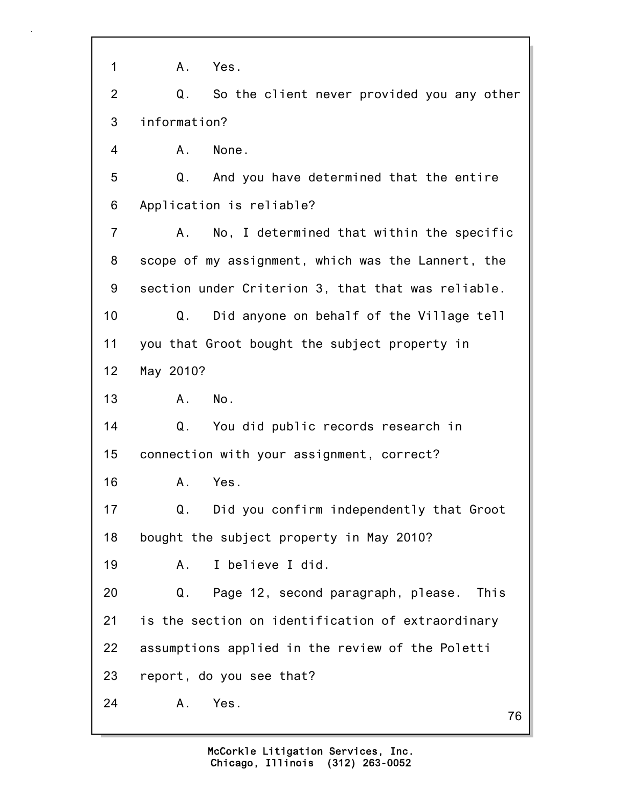76 1 A. Yes. 2 Q. So the client never provided you any other 3 information? 4 A. None. 5 Q. And you have determined that the entire 6 Application is reliable? 7 A. No, I determined that within the specific 8 scope of my assignment, which was the Lannert, the 9 section under Criterion 3, that that was reliable. 10 Q. Did anyone on behalf of the Village tell 11 you that Groot bought the subject property in 12 May 2010? 13 A. No. 14 Q. You did public records research in 15 connection with your assignment, correct? 16 A. Yes. 17 Q. Did you confirm independently that Groot 18 bought the subject property in May 2010? 19 A. I believe I did. 20 Q. Page 12, second paragraph, please. This 21 is the section on identification of extraordinary 22 assumptions applied in the review of the Poletti 23 report, do you see that? 24 A. Yes.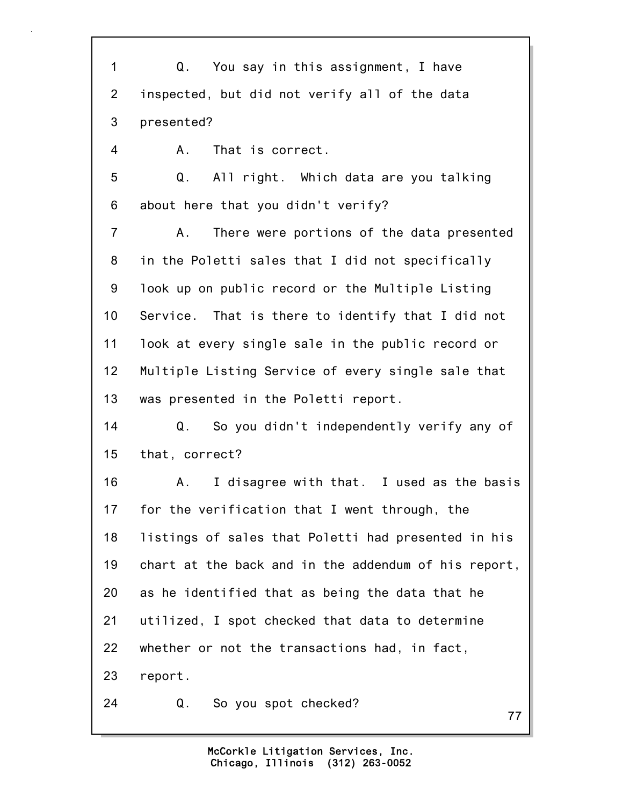77 1 Q. You say in this assignment, I have 2 inspected, but did not verify all of the data 3 presented? 4 A. That is correct. 5 Q. All right. Which data are you talking 6 about here that you didn't verify? 7 A. There were portions of the data presented 8 in the Poletti sales that I did not specifically 9 look up on public record or the Multiple Listing 10 Service. That is there to identify that I did not 11 look at every single sale in the public record or 12 Multiple Listing Service of every single sale that 13 was presented in the Poletti report. 14 Q. So you didn't independently verify any of 15 that, correct? 16 A. I disagree with that. I used as the basis 17 for the verification that I went through, the 18 listings of sales that Poletti had presented in his 19 chart at the back and in the addendum of his report, 20 as he identified that as being the data that he 21 utilized, I spot checked that data to determine 22 whether or not the transactions had, in fact, 23 report. 24 Q. So you spot checked?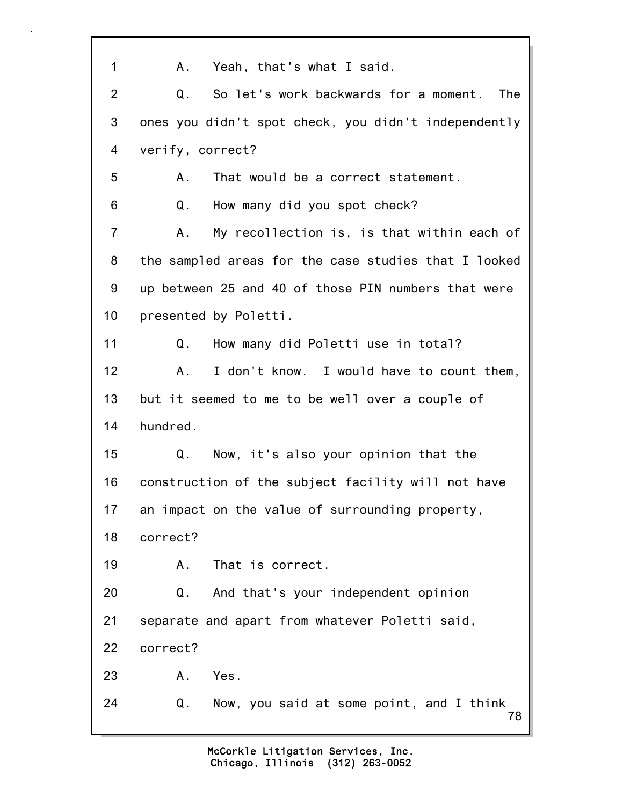| $\mathbf{1}$   | Yeah, that's what I said.<br>Α.                      |
|----------------|------------------------------------------------------|
| $\overline{2}$ | So let's work backwards for a moment.<br>Q.<br>The   |
| 3              | ones you didn't spot check, you didn't independently |
| 4              | verify, correct?                                     |
| 5              | That would be a correct statement.<br>Α.             |
| 6              | Q.<br>How many did you spot check?                   |
| $\overline{7}$ | My recollection is, is that within each of<br>Α.     |
| 8              | the sampled areas for the case studies that I looked |
| 9              | up between 25 and 40 of those PIN numbers that were  |
| 10             | presented by Poletti.                                |
| 11             | How many did Poletti use in total?<br>Q.             |
| 12             | I don't know. I would have to count them,<br>Α.      |
| 13             | but it seemed to me to be well over a couple of      |
| 14             | hundred.                                             |
| 15             | Now, it's also your opinion that the<br>Q.           |
| 16             | construction of the subject facility will not have   |
| 17             | an impact on the value of surrounding property,      |
| 18             | correct?                                             |
| 19             | That is correct.<br>Α.                               |
| 20             | And that's your independent opinion<br>Q.            |
| 21             | separate and apart from whatever Poletti said,       |
| 22             | correct?                                             |
| 23             | Yes.<br>Α.                                           |
| 24             | Q.<br>Now, you said at some point, and I think<br>78 |

٦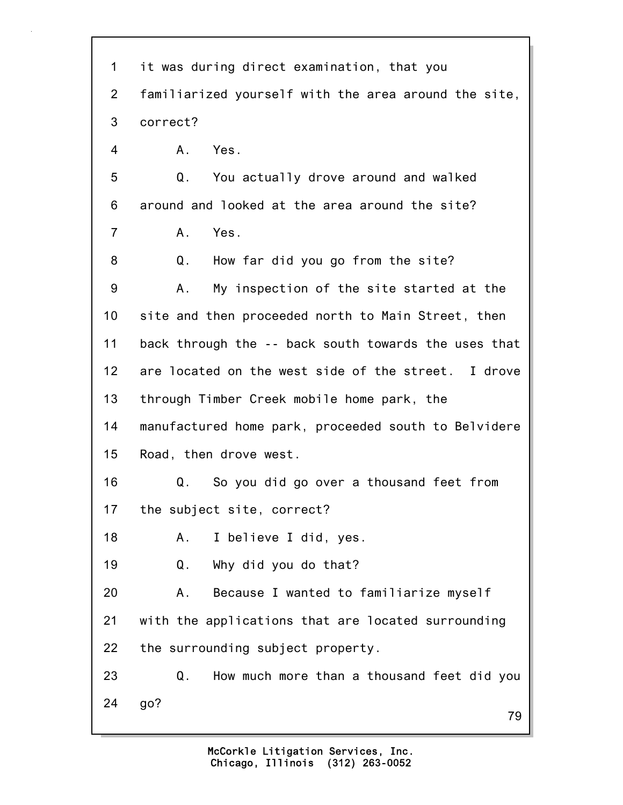| 1              | it was during direct examination, that you           |
|----------------|------------------------------------------------------|
| $\overline{2}$ | familiarized yourself with the area around the site, |
| 3              | correct?                                             |
| 4              | Yes.<br>Α.                                           |
| 5              | You actually drove around and walked<br>Q.           |
| 6              | around and looked at the area around the site?       |
| $\overline{7}$ | Yes.<br>$A_{-}$                                      |
| 8              | How far did you go from the site?<br>Q.              |
| 9              | My inspection of the site started at the<br>Α.       |
| 10             | site and then proceeded north to Main Street, then   |
| 11             | back through the -- back south towards the uses that |
| 12             | are located on the west side of the street. I drove  |
| 13             | through Timber Creek mobile home park, the           |
| 14             | manufactured home park, proceeded south to Belvidere |
| 15             | Road, then drove west.                               |
| 16             | So you did go over a thousand feet from<br>Q.        |
| 17             | the subject site, correct?                           |
| 18             | I believe I did, yes.<br>Α.                          |
| 19             | Why did you do that?<br>Q.                           |
| 20             | Because I wanted to familiarize myself<br>Α.         |
| 21             | with the applications that are located surrounding   |
| 22             | the surrounding subject property.                    |
| 23             | Q.<br>How much more than a thousand feet did you     |
| 24             | go?<br>79                                            |

٦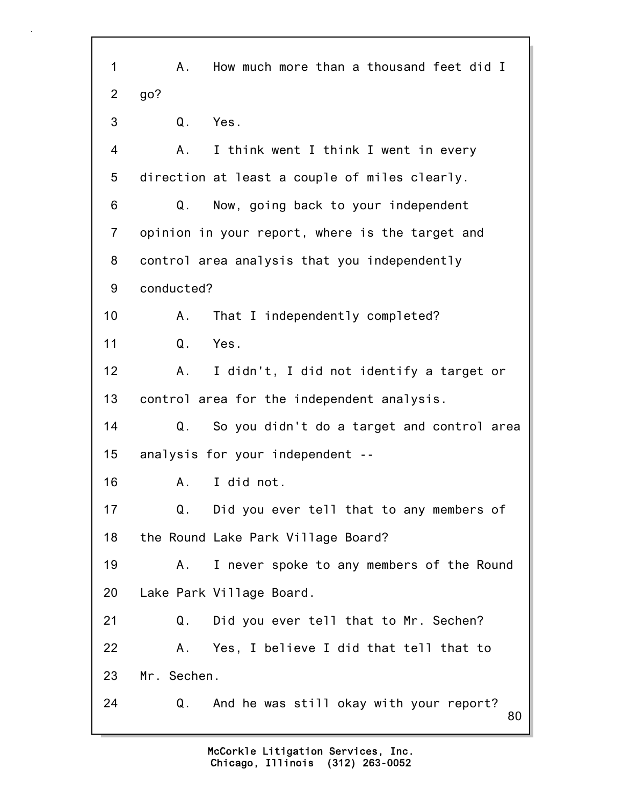80 1 A. How much more than a thousand feet did I 2 go? 3 Q. Yes. 4 A. I think went I think I went in every 5 direction at least a couple of miles clearly. 6 Q. Now, going back to your independent 7 opinion in your report, where is the target and 8 control area analysis that you independently 9 conducted? 10 A. That I independently completed? 11 Q. Yes. 12 A. I didn't, I did not identify a target or 13 control area for the independent analysis. 14 Q. So you didn't do a target and control area 15 analysis for your independent -- 16 A. I did not. 17 Q. Did you ever tell that to any members of 18 the Round Lake Park Village Board? 19 A. I never spoke to any members of the Round 20 Lake Park Village Board. 21 Q. Did you ever tell that to Mr. Sechen? 22 A. Yes, I believe I did that tell that to 23 Mr. Sechen. 24 Q. And he was still okay with your report?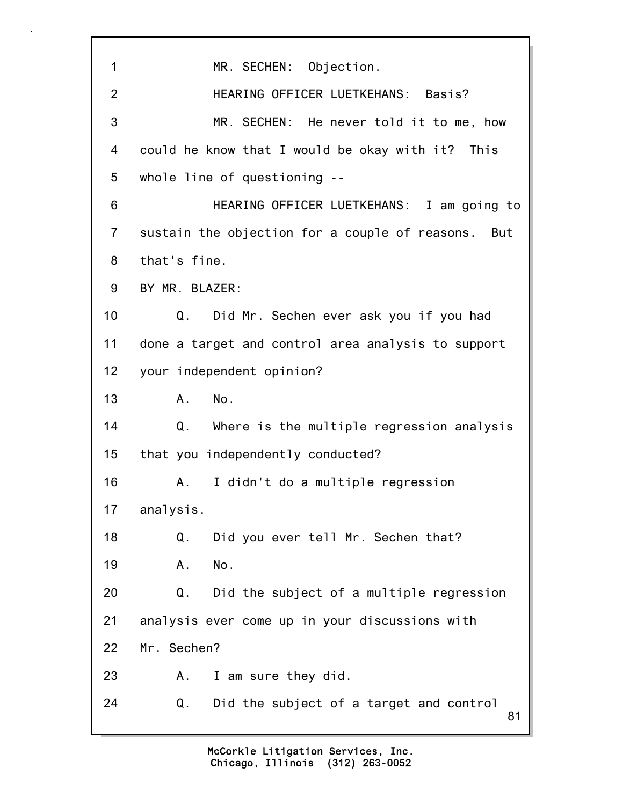81 1 MR. SECHEN: Objection. 2 HEARING OFFICER LUETKEHANS: Basis? 3 MR. SECHEN: He never told it to me, how 4 could he know that I would be okay with it? This 5 whole line of questioning -- 6 HEARING OFFICER LUETKEHANS: I am going to 7 sustain the objection for a couple of reasons. But 8 that's fine. 9 BY MR. BLAZER: 10 Q. Did Mr. Sechen ever ask you if you had 11 done a target and control area analysis to support 12 your independent opinion? 13 A. No. 14 Q. Where is the multiple regression analysis 15 that you independently conducted? 16 A. I didn't do a multiple regression 17 analysis. 18 Q. Did you ever tell Mr. Sechen that? 19 A. No. 20 Q. Did the subject of a multiple regression 21 analysis ever come up in your discussions with 22 Mr. Sechen? 23 A. I am sure they did. 24 Q. Did the subject of a target and control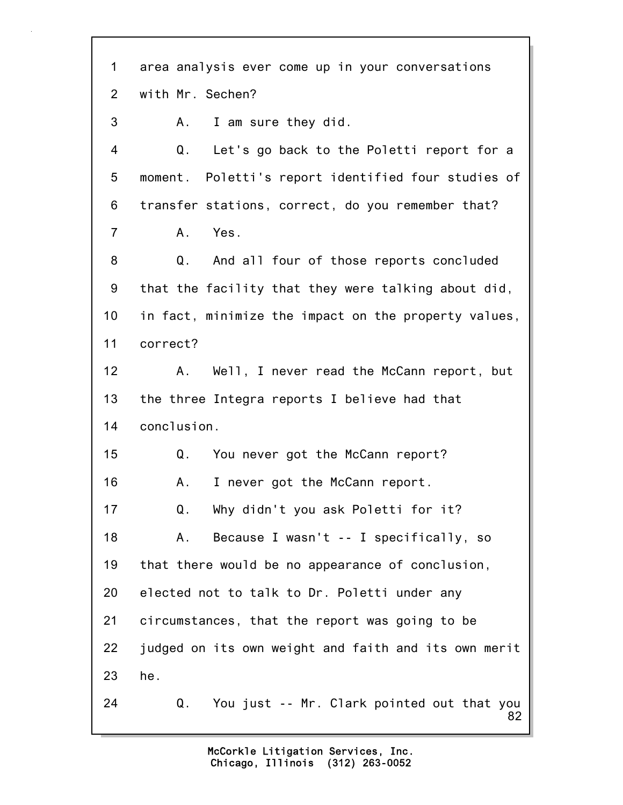82 1 area analysis ever come up in your conversations 2 with Mr. Sechen? 3 A. I am sure they did. 4 Q. Let's go back to the Poletti report for a 5 moment. Poletti's report identified four studies of 6 transfer stations, correct, do you remember that? 7 A. Yes. 8 Q. And all four of those reports concluded 9 that the facility that they were talking about did, 10 in fact, minimize the impact on the property values, 11 correct? 12 A. Well, I never read the McCann report, but 13 the three Integra reports I believe had that 14 conclusion. 15 Q. You never got the McCann report? 16 A. I never got the McCann report. 17 Q. Why didn't you ask Poletti for it? 18 A. Because I wasn't -- I specifically, so 19 that there would be no appearance of conclusion, 20 elected not to talk to Dr. Poletti under any 21 circumstances, that the report was going to be 22 judged on its own weight and faith and its own merit 23 he. 24 Q. You just -- Mr. Clark pointed out that you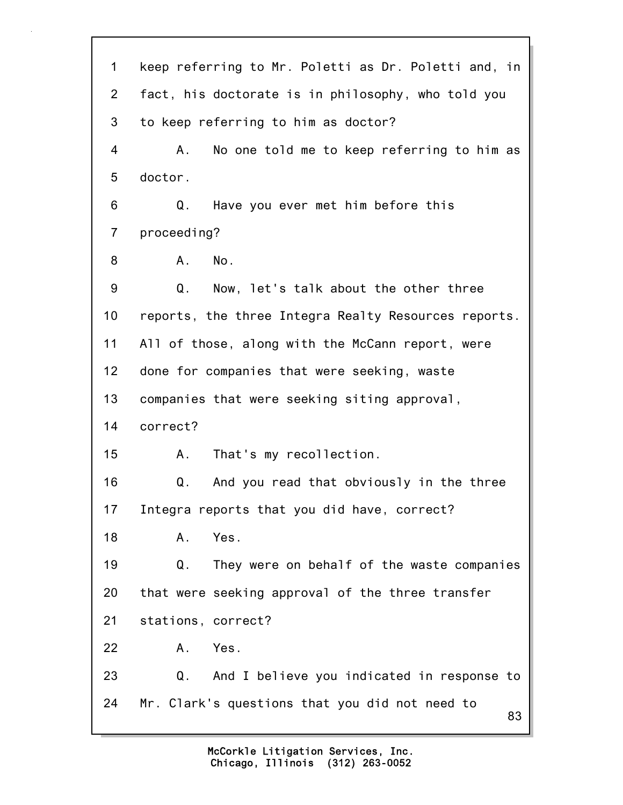83 1 keep referring to Mr. Poletti as Dr. Poletti and, in 2 fact, his doctorate is in philosophy, who told you 3 to keep referring to him as doctor? 4 A. No one told me to keep referring to him as 5 doctor. 6 Q. Have you ever met him before this 7 proceeding? 8 A. No. 9 Q. Now, let's talk about the other three 10 reports, the three Integra Realty Resources reports. 11 All of those, along with the McCann report, were 12 done for companies that were seeking, waste 13 companies that were seeking siting approval, 14 correct? 15 A. That's my recollection. 16 Q. And you read that obviously in the three 17 Integra reports that you did have, correct? 18 A. Yes. 19 Q. They were on behalf of the waste companies 20 that were seeking approval of the three transfer 21 stations, correct? 22 A. Yes. 23 Q. And I believe you indicated in response to 24 Mr. Clark's questions that you did not need to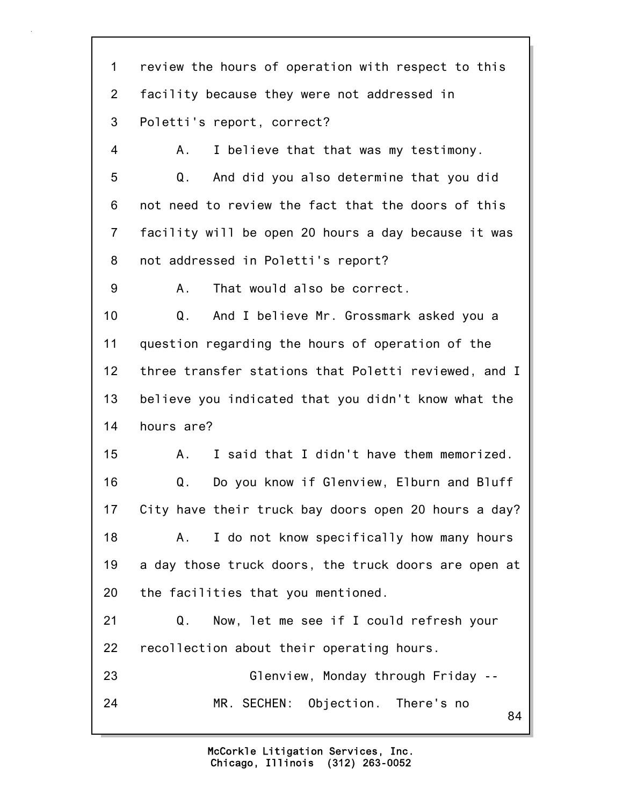84 1 review the hours of operation with respect to this 2 facility because they were not addressed in 3 Poletti's report, correct? 4 A. I believe that that was my testimony. 5 Q. And did you also determine that you did 6 not need to review the fact that the doors of this 7 facility will be open 20 hours a day because it was 8 not addressed in Poletti's report? 9 A. That would also be correct. 10 Q. And I believe Mr. Grossmark asked you a 11 question regarding the hours of operation of the 12 three transfer stations that Poletti reviewed, and I 13 believe you indicated that you didn't know what the 14 hours are? 15 A. I said that I didn't have them memorized. 16 Q. Do you know if Glenview, Elburn and Bluff 17 City have their truck bay doors open 20 hours a day? 18 A. I do not know specifically how many hours 19 a day those truck doors, the truck doors are open at 20 the facilities that you mentioned. 21 Q. Now, let me see if I could refresh your 22 recollection about their operating hours. 23 Glenview, Monday through Friday -- 24 MR. SECHEN: Objection. There's no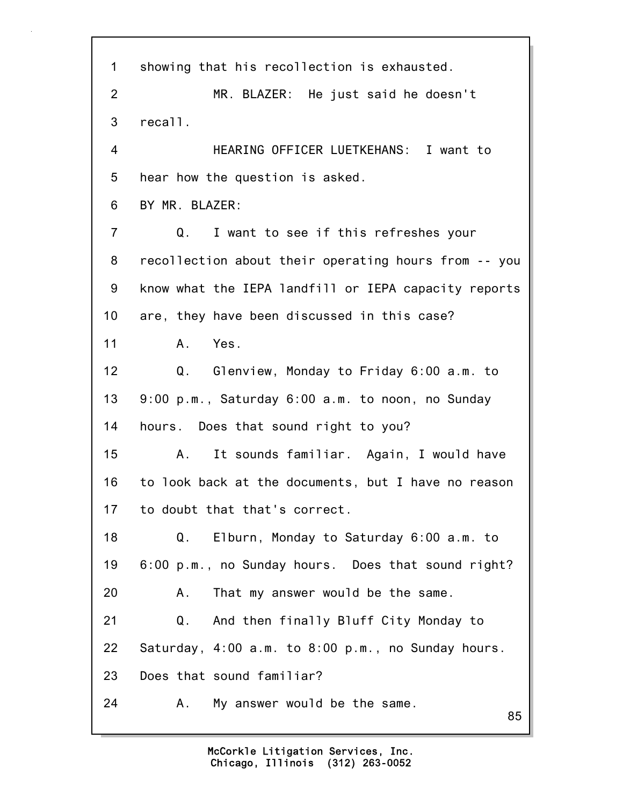85 1 showing that his recollection is exhausted. 2 MR. BLAZER: He just said he doesn't 3 recall. 4 HEARING OFFICER LUETKEHANS: I want to 5 hear how the question is asked. 6 BY MR. BLAZER: 7 Q. I want to see if this refreshes your 8 recollection about their operating hours from -- you 9 know what the IEPA landfill or IEPA capacity reports 10 are, they have been discussed in this case? 11 A. Yes. 12 Q. Glenview, Monday to Friday 6:00 a.m. to 13 9:00 p.m., Saturday 6:00 a.m. to noon, no Sunday 14 hours. Does that sound right to you? 15 A. It sounds familiar. Again, I would have 16 to look back at the documents, but I have no reason 17 to doubt that that's correct. 18 Q. Elburn, Monday to Saturday 6:00 a.m. to 19 6:00 p.m., no Sunday hours. Does that sound right? 20 A. That my answer would be the same. 21 Q. And then finally Bluff City Monday to 22 Saturday, 4:00 a.m. to 8:00 p.m., no Sunday hours. 23 Does that sound familiar? 24 A. My answer would be the same.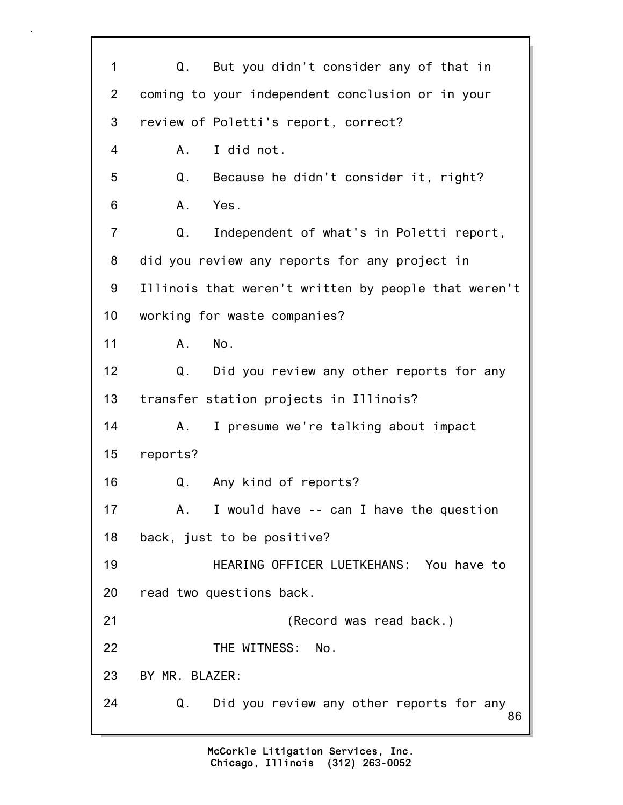86 1 Q. But you didn't consider any of that in 2 coming to your independent conclusion or in your 3 review of Poletti's report, correct? 4 A. I did not. 5 Q. Because he didn't consider it, right? 6 A. Yes. 7 Q. Independent of what's in Poletti report, 8 did you review any reports for any project in 9 Illinois that weren't written by people that weren't 10 working for waste companies? 11 A. No. 12 Q. Did you review any other reports for any 13 transfer station projects in Illinois? 14 A. I presume we're talking about impact 15 reports? 16 Q. Any kind of reports? 17 A. I would have -- can I have the question 18 back, just to be positive? 19 HEARING OFFICER LUETKEHANS: You have to 20 read two questions back. 21 (Record was read back.) 22 THE WITNESS: No. 23 BY MR. BLAZER: 24 Q. Did you review any other reports for any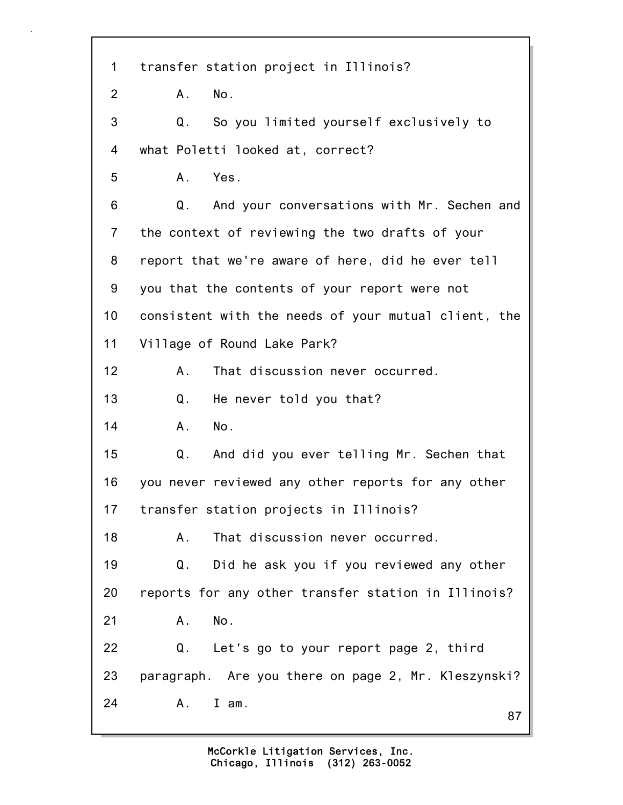87 1 transfer station project in Illinois? 2 A. No. 3 Q. So you limited yourself exclusively to 4 what Poletti looked at, correct? 5 A. Yes. 6 Q. And your conversations with Mr. Sechen and 7 the context of reviewing the two drafts of your 8 report that we're aware of here, did he ever tell 9 you that the contents of your report were not 10 consistent with the needs of your mutual client, the 11 Village of Round Lake Park? 12 A. That discussion never occurred. 13 Q. He never told you that? 14 A. No. 15 Q. And did you ever telling Mr. Sechen that 16 you never reviewed any other reports for any other 17 transfer station projects in Illinois? 18 A. That discussion never occurred. 19 Q. Did he ask you if you reviewed any other 20 reports for any other transfer station in Illinois? 21 A. No. 22 Q. Let's go to your report page 2, third 23 paragraph. Are you there on page 2, Mr. Kleszynski? 24 A. I am.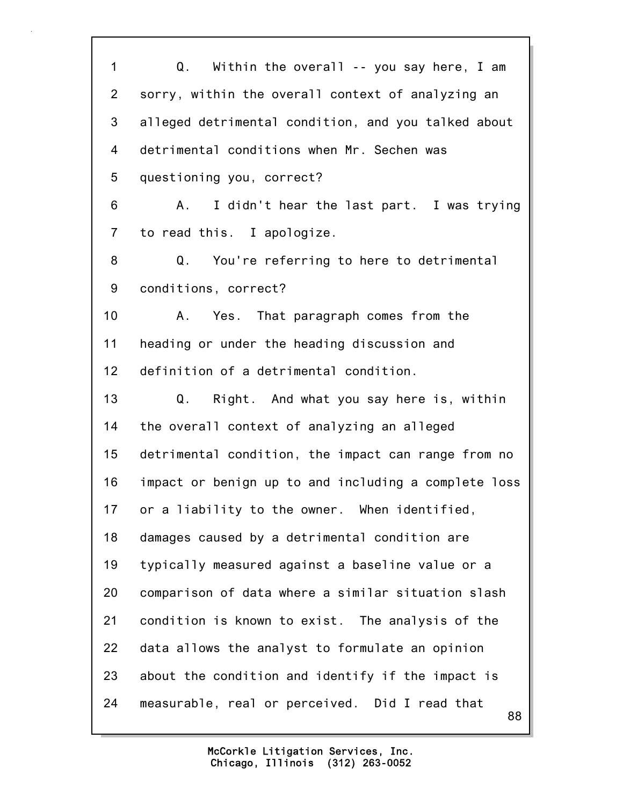1 Q. Within the overall -- you say here, I am 2 sorry, within the overall context of analyzing an 3 alleged detrimental condition, and you talked about 4 detrimental conditions when Mr. Sechen was 5 questioning you, correct? 6 A. I didn't hear the last part. I was trying 7 to read this. I apologize. 8 Q. You're referring to here to detrimental 9 conditions, correct? 10 A. Yes. That paragraph comes from the 11 heading or under the heading discussion and 12 definition of a detrimental condition. 13 Q. Right. And what you say here is, within 14 the overall context of analyzing an alleged 15 detrimental condition, the impact can range from no 16 impact or benign up to and including a complete loss 17 or a liability to the owner. When identified, 18 damages caused by a detrimental condition are 19 typically measured against a baseline value or a 20 comparison of data where a similar situation slash 21 condition is known to exist. The analysis of the 22 data allows the analyst to formulate an opinion 23 about the condition and identify if the impact is 24 measurable, real or perceived. Did I read that

88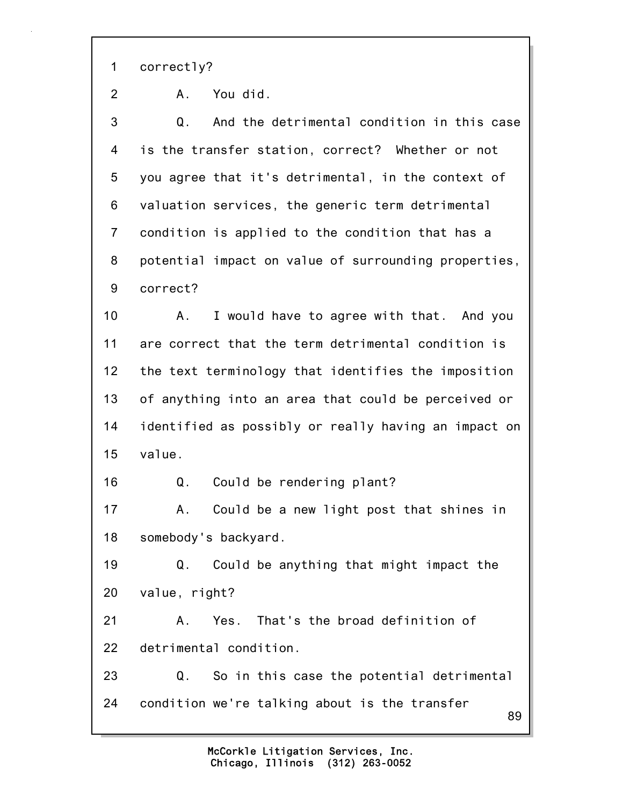1 correctly?

2 A. You did.

3 Q. And the detrimental condition in this case 4 is the transfer station, correct? Whether or not 5 you agree that it's detrimental, in the context of 6 valuation services, the generic term detrimental 7 condition is applied to the condition that has a 8 potential impact on value of surrounding properties, 9 correct?

10 A. I would have to agree with that. And you 11 are correct that the term detrimental condition is 12 the text terminology that identifies the imposition 13 of anything into an area that could be perceived or 14 identified as possibly or really having an impact on 15 value.

16 Q. Could be rendering plant?

17 A. Could be a new light post that shines in 18 somebody's backyard.

19 Q. Could be anything that might impact the 20 value, right?

21 A. Yes. That's the broad definition of 22 detrimental condition.

89 23 Q. So in this case the potential detrimental 24 condition we're talking about is the transfer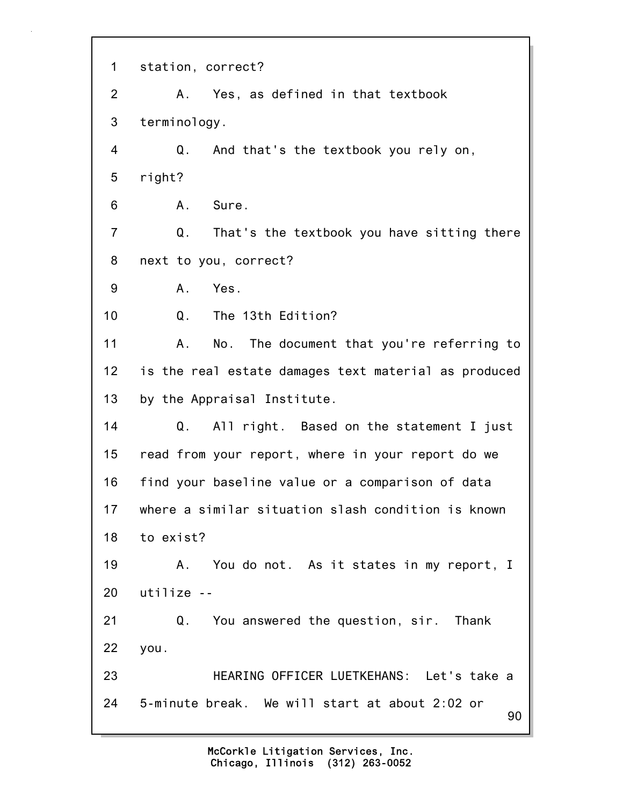90 1 station, correct? 2 A. Yes, as defined in that textbook 3 terminology. 4 Q. And that's the textbook you rely on, 5 right? 6 A. Sure. 7 Q. That's the textbook you have sitting there 8 next to you, correct? 9 A. Yes. 10 Q. The 13th Edition? 11 A. No. The document that you're referring to 12 is the real estate damages text material as produced 13 by the Appraisal Institute. 14 Q. All right. Based on the statement I just 15 read from your report, where in your report do we 16 find your baseline value or a comparison of data 17 where a similar situation slash condition is known 18 to exist? 19 A. You do not. As it states in my report, I 20 utilize -- 21 Q. You answered the question, sir. Thank 22 you. 23 HEARING OFFICER LUETKEHANS: Let's take a 24 5-minute break. We will start at about 2:02 or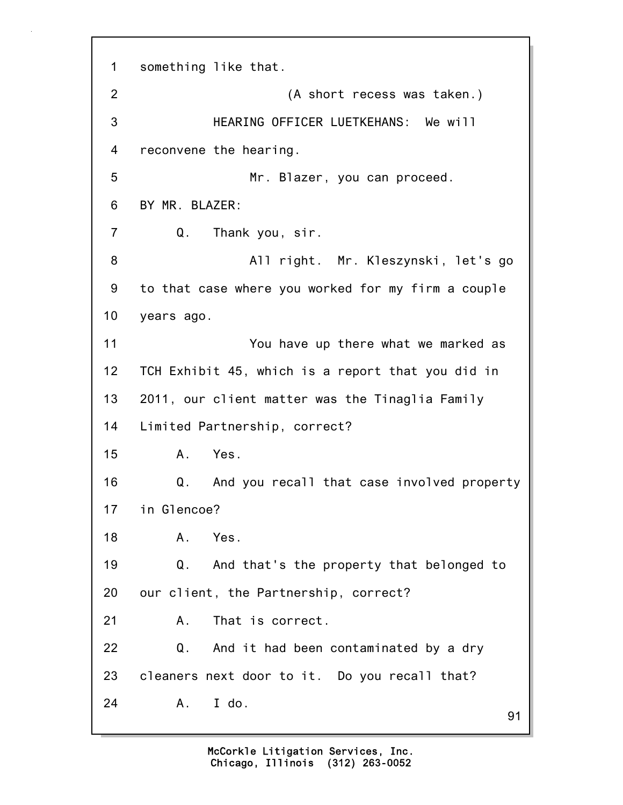91 1 something like that. 2 (A short recess was taken.) 3 HEARING OFFICER LUETKEHANS: We will 4 reconvene the hearing. 5 Mr. Blazer, you can proceed. 6 BY MR. BLAZER: 7 Q. Thank you, sir. 8 All right. Mr. Kleszynski, let's go 9 to that case where you worked for my firm a couple 10 years ago. 11 You have up there what we marked as 12 TCH Exhibit 45, which is a report that you did in 13 2011, our client matter was the Tinaglia Family 14 Limited Partnership, correct? 15 A. Yes. 16 Q. And you recall that case involved property 17 in Glencoe? 18 A. Yes. 19 Q. And that's the property that belonged to 20 our client, the Partnership, correct? 21 A. That is correct. 22 Q. And it had been contaminated by a dry 23 cleaners next door to it. Do you recall that? 24 A. I do.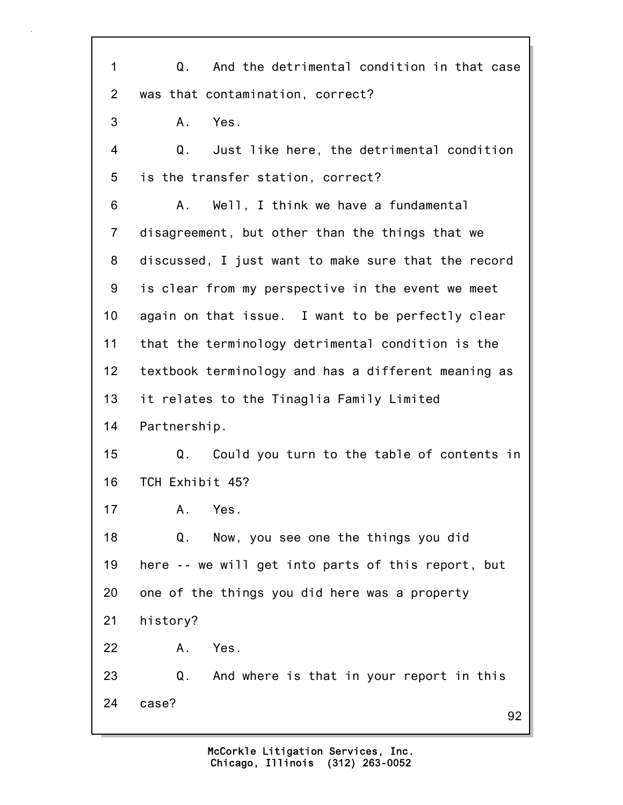92 1 Q. And the detrimental condition in that case 2 was that contamination, correct? 3 A. Yes. 4 Q. Just like here, the detrimental condition 5 is the transfer station, correct? 6 A. Well, I think we have a fundamental 7 disagreement, but other than the things that we 8 discussed, I just want to make sure that the record 9 is clear from my perspective in the event we meet 10 again on that issue. I want to be perfectly clear 11 that the terminology detrimental condition is the 12 textbook terminology and has a different meaning as 13 it relates to the Tinaglia Family Limited 14 Partnership. 15 Q. Could you turn to the table of contents in 16 TCH Exhibit 45? 17 A. Yes. 18 Q. Now, you see one the things you did 19 here -- we will get into parts of this report, but 20 one of the things you did here was a property 21 history? 22 A. Yes. 23 Q. And where is that in your report in this 24 case?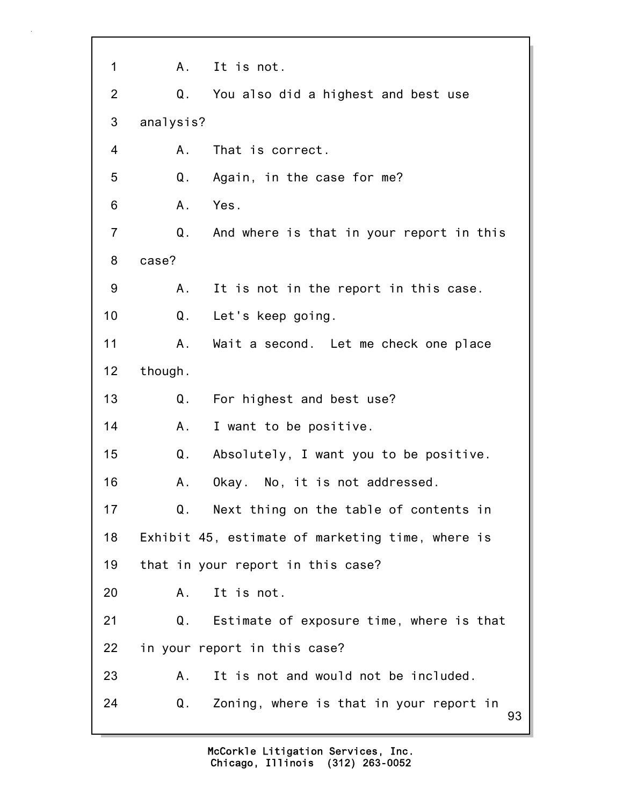93 1 A. It is not. 2 Q. You also did a highest and best use 3 analysis? 4 A. That is correct. 5 Q. Again, in the case for me? 6 A. Yes. 7 Q. And where is that in your report in this 8 case? 9 A. It is not in the report in this case. 10 Q. Let's keep going. 11 A. Wait a second. Let me check one place 12 though. 13 Q. For highest and best use? 14 A. I want to be positive. 15 Q. Absolutely, I want you to be positive. 16 A. Okay. No, it is not addressed. 17 Q. Next thing on the table of contents in 18 Exhibit 45, estimate of marketing time, where is 19 that in your report in this case? 20 A. It is not. 21 Q. Estimate of exposure time, where is that 22 in your report in this case? 23 A. It is not and would not be included. 24 Q. Zoning, where is that in your report in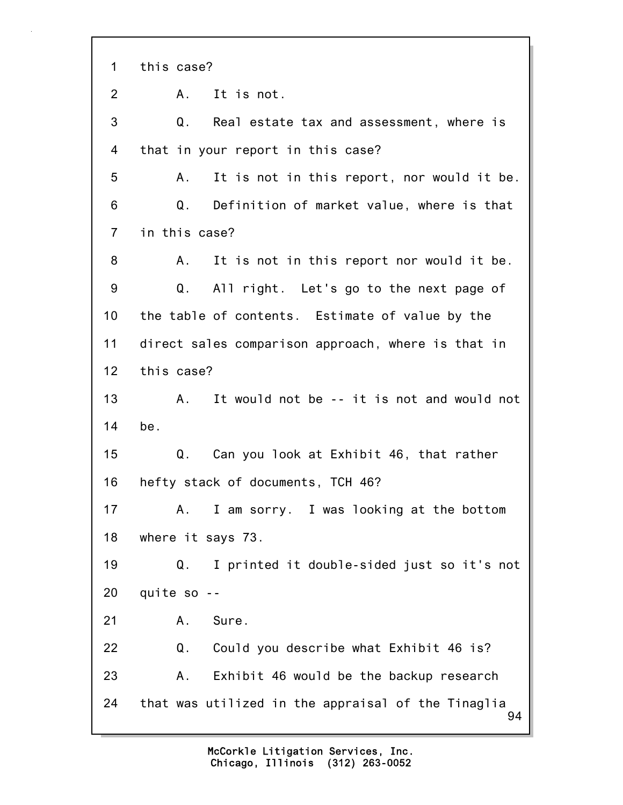94 1 this case? 2 A. It is not. 3 Q. Real estate tax and assessment, where is 4 that in your report in this case? 5 A. It is not in this report, nor would it be. 6 Q. Definition of market value, where is that 7 in this case? 8 A. It is not in this report nor would it be. 9 Q. All right. Let's go to the next page of 10 the table of contents. Estimate of value by the 11 direct sales comparison approach, where is that in 12 this case? 13 A. It would not be -- it is not and would not 14 be. 15 Q. Can you look at Exhibit 46, that rather 16 hefty stack of documents, TCH 46? 17 A. I am sorry. I was looking at the bottom 18 where it says 73. 19 Q. I printed it double-sided just so it's not 20 quite so -- 21 A. Sure. 22 Q. Could you describe what Exhibit 46 is? 23 A. Exhibit 46 would be the backup research 24 that was utilized in the appraisal of the Tinaglia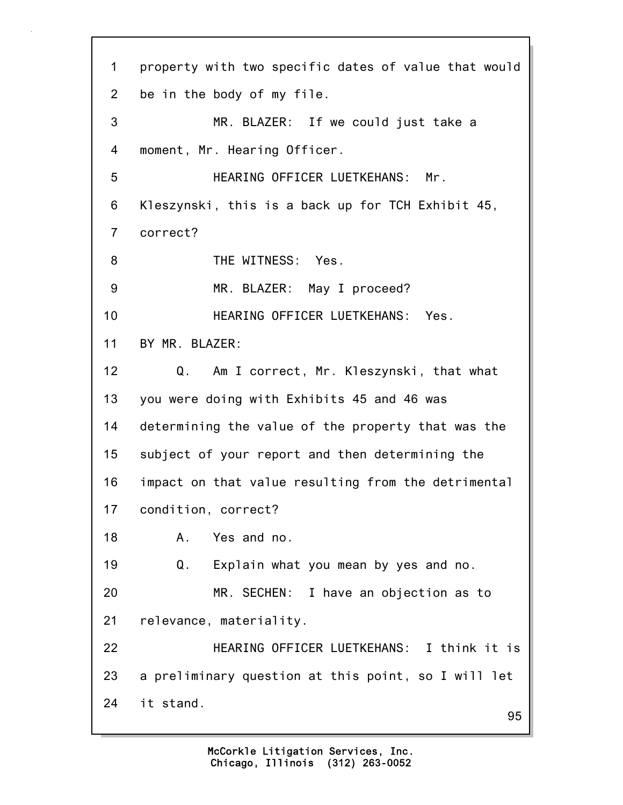95 1 property with two specific dates of value that would 2 be in the body of my file. 3 MR. BLAZER: If we could just take a 4 moment, Mr. Hearing Officer. 5 HEARING OFFICER LUETKEHANS: Mr. 6 Kleszynski, this is a back up for TCH Exhibit 45, 7 correct? 8 THE WITNESS: Yes. 9 MR. BLAZER: May I proceed? 10 HEARING OFFICER LUETKEHANS: Yes. 11 BY MR. BLAZER: 12 Q. Am I correct, Mr. Kleszynski, that what 13 you were doing with Exhibits 45 and 46 was 14 determining the value of the property that was the 15 subject of your report and then determining the 16 impact on that value resulting from the detrimental 17 condition, correct? 18 A. Yes and no. 19 Q. Explain what you mean by yes and no. 20 MR. SECHEN: I have an objection as to 21 relevance, materiality. 22 HEARING OFFICER LUETKEHANS: I think it is 23 a preliminary question at this point, so I will let 24 it stand.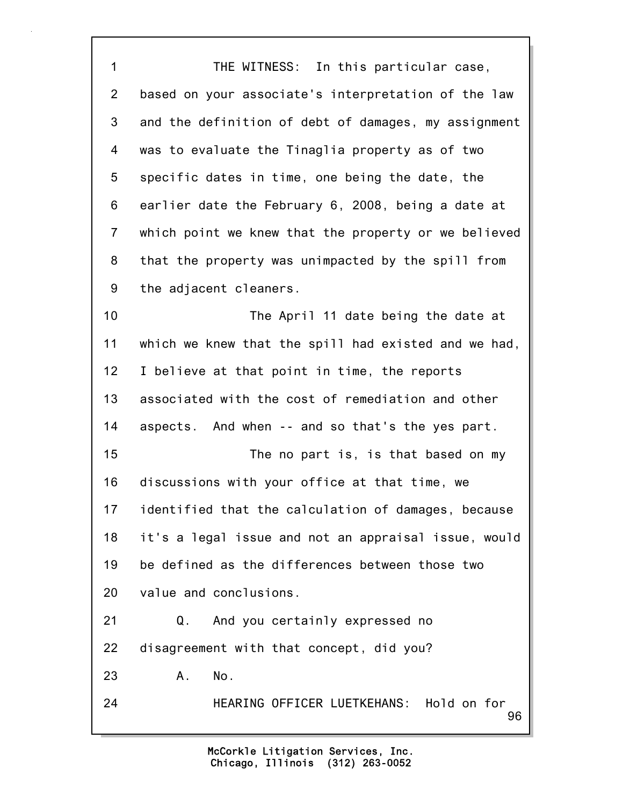96 1 THE WITNESS: In this particular case, 2 based on your associate's interpretation of the law 3 and the definition of debt of damages, my assignment 4 was to evaluate the Tinaglia property as of two 5 specific dates in time, one being the date, the 6 earlier date the February 6, 2008, being a date at 7 which point we knew that the property or we believed 8 that the property was unimpacted by the spill from 9 the adjacent cleaners. 10 The April 11 date being the date at 11 which we knew that the spill had existed and we had, 12 I believe at that point in time, the reports 13 associated with the cost of remediation and other 14 aspects. And when -- and so that's the yes part. 15 The no part is, is that based on my 16 discussions with your office at that time, we 17 identified that the calculation of damages, because 18 it's a legal issue and not an appraisal issue, would 19 be defined as the differences between those two 20 value and conclusions. 21 Q. And you certainly expressed no 22 disagreement with that concept, did you? 23 A. No. 24 HEARING OFFICER LUETKEHANS: Hold on for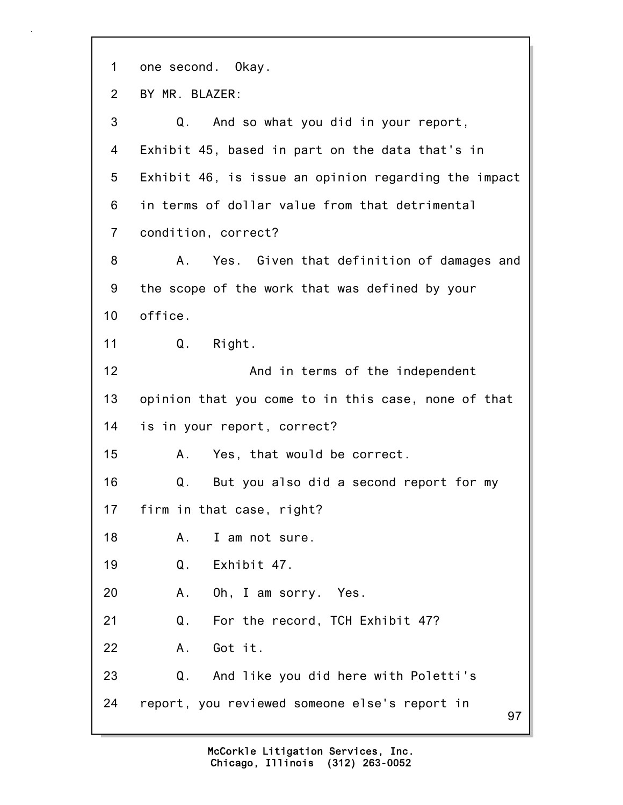97 1 one second. Okay. 2 BY MR. BLAZER: 3 Q. And so what you did in your report, 4 Exhibit 45, based in part on the data that's in 5 Exhibit 46, is issue an opinion regarding the impact 6 in terms of dollar value from that detrimental 7 condition, correct? 8 A. Yes. Given that definition of damages and 9 the scope of the work that was defined by your 10 office. 11 Q. Right. 12 And in terms of the independent 13 opinion that you come to in this case, none of that 14 is in your report, correct? 15 A. Yes, that would be correct. 16 Q. But you also did a second report for my 17 firm in that case, right? 18 A. I am not sure. 19 Q. Exhibit 47. 20 A. Oh, I am sorry. Yes. 21 Q. For the record, TCH Exhibit 47? 22 A. Got it. 23 Q. And like you did here with Poletti's 24 report, you reviewed someone else's report in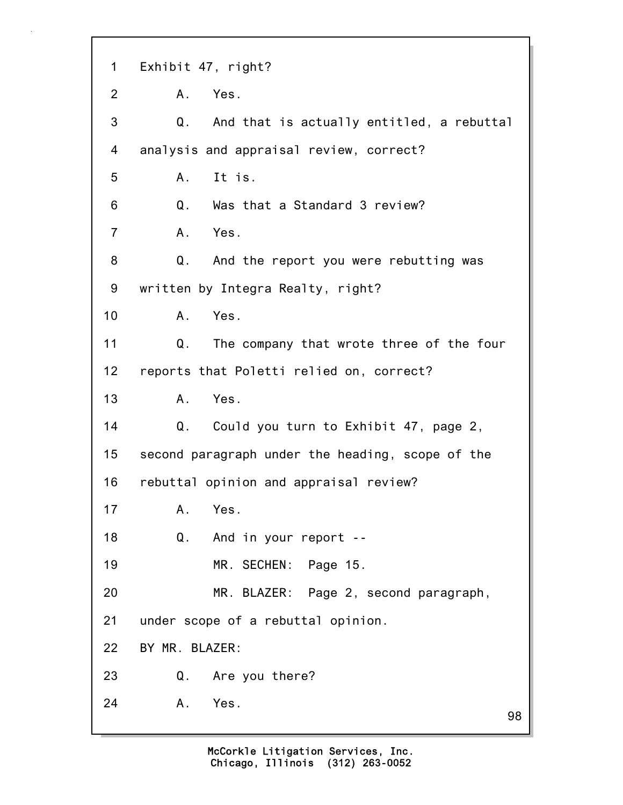98 1 Exhibit 47, right? 2 A. Yes. 3 Q. And that is actually entitled, a rebuttal 4 analysis and appraisal review, correct? 5 A. It is. 6 Q. Was that a Standard 3 review? 7 A. Yes. 8 Q. And the report you were rebutting was 9 written by Integra Realty, right? 10 A. Yes. 11 Q. The company that wrote three of the four 12 reports that Poletti relied on, correct? 13 A. Yes. 14 Q. Could you turn to Exhibit 47, page 2, 15 second paragraph under the heading, scope of the 16 rebuttal opinion and appraisal review? 17 A. Yes. 18 Q. And in your report -- 19 MR. SECHEN: Page 15. 20 MR. BLAZER: Page 2, second paragraph, 21 under scope of a rebuttal opinion. 22 BY MR. BLAZER: 23 Q. Are you there? 24 A. Yes.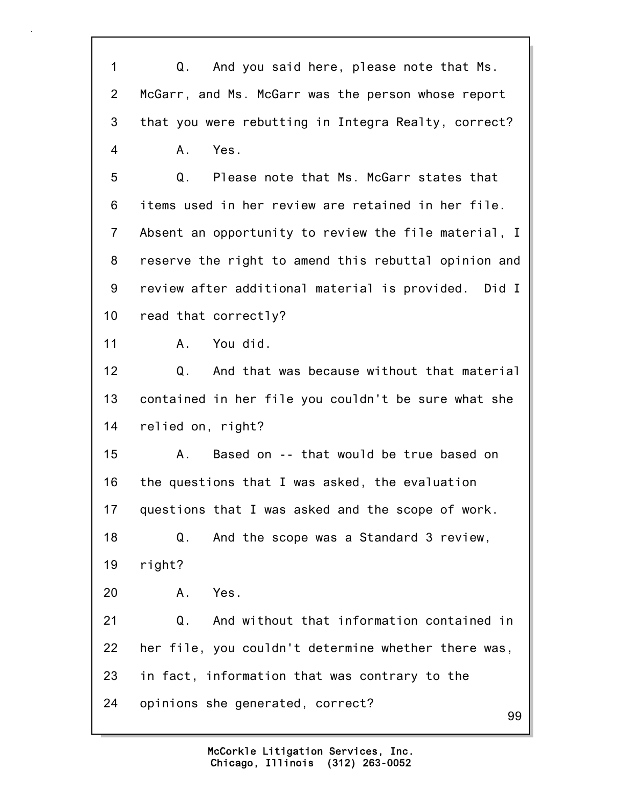99 1 Q. And you said here, please note that Ms. 2 McGarr, and Ms. McGarr was the person whose report 3 that you were rebutting in Integra Realty, correct? 4 A. Yes. 5 Q. Please note that Ms. McGarr states that 6 items used in her review are retained in her file. 7 Absent an opportunity to review the file material, I 8 reserve the right to amend this rebuttal opinion and 9 review after additional material is provided. Did I 10 read that correctly? 11 A. You did. 12 Q. And that was because without that material 13 contained in her file you couldn't be sure what she 14 relied on, right? 15 A. Based on -- that would be true based on 16 the questions that I was asked, the evaluation 17 questions that I was asked and the scope of work. 18 Q. And the scope was a Standard 3 review, 19 right? 20 A. Yes. 21 Q. And without that information contained in 22 her file, you couldn't determine whether there was, 23 in fact, information that was contrary to the 24 opinions she generated, correct?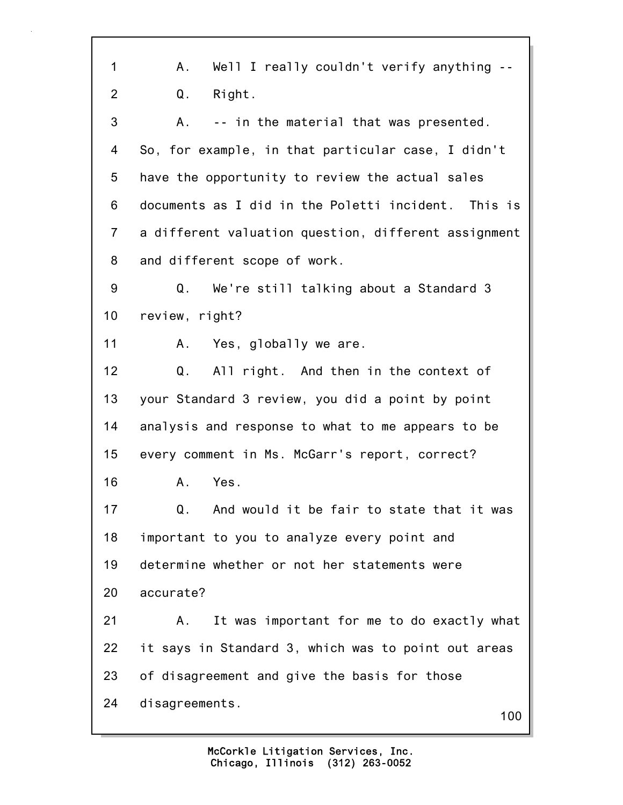| $\mathbf{1}$    | Well I really couldn't verify anything --<br>А.      |
|-----------------|------------------------------------------------------|
| $\overline{2}$  | Right.<br>Q.                                         |
| 3               | -- in the material that was presented.<br>А.         |
| 4               | So, for example, in that particular case, I didn't   |
| 5               | have the opportunity to review the actual sales      |
| 6               | documents as I did in the Poletti incident. This is  |
| $\overline{7}$  | a different valuation question, different assignment |
| 8               | and different scope of work.                         |
| 9               | We're still talking about a Standard 3<br>Q.         |
| 10 <sub>1</sub> | review, right?                                       |
| 11              | A.<br>Yes, globally we are.                          |
| 12              | All right. And then in the context of<br>Q.          |
| 13              | your Standard 3 review, you did a point by point     |
| 14              | analysis and response to what to me appears to be    |
| 15              | every comment in Ms. McGarr's report, correct?       |
| 16              | Yes.<br>Α.                                           |
| 17              | And would it be fair to state that it was<br>Q.      |
| 18              | important to you to analyze every point and          |
| 19              | determine whether or not her statements were         |
| 20              | accurate?                                            |
| 21              | It was important for me to do exactly what<br>А.     |
| 22              | it says in Standard 3, which was to point out areas  |
| 23              | of disagreement and give the basis for those         |
| 24              | disagreements.<br>100                                |
|                 |                                                      |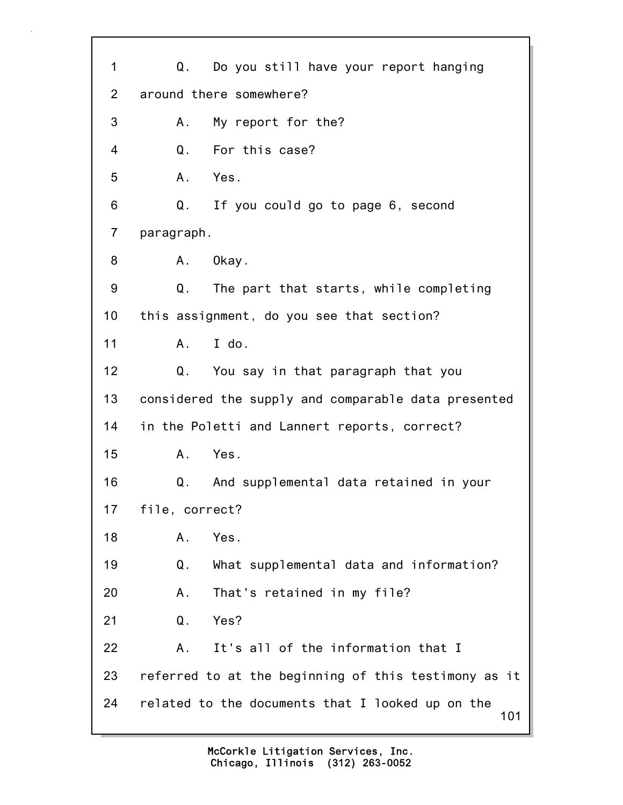101 1 Q. Do you still have your report hanging 2 around there somewhere? 3 A. My report for the? 4 Q. For this case? 5 A. Yes. 6 Q. If you could go to page 6, second 7 paragraph. 8 A. Okay. 9 Q. The part that starts, while completing 10 this assignment, do you see that section? 11 A. I do. 12 Q. You say in that paragraph that you 13 considered the supply and comparable data presented 14 in the Poletti and Lannert reports, correct? 15 A. Yes. 16 Q. And supplemental data retained in your 17 file, correct? 18 A. Yes. 19 Q. What supplemental data and information? 20 A. That's retained in my file? 21 Q. Yes? 22 A. It's all of the information that I 23 referred to at the beginning of this testimony as it 24 related to the documents that I looked up on the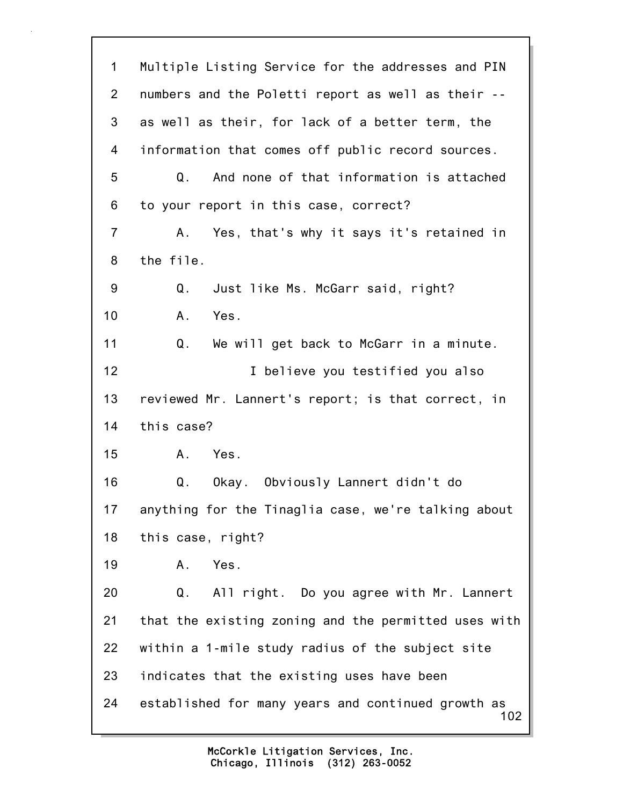102 1 Multiple Listing Service for the addresses and PIN 2 numbers and the Poletti report as well as their -- 3 as well as their, for lack of a better term, the 4 information that comes off public record sources. 5 Q. And none of that information is attached 6 to your report in this case, correct? 7 A. Yes, that's why it says it's retained in 8 the file. 9 Q. Just like Ms. McGarr said, right? 10 A. Yes. 11 Q. We will get back to McGarr in a minute. 12 I believe you testified you also 13 reviewed Mr. Lannert's report; is that correct, in 14 this case? 15 A. Yes. 16 Q. Okay. Obviously Lannert didn't do 17 anything for the Tinaglia case, we're talking about 18 this case, right? 19 A. Yes. 20 Q. All right. Do you agree with Mr. Lannert 21 that the existing zoning and the permitted uses with 22 within a 1-mile study radius of the subject site 23 indicates that the existing uses have been 24 established for many years and continued growth as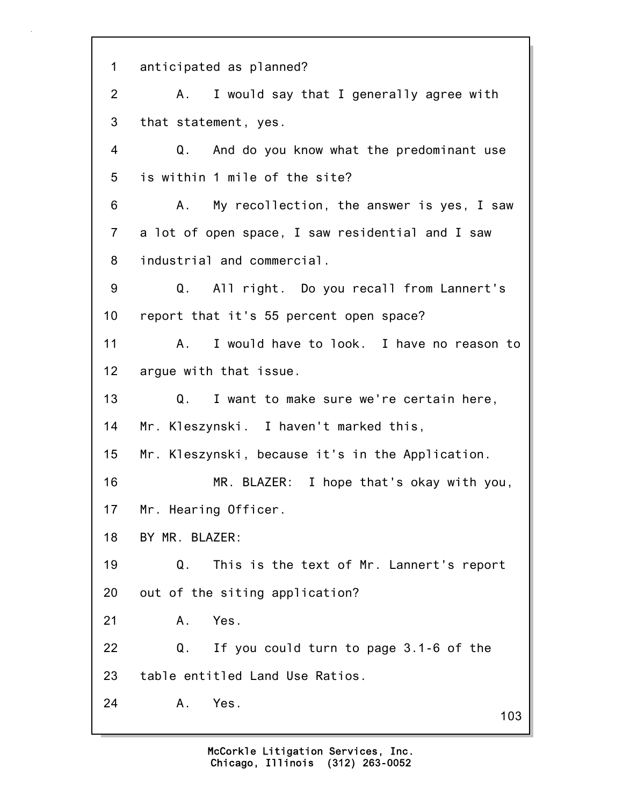103 1 anticipated as planned? 2 A. I would say that I generally agree with 3 that statement, yes. 4 Q. And do you know what the predominant use 5 is within 1 mile of the site? 6 A. My recollection, the answer is yes, I saw 7 a lot of open space, I saw residential and I saw 8 industrial and commercial. 9 Q. All right. Do you recall from Lannert's 10 report that it's 55 percent open space? 11 A. I would have to look. I have no reason to 12 argue with that issue. 13 Q. I want to make sure we're certain here, 14 Mr. Kleszynski. I haven't marked this, 15 Mr. Kleszynski, because it's in the Application. 16 MR. BLAZER: I hope that's okay with you, 17 Mr. Hearing Officer. 18 BY MR. BLAZER: 19 Q. This is the text of Mr. Lannert's report 20 out of the siting application? 21 A. Yes. 22 Q. If you could turn to page 3.1-6 of the 23 table entitled Land Use Ratios. 24 A. Yes.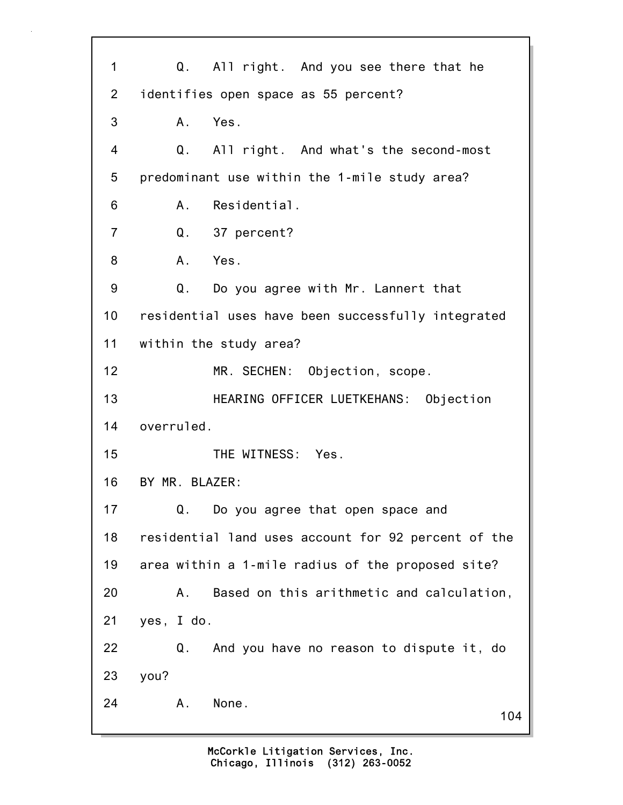104 1 Q. All right. And you see there that he 2 identifies open space as 55 percent? 3 A. Yes. 4 Q. All right. And what's the second-most 5 predominant use within the 1-mile study area? 6 A. Residential. 7 Q. 37 percent? 8 A. Yes. 9 Q. Do you agree with Mr. Lannert that 10 residential uses have been successfully integrated 11 within the study area? 12 MR. SECHEN: Objection, scope. 13 HEARING OFFICER LUETKEHANS: Objection 14 overruled. 15 THE WITNESS: Yes. 16 BY MR. BLAZER: 17 Q. Do you agree that open space and 18 residential land uses account for 92 percent of the 19 area within a 1-mile radius of the proposed site? 20 A. Based on this arithmetic and calculation, 21 yes, I do. 22 Q. And you have no reason to dispute it, do 23 you? 24 A. None.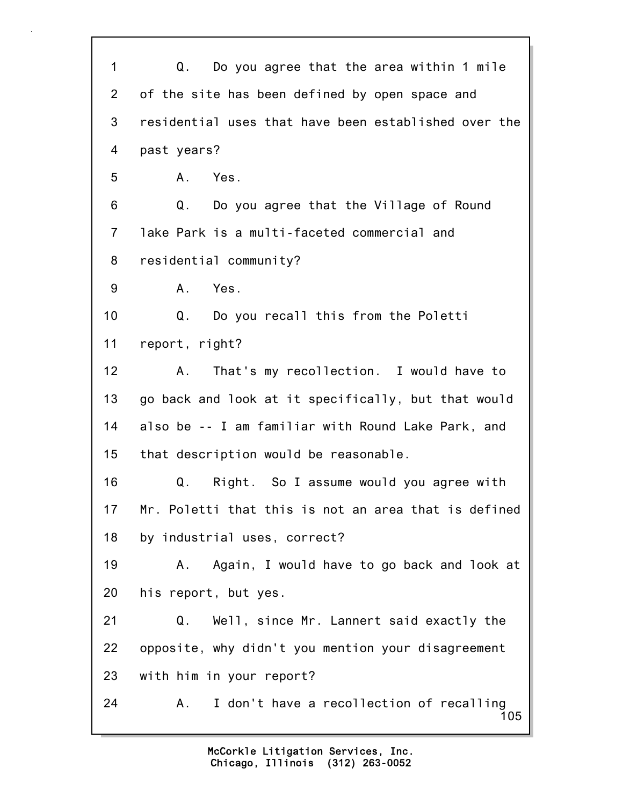105 1 Q. Do you agree that the area within 1 mile 2 of the site has been defined by open space and 3 residential uses that have been established over the 4 past years? 5 A. Yes. 6 Q. Do you agree that the Village of Round 7 lake Park is a multi-faceted commercial and 8 residential community? 9 A. Yes. 10 Q. Do you recall this from the Poletti 11 report, right? 12 A. That's my recollection. I would have to 13 go back and look at it specifically, but that would 14 also be -- I am familiar with Round Lake Park, and 15 that description would be reasonable. 16 Q. Right. So I assume would you agree with 17 Mr. Poletti that this is not an area that is defined 18 by industrial uses, correct? 19 A. Again, I would have to go back and look at 20 his report, but yes. 21 Q. Well, since Mr. Lannert said exactly the 22 opposite, why didn't you mention your disagreement 23 with him in your report? 24 A. I don't have a recollection of recalling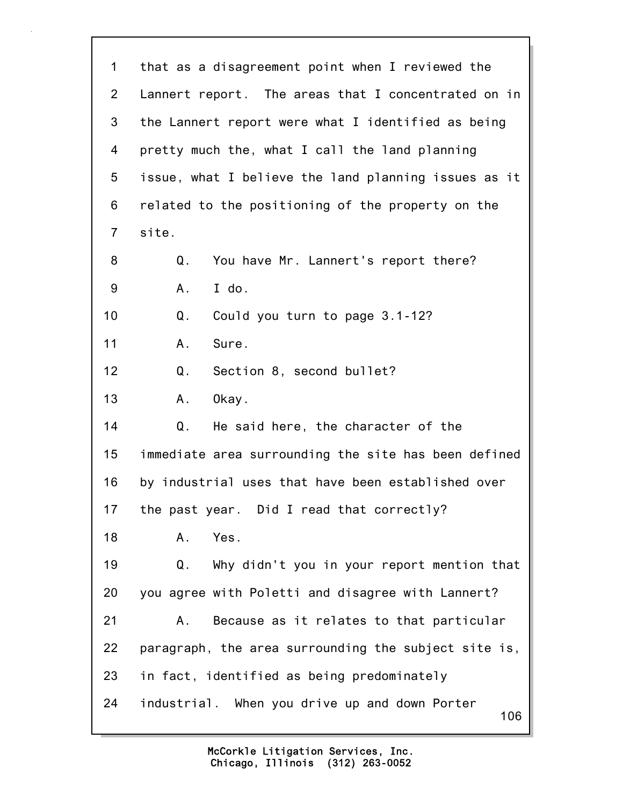| 1              | that as a disagreement point when I reviewed the     |
|----------------|------------------------------------------------------|
| $\overline{2}$ | Lannert report. The areas that I concentrated on in  |
| 3              | the Lannert report were what I identified as being   |
| 4              | pretty much the, what I call the land planning       |
| 5              | issue, what I believe the land planning issues as it |
| 6              | related to the positioning of the property on the    |
| $\overline{7}$ | site.                                                |
| 8              | You have Mr. Lannert's report there?<br>Q.           |
| 9              | I do.<br>А.                                          |
| 10             | $Q_{\cdot}$<br>Could you turn to page 3.1-12?        |
| 11             | Sure.<br>A.                                          |
| 12             | Q.<br>Section 8, second bullet?                      |
| 13             | Okay.<br>Α.                                          |
| 14             | Q.<br>He said here, the character of the             |
| 15             | immediate area surrounding the site has been defined |
| 16             | by industrial uses that have been established over   |
| 17             | the past year. Did I read that correctly?            |
| 18             | Yes.<br>Α.                                           |
| 19             | Why didn't you in your report mention that<br>Q.     |
| 20             | you agree with Poletti and disagree with Lannert?    |
| 21             | Because as it relates to that particular<br>Α.       |
| 22             | paragraph, the area surrounding the subject site is, |
| 23             | in fact, identified as being predominately           |
| 24             | industrial. When you drive up and down Porter<br>106 |

l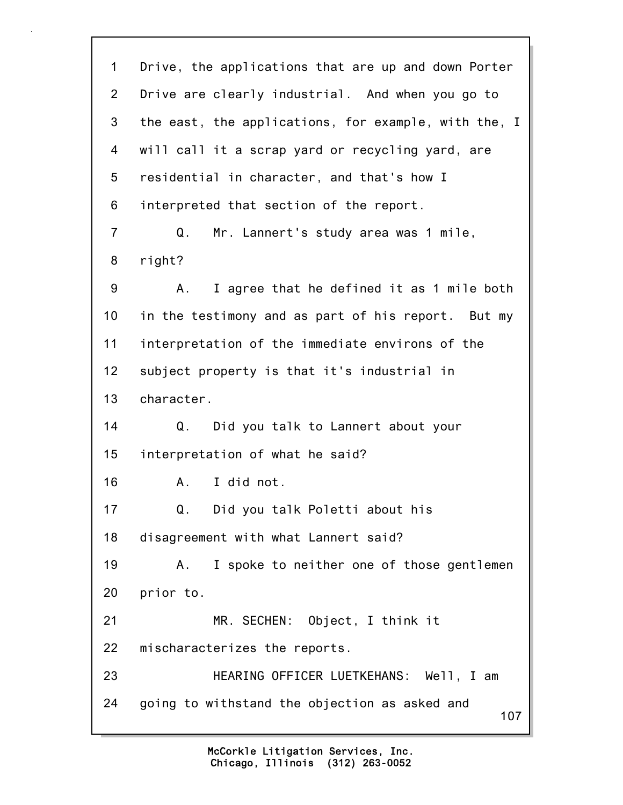107 1 Drive, the applications that are up and down Porter 2 Drive are clearly industrial. And when you go to 3 the east, the applications, for example, with the, I 4 will call it a scrap yard or recycling yard, are 5 residential in character, and that's how I 6 interpreted that section of the report. 7 Q. Mr. Lannert's study area was 1 mile, 8 right? 9 A. I agree that he defined it as 1 mile both 10 in the testimony and as part of his report. But my 11 interpretation of the immediate environs of the 12 subject property is that it's industrial in 13 character. 14 Q. Did you talk to Lannert about your 15 interpretation of what he said? 16 A. I did not. 17 Q. Did you talk Poletti about his 18 disagreement with what Lannert said? 19 A. I spoke to neither one of those gentlemen 20 prior to. 21 MR. SECHEN: Object, I think it 22 mischaracterizes the reports. 23 HEARING OFFICER LUETKEHANS: Well, I am 24 going to withstand the objection as asked and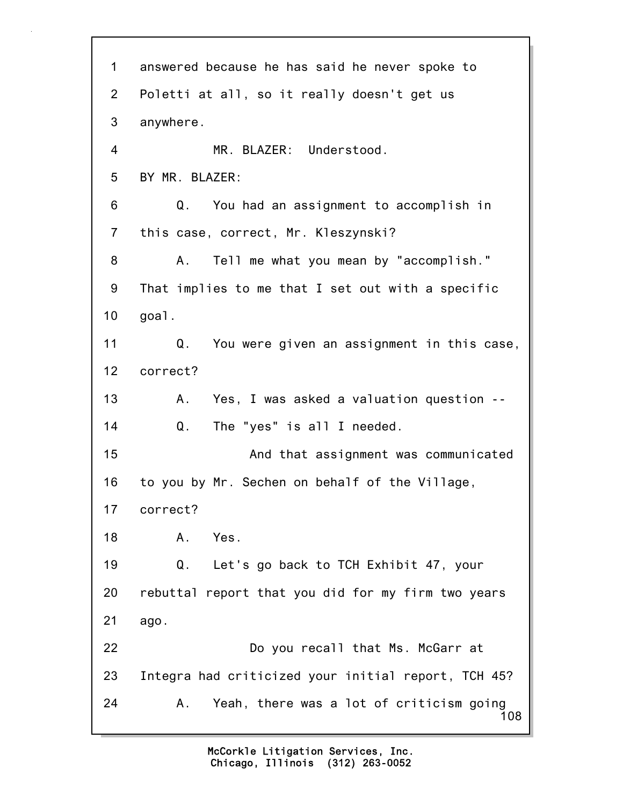| 1              | answered because he has said he never spoke to        |
|----------------|-------------------------------------------------------|
| 2 <sup>1</sup> | Poletti at all, so it really doesn't get us           |
| 3              | anywhere.                                             |
| 4              | MR. BLAZER: Understood.                               |
| 5              | BY MR. BLAZER:                                        |
| 6              | Q. You had an assignment to accomplish in             |
| $\overline{7}$ | this case, correct, Mr. Kleszynski?                   |
| 8              | Tell me what you mean by "accomplish."<br>A.,         |
| 9              | That implies to me that I set out with a specific     |
| 10             | goal.                                                 |
| 11             | Q. You were given an assignment in this case,         |
| 12             | correct?                                              |
| 13             | A. Yes, I was asked a valuation question --           |
| 14             | $Q_{\star}$<br>The "yes" is all I needed.             |
| 15             | And that assignment was communicated                  |
| 16             | to you by Mr. Sechen on behalf of the Village,        |
| 17             | correct?                                              |
| 18             | Yes.<br>Α.                                            |
| 19             | Let's go back to TCH Exhibit 47, your<br>Q.           |
| 20             | rebuttal report that you did for my firm two years    |
| 21             | ago.                                                  |
| 22             | Do you recall that Ms. McGarr at                      |
| 23             | Integra had criticized your initial report, TCH 45?   |
| 24             | Yeah, there was a lot of criticism going<br>Α.<br>108 |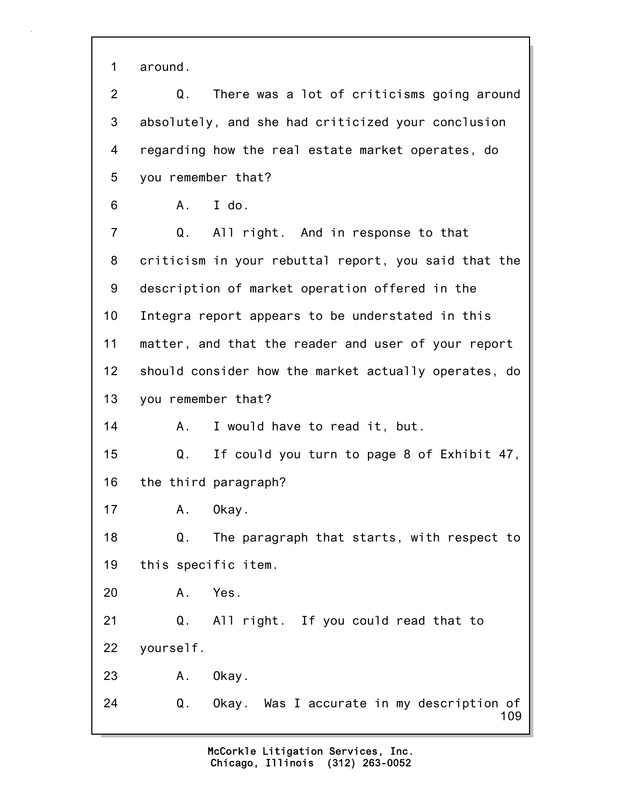1 around.

2 Q. There was a lot of criticisms going around 3 absolutely, and she had criticized your conclusion 4 regarding how the real estate market operates, do 5 you remember that?

6 A. I do.

109 7 Q. All right. And in response to that 8 criticism in your rebuttal report, you said that the 9 description of market operation offered in the 10 Integra report appears to be understated in this 11 matter, and that the reader and user of your report 12 should consider how the market actually operates, do 13 you remember that? 14 A. I would have to read it, but. 15 Q. If could you turn to page 8 of Exhibit 47, 16 the third paragraph? 17 A. Okay. 18 Q. The paragraph that starts, with respect to 19 this specific item. 20 A. Yes. 21 Q. All right. If you could read that to 22 yourself. 23 A. Okay. 24 Q. Okay. Was I accurate in my description of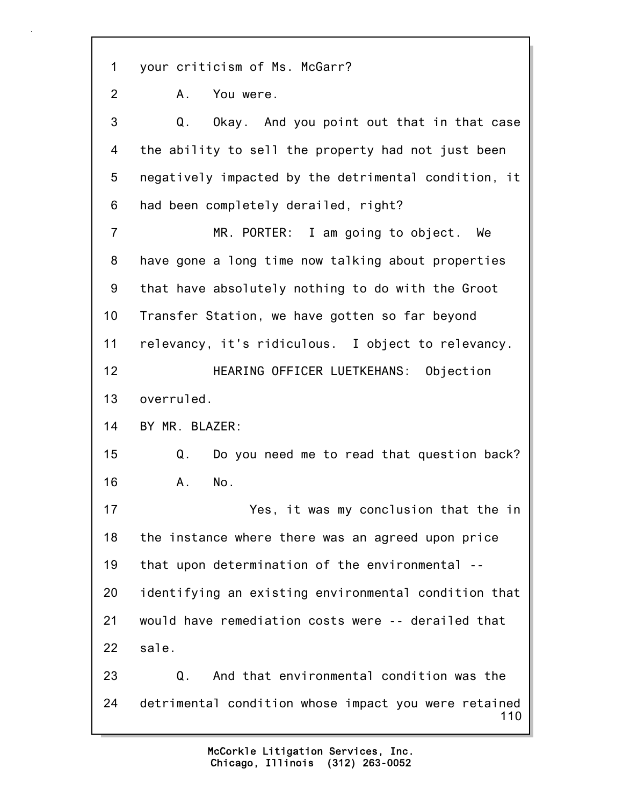1 your criticism of Ms. McGarr?

2 A. You were.

110 3 Q. Okay. And you point out that in that case 4 the ability to sell the property had not just been 5 negatively impacted by the detrimental condition, it 6 had been completely derailed, right? 7 MR. PORTER: I am going to object. We 8 have gone a long time now talking about properties 9 that have absolutely nothing to do with the Groot 10 Transfer Station, we have gotten so far beyond 11 relevancy, it's ridiculous. I object to relevancy. 12 HEARING OFFICER LUETKEHANS: Objection 13 overruled. 14 BY MR. BLAZER: 15 Q. Do you need me to read that question back? 16 A. No. 17 Yes, it was my conclusion that the in 18 the instance where there was an agreed upon price 19 that upon determination of the environmental -- 20 identifying an existing environmental condition that 21 would have remediation costs were -- derailed that 22 sale. 23 Q. And that environmental condition was the 24 detrimental condition whose impact you were retained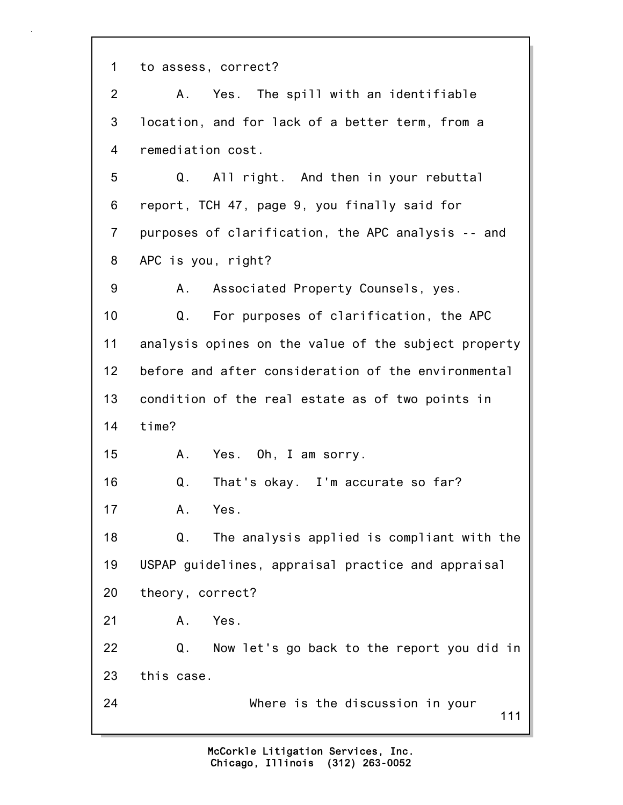1 to assess, correct?

111 2 A. Yes. The spill with an identifiable 3 location, and for lack of a better term, from a 4 remediation cost. 5 Q. All right. And then in your rebuttal 6 report, TCH 47, page 9, you finally said for 7 purposes of clarification, the APC analysis -- and 8 APC is you, right? 9 A. Associated Property Counsels, yes. 10 Q. For purposes of clarification, the APC 11 analysis opines on the value of the subject property 12 before and after consideration of the environmental 13 condition of the real estate as of two points in 14 time? 15 A. Yes. Oh, I am sorry. 16 Q. That's okay. I'm accurate so far? 17 A. Yes. 18 Q. The analysis applied is compliant with the 19 USPAP guidelines, appraisal practice and appraisal 20 theory, correct? 21 A. Yes. 22 Q. Now let's go back to the report you did in 23 this case. 24 Where is the discussion in your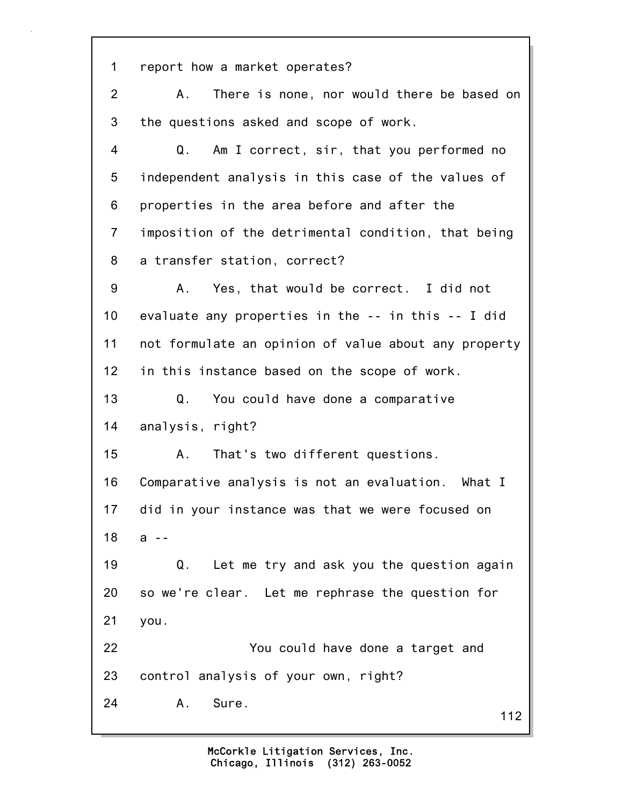112 1 report how a market operates? 2 A. There is none, nor would there be based on 3 the questions asked and scope of work. 4 Q. Am I correct, sir, that you performed no 5 independent analysis in this case of the values of 6 properties in the area before and after the 7 imposition of the detrimental condition, that being 8 a transfer station, correct? 9 A. Yes, that would be correct. I did not 10 evaluate any properties in the -- in this -- I did 11 not formulate an opinion of value about any property 12 in this instance based on the scope of work. 13 Q. You could have done a comparative 14 analysis, right? 15 A. That's two different questions. 16 Comparative analysis is not an evaluation. What I 17 did in your instance was that we were focused on 18 a -- 19 Q. Let me try and ask you the question again 20 so we're clear. Let me rephrase the question for 21 you. 22 You could have done a target and 23 control analysis of your own, right? 24 A. Sure.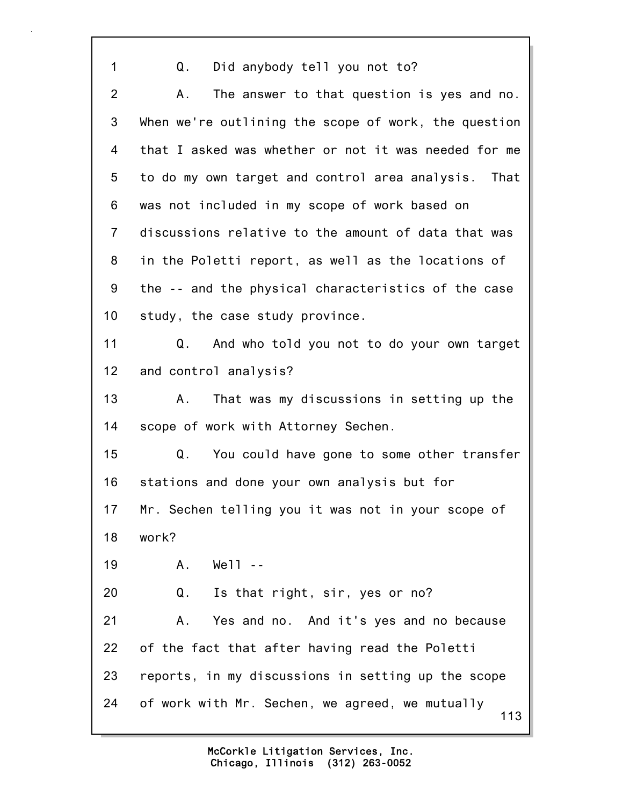113 1 Q. Did anybody tell you not to? 2 A. The answer to that question is yes and no. 3 When we're outlining the scope of work, the question 4 that I asked was whether or not it was needed for me 5 to do my own target and control area analysis. That 6 was not included in my scope of work based on 7 discussions relative to the amount of data that was 8 in the Poletti report, as well as the locations of 9 the -- and the physical characteristics of the case 10 study, the case study province. 11 Q. And who told you not to do your own target 12 and control analysis? 13 A. That was my discussions in setting up the 14 scope of work with Attorney Sechen. 15 Q. You could have gone to some other transfer 16 stations and done your own analysis but for 17 Mr. Sechen telling you it was not in your scope of 18 work? 19 A. Well -- 20 Q. Is that right, sir, yes or no? 21 A. Yes and no. And it's yes and no because 22 of the fact that after having read the Poletti 23 reports, in my discussions in setting up the scope 24 of work with Mr. Sechen, we agreed, we mutually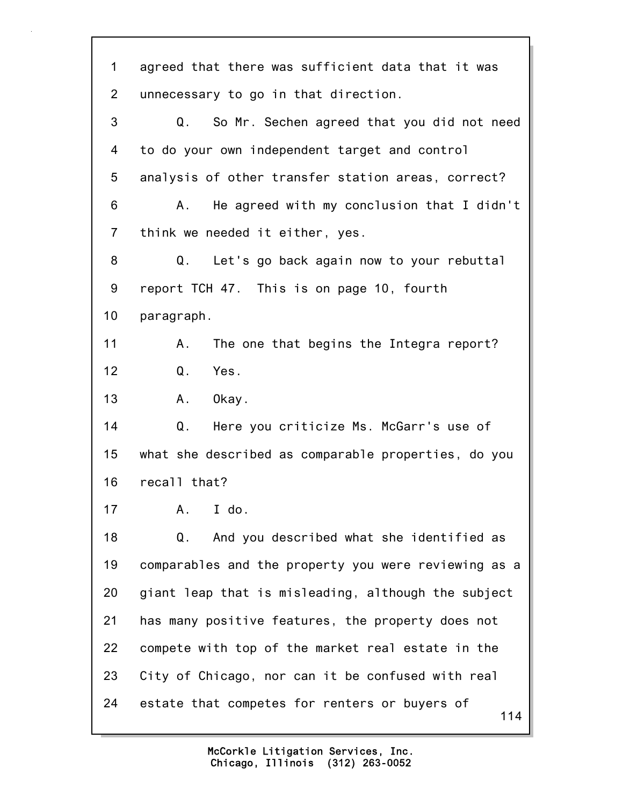114 1 agreed that there was sufficient data that it was 2 unnecessary to go in that direction. 3 Q. So Mr. Sechen agreed that you did not need 4 to do your own independent target and control 5 analysis of other transfer station areas, correct? 6 A. He agreed with my conclusion that I didn't 7 think we needed it either, yes. 8 Q. Let's go back again now to your rebuttal 9 report TCH 47. This is on page 10, fourth 10 paragraph. 11 A. The one that begins the Integra report? 12 Q. Yes. 13 A. Okay. 14 Q. Here you criticize Ms. McGarr's use of 15 what she described as comparable properties, do you 16 recall that? 17 A. I do. 18 Q. And you described what she identified as 19 comparables and the property you were reviewing as a 20 giant leap that is misleading, although the subject 21 has many positive features, the property does not 22 compete with top of the market real estate in the 23 City of Chicago, nor can it be confused with real 24 estate that competes for renters or buyers of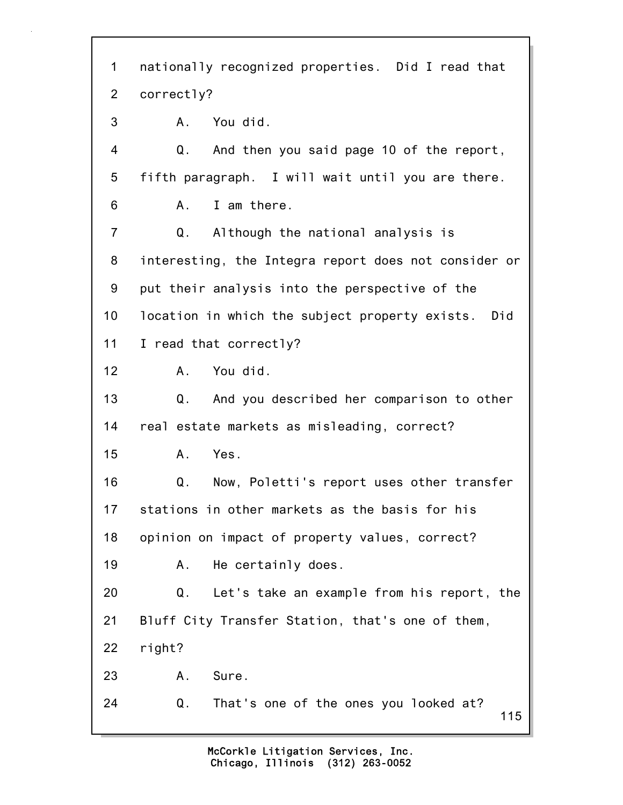115 1 nationally recognized properties. Did I read that 2 correctly? 3 A. You did. 4 Q. And then you said page 10 of the report, 5 fifth paragraph. I will wait until you are there. 6 A. I am there. 7 Q. Although the national analysis is 8 interesting, the Integra report does not consider or 9 put their analysis into the perspective of the 10 location in which the subject property exists. Did 11 I read that correctly? 12 A. You did. 13 Q. And you described her comparison to other 14 real estate markets as misleading, correct? 15 A. Yes. 16 Q. Now, Poletti's report uses other transfer 17 stations in other markets as the basis for his 18 opinion on impact of property values, correct? 19 A. He certainly does. 20 Q. Let's take an example from his report, the 21 Bluff City Transfer Station, that's one of them, 22 right? 23 A. Sure. 24 Q. That's one of the ones you looked at?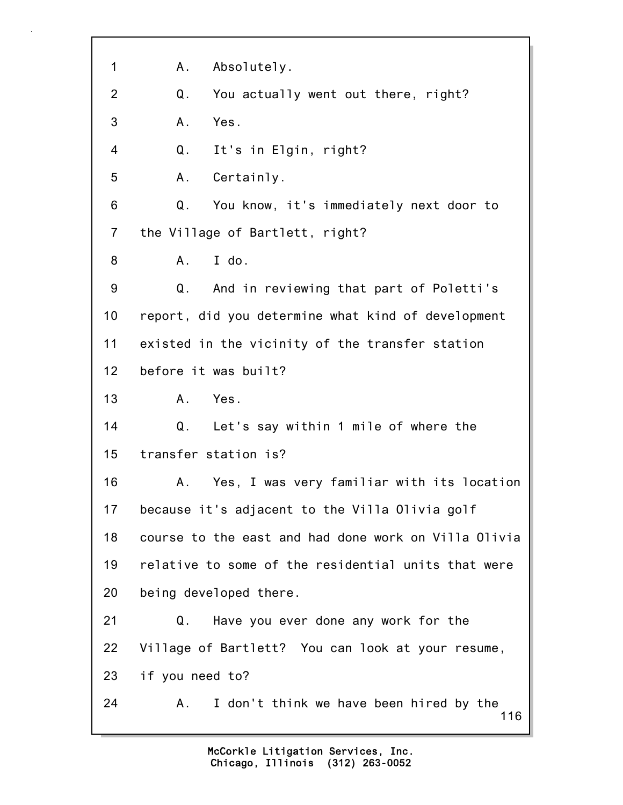116 1 A. Absolutely. 2 Q. You actually went out there, right? 3 A. Yes. 4 Q. It's in Elgin, right? 5 A. Certainly. 6 Q. You know, it's immediately next door to 7 the Village of Bartlett, right? 8 A. I do. 9 Q. And in reviewing that part of Poletti's 10 report, did you determine what kind of development 11 existed in the vicinity of the transfer station 12 before it was built? 13 A. Yes. 14 Q. Let's say within 1 mile of where the 15 transfer station is? 16 A. Yes, I was very familiar with its location 17 because it's adjacent to the Villa Olivia golf 18 course to the east and had done work on Villa Olivia 19 relative to some of the residential units that were 20 being developed there. 21 Q. Have you ever done any work for the 22 Village of Bartlett? You can look at your resume, 23 if you need to? 24 A. I don't think we have been hired by the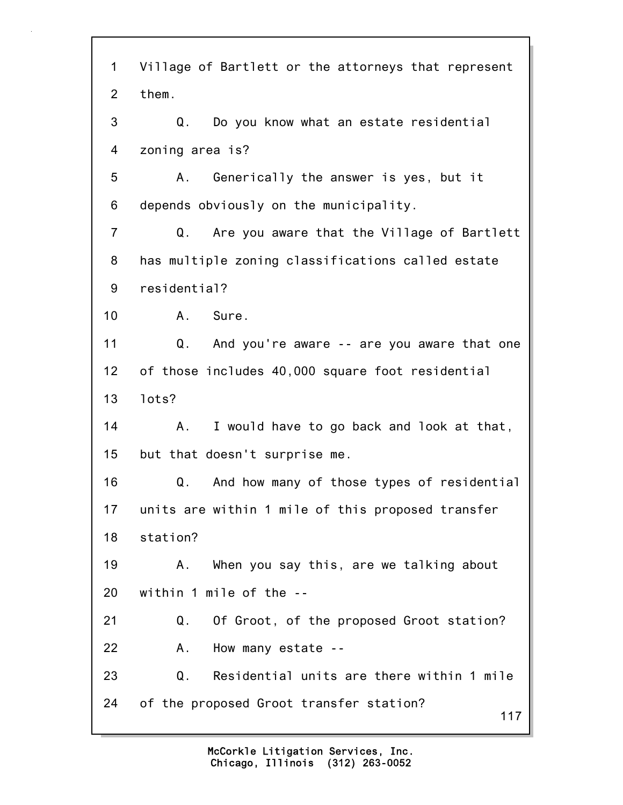| $\mathbf 1$     | Village of Bartlett or the attorneys that represent |
|-----------------|-----------------------------------------------------|
| $\overline{2}$  | them.                                               |
| 3               | Do you know what an estate residential<br>Q.        |
| 4               | zoning area is?                                     |
| 5               | Generically the answer is yes, but it<br>Α.         |
| 6               | depends obviously on the municipality.              |
| $\overline{7}$  | Q.<br>Are you aware that the Village of Bartlett    |
| 8               | has multiple zoning classifications called estate   |
| 9               | residential?                                        |
| 10              | A. Sure.                                            |
| 11              | Q.<br>And you're aware -- are you aware that one    |
| 12 <sub>2</sub> | of those includes 40,000 square foot residential    |
| 13              | lots?                                               |
| 14              | I would have to go back and look at that,<br>Α.     |
| 15              | but that doesn't surprise me.                       |
| 16              | And how many of those types of residential<br>Q.    |
| 17              | units are within 1 mile of this proposed transfer   |
| 18              | station?                                            |
| 19              | When you say this, are we talking about<br>А.       |
| 20              | within 1 mile of the --                             |
| 21              | Of Groot, of the proposed Groot station?<br>Q.      |
| 22              | How many estate --<br>Α.                            |
| 23              | Residential units are there within 1 mile<br>Q.     |
| 24              | of the proposed Groot transfer station?<br>117      |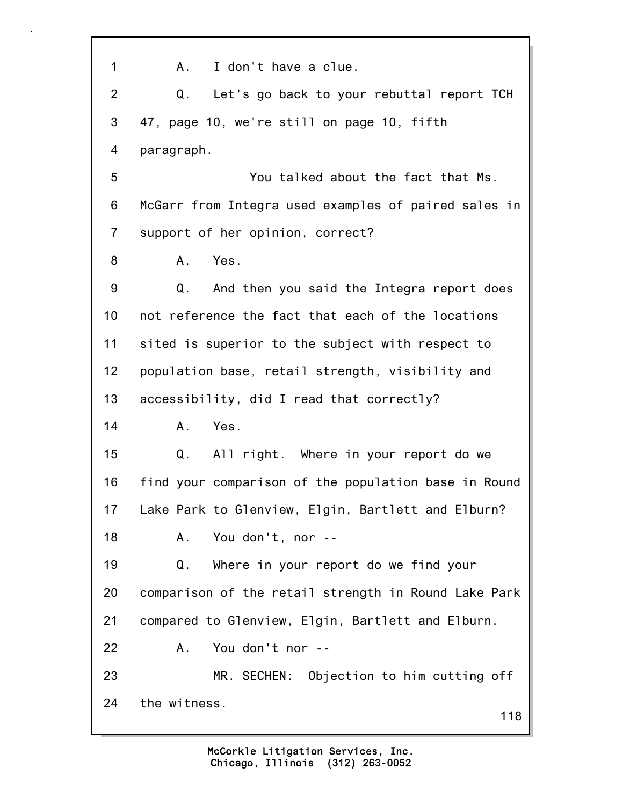118 1 A. I don't have a clue. 2 Q. Let's go back to your rebuttal report TCH 3 47, page 10, we're still on page 10, fifth 4 paragraph. 5 You talked about the fact that Ms. 6 McGarr from Integra used examples of paired sales in 7 support of her opinion, correct? 8 A. Yes. 9 Q. And then you said the Integra report does 10 not reference the fact that each of the locations 11 sited is superior to the subject with respect to 12 population base, retail strength, visibility and 13 accessibility, did I read that correctly? 14 A. Yes. 15 Q. All right. Where in your report do we 16 find your comparison of the population base in Round 17 Lake Park to Glenview, Elgin, Bartlett and Elburn? 18 A. You don't, nor -- 19 Q. Where in your report do we find your 20 comparison of the retail strength in Round Lake Park 21 compared to Glenview, Elgin, Bartlett and Elburn. 22 A. You don't nor -- 23 MR. SECHEN: Objection to him cutting off 24 the witness.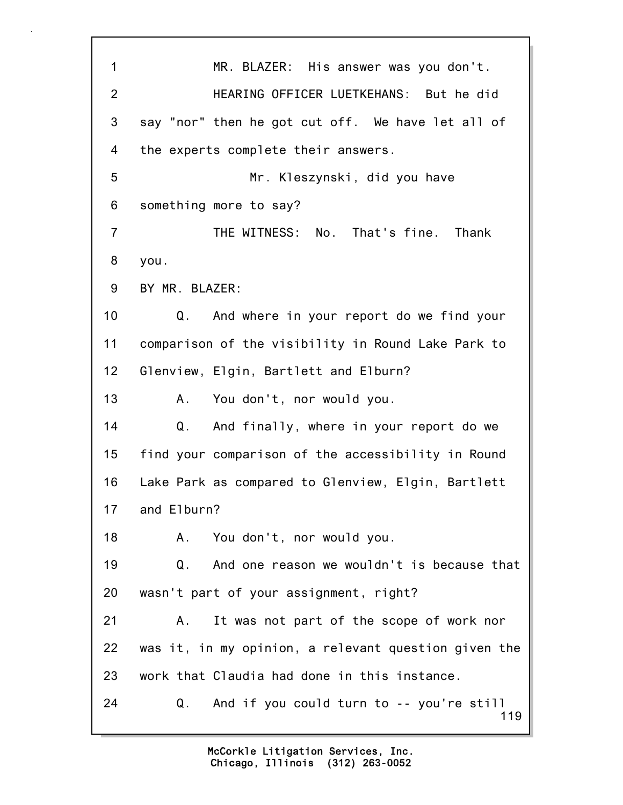119 1 MR. BLAZER: His answer was you don't. 2 HEARING OFFICER LUETKEHANS: But he did 3 say "nor" then he got cut off. We have let all of 4 the experts complete their answers. 5 Mr. Kleszynski, did you have 6 something more to say? 7 THE WITNESS: No. That's fine. Thank 8 you. 9 BY MR. BLAZER: 10 Q. And where in your report do we find your 11 comparison of the visibility in Round Lake Park to 12 Glenview, Elgin, Bartlett and Elburn? 13 A. You don't, nor would you. 14 Q. And finally, where in your report do we 15 find your comparison of the accessibility in Round 16 Lake Park as compared to Glenview, Elgin, Bartlett 17 and Elburn? 18 A. You don't, nor would you. 19 Q. And one reason we wouldn't is because that 20 wasn't part of your assignment, right? 21 A. It was not part of the scope of work nor 22 was it, in my opinion, a relevant question given the 23 work that Claudia had done in this instance. 24 Q. And if you could turn to -- you're still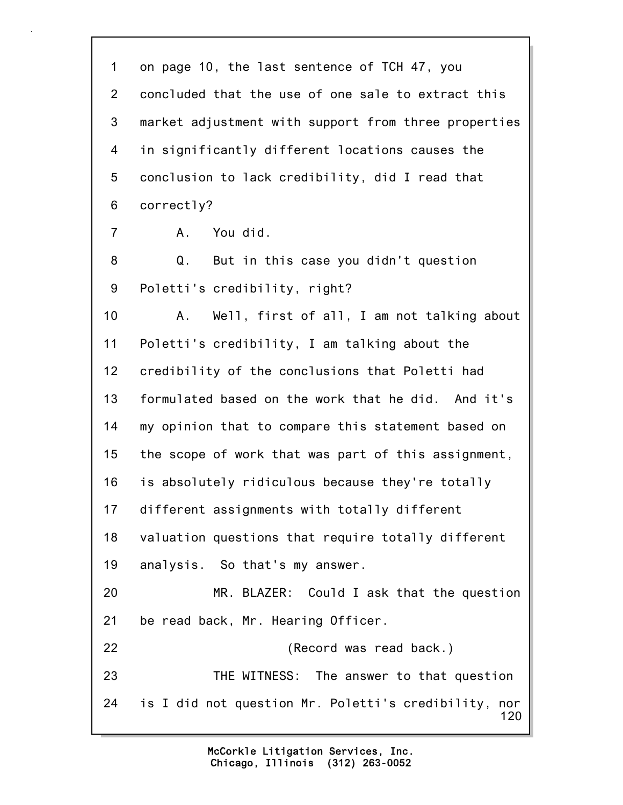120 1 on page 10, the last sentence of TCH 47, you 2 concluded that the use of one sale to extract this 3 market adjustment with support from three properties 4 in significantly different locations causes the 5 conclusion to lack credibility, did I read that 6 correctly? 7 A. You did. 8 Q. But in this case you didn't question 9 Poletti's credibility, right? 10 A. Well, first of all, I am not talking about 11 Poletti's credibility, I am talking about the 12 credibility of the conclusions that Poletti had 13 formulated based on the work that he did. And it's 14 my opinion that to compare this statement based on 15 the scope of work that was part of this assignment, 16 is absolutely ridiculous because they're totally 17 different assignments with totally different 18 valuation questions that require totally different 19 analysis. So that's my answer. 20 MR. BLAZER: Could I ask that the question 21 be read back, Mr. Hearing Officer. 22 (Record was read back.) 23 THE WITNESS: The answer to that question 24 is I did not question Mr. Poletti's credibility, nor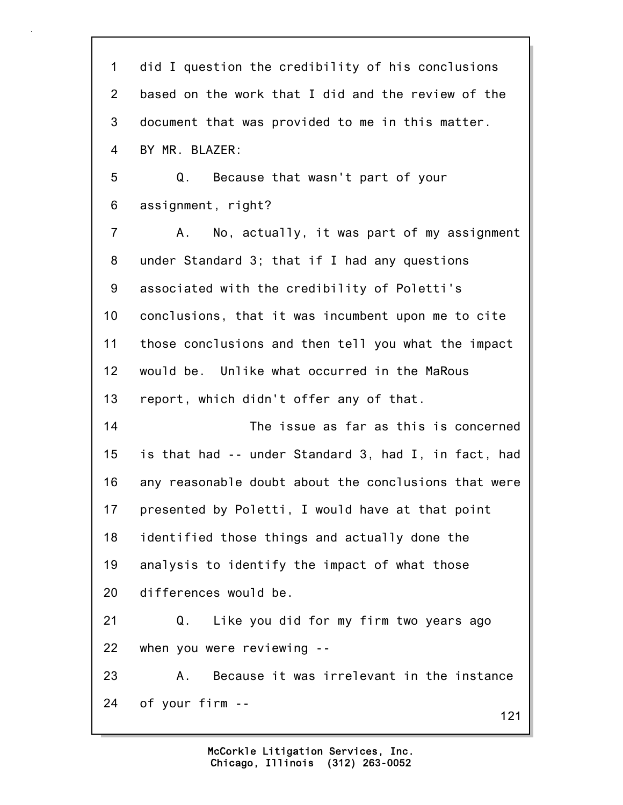121 1 did I question the credibility of his conclusions 2 based on the work that I did and the review of the 3 document that was provided to me in this matter. 4 BY MR. BLAZER: 5 Q. Because that wasn't part of your 6 assignment, right? 7 A. No, actually, it was part of my assignment 8 under Standard 3; that if I had any questions 9 associated with the credibility of Poletti's 10 conclusions, that it was incumbent upon me to cite 11 those conclusions and then tell you what the impact 12 would be. Unlike what occurred in the MaRous 13 report, which didn't offer any of that. 14 The issue as far as this is concerned 15 is that had -- under Standard 3, had I, in fact, had 16 any reasonable doubt about the conclusions that were 17 presented by Poletti, I would have at that point 18 identified those things and actually done the 19 analysis to identify the impact of what those 20 differences would be. 21 Q. Like you did for my firm two years ago 22 when you were reviewing -- 23 A. Because it was irrelevant in the instance 24 of your firm --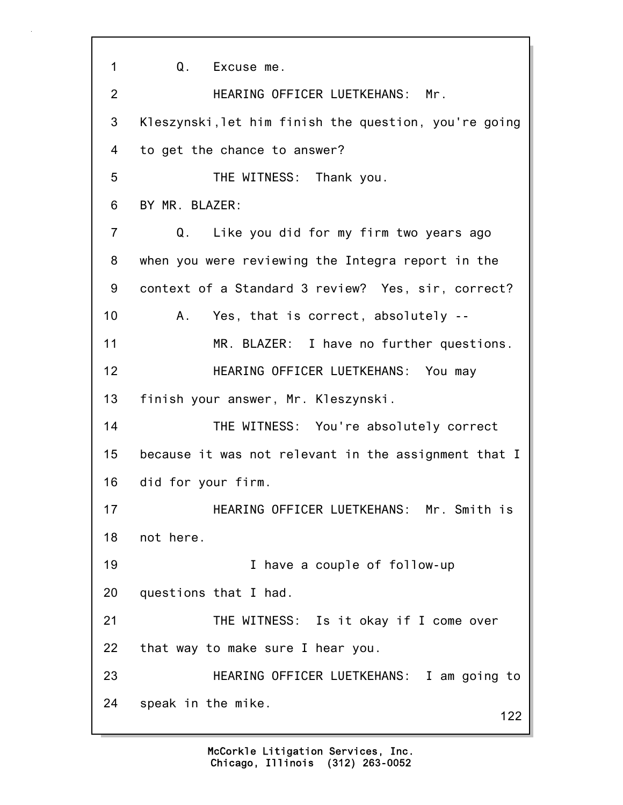122 1 Q. Excuse me. 2 HEARING OFFICER LUETKEHANS: Mr. 3 Kleszynski,let him finish the question, you're going 4 to get the chance to answer? 5 THE WITNESS: Thank you. 6 BY MR. BLAZER: 7 Q. Like you did for my firm two years ago 8 when you were reviewing the Integra report in the 9 context of a Standard 3 review? Yes, sir, correct? 10 A. Yes, that is correct, absolutely -- 11 MR. BLAZER: I have no further questions. 12 HEARING OFFICER LUETKEHANS: You may 13 finish your answer, Mr. Kleszynski. 14 THE WITNESS: You're absolutely correct 15 because it was not relevant in the assignment that I 16 did for your firm. 17 HEARING OFFICER LUETKEHANS: Mr. Smith is 18 not here. 19 I have a couple of follow-up 20 questions that I had. 21 THE WITNESS: Is it okay if I come over 22 that way to make sure I hear you. 23 HEARING OFFICER LUETKEHANS: I am going to 24 speak in the mike.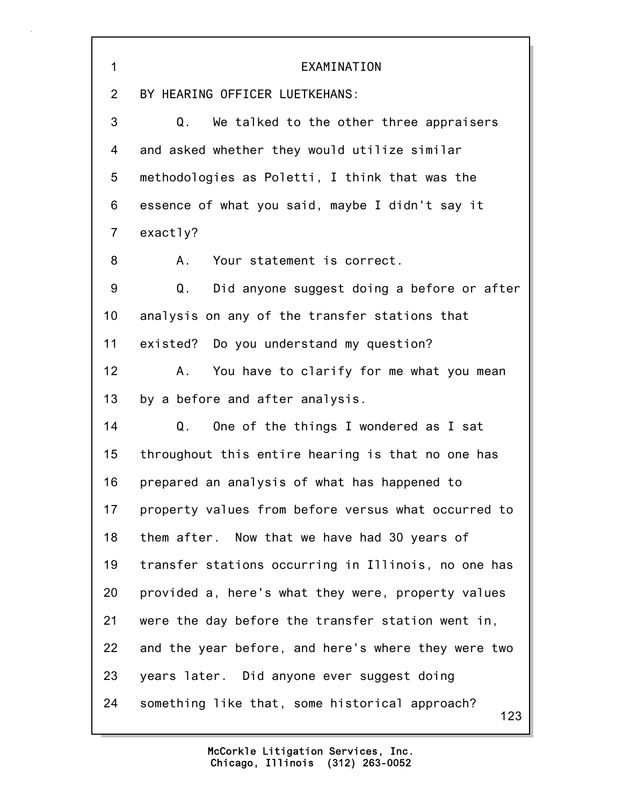| $\mathbf{1}$    | EXAMINATION                                           |
|-----------------|-------------------------------------------------------|
| $\overline{2}$  | BY HEARING OFFICER LUETKEHANS:                        |
| 3               | Q.<br>We talked to the other three appraisers         |
| 4               | and asked whether they would utilize similar          |
| 5               | methodologies as Poletti, I think that was the        |
| 6               | essence of what you said, maybe I didn't say it       |
| $\overline{7}$  | exactly?                                              |
| 8               | Your statement is correct.<br>A.                      |
| 9               | Did anyone suggest doing a before or after<br>Q.      |
| 10 <sup>1</sup> | analysis on any of the transfer stations that         |
| 11              | existed? Do you understand my question?               |
| 12 <sub>2</sub> | You have to clarify for me what you mean<br>A.,       |
| 13              | by a before and after analysis.                       |
| 14              | One of the things I wondered as I sat<br>Q.           |
| 15              | throughout this entire hearing is that no one has     |
| 16              | prepared an analysis of what has happened to          |
| 17              | property values from before versus what occurred to   |
| 18              | them after. Now that we have had 30 years of          |
| 19              | transfer stations occurring in Illinois, no one has   |
| 20              | provided a, here's what they were, property values    |
| 21              | were the day before the transfer station went in,     |
| 22              | and the year before, and here's where they were two   |
| 23              | years later. Did anyone ever suggest doing            |
| 24              | something like that, some historical approach?<br>123 |

r

Ħ.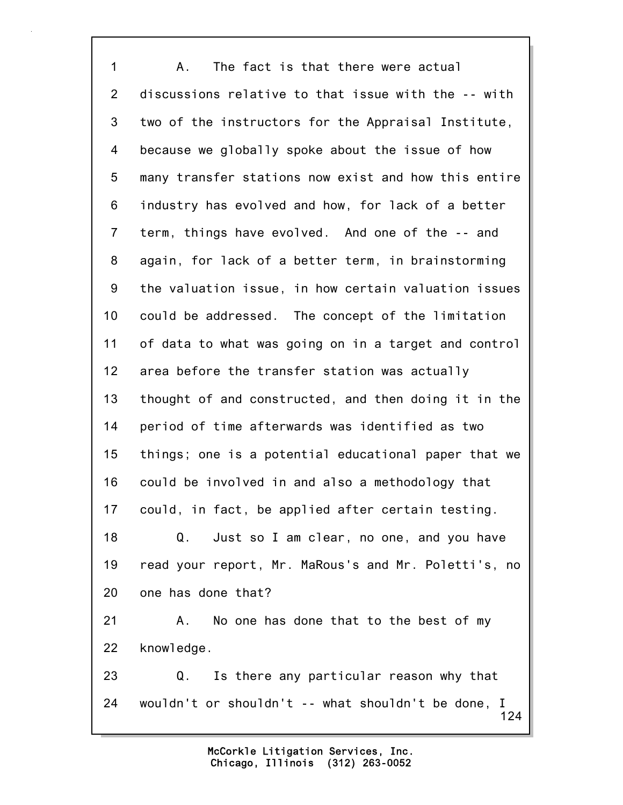124 1 A. The fact is that there were actual 2 discussions relative to that issue with the -- with 3 two of the instructors for the Appraisal Institute, 4 because we globally spoke about the issue of how 5 many transfer stations now exist and how this entire 6 industry has evolved and how, for lack of a better 7 term, things have evolved. And one of the -- and 8 again, for lack of a better term, in brainstorming 9 the valuation issue, in how certain valuation issues 10 could be addressed. The concept of the limitation 11 of data to what was going on in a target and control 12 area before the transfer station was actually 13 thought of and constructed, and then doing it in the 14 period of time afterwards was identified as two 15 things; one is a potential educational paper that we 16 could be involved in and also a methodology that 17 could, in fact, be applied after certain testing. 18 Q. Just so I am clear, no one, and you have 19 read your report, Mr. MaRous's and Mr. Poletti's, no 20 one has done that? 21 A. No one has done that to the best of my 22 knowledge. 23 Q. Is there any particular reason why that 24 wouldn't or shouldn't -- what shouldn't be done, I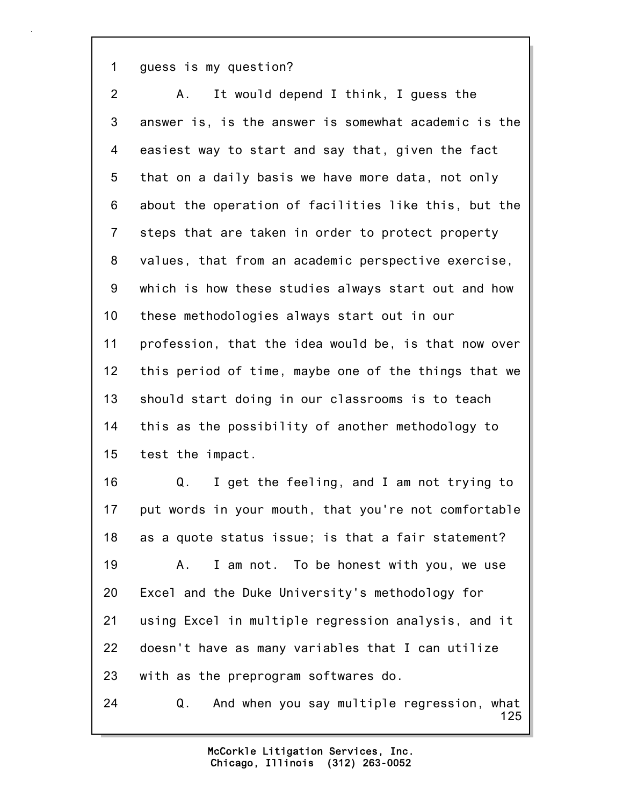1 guess is my question?

| $\overline{2}$ | It would depend I think, I guess the<br>Α.              |
|----------------|---------------------------------------------------------|
| $\mathfrak{S}$ | answer is, is the answer is somewhat academic is the    |
| 4              | easiest way to start and say that, given the fact       |
| 5              | that on a daily basis we have more data, not only       |
| 6              | about the operation of facilities like this, but the    |
| $\overline{7}$ | steps that are taken in order to protect property       |
| 8              | values, that from an academic perspective exercise,     |
| 9              | which is how these studies always start out and how     |
| 10             | these methodologies always start out in our             |
| 11             | profession, that the idea would be, is that now over    |
| 12             | this period of time, maybe one of the things that we    |
| 13             | should start doing in our classrooms is to teach        |
| 14             | this as the possibility of another methodology to       |
| 15             | test the impact.                                        |
| 16             | I get the feeling, and I am not trying to<br>Q.         |
| 17             | put words in your mouth, that you're not comfortable    |
| 18             | as a quote status issue; is that a fair statement?      |
| 19             | I am not. To be honest with you, we use<br>Α.           |
| 20             | Excel and the Duke University's methodology for         |
| 21             | using Excel in multiple regression analysis, and it     |
| 22             | doesn't have as many variables that I can utilize       |
| 23             | with as the preprogram softwares do.                    |
| 24             | And when you say multiple regression, what<br>Q.<br>125 |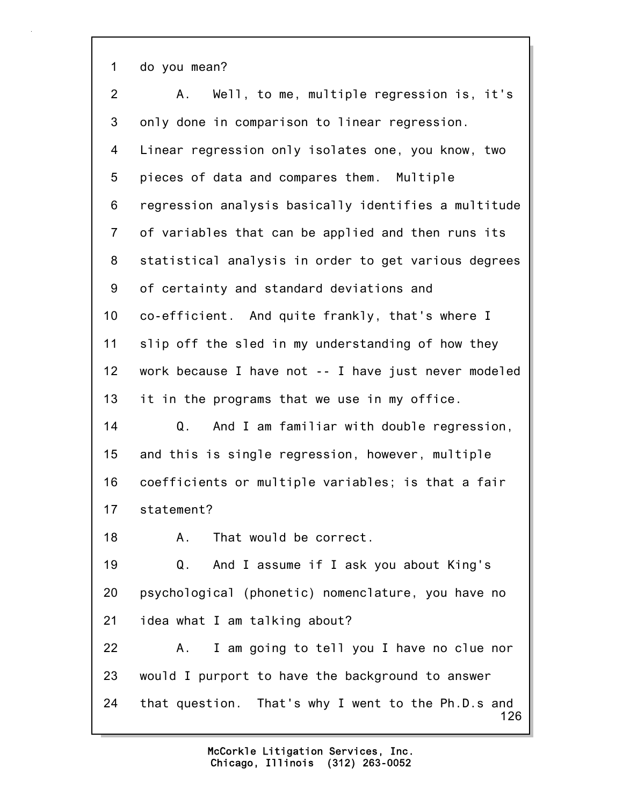1 do you mean?

126 2 A. Well, to me, multiple regression is, it's 3 only done in comparison to linear regression. 4 Linear regression only isolates one, you know, two 5 pieces of data and compares them. Multiple 6 regression analysis basically identifies a multitude 7 of variables that can be applied and then runs its 8 statistical analysis in order to get various degrees 9 of certainty and standard deviations and 10 co-efficient. And quite frankly, that's where I 11 slip off the sled in my understanding of how they 12 work because I have not -- I have just never modeled 13 it in the programs that we use in my office. 14 Q. And I am familiar with double regression, 15 and this is single regression, however, multiple 16 coefficients or multiple variables; is that a fair 17 statement? 18 A. That would be correct. 19 Q. And I assume if I ask you about King's 20 psychological (phonetic) nomenclature, you have no 21 idea what I am talking about? 22 A. I am going to tell you I have no clue nor 23 would I purport to have the background to answer 24 that question. That's why I went to the Ph.D.s and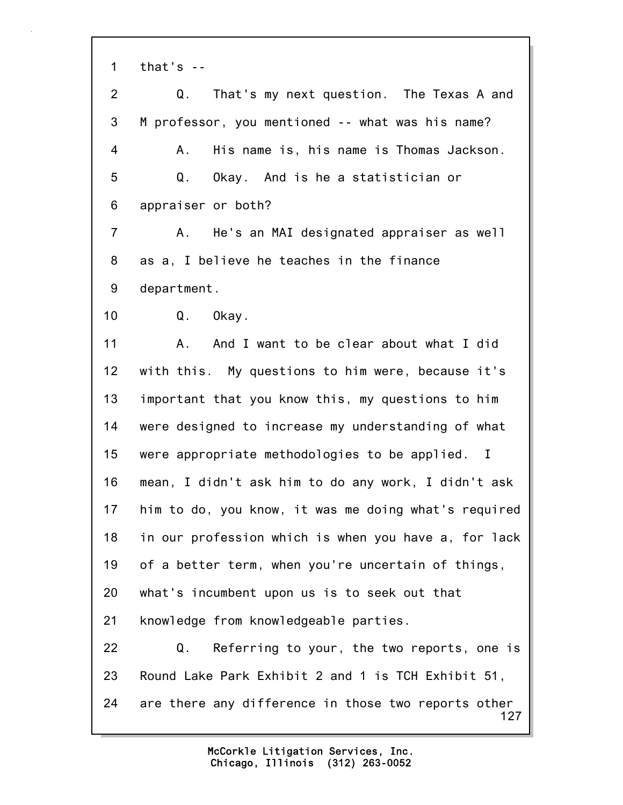1 that's --

127 2 Q. That's my next question. The Texas A and 3 M professor, you mentioned -- what was his name? 4 A. His name is, his name is Thomas Jackson. 5 Q. Okay. And is he a statistician or 6 appraiser or both? 7 A. He's an MAI designated appraiser as well 8 as a, I believe he teaches in the finance 9 department. 10 Q. Okay. 11 A. And I want to be clear about what I did 12 with this. My questions to him were, because it's 13 important that you know this, my questions to him 14 were designed to increase my understanding of what 15 were appropriate methodologies to be applied. I 16 mean, I didn't ask him to do any work, I didn't ask 17 him to do, you know, it was me doing what's required 18 in our profession which is when you have a, for lack 19 of a better term, when you're uncertain of things, 20 what's incumbent upon us is to seek out that 21 knowledge from knowledgeable parties. 22 Q. Referring to your, the two reports, one is 23 Round Lake Park Exhibit 2 and 1 is TCH Exhibit 51, 24 are there any difference in those two reports other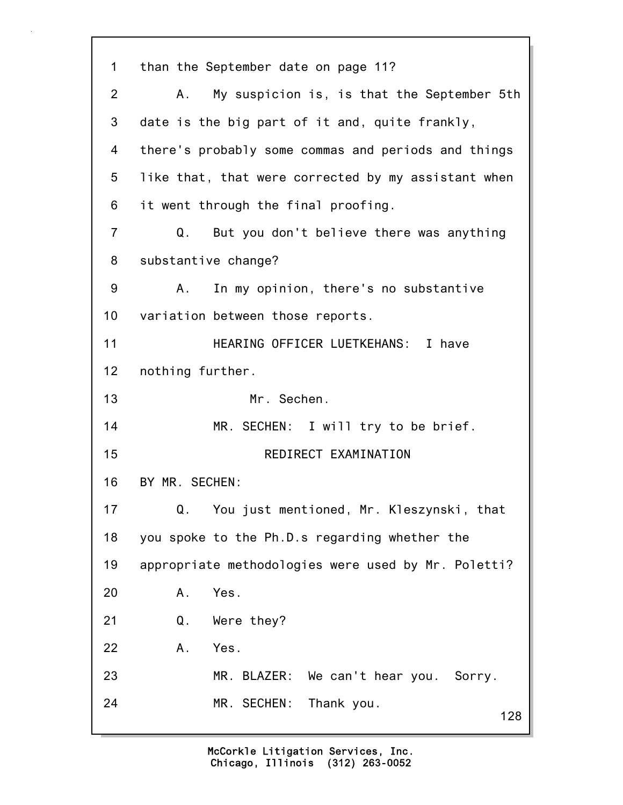128 1 than the September date on page 11? 2 A. My suspicion is, is that the September 5th 3 date is the big part of it and, quite frankly, 4 there's probably some commas and periods and things 5 like that, that were corrected by my assistant when 6 it went through the final proofing. 7 Q. But you don't believe there was anything 8 substantive change? 9 A. In my opinion, there's no substantive 10 variation between those reports. 11 HEARING OFFICER LUETKEHANS: I have 12 nothing further. 13 Mr. Sechen. 14 MR. SECHEN: I will try to be brief. 15 REDIRECT EXAMINATION 16 BY MR. SECHEN: 17 Q. You just mentioned, Mr. Kleszynski, that 18 you spoke to the Ph.D.s regarding whether the 19 appropriate methodologies were used by Mr. Poletti? 20 A. Yes. 21 Q. Were they? 22 A. Yes. 23 MR. BLAZER: We can't hear you. Sorry. 24 MR. SECHEN: Thank you.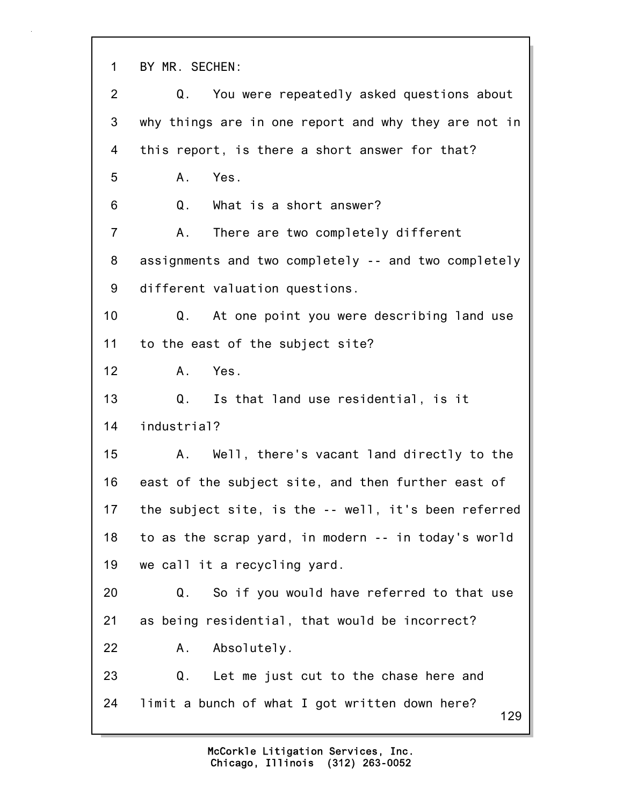1 BY MR. SECHEN:

129 2 Q. You were repeatedly asked questions about 3 why things are in one report and why they are not in 4 this report, is there a short answer for that? 5 A. Yes. 6 Q. What is a short answer? 7 A. There are two completely different 8 assignments and two completely -- and two completely 9 different valuation questions. 10 Q. At one point you were describing land use 11 to the east of the subject site? 12 A. Yes. 13 Q. Is that land use residential, is it 14 industrial? 15 A. Well, there's vacant land directly to the 16 east of the subject site, and then further east of 17 the subject site, is the -- well, it's been referred 18 to as the scrap yard, in modern -- in today's world 19 we call it a recycling yard. 20 Q. So if you would have referred to that use 21 as being residential, that would be incorrect? 22 A. Absolutely. 23 Q. Let me just cut to the chase here and 24 limit a bunch of what I got written down here?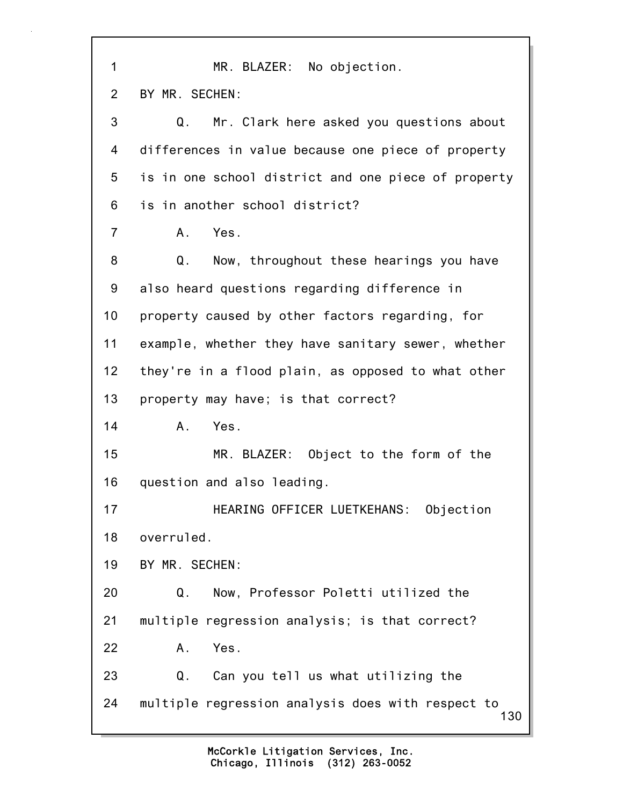| 1              | MR. BLAZER: No objection.                                |
|----------------|----------------------------------------------------------|
| 2              | BY MR. SECHEN:                                           |
| 3              | Q.<br>Mr. Clark here asked you questions about           |
| 4              | differences in value because one piece of property       |
| 5              | is in one school district and one piece of property      |
| 6              | is in another school district?                           |
| $\overline{7}$ | Yes.<br>$A_{-}$                                          |
| 8              | Now, throughout these hearings you have<br>Q.            |
| 9              | also heard questions regarding difference in             |
| 10             | property caused by other factors regarding, for          |
| 11             | example, whether they have sanitary sewer, whether       |
| 12             | they're in a flood plain, as opposed to what other       |
| 13             | property may have; is that correct?                      |
| 14             | Yes.<br>$A_{-}$                                          |
| 15             | MR. BLAZER: Object to the form of the                    |
| 16             | question and also leading.                               |
| 17             | HEARING OFFICER LUETKEHANS: Objection                    |
| 18             | overruled.                                               |
| 19             | BY MR. SECHEN:                                           |
| 20             | Q.<br>Now, Professor Poletti utilized the                |
| 21             | multiple regression analysis; is that correct?           |
| 22             | Yes.<br>Α.                                               |
| 23             | Q.<br>Can you tell us what utilizing the                 |
| 24             | multiple regression analysis does with respect to<br>130 |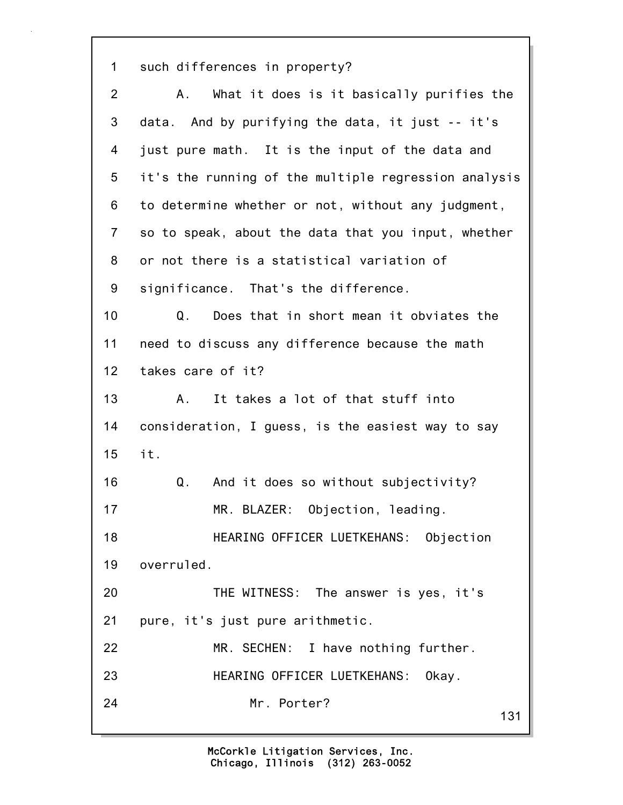1 such differences in property?

| $\overline{2}$ | What it does is it basically purifies the<br>A.,     |
|----------------|------------------------------------------------------|
| 3              | data. And by purifying the data, it just -- it's     |
| 4              | just pure math. It is the input of the data and      |
| 5              | it's the running of the multiple regression analysis |
| 6              | to determine whether or not, without any judgment,   |
| $\overline{7}$ | so to speak, about the data that you input, whether  |
| 8              | or not there is a statistical variation of           |
| 9              | significance. That's the difference.                 |
| 10             | Does that in short mean it obviates the<br>Q.        |
| 11             | need to discuss any difference because the math      |
| 12             | takes care of it?                                    |
| 13             | It takes a lot of that stuff into<br>Α.              |
| 14             | consideration, I guess, is the easiest way to say    |
| 15             | it.                                                  |
| 16             | Q.<br>And it does so without subjectivity?           |
| 17             | MR. BLAZER: Objection, leading.                      |
| 18             | HEARING OFFICER LUETKEHANS: Objection                |
| 19             | overruled.                                           |
| 20             | THE WITNESS: The answer is yes, it's                 |
| 21             | pure, it's just pure arithmetic.                     |
| 22             | MR. SECHEN: I have nothing further.                  |
| 23             | HEARING OFFICER LUETKEHANS: Okay.                    |
| 24             | Mr. Porter?<br>131                                   |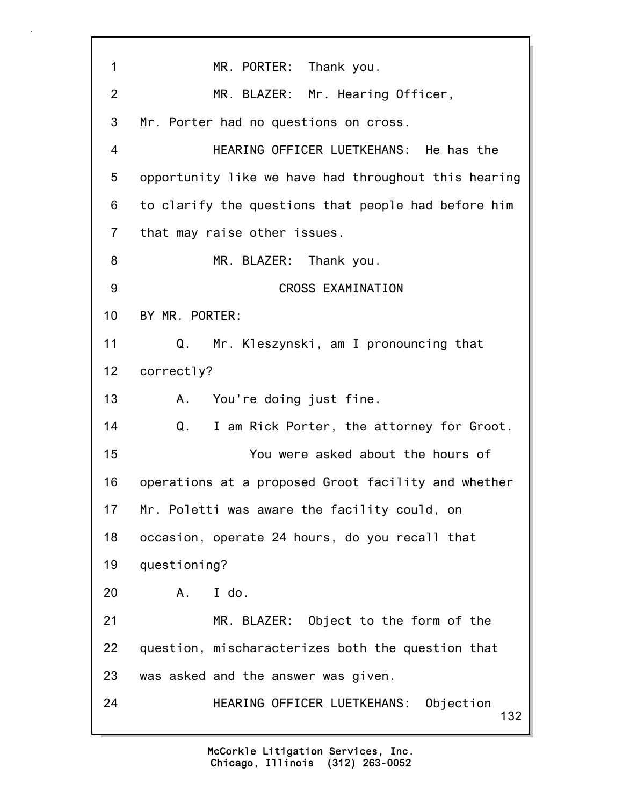132 1 MR. PORTER: Thank you. 2 MR. BLAZER: Mr. Hearing Officer, 3 Mr. Porter had no questions on cross. 4 HEARING OFFICER LUETKEHANS: He has the 5 opportunity like we have had throughout this hearing 6 to clarify the questions that people had before him 7 that may raise other issues. 8 MR. BLAZER: Thank you. 9 CROSS EXAMINATION 10 BY MR. PORTER: 11 Q. Mr. Kleszynski, am I pronouncing that 12 correctly? 13 A. You're doing just fine. 14 Q. I am Rick Porter, the attorney for Groot. 15 You were asked about the hours of 16 operations at a proposed Groot facility and whether 17 Mr. Poletti was aware the facility could, on 18 occasion, operate 24 hours, do you recall that 19 questioning? 20 A. I do. 21 MR. BLAZER: Object to the form of the 22 question, mischaracterizes both the question that 23 was asked and the answer was given. 24 HEARING OFFICER LUETKEHANS: Objection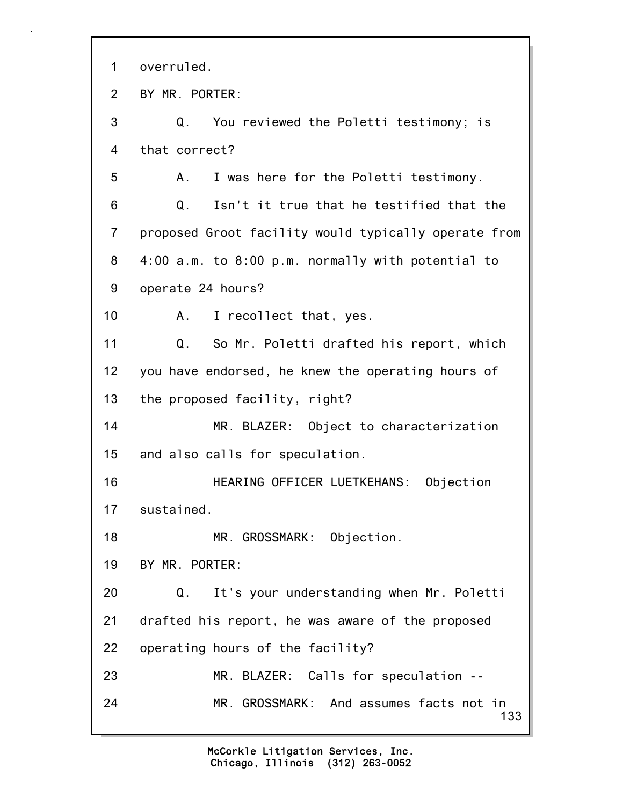133 1 overruled. 2 BY MR. PORTER: 3 Q. You reviewed the Poletti testimony; is 4 that correct? 5 A. I was here for the Poletti testimony. 6 Q. Isn't it true that he testified that the 7 proposed Groot facility would typically operate from 8 4:00 a.m. to 8:00 p.m. normally with potential to 9 operate 24 hours? 10 A. I recollect that, yes. 11 Q. So Mr. Poletti drafted his report, which 12 you have endorsed, he knew the operating hours of 13 the proposed facility, right? 14 MR. BLAZER: Object to characterization 15 and also calls for speculation. 16 HEARING OFFICER LUETKEHANS: Objection 17 sustained. 18 MR. GROSSMARK: Objection. 19 BY MR. PORTER: 20 Q. It's your understanding when Mr. Poletti 21 drafted his report, he was aware of the proposed 22 operating hours of the facility? 23 MR. BLAZER: Calls for speculation -- 24 MR. GROSSMARK: And assumes facts not in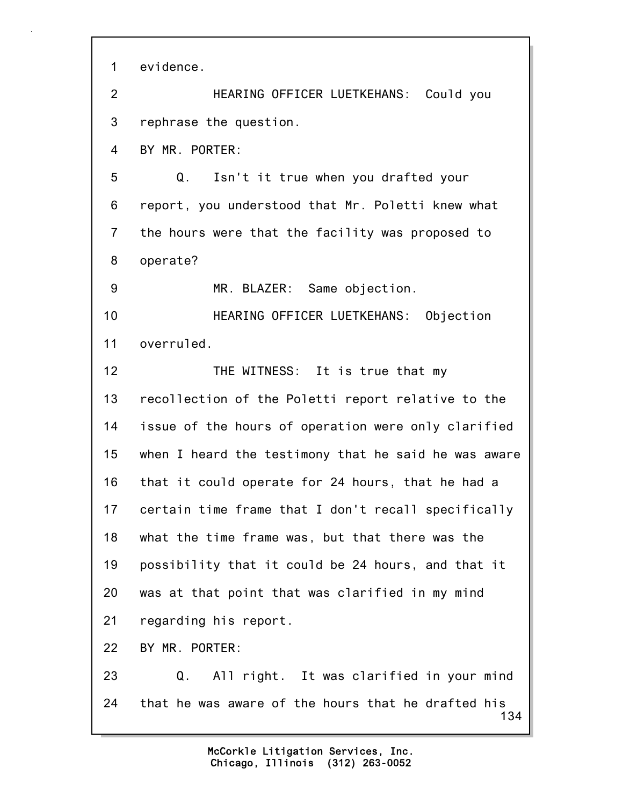1 evidence.

2 HEARING OFFICER LUETKEHANS: Could you 3 rephrase the question.

4 BY MR. PORTER:

5 Q. Isn't it true when you drafted your 6 report, you understood that Mr. Poletti knew what 7 the hours were that the facility was proposed to 8 operate?

9 MR. BLAZER: Same objection.

10 HEARING OFFICER LUETKEHANS: Objection 11 overruled.

12 THE WITNESS: It is true that my 13 recollection of the Poletti report relative to the 14 issue of the hours of operation were only clarified 15 when I heard the testimony that he said he was aware 16 that it could operate for 24 hours, that he had a 17 certain time frame that I don't recall specifically 18 what the time frame was, but that there was the 19 possibility that it could be 24 hours, and that it 20 was at that point that was clarified in my mind 21 regarding his report.

22 BY MR. PORTER:

134 23 Q. All right. It was clarified in your mind 24 that he was aware of the hours that he drafted his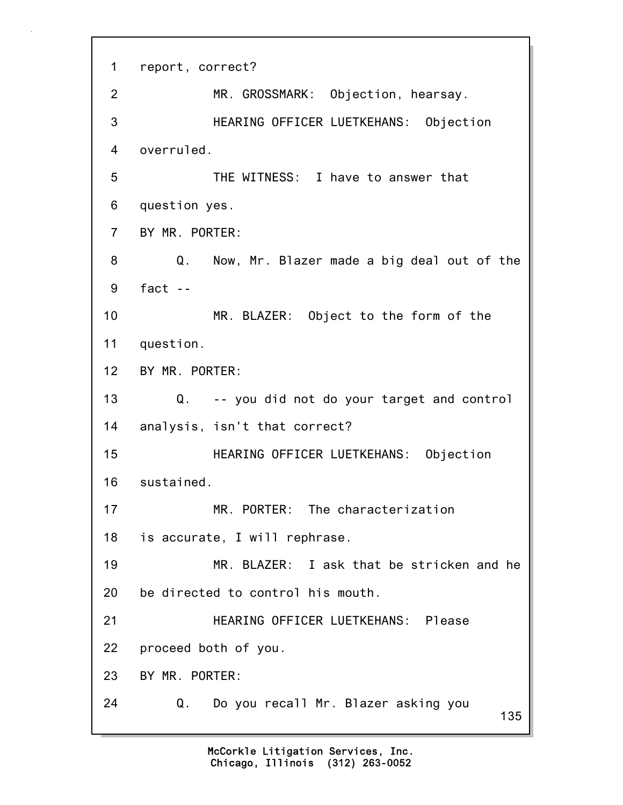135 1 report, correct? 2 MR. GROSSMARK: Objection, hearsay. 3 HEARING OFFICER LUETKEHANS: Objection 4 overruled. 5 THE WITNESS: I have to answer that 6 question yes. 7 BY MR. PORTER: 8 Q. Now, Mr. Blazer made a big deal out of the 9 fact -- 10 MR. BLAZER: Object to the form of the 11 question. 12 BY MR. PORTER: 13 Q. -- you did not do your target and control 14 analysis, isn't that correct? 15 HEARING OFFICER LUETKEHANS: Objection 16 sustained. 17 MR. PORTER: The characterization 18 is accurate, I will rephrase. 19 MR. BLAZER: I ask that be stricken and he 20 be directed to control his mouth. 21 HEARING OFFICER LUETKEHANS: Please 22 proceed both of you. 23 BY MR. PORTER: 24 Q. Do you recall Mr. Blazer asking you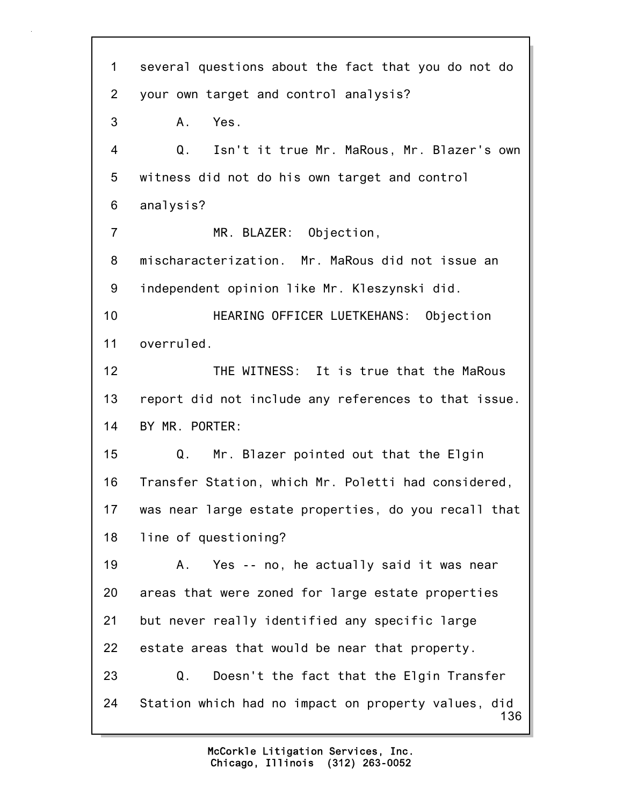136 1 several questions about the fact that you do not do 2 your own target and control analysis? 3 A. Yes. 4 Q. Isn't it true Mr. MaRous, Mr. Blazer's own 5 witness did not do his own target and control 6 analysis? 7 MR. BLAZER: Objection, 8 mischaracterization. Mr. MaRous did not issue an 9 independent opinion like Mr. Kleszynski did. 10 HEARING OFFICER LUETKEHANS: Objection 11 overruled. 12 THE WITNESS: It is true that the MaRous 13 report did not include any references to that issue. 14 BY MR. PORTER: 15 Q. Mr. Blazer pointed out that the Elgin 16 Transfer Station, which Mr. Poletti had considered, 17 was near large estate properties, do you recall that 18 line of questioning? 19 A. Yes -- no, he actually said it was near 20 areas that were zoned for large estate properties 21 but never really identified any specific large 22 estate areas that would be near that property. 23 Q. Doesn't the fact that the Elgin Transfer 24 Station which had no impact on property values, did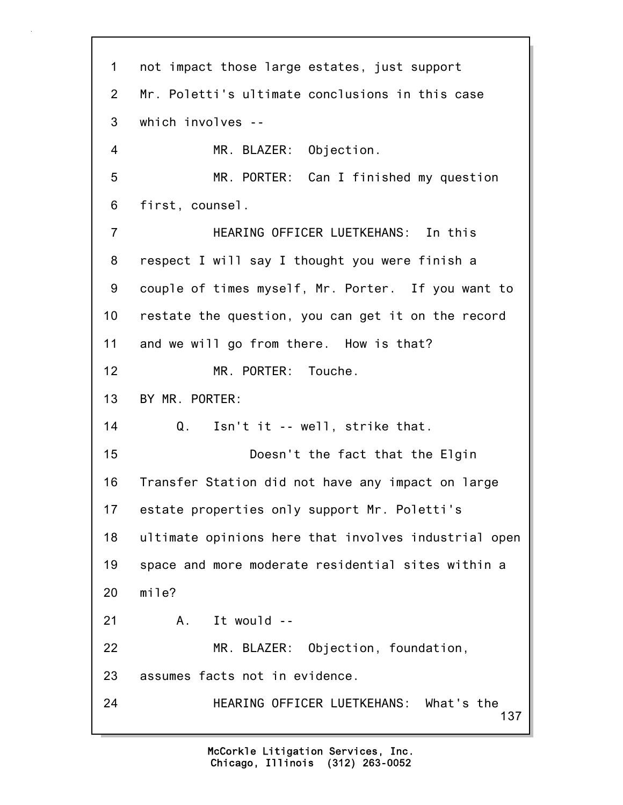137 1 not impact those large estates, just support 2 Mr. Poletti's ultimate conclusions in this case 3 which involves -- 4 MR. BLAZER: Objection. 5 MR. PORTER: Can I finished my question 6 first, counsel. 7 HEARING OFFICER LUETKEHANS: In this 8 respect I will say I thought you were finish a 9 couple of times myself, Mr. Porter. If you want to 10 restate the question, you can get it on the record 11 and we will go from there. How is that? 12 MR. PORTER: Touche. 13 BY MR. PORTER: 14 Q. Isn't it -- well, strike that. 15 Doesn't the fact that the Elgin 16 Transfer Station did not have any impact on large 17 estate properties only support Mr. Poletti's 18 ultimate opinions here that involves industrial open 19 space and more moderate residential sites within a 20 mile? 21 A. It would -- 22 MR. BLAZER: Objection, foundation, 23 assumes facts not in evidence. 24 HEARING OFFICER LUETKEHANS: What's the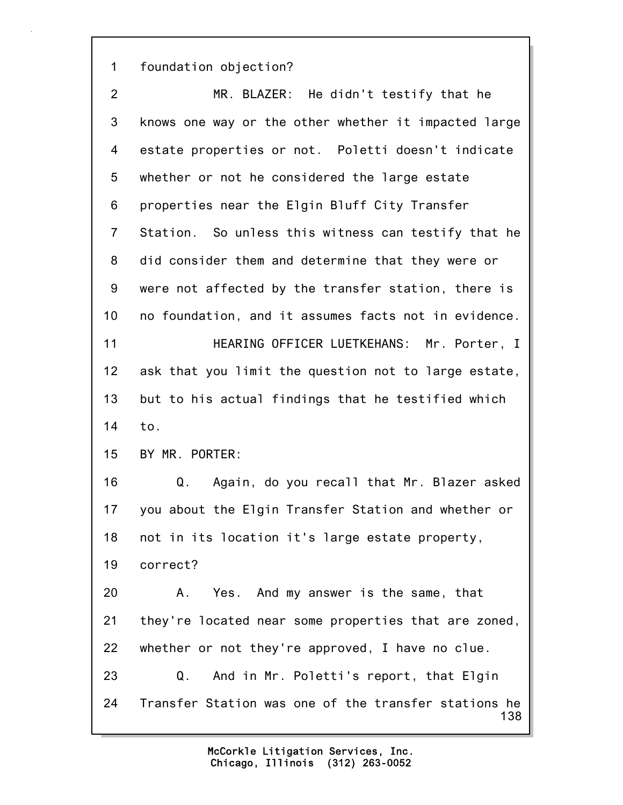1 foundation objection?

138 2 MR. BLAZER: He didn't testify that he 3 knows one way or the other whether it impacted large 4 estate properties or not. Poletti doesn't indicate 5 whether or not he considered the large estate 6 properties near the Elgin Bluff City Transfer 7 Station. So unless this witness can testify that he 8 did consider them and determine that they were or 9 were not affected by the transfer station, there is 10 no foundation, and it assumes facts not in evidence. 11 HEARING OFFICER LUETKEHANS: Mr. Porter, I 12 ask that you limit the question not to large estate, 13 but to his actual findings that he testified which 14 to. 15 BY MR. PORTER: 16 Q. Again, do you recall that Mr. Blazer asked 17 you about the Elgin Transfer Station and whether or 18 not in its location it's large estate property, 19 correct? 20 A. Yes. And my answer is the same, that 21 they're located near some properties that are zoned, 22 whether or not they're approved, I have no clue. 23 Q. And in Mr. Poletti's report, that Elgin 24 Transfer Station was one of the transfer stations he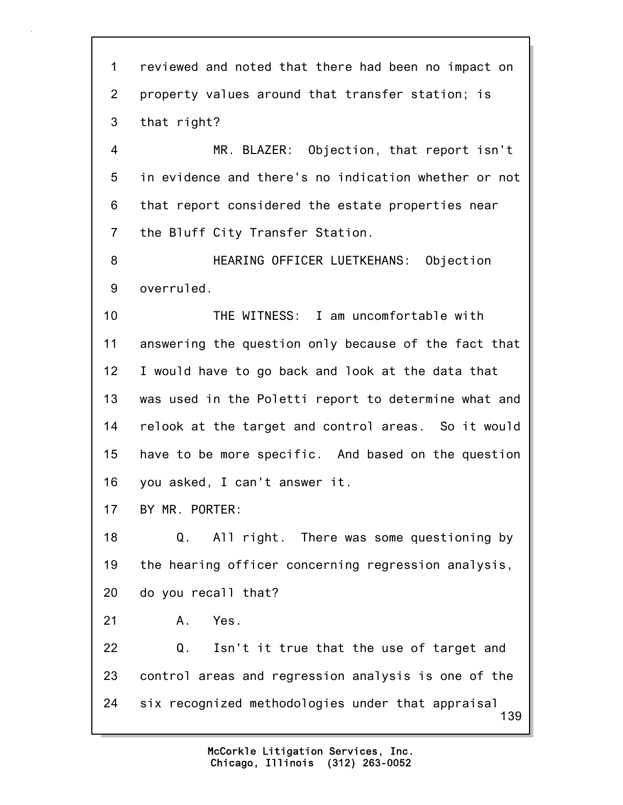139 1 reviewed and noted that there had been no impact on 2 property values around that transfer station; is 3 that right? 4 MR. BLAZER: Objection, that report isn't 5 in evidence and there's no indication whether or not 6 that report considered the estate properties near 7 the Bluff City Transfer Station. 8 HEARING OFFICER LUETKEHANS: Objection 9 overruled. 10 THE WITNESS: I am uncomfortable with 11 answering the question only because of the fact that 12 I would have to go back and look at the data that 13 was used in the Poletti report to determine what and 14 relook at the target and control areas. So it would 15 have to be more specific. And based on the question 16 you asked, I can't answer it. 17 BY MR. PORTER: 18 Q. All right. There was some questioning by 19 the hearing officer concerning regression analysis, 20 do you recall that? 21 A. Yes. 22 Q. Isn't it true that the use of target and 23 control areas and regression analysis is one of the 24 six recognized methodologies under that appraisal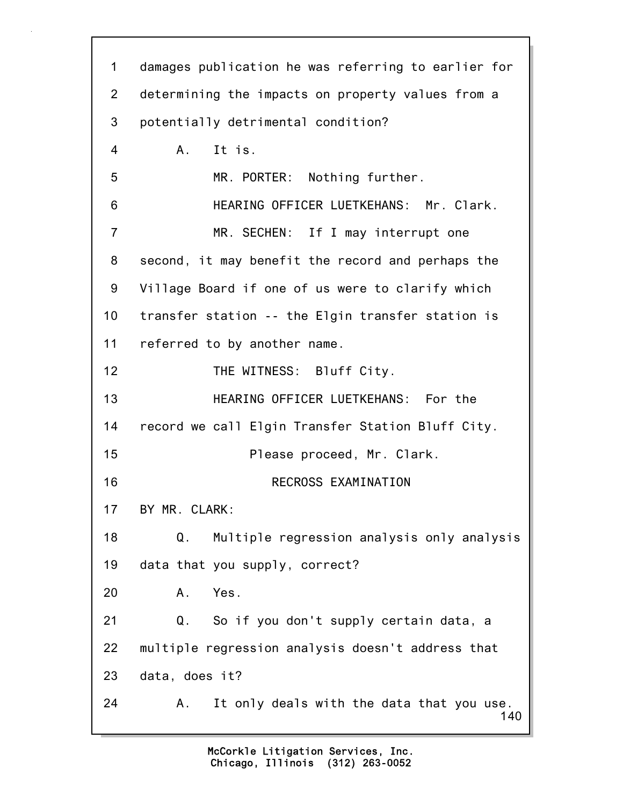140 1 damages publication he was referring to earlier for 2 determining the impacts on property values from a 3 potentially detrimental condition? 4 A. It is. 5 MR. PORTER: Nothing further. 6 HEARING OFFICER LUETKEHANS: Mr. Clark. 7 MR. SECHEN: If I may interrupt one 8 second, it may benefit the record and perhaps the 9 Village Board if one of us were to clarify which 10 transfer station -- the Elgin transfer station is 11 referred to by another name. 12 THE WITNESS: Bluff City. 13 HEARING OFFICER LUETKEHANS: For the 14 record we call Elgin Transfer Station Bluff City. 15 Please proceed, Mr. Clark. 16 RECROSS EXAMINATION 17 BY MR. CLARK: 18 Q. Multiple regression analysis only analysis 19 data that you supply, correct? 20 A. Yes. 21 Q. So if you don't supply certain data, a 22 multiple regression analysis doesn't address that 23 data, does it? 24 A. It only deals with the data that you use.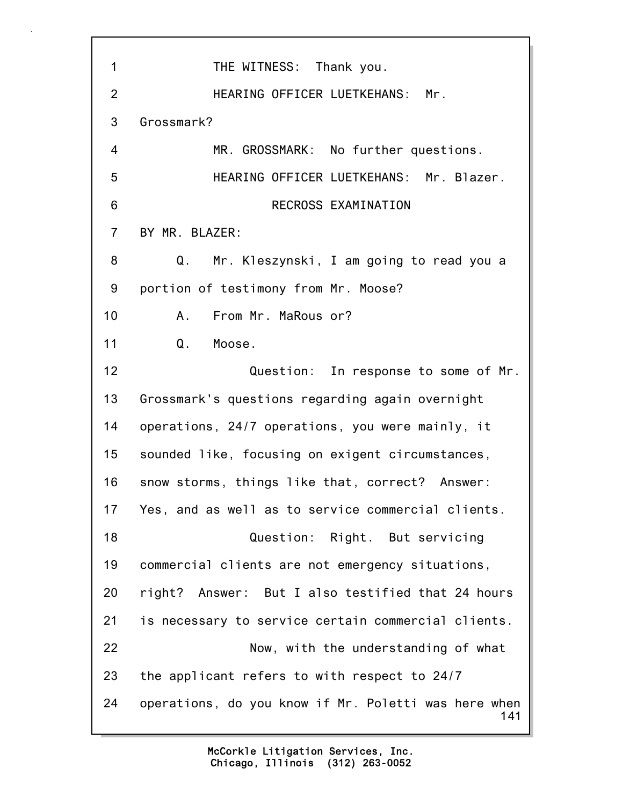141 1 THE WITNESS: Thank you. 2 HEARING OFFICER LUETKEHANS: Mr. 3 Grossmark? 4 MR. GROSSMARK: No further questions. 5 HEARING OFFICER LUETKEHANS: Mr. Blazer. 6 RECROSS EXAMINATION 7 BY MR. BLAZER: 8 Q. Mr. Kleszynski, I am going to read you a 9 portion of testimony from Mr. Moose? 10 A. From Mr. MaRous or? 11 Q. Moose. 12 Question: In response to some of Mr. 13 Grossmark's questions regarding again overnight 14 operations, 24/7 operations, you were mainly, it 15 sounded like, focusing on exigent circumstances, 16 snow storms, things like that, correct? Answer: 17 Yes, and as well as to service commercial clients. 18 Question: Right. But servicing 19 commercial clients are not emergency situations, 20 right? Answer: But I also testified that 24 hours 21 is necessary to service certain commercial clients. 22 Now, with the understanding of what 23 the applicant refers to with respect to 24/7 24 operations, do you know if Mr. Poletti was here when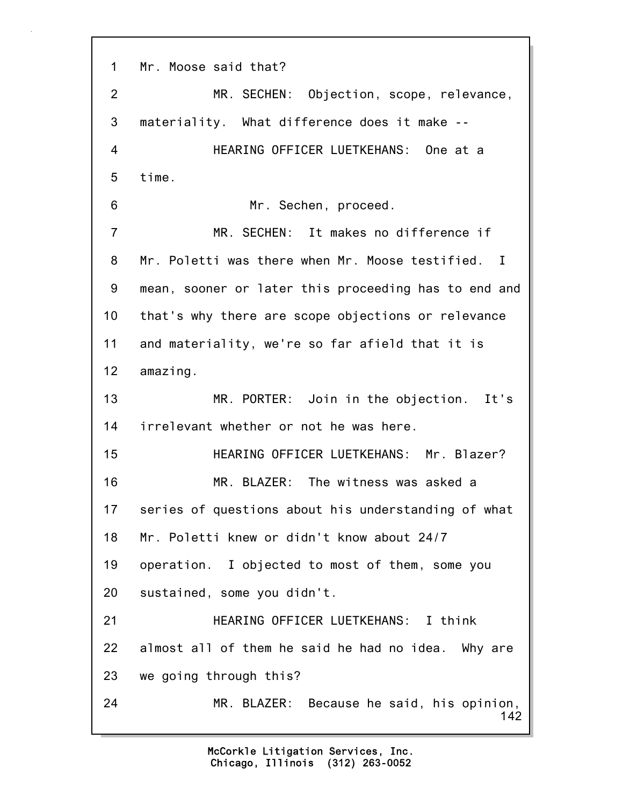142 1 Mr. Moose said that? 2 MR. SECHEN: Objection, scope, relevance, 3 materiality. What difference does it make -- 4 HEARING OFFICER LUETKEHANS: One at a 5 time. 6 Mr. Sechen, proceed. 7 MR. SECHEN: It makes no difference if 8 Mr. Poletti was there when Mr. Moose testified. I 9 mean, sooner or later this proceeding has to end and 10 that's why there are scope objections or relevance 11 and materiality, we're so far afield that it is 12 amazing. 13 MR. PORTER: Join in the objection. It's 14 irrelevant whether or not he was here. 15 HEARING OFFICER LUETKEHANS: Mr. Blazer? 16 MR. BLAZER: The witness was asked a 17 series of questions about his understanding of what 18 Mr. Poletti knew or didn't know about 24/7 19 operation. I objected to most of them, some you 20 sustained, some you didn't. 21 HEARING OFFICER LUETKEHANS: I think 22 almost all of them he said he had no idea. Why are 23 we going through this? 24 MR. BLAZER: Because he said, his opinion,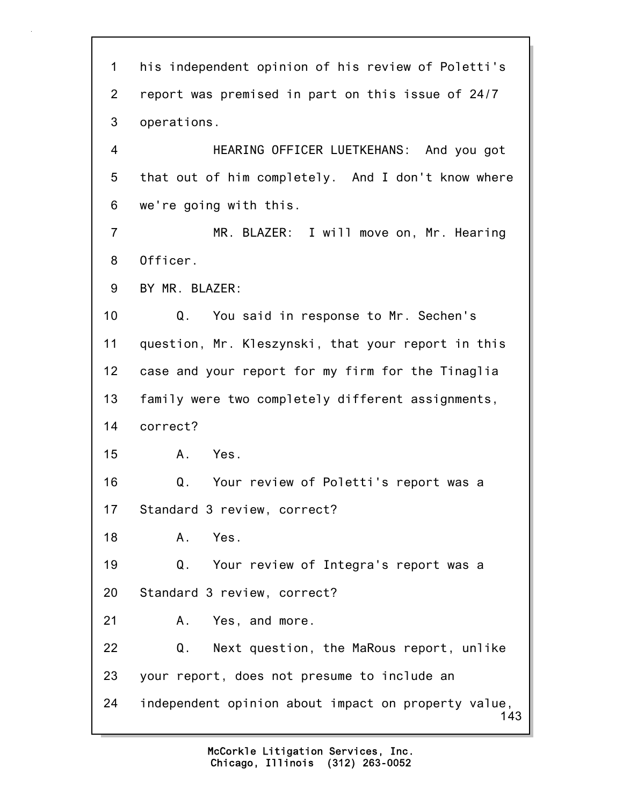143 1 his independent opinion of his review of Poletti's 2 report was premised in part on this issue of 24/7 3 operations. 4 HEARING OFFICER LUETKEHANS: And you got 5 that out of him completely. And I don't know where 6 we're going with this. 7 MR. BLAZER: I will move on, Mr. Hearing 8 Officer. 9 BY MR. BLAZER: 10 Q. You said in response to Mr. Sechen's 11 question, Mr. Kleszynski, that your report in this 12 case and your report for my firm for the Tinaglia 13 family were two completely different assignments, 14 correct? 15 A. Yes. 16 Q. Your review of Poletti's report was a 17 Standard 3 review, correct? 18 A. Yes. 19 Q. Your review of Integra's report was a 20 Standard 3 review, correct? 21 A. Yes, and more. 22 Q. Next question, the MaRous report, unlike 23 your report, does not presume to include an 24 independent opinion about impact on property value,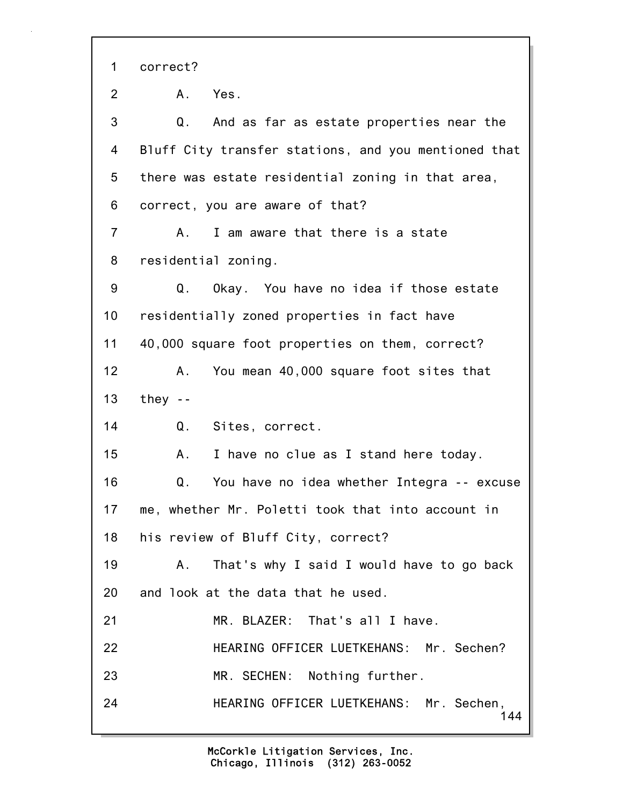144 1 correct? 2 A. Yes. 3 Q. And as far as estate properties near the 4 Bluff City transfer stations, and you mentioned that 5 there was estate residential zoning in that area, 6 correct, you are aware of that? 7 A. I am aware that there is a state 8 residential zoning. 9 Q. Okay. You have no idea if those estate 10 residentially zoned properties in fact have 11 40,000 square foot properties on them, correct? 12 A. You mean 40,000 square foot sites that 13 they -- 14 Q. Sites, correct. 15 A. I have no clue as I stand here today. 16 Q. You have no idea whether Integra -- excuse 17 me, whether Mr. Poletti took that into account in 18 his review of Bluff City, correct? 19 A. That's why I said I would have to go back 20 and look at the data that he used. 21 MR. BLAZER: That's all I have. 22 HEARING OFFICER LUETKEHANS: Mr. Sechen? 23 MR. SECHEN: Nothing further. 24 HEARING OFFICER LUETKEHANS: Mr. Sechen,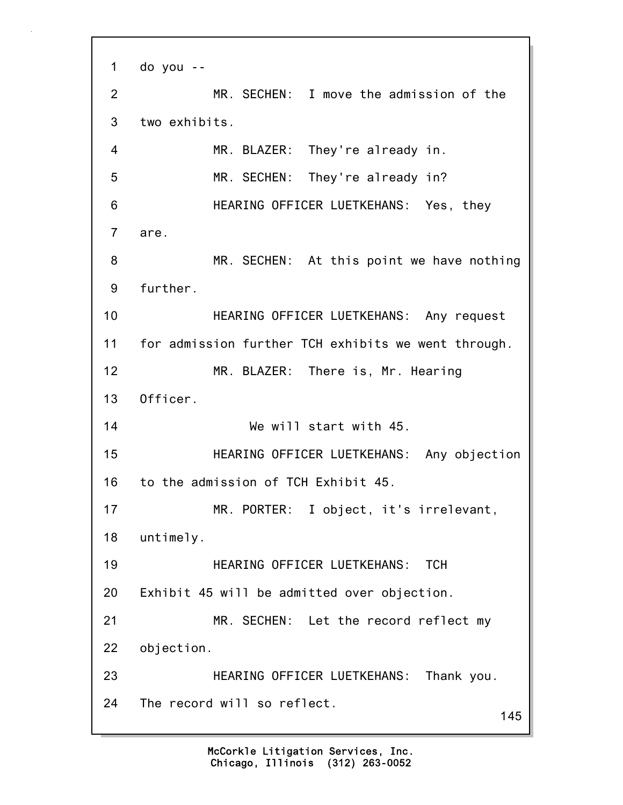```
145
1 do you --
2 MR. SECHEN: I move the admission of the
3 two exhibits.
4 MR. BLAZER: They're already in.
5 MR. SECHEN: They're already in?
6 HEARING OFFICER LUETKEHANS: Yes, they
7 are.
8 MR. SECHEN: At this point we have nothing
9 further.
10 HEARING OFFICER LUETKEHANS: Any request
11 for admission further TCH exhibits we went through.
12 MR. BLAZER: There is, Mr. Hearing
13 Officer.
14 We will start with 45.
15 HEARING OFFICER LUETKEHANS: Any objection
16 to the admission of TCH Exhibit 45.
17 MR. PORTER: I object, it's irrelevant,
18 untimely.
19 HEARING OFFICER LUETKEHANS: TCH
20 Exhibit 45 will be admitted over objection.
21 MR. SECHEN: Let the record reflect my
22 objection.
23 HEARING OFFICER LUETKEHANS: Thank you.
24 The record will so reflect.
```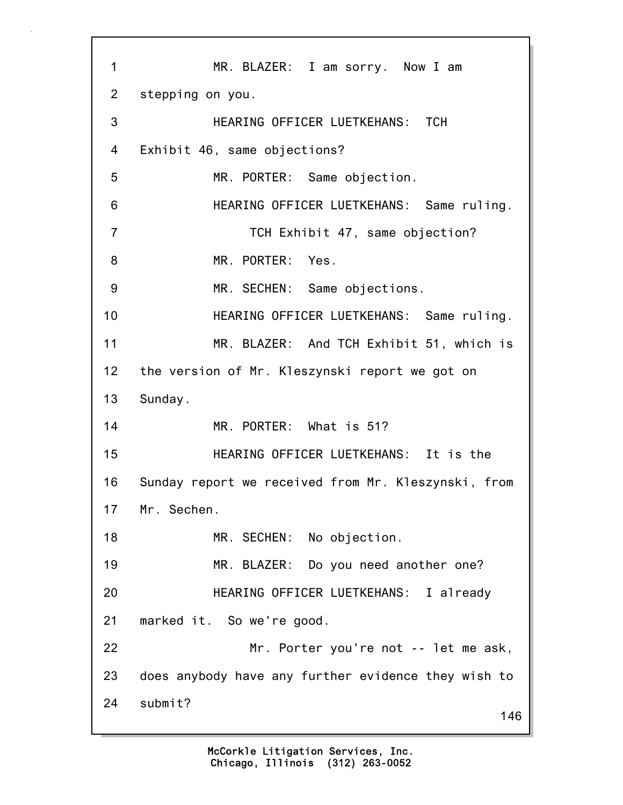146 1 MR. BLAZER: I am sorry. Now I am 2 stepping on you. 3 HEARING OFFICER LUETKEHANS: TCH 4 Exhibit 46, same objections? 5 MR. PORTER: Same objection. 6 HEARING OFFICER LUETKEHANS: Same ruling. 7 TCH Exhibit 47, same objection? 8 MR. PORTER: Yes. 9 MR. SECHEN: Same objections. 10 HEARING OFFICER LUETKEHANS: Same ruling. 11 MR. BLAZER: And TCH Exhibit 51, which is 12 the version of Mr. Kleszynski report we got on 13 Sunday. 14 MR. PORTER: What is 51? 15 HEARING OFFICER LUETKEHANS: It is the 16 Sunday report we received from Mr. Kleszynski, from 17 Mr. Sechen. 18 MR. SECHEN: No objection. 19 MR. BLAZER: Do you need another one? 20 HEARING OFFICER LUETKEHANS: I already 21 marked it. So we're good. 22 Mr. Porter you're not -- let me ask, 23 does anybody have any further evidence they wish to 24 submit?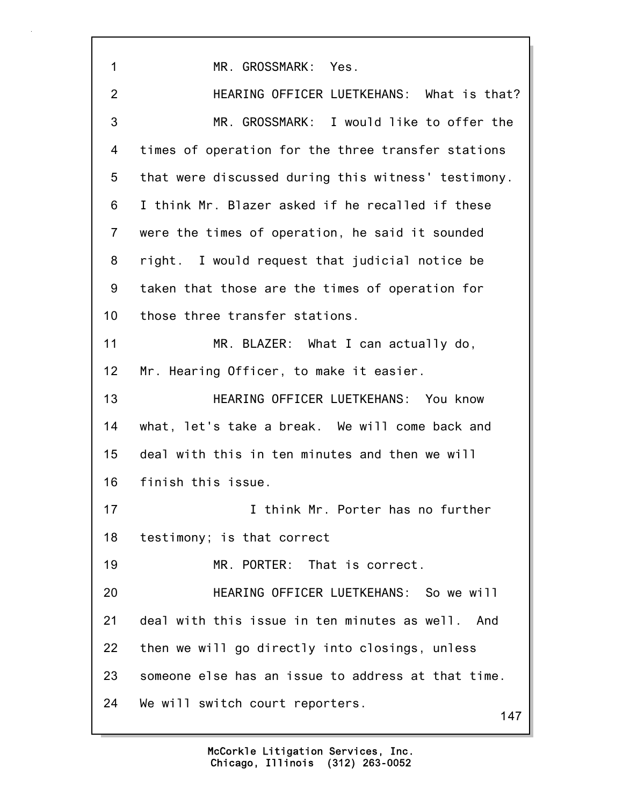147 1 MR. GROSSMARK: Yes. 2 HEARING OFFICER LUETKEHANS: What is that? 3 MR. GROSSMARK: I would like to offer the 4 times of operation for the three transfer stations 5 that were discussed during this witness' testimony. 6 I think Mr. Blazer asked if he recalled if these 7 were the times of operation, he said it sounded 8 right. I would request that judicial notice be 9 taken that those are the times of operation for 10 those three transfer stations. 11 MR. BLAZER: What I can actually do, 12 Mr. Hearing Officer, to make it easier. 13 HEARING OFFICER LUETKEHANS: You know 14 what, let's take a break. We will come back and 15 deal with this in ten minutes and then we will 16 finish this issue. 17 I think Mr. Porter has no further 18 testimony; is that correct 19 MR. PORTER: That is correct. 20 HEARING OFFICER LUETKEHANS: So we will 21 deal with this issue in ten minutes as well. And 22 then we will go directly into closings, unless 23 someone else has an issue to address at that time. 24 We will switch court reporters.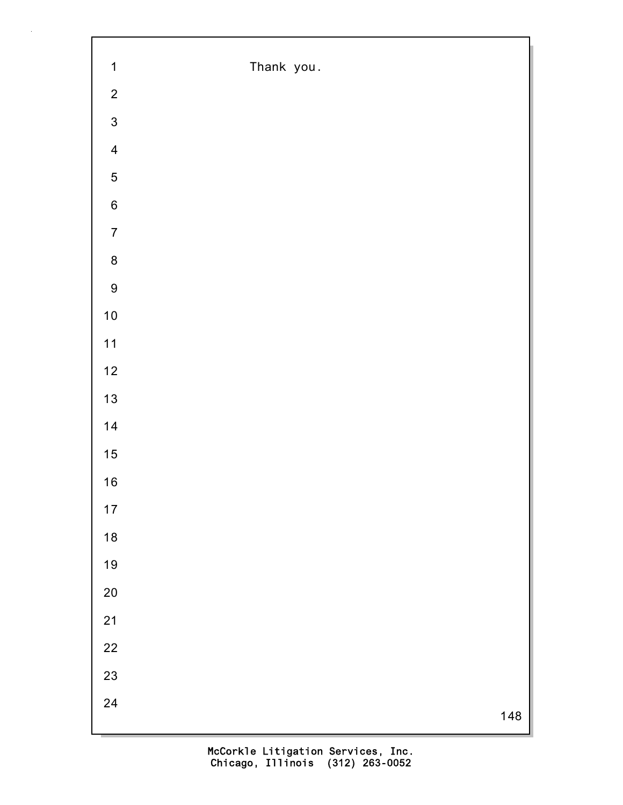| $\mathbf 1$             | Thank you. |
|-------------------------|------------|
| $\mathbf{2}$            |            |
| $\overline{3}$          |            |
| $\overline{\mathbf{4}}$ |            |
| $\overline{5}$          |            |
| $\overline{6}$          |            |
| $\boldsymbol{7}$        |            |
| $\bf 8$                 |            |
| $\boldsymbol{9}$        |            |
| $10$                    |            |
| $11$                    |            |
| $12$                    |            |
| $13$                    |            |
| 14                      |            |
| 15                      |            |
| $16$                    |            |
| $17$                    |            |
| 18                      |            |
| 19                      |            |
| $20\,$                  |            |
| 21                      |            |
| 22                      |            |
| 23                      |            |
| 24                      | 148        |
|                         |            |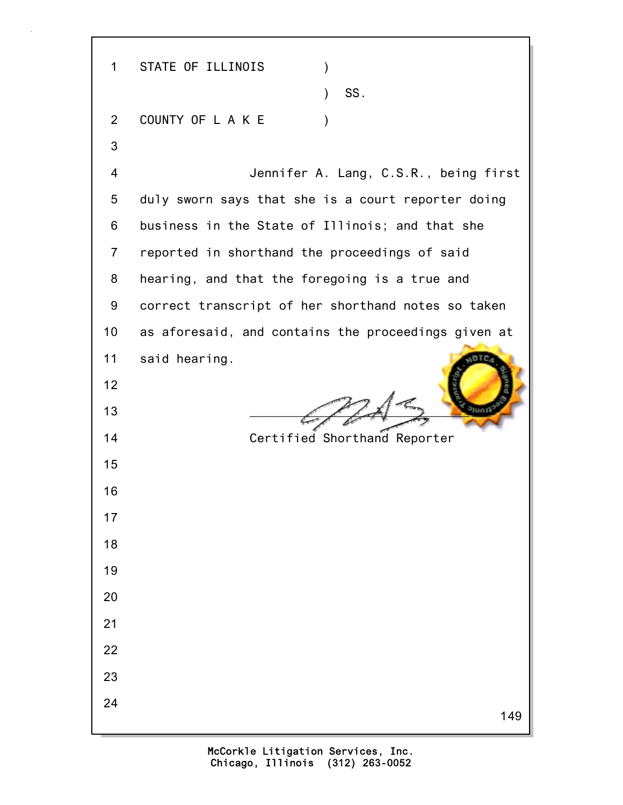149 1 STATE OF ILLINOIS )  $\sim$  SS. 2 COUNTY OF LAKE ) 3 4 Jennifer A. Lang, C.S.R., being first 5 duly sworn says that she is a court reporter doing 6 business in the State of Illinois; and that she 7 reported in shorthand the proceedings of said 8 hearing, and that the foregoing is a true and 9 correct transcript of her shorthand notes so taken 10 as aforesaid, and contains the proceedings given at 11 said hearing. 12 13  $\left( \begin{array}{cc} \begin{array}{cc} \end{array} & \begin{array}{cc} \end{array} & \end{array} \right)$ 14 Certified Shorthand Reporter 15 16 17 18 19 20 21 22 23 24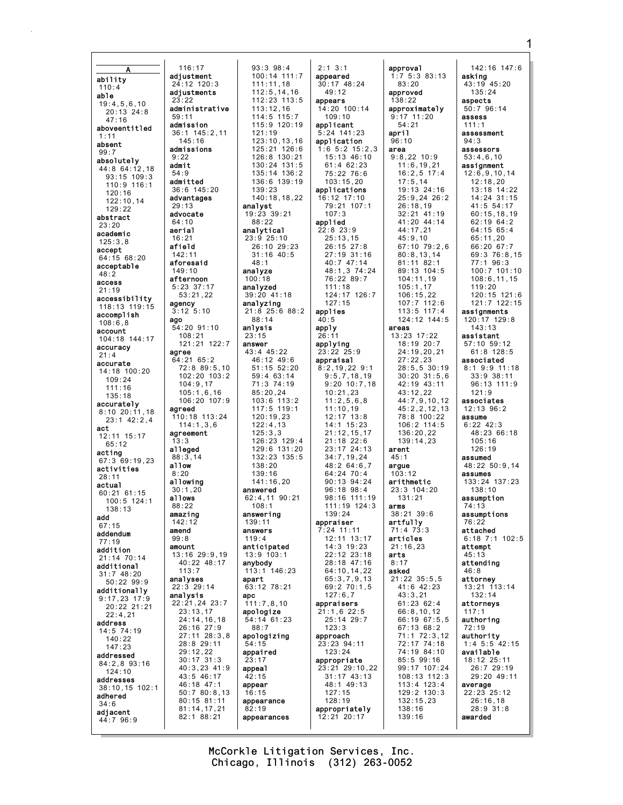$93:3$   $98:4$  $2:1$  3:1 approval 142:16 147:6  $116:17$ 100:14 111:7  $1:7$  5:3 83:13 adiustment appeared asking ability  $30:17$  48:24 43:19 45:20  $83:20$  $24:12$  120:3  $111:11.18$  $110:4$  $112:5, 14, 16$ adiustments  $135:24$  $49:12$ approved able  $112:23:113:5$ つつ・つつ appears  $138:22$ aspects  $19:4,5,6,10$  $14:20$   $100:14$ <br> $109:10$ administrative  $113:12.16$ approximately  $50:796:14$  $20:13$   $24:8$  $114:5$  115:7  $50.11$  $9.17$  11.20 **ASSASS**  $47:16$  $115:9$  120:19  $54:21$ admission applicant  $111:1$ aboveentitled 36:1 145:2,11<br>145:16  $121:19$  $5:24$  141:23 april assessment  $1:11$ 123:10.13.16 application  $96 \cdot 10$  $94.3$ absent 125:21 126:6 admissions  $1:65:215:23$ area assessors  $99.7$  $9.22$ 126:8 130:21 15:13 46:10  $9:8,22$  10:9  $53:4,6,10$ absolutely  $130:24$   $131:5$ admit  $61 \cdot 4 62 \cdot 23$  $11:6.19.21$ assignment 44:8 64:12,18  $54.9$  $135:14$   $136:2$ 75:22 76:6  $16:2.5$  17:4  $12:6,9,10,14$  $93 \cdot 15$  109  $\cdot 3$ admitted 136:6 139:19  $103:15,20$  $17:5,14$  $12:18,20$ 110:9 116:1 36:6 145:20  $139:23$ applications  $19:13$   $24:16$ 13:18 14:22  $120:16$ advantages 140:18.18.22 16:12 17:10  $25:9.2426:2$ 14:24 31:15  $122:10,14$ 79:21 107:1 analyst  $26:18.19$  $41.554.17$  $29.13$  $129:22$ advocate  $19:23$  39:21  $107:3$  $32:21$  41:19  $60:15, 18, 19$ abstract  $88:22$ applied 41:20 44:14 62:19 64:2  $64:10$  $23:20$ aerial analytical  $22:8$  23:9  $44.17$  21  $64.1565.4$ academic  $16:21$  $23:9$  25:10  $25:13,15$  $45:9,10$  $65:11,20$  $125:3.8$ afield 26:10 29:23 26:15 27:8 67:10 79:2,6 66:20 67:7 accept  $142:11$  $31:16$  40:5 27:19 31:16  $80:8,13,14$ 69:3 76:8,15 64:15 68:20 aforesaid  $48:1$  $40:747:14$  $81:11$   $82:1$  $77:1$  96:3 acceptable 48:1,3 74:24 100:7 101:10 89:13 104:5  $149:10$ analyze  $48:2$ 76:22 89:7  $104:11,19$  $108:6, 11, 15$ afternoon  $100:18$ access  $5:23$  37:17 analyzed  $111:18$  $105:1,17$  $119:20$  $21:19$  $53:21,22$ 39:20 41:18 124:17 126:7  $106:15,22$ 120:15 121:6 accessibility  $127:15$  $107:7$  112:6 121:7 122:15 agency analyzing  $118:13$   $119:15$  $3:12$   $5:10$  $21:8$  25:6 88:2 applies  $113:5$   $117:4$ assignments  $accomplish$  $88:14$  $40:5$ 124:12 144:5 120:17 129:8 ago  $108:6.8$  $54:20$  91:10 anlysis apply areas  $143:13$ account  $108:21$ 13:23 17:22 assistant  $23:15$  $26:11$  $104:18$   $144:17$  $121:21$   $122:7$  $18:19$  20:7 applying 57:10 59:12 answer accuracy 43:4 45:22  $61:8$  128:5  $23:22.25:9$ 24:19,20,21 agree  $21:4$  $64:21$   $65:2$ 46:12 49:6 appraisal  $27:22,23$ associated accurate  $51:15$   $52:20$  $28:5, 5$  30:19 72:8 89:5,10  $8:2,19,22$  9:1 8:1 9:9 11:18 14:18 100:20 102:20 103:2 59:4 63:14  $9:5,7,18,19$  $30:20$   $31:5,6$  $33:9$  38:11  $109:24$  $104:9,17$ 71:3 74:19  $9:20$  10:7.18  $42:19$   $43:11$  $96:13$  111:9  $111:16$  $105:1,6,16$  $85:20,24$  $10:21,23$  $43:12,22$  $121:9$  $135.18$  $44:7,9,10,12$ <br> $45:2,2,12,13$ 106:20 107:9  $103:6$  113:2  $11:2.5.6.8$ associates accurately  $117:5$  119:1  $11:10.19$  $12:13$   $96:2$ agreed  $8:10$  20:11.18 110:18 113:24  $12:17$  13:8  $120:19.23$ 78:8 100:22  $23:1$  42:2.4 assume  $106:2$  114:5  $6:22.42:3$  $114:1,3.6$  $122:4.13$  $14:1$   $15:23$ act  $21:12,15,17$  $48:23$  66:18 136:20,22 agreement  $125:3.3$  $12:11$   $15:17$  $126:23:129:4$  $21:18$   $22:6$  $139:14.23$  $105:16$ . २  $65.12$ alleged  $129:6$   $131:20$  $23:17$   $24:13$ arent  $126:19$ acting  $132:23$   $135:5$  $34:7.19.24$  $88.314$  $45.1$ assumed 67:3 69:19.23  $a11ow$  $48:264:67$  $48:22$  50:9.14  $138:20$ arque activities  $8.20$  $139:16$  $64:24$  70:4  $103.12$ assumes  $28:11$  $133:24$   $137:23$  $141:16.20$  $90:13.94:24$ allowing arithmetic actual  $23:3$   $104:20$ <br> $131:21$  $30:1,20$ answered  $96:18$   $98:4$  $138:10$  $60:21.61:15$  $98.16$  111.19 allows 62:4,11 90:21 assumption  $100:5$  124:1  $111:19$   $124:3$  $88:22$  $108:1$ arms  $74:13$ 138:13 amazing answering  $139:24$  $38:21.39:6$ assumptions add appraiser  $142.12$  $139.11$ artfully  $76.22$  $67:15$  $71:4$  73:3 amend answers  $7:24$  11:11 attached addendum  $119:4$  $99:8$ 12:11 13:17 articles  $6:18$  7:1 102:5  $77:19$ amount anticipated  $14.3$  19.23  $21 \cdot 16$  23 attempt addition 13:16 29:9.19  $13:9$  103:1 22:12 23:18 arts  $45:13$ 21:14 70:14  $40:22$   $48:17$ anybody 28:18 47:16  $8:17$ attending additional  $113:7$  $146:23$ 64:10.14.22 asked  $46:8$  $113:1$ 31:7 48:20<br>50:22 99:9 analyses apart  $65:3,7,9,13$  $21:22$   $35:5,5$ attorney  $13:21$   $113:14$ 63:12 78:21  $69:270:1,5$ 41:6 42:23 22:3 29:14 additionally analysis  $127:6.7$  $43:3.21$  $132:14$ apc  $9:17,23$  17:9  $22:21,24$   $23:7$  $111:7,8,10$ appraisers  $61:2362:4$ attorneys 20:22 21:21  $23:13.17$ apologize  $21:1,6$  22:5 66:8,10,12  $22:4.21$  $24:14, 16, 18$  $25:14$  29:7  $66:1967:5,5$ authoring  $54:14$  61:23 address 26:16 27:9  $88:7$  $123:3$ 67:13 68:2  $72:19$  $14:5$  74:19  $27:11$   $28:3.8$ apologizing approach  $71:1$   $72:3.12$ authority  $140:22$ 28:8 29:11 72:17 74:18  $1:4$  5:5 42:15 23:23 94:11  $147.23$ 74:19 84:10  $29:12,22$ appaired  $123:24$ available addressed  $30:17$  31:3 85:5 99:16  $23:17$ appropriate  $18:12$   $25:11$  $84:2.893:16$  $40:3,23$   $41:9$ 99:17 107:24 26:7 29:19 appeal 23:21 29:10,22  $124:10$ 43:5 46:17  $31:17$   $43:13$ 108:13 112:3 29:20 49:11  $42:15$ addresses 46:18 47:1 48:1 49:13 appear  $113:4$   $123:4$ average 38:10,15 102:1  $50:780:8,13$  $16:15$  $127:15$ 129:2 130:3  $22:23$   $25:12$ adhered 80:15 81:11 appearance  $128:19$  $132:15,23$  $26:16.18$  $34:6$  $81:14, 17, 21$ 138:16  $28:9.31:8$  $82:19$ appropriately adiacent 82:1 88:21 139:16 awarded appearances  $12:21$  20:17  $44:7$  96:9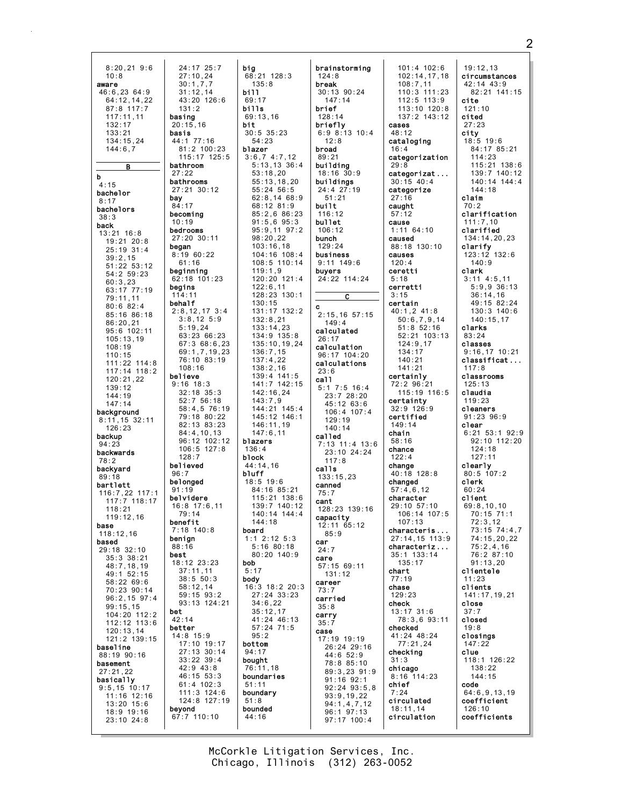| $8:20,21$ 9:6    | 24:17 25:7      | big              | brail             |
|------------------|-----------------|------------------|-------------------|
| 10:8             | 27:10,24        | 68:21 128:3      | 124:              |
|                  |                 |                  |                   |
| aware            | 30:1,7,7        | 135:8            | breal             |
| 46:6,23 64:9     | 31:12,14        | bill             | 30:1              |
| 64:12,14,22      | 43:20 126:6     | 69:17            | 14                |
|                  |                 |                  |                   |
| 87:8 117:7       | 131:2           | bills            | brie <sup>.</sup> |
| 117:11,11        | basing          | 69:13,16         | 128:              |
| 132:17           | 20:15,16        | bit              | brie              |
|                  |                 |                  |                   |
| 133:21           | basis           | $30:5$ $35:23$   | 6:9               |
| 134:15,24        | 44:1 77:16      | 54:23            | 12                |
| 144:6,7          | 81:2 100:23     | blazer           | <b>broa</b>       |
|                  | 115:17 125:5    |                  | 89:2              |
|                  |                 | 3:6,7,4:7,12     |                   |
| в                | bathroom        | 5:13,13.36:4     | buil <sub>9</sub> |
|                  | 27:22           | 53:18,20         | 18:1              |
| b                | bathrooms       | 55:13,18,20      | buil              |
| 4:15             |                 |                  |                   |
| bachelor         | 27:21 30:12     | $55:24$ $56:5$   | 24:4              |
| 8:17             | bay             | 62:8,1468:9      | 51                |
|                  | 84:17           | 68:12 81:9       | buil <sup>.</sup> |
| bachelors        | becoming        | 85:2,686:23      | 116:              |
| 38:3             |                 |                  |                   |
| back             | 10:19           | $91:5,6$ $95:3$  | bu11 <sub>0</sub> |
|                  | bedrooms        | $95:9,11$ $97:2$ | 106:              |
| 13:21 16:8       | 27:20 30:11     | 98:20,22         | buncl             |
| 19:21 20:8       |                 |                  |                   |
| 25:19 31:4       | began           | 103:16,18        | 129:              |
| 39:2,15          | 8:19 60:22      | 104:16 108:4     | busi              |
|                  | 61:16           | 108:5 110:14     | 9:11              |
| 51:22 53:12      | beginning       | 119:1,9          | buyer             |
| 54:2 59:23       |                 |                  |                   |
| 60:3,23          | 62:18 101:23    | 120:20 121:4     | 24:2              |
| 63:17 77:19      | begins          | 122:6,11         |                   |
|                  | 114:11          | 128:23 130:1     |                   |
| 79:11,11         | behalf          | 130:15           |                   |
| 80:682:4         |                 |                  | c                 |
| 85:16 86:18      | $2:8,12,17$ 3:4 | 131:17 132:2     | 2:15              |
| 86:20,21         | $3:8,12$ 5:9    | 132:8,21         | 14                |
|                  | 5:19.24         | 133:14,23        |                   |
| 95:6 102:11      |                 | 134:9 135:8      | calcı             |
| 105:13,19        | 63:23 66:23     |                  | 26:1              |
| 108:19           | 67:368:6.23     | 135:10,19,24     | calc              |
|                  | 69:1,7,19,23    | 136:7,15         |                   |
| 110:15           | 76:10 83:19     | 137:4,22         | 96:1              |
| 111:22 114:8     |                 |                  | calcı             |
| 117:14 118:2     | 108:16          | 138:2,16         | 23:6              |
| 120:21,22        | believe         | 139:4 141:5      | ca11              |
|                  | $9:16$ 18:3     | 141:7 142:15     |                   |
| 139:12           | $32:18$ $35:3$  |                  | 5:1               |
| 144:19           |                 | 142:16,24        | 23                |
| 147:14           | 52:756:18       | 143:7.9          | 45                |
|                  | 58:4,5 76:19    | 144:21 145:4     |                   |
| background       | 79:18 80:22     | 145:12 146:1     | 10                |
| 8:11,15 32:11    |                 |                  | 12                |
| 126:23           | 82:13 83:23     | 146:11,19        | 14                |
| backup           | 84:4,10,13      | 147:6,11         | call <sub>o</sub> |
|                  | 96:12 102:12    | blazers          |                   |
| 94:23            | 106:5 127:8     | 136:4            | 7:13              |
| backwards        |                 |                  | 23                |
| 78:2             | 128:7           | block            | 11                |
| backyard         | believed        | 44:14,16         | call:             |
|                  | 96:7            | bluff            |                   |
| 89:18            | belonged        | $18:5$ 19:6      | 133:              |
| bartlett         |                 |                  | canne             |
| 116:7,22 117:1   | 91:19           | 84:16 85:21      | 75:7              |
| 117:7 118:17     | belvidere       | 115:21 138:6     | cant              |
|                  | 16:8 17:6,11    | 139:7 140:12     |                   |
| 118:21           | 79:14           | 140:14 144:4     | 128:              |
| 119:12,16        |                 |                  | capa              |
| base             | benefit         | 144:18           | 12:1              |
| 118:12,16        | 7:18 140:8      | board            | 85                |
|                  | benign          | $1:1$ 2:12 5:3   |                   |
| based            | 88:16           | $5:16$ 80:18     | car               |
| 29:18 32:10      | best            | 80:20 140:9      | 24:7              |
| 35:3 38:21       |                 |                  | care              |
| 48:7,18,19       | 18:12 23:23     | bob              | 57:1              |
| 49:1 52:15       | 37:11,11        | 5:17             | 13                |
|                  | 38:5 50:3       | body             |                   |
| 58:22 69:6       | 58:12,14        | 16:3 18:2 20:3   | care              |
| 70:23 90:14      |                 |                  | 73:7              |
| $96:2,15$ $97:4$ | 59:15 93:2      | 27:24 33:23      | carr <sup>.</sup> |
| 99:15,15         | 93:13 124:21    | 34:6,22          | 35:8              |
|                  | bet             | 35:12,17         |                   |
| 104:20 112:2     | 42:14           | 41:24 46:13      | carr <sup></sup>  |
| 112:12 113:6     |                 |                  | 35:7              |
| 120:13.14        | better          | $57:24$ $71:5$   | case              |
| 121:2 139:15     | 14:8 15:9       | 95:2             | 17:1              |
|                  | 17:10 19:17     | bottom           |                   |
| baseline         | 27:13 30:14     | 94:17            | 26                |
| 88:19 90:16      |                 |                  | 44                |
| basement         | $33:22$ $39:4$  | bought           | 78                |
| 27:21,22         | 42:9 43:8       | 76:11,18         | 89                |
|                  | 46:15 53:3      | boundaries       |                   |
| basically        | $61:4$ 102:3    | 51:11            | 91                |
| $9:5,15$ 10:17   |                 |                  | 92                |
| 11:16 12:16      | 111:3 124:6     | boundary         | 93                |
| $13:20$ $15:6$   | 124:8 127:19    | 51:8             | 94                |
| 18:9 19:16       | beyond          | bounded          | 96                |
|                  | 67:7 110:10     | 44:16            |                   |
| 23:10 24:8       |                 |                  | 97                |
|                  |                 |                  |                   |
|                  |                 |                  |                   |

nstorming 8 i**k**<br>13 90:24  $7:14$ f.  $\frac{1}{14}$ f1y  $8:13$  10:4  $\cdot$  8 d  $\overline{1}$ ding  $6\,30:9$ dings  $27:19$  $: 21$ t.  $12$ et  $12$ h 24 ness  $149:6$ rs.  $22 114:24$  $\overline{\phantom{a}}$  c  $5, 16, 57:15$  $9:4$ ulated ulation  $7 104:20$ ulations  $7:5$  16:4<br> $3:7$  28:20  $:12.63:6$  $6:4$  107:4  $9:19$  $10:14$ ed  $3 - 11:4 + 13:6$  $: 1024:24$  $7:8$ 15,23 ed 23 139:16 city  $165:12$  $: 9$ 15 69:11  $1:12$ er ied У 19 19:19  $: 24$  29:16  $:6.52:9$  $: 8, 85:10$  $:3,23,91:9$  $: 16$  92:1  $: 24$  93:5,8  $: 9.19.22$ |:1,4,7,12<br>|:1 97:13  $: 17$  100:4

 $101:4$   $102:6$  $102:14, 17, 18$  $108:7,11$  $110:3$  111:23  $112:5$   $113:9$  $113:10$   $120:8$  $137:2$  143:12 cases  $48:12$ cataloging  $16:4$ categorization  $29.8$ categorizat...  $30:15$  40:4 categorize  $27:16$ caught  $57:12$  $cause$  $1:11$  64:10 caused 88:18 130:10 causes  $120:4$ ceretti  $5:18$ cerretti  $3:15$ certain  $40:1,2$  41:8  $50:6,7,9,14$  $51:8.52:16$ 52:21 103:13  $124:9.17$  $134:17$  $140:21$  $141:21$ certainly 72:2 96:21  $115:19$  116:5 certainty 32:9 126:9 certified  $149:14$ chain  $58:16$ chance  $122.4$ change  $40:18$  128:8 changed  $57:4,6,12$ character 29:10 57:10 106:14 107:5  $107.13$ characteris.. 27:14,15 113:9 characteriz... 35:1 133:14  $135:17$ chart  $77:19$  $chase$ 129:23 check  $13:17$   $31:6$ 78:3,6 93:11 checked 41:24 48:24  $77:21,24$ checking  $31:3$ chicago  $8:16$  114:23 chief  $7:24$ circulated  $126:10$  $18:11.14$ coefficients circulation

 $19:12,13$ circumstances  $42:14$   $43:9$  $82:21$  141:15 cite  $121:10$ cited  $27:23$ city<br> $18:5$  19:6 84:17 85:21 114:23 115:21 138:6 139:7 140:12 140:14 144:4  $144:18$ claim  $70:2$ clarification  $111:7,10$ clarified 134:14,20,23 clarify 123:12 132:6  $140:9$ clark  $3:11$  4:5,11  $5:9,9$  36:13  $36:14,16$ 49:15 82:24  $130:3$   $140:6$  $140:15,17$ clarks 83:24 classes  $9:16,17$  10:21 classificat...  $117:8$ classrooms  $125:13$ claudia  $119:23$ cleaners  $91:23$   $96:9$ clear  $6:21$  53:1 92:9  $92:10$  112:20  $124:18$ <br> $127:11$ clearly 80:5 107:2 clerk  $60:24$ client  $69:8, 10, 10$ 70:15 71:1  $72:3,12$ 73:15 74:4.7 74:15,20,22  $75:2,4,16$ 76:2 87:10  $91:13,20$ clientele  $11:23$  $clients$ 141:17,19,21  $c$ lose  $37:7$ closed  $19:8$ closings  $147:22$ clue 118:1 126:22 138:22  $144:15$ code  $64:6,9,13,19$ coefficient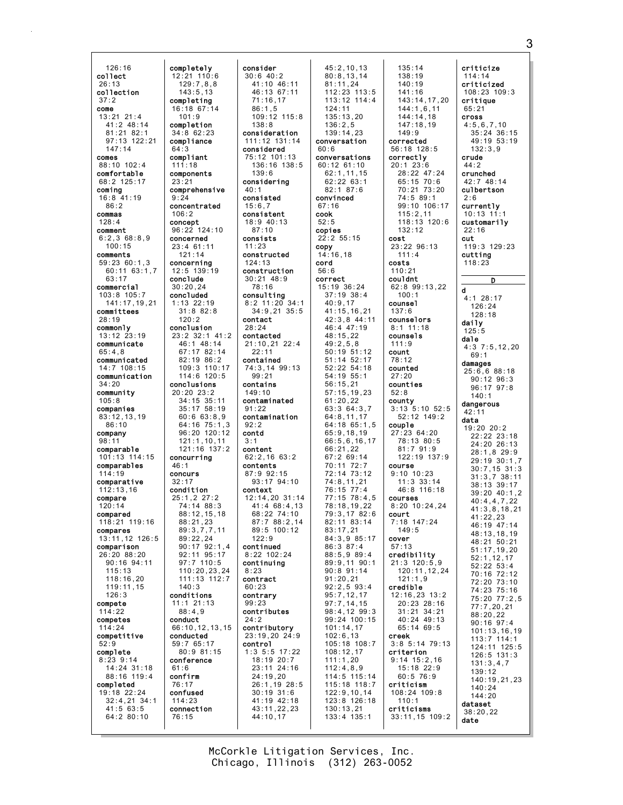126:16 collect 26:13 collection 37:2 come 13:21 21:4 41:2 48:14 81:21 82:1 97:13 122:21 147:14 comes 88:10 102:4 comfortable 68:2 125:17 coming 16:8 41:19  $86.2$ commas 128:4 comment 6:2,3 68:8,9 100:15 comments 59:23 60:1,3 60:11 63:1,7 63:17 commercial 103:8 105:7 141:17,19,21 committees 28:19 commonly 13:12 23:19 communicate  $65:4.8$ communicated 14:7 108:15 communication 34:20 community 105:8 companies 83:12,13,19 86:10 company 98:11 comparable 101:13 114:15 comparables 114:19 comparative 112:13,16 compare 120:14 compared 118:21 119:16 compares 13:11,12 126:5 comparison 26:20 88:20 90:16 94:11 115:13 118:16,20 119:11,15 126:3 compete  $114.22$ competes 114:24 competitive 52:9 complete 8:23 9:14 14:24 31:18 88:16 119:4 completed 19:18 22:24 32:4,21 34:1 41:5 63:5 64:2 80:10 completely completing completion compliance compliant components concentrated concerned concerning conclude concluded conclusion conclusions concurring concurs condition conducted conference confirm confused connection

12:21 110:6  $129:7,8,8$ 143:5,13

16:18 67:14  $101.9$ 

34:8 62:23

64:3

111:18

23:21 comprehensive 9:24

106:2 concept 96:22 124:10

23:4 61:11 121:14

12:5 139:19

30:20,24

1:13 22:19 31:8 82:8 120:2

> 46:1 48:14 67:17 82:14 82:19 86:2

> 114:6 120:5

121:1,10,11

46:1

32:17

25:1,2 27:2 74:14 88:3 88:12,15,18  $88.21,23$ 89:3,7,7,11 89:22,24

92:11 95:17

140:3 conditions 11:1 21:13  $88.49$ conduct

59:7 65:17 80:9 81:15

61:6

76:17

114:23

76:15

20:20 23:2 34:15 35:11 35:17 58:19 60:6 63:8,9

23:2 32:1 41:2 109:3 110:17 64:16 75:1,3 96:20 120:12 121:16 137:2  $90 \cdot 17$  92 $\cdot 1$  4 97:7 110:5 110:20,23,24 111:13 112:7 66:10,12,13,15 consider 30:6 40:2 41:10 46:11 46:13 67:11 71:16,17 86:1,5  $109:12$  115:8 138:8 consideration 111:12 131:14 considered 75:12 101:13 136:16 138:5  $139.6$ considering 40:1 consisted 15:6,7 consistent 18:9 40:13 87:10 consists 11:23 constructed 124:13 construction 30:21 48:9 78:16 consulting 8:2 11:20 34:1 34:9,21 35:5 contact 28:24 contacted 21:10,21 22:4 22:11 contained 74:3,14 99:13 99:21 contains 149:10 contaminated  $91.22$ contamination 92:2 contd 3:1 content  $62.2, 16.63.2$ contents 87:9 92:15 93:17 94:10 context  $12 \cdot 14$ , 20  $31 \cdot 14$ 41:4 68:4,13 68:22 74:10  $87:7$   $88:2,14$ 89:5 100:12 122:9 continued 8:22 102:24 continuing 8:23 contract 60:23 contrary 99:23 contributes 24:2 contributory 23:19,20 24:9 control 1:3 5:5 17:22 18:19 20:7 23:11 24:16 24:19,20 26:1,19 28:5 30:19 31:6 41:19 42:18 43:11,22,23 44:10,17

45:2,10,13 80:8,13,14 81:11,24 112:23 113:5 113:12 114:4 124:11 135:13,20 136:2,5  $139.14$ , 23 conversation 60:6 conversations 60:12 61:10 62:1,11,15 62:22 63:1 82:1 87:6 convinced 67:16 cook 52:5 copies 22:2 55:15 copy 14:16,18 cord 56:6 correct 15:19 36:24 37:19 38:4 40:9,17 41:15,16,21 42:3,8 44:11 46:4 47:19 48:15,22 49:2,5,8 50:19 51:12 51:14 52:17 52:22 54:18 54:19 55:1 56:15,21 57:15,19,23 61:20,22 63:3 64:3,7 64:8,11,17 64:18 65:1,5 65:9,18,19 66:5,6,16,17 66:21,22 67:2 69:14 70:11 72:7 72:14 73:12 74:8,11,21 76:15 77:4 77:15 78:4,5 78:18,19,22 79:3,17 82:6 82:11 83:14 83:17,21 84:3,9 85:17 86:3 87:4 88:5,9 89:4 89:9,11 90:1 90:8 91:14 91:20,21 92:2,5 93:4 95:7,12,17 97:7,14,15 98:4,12 99:3 99:24 100:15 101:14,17 102:6,13 105:18 108:7 108:12,17 111:1,20 112:4,8,9 114:5 115:14 115:18 118:7 122:9,10,14 123:8 126:18 130:13,21 133:4 135:1

135:14 138:19 140:19 141:16 143:14,17,20 144:1,6,11  $144 \cdot 14$ , 18 147:18,19  $149.9$ corrected 56:18 128:5 correctly 20:1 23:6 28:22 47:24 65:15 70:6 70:21 73:20 74:5 89:1 99:10 106:17 115:2,11 118:13 120:6 132:12 cost 23:22 96:13 111:4 costs 110:21 couldnt 62:8 99:13,22 100:1 counsel 137:6 counselors 8:1 11:18 counsels 111:9 count 78:12 counted 27:20 counties 52:8 county 3:13 5:10 52:5 52:12 149:2 couple 27:23 64:20 78:13 80:5 81:7 91:9  $122.19$   $137.9$ course 9:10 10:23 11:3 33:14 46:8 116:18 courses 8:20 10:24,24 court 7:18 147:24 149:5 cover 57:13 credibility 21:3 120:5,9 120:11,12,24 121:1,9 credible 12:16,23 13:2 20:23 28:16 31:21 34:21 40:24 49:13 65:14 69:5 creek 3:8 5:14 79:13 criterion 9:14 15:2,16 15:18 22:9 60:5 76:9 criticism 108:24 109:8 110:1 criticisms 33:11,15 109:2 criticize 114:14 criticized 108:23 109:3 critique 65:21 cross 4:5,6,7,10 132:3,9 crude  $44.2$ crunched 42:7 48:14 culbertson 2:6 currently 10:13 11 customarily 22:16 cut 119:3 129:23 cutting 118:23 d 4:1 28:17 126:24 128:18 daily  $125.5$ dale 4:3 7:5,12,20 69:1 damages 25:6,6 88:18 90:12 96:3 96:17 97:8  $140 \cdot 1$ dangerous 42:11 data 19:20 20:2 22:22 23:18 24:20 26:13 28:1,8 29:9 29:19 30:1,7 30:7,15 31:3 31:3,7 38:11 38:13 39:17 39:20 40:1,2 40:4,4,7,22 41:3,8,18,21 41:22,23 46:19 47:14 48:13,18,19 48:21 50:21 51:17,19,20 52:1,12,17 52:22 53:4 70:16 72:12 72:20 73:10 74:23 75:16 75:20 77:2,5 77:7,20,21 88:20,22 90:16 97:4 101:13,16,19 113:7 114:1 124:11 125:5 126:5 131:3 131:3,4,7 139:12 140:19,21,23 140:24 144:20 dataset 38:20,22 date

35:24 36:15 49:19 53:19

D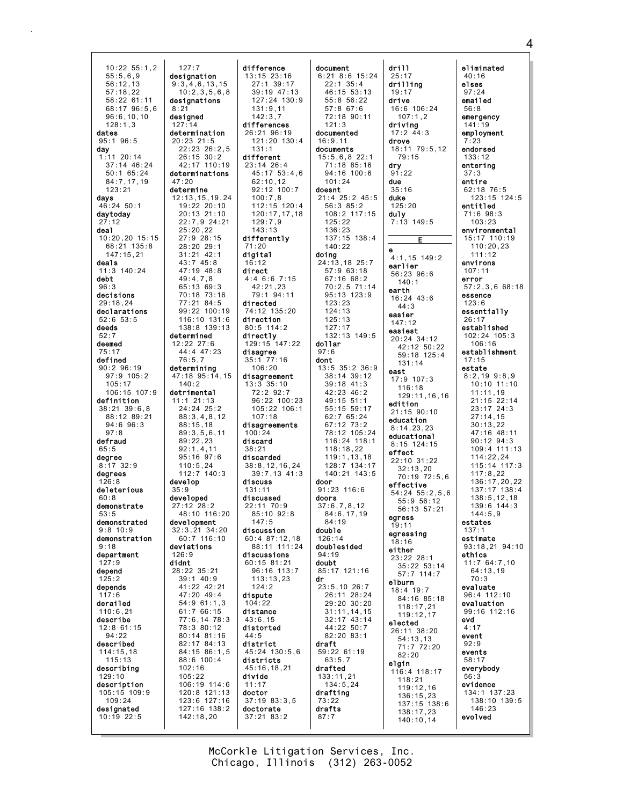10:22 55:1,2 55:5,6,9 56:12,13 57:18,22 58:22 61:11 68:17 96:5,6  $96 \cdot 6, 10, 10$ 128:1,3 dates 95:1 96:5 day 1:11 20:14 37:14 46:24 50:1 65:24 84:7,17,19 123:21 days  $46.24 50.1$ daytoday 27:12 deal 10:20,20 15:15 68:21 135:8 147:15,21 deals 11:3 140:24 debt 96:3 decisions 29:18,24 declarations 52:6 53:5 deeds 52:7 deemed 75:17 defined 90:2 96:19 97:9 105:2 105:17 106:15 107:9 definition 38:21 39:6,8 88:12 89:21 94:6 96:3 97:8 defraud 65:5 degree 8:17 32:9 degrees 126:8 deleterious  $60.8$ demonstrate 53:5 demonstrated 9:8 10:9 demonstration  $Q \cdot 18$ department 127:9 depend 125:2 depends 117:6 derailed 110:6,21 describe 12:8 61:15  $94.22$ described 114:15,18 115:13 describing 129:10 description 105:15 109:9 109:24 designated 10:19 22:5  $8:2'$ 127:14 47:20 develop 35:9 126:9 didnt

127:7 designation 9:3,4,6,13,15 10:2,3,5,6,8 designations designed determination 20:23 21:5 22:23 26:2,5 26:15 30:2 42:17 110:19 determinations determine 12:13,15,19,24 19:22 20:10 20:13 21:10 22:7,9 24:21 25:20,22 27:9 28:15 28:20 29:1 31:21 42:1 43:7 45:8 47:19 48:8 49:4,7,8 65:13 69:3 70:18 73:16 77:21 84:5 99:22 100:19 116:10 131:6 138:8 139:13 determined 12:22 27:6 44:4 47:23 76:5,7 determining 47:18 95:14,15 140:2 detrimental 11:1 21:13  $24:24$   $25:2$ 88:3,4,8,12 88:15,18 89:3,5,6,11 89:22,23 92:1,4,11 95:16 97:6 110:5,24  $112 \cdot 7$   $140 \cdot 3$ developed 27:12 28:2 48:10 116:20 development 32:3,21 34:20 60:7 116:10 deviations 28:22 35:21 39:1 40:9 41:22 42:21 47:20 49:4 54:9 61:1,3 61:7 66:15 77:6,14 78:3 78:3 80:12 80:14 81:16 82:17 84:13 84:15 86:1,5 88:6 100:4 102:16 105:22 106:19 114:6 120:8 121:13 123:6 127:16 127:16 138:2 142:18,20 difference 13:15 23:16 27:1 39:17 131:9,11  $142.37$ differences 131:1 different 23:14 26:4 62:10,12 100:7,8 129:7,9  $143 \cdot 13$ differently 71:20 digital 16:12 direct 4:4 6:6 7:15 42:21,23 directed 74:12 135:20 direction 80:5 114:2 directly disagree 35:1 77:16  $106:20$ disagreement  $13:3$   $35:10$ 72:2 92:7 107:18 disagreements 100:24 discard 38:21 discarded 38:8,12,16,24 discuss 131:11 discussed 22:11 70:9  $147.5$ discussion 60:4 87:12,18 discussions 60:15 81:21 113:13,23 124:2 dispute 104:22 distance 43:6,15 distorted  $44.5$ district districts 45:16,18,21 divide 11:17 doctor 37:19 83:3,5 doctorate 37:21 83:2

39:19 47:13 127:24 130:9 26:21 96:19 121:20 130:4 45:17 53:4,6 92:12 100:7 112:15 120:4 120:17,17,18 79:1 94:11 129:15 147:22 96:22 100:23 105:22 106:1 39:7,13 41:3 85:10 92:8 88:11 111:24 96:16 113:7 45:24 130:5,6 document 6:21 8:6 15:24 22:1 35:4 46:15 53:13 55:8 56:22 57:8 67:6 72:18 90:11 121:3 documented 16:9,11 documents 15:5,6,8 22:1 71:18 85:16 94:16 100:6 101:24 doesnt 21:4 25:2 45:5 56:3 85:2 108:2 117:15 125:22 136:23 137:15 138:4 140:22 doing 24:13,18 25:7 57:9 63:18 67:16 68:2 70:2,5 71:14 95:13 123:9 123:23 124:13 125:13 127:17 132:13 149:5 dollar 97:6 dont 13:5 35:2 36:9 38:14 39:12 39:18 41:3 42:23 46:2 49:15 51:1 55:15 59:17 62:7 65:24 67:12 73:2 78:12 105:24 116:24 118:1 118:18,22 119:1,13,18 128:7 134:17 140:21 143:5 door 91:23 116:6 doors 37:6,7,8,12 84:6,17,19 84:19 double 126:14 doublesided 94:19 doubt 85:17 121:16 dr 23:5,10 26:7 26:11 28:24 29:20 30:20 31:11,14,15 32:17 43:14 44:22 50:7 82:20 83:1 draft 59:22 61:19 63:5,7 drafted 133:11,21 134:5,24 drafting 73:22 drafts 87:7

drill 25:17 drilling 19:17 drive 16:6 106:24  $107:1,2$ driving 17:2 44:3 drove 18:11 79:5,12 79:15 dry 91:22 due 35:16 duke  $125.20$ duly 7:13 149:5 E e 4:1,15 149:2 earlier 56:23 96:6 140:1 earth 16:24 43:6  $44.3$ easier 147:12 easiest 20:24 34:12 42:12 50:22 59:18 125:4 131:14 east 17:9 107:3 116:18 129:11,16,16 edition 21:15 90:10 education 8:14,23,23 educational  $8:15$  124 $\cdot$ 15 effect 22:10 31:22 32:13,20 70:19 72:5,6 effective 54:24 55:2,5,6 55:9 56:12 56:13 57:21 egress 19:11 egressing 18:16 either 23:22 28:1 35:22 53:14 57:7 114:7 elburn 18:4 19:7 84:16 85:18 118:17,21 119:12,17 elected 26:11 38:20 54:13,13 71:7 72:20 82:20 elgin 116:4 118:17 118:21 119:12,16 136:15,23 137:15 138:6 138:17,23 140:10,14

eliminated 40:16 elses 97:24 emailed 56:8 emergency 141:19 employment 7:23 endorsed 133:12 entering 37:3 entire 62:18 76:5 123:15 124:5 entitled 71:6 98:3 103:23 environmental 15:17 110:19 110:20,23  $111.12$ environs 107:11 error 57:2,3,6 68:18 essence 123:6 essentially 26:17 established 102:24 105:3 106:16 establishment 17:15 estate 8:2,19 9:8,9 10:10 11:10 11:11,19 21:15 22:14 23:17 24:3 27:14,15 30:13,22 47:16 48:11 90:12 94:3 109:4 111:13  $114:22,24$ 115:14 117:3 117:8,22 136:17,20,22 137:17 138:4  $138:5,12,18$ 139:6 144:3 144:5,9 estates 137:1 estimate 93:18,21 94:10 ethics 11:7 64:7,10 64:13,19 70:3 evaluate 96:4 112:10 evaluation 99:16 112:16 evd 4:17 event 92:9 events 58:17 everybody 56:3 evidence 134:1 137:23 138:10 139:5 146:23 evolved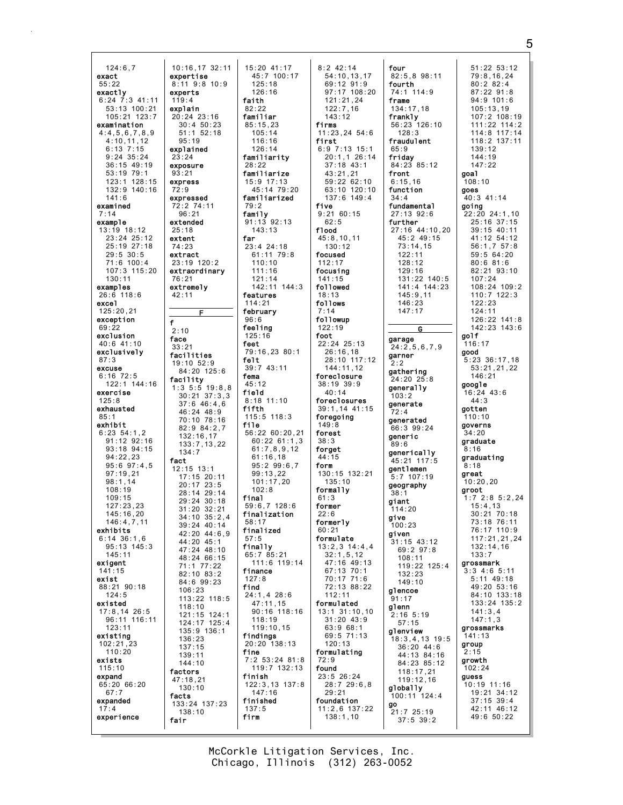$124:6.7$ 10:16.17 32:11 exact expertise  $8:11$  9:8 10.9  $55:22$ exactly experts  $6:24$  7:3 41:11  $119:4$ 53:13 100:21<br>105:21 123:7 explain  $20:24$  23:16 examination  $30:450:23$  $4:4,5,6,7,8,9$  $51:1$   $52:18$  $4:10,11,12$  $95.19$  $6:13$  7:15 explained  $9:24$  35:24  $23:24$  $36:15$  49:19 exposure  $53:19.79:1$  $93:21$ 123:1 128:15 express 132:9 140:16  $72:9$  $141:6$ expressed examined  $72.274.11$  $96:21$  $7:14$ example extended  $13:19$  18:12  $25:18$  $23:24$   $25:12$ extent 25:19 27:18 74:23  $29:5$  30:5 extract 71:6 100:4 23:19 120:2 107:3 115:20 extraordinarv  $130:11$  $76:21$ extremely examples  $26:6$  118:6  $42:11$ excel  $125:20.21$ exception  $f$  $69:22$  $2:10$ exclusion face  $40:6$  41:10  $33:21$ exclusively facilities  $87:3$  $19:10.52:9$ excuse  $84:20$  125:6  $6:16$  72:5 facility 122:1 144:16  $1:3$  5:5 19:8,8<br>30:21 37:3,3 exercise  $125:8$  $37:646:46$ exhausted 46:24 48:9<br>70:10 78:16 85: exhibit 82:9 84:2.7  $6:23$   $54:1.2$ 132:16,17  $91:12$   $92:16$  $133:7.13.22$ 93:18 94:15  $134.7$  $94.22.23$ fact  $95:6.97:4.5$  $12:15$  13:1  $97:19.21$  $17:15$  20:11  $98:1.14$ 20:17 23:5  $108:19$ 28:14 29:14  $109.15$ 29:24 30:18  $127:23.23$  $31:20$   $32:21$  $145:16.20$  $34:10$   $35:2.4$  $146:4.7.11$ 39:24 40:14 exhibits  $42:20$   $44:6.9$  $6:14$  36:1,6 44:20 45:1  $95 \cdot 13 \cdot 145 : 3$ 47:24 48:10  $145:11$ 48:24 66:15 exigent 71:1 77:22  $141 \cdot 15$  $82:10$   $83:2$ exist 84:6 99:23 88:21 90:18  $106:23$  $124:5$ 113:22 118:5 existed  $118:10$  $17:8, 14$  26:5 121:15 124:1 96:11 116:11 124:17 125:4  $123:11$  $135:9$  136:1 existing 136:23  $102:21.23$  $137.15$  $110:20$ 139:11 exists  $144:10$  $115:10$ factors expand  $47:18.21$  $65:20$   $66:20$  $130:10$  $67:7$ facts expanded  $133:24$  137:23  $17:4$  $138:10$ experience fair

E

 $15:20$  41:17 45:7 100:17  $125:18$  $126:16$ faith  $82:22$ familiar  $85:15.23$  $105:14$  $116.16$  $126:14$ familiarity  $28.22$ familiarize 15:9 17:13  $45.1479.20$ familiarized  $70.2$ family  $91:13$   $92:13$  $143:13$ far 23:4 24:18 61:11 79:8  $110:10$  $111:16$  $121:14$ 142:11 144:3 features  $114:21$ february  $96:6$ feeling  $125:16$ feet 79:16,23 80:1 felt  $39:7$  43:11 fema  $45:12$ field  $8:18$  11:10 fifth  $115:5$   $118:3$ file  $56:22$  60:20,21  $60:22$  61:1.3  $61:7,8,9,12$  $61.16$  18  $95:299:6.7$ 99:13.22  $101:17.20$  $102:8$ final  $59:6.7128:6$ finalization  $58.17$ finalized  $57:5$ finally 65:7 85:21 111:6 119:14 finance  $127:8$ find  $24:1, 4$  28:6  $47:11,15$  $90:16$  118:16  $118:19$  $119:10,15$ findings 20:20 138:13 fine  $7:2$  53:24 81:8 119:7 132:13 finish  $122:3,13$   $137:8$  $147:16$ finished  $137:5$ firm

 $8:2$  42:14  $54:10, 13, 17$  $69:12.91:9$ 97:17 108:20  $121:21.24$  $122:7,16$ <br> $143:12$ firms 11:23.24 54:6 first  $6:9$  7:13 15:1 20:1,1 26:14  $37 \cdot 18$   $43 \cdot 1$  $43:21.21$ 59:22 62:10  $63:10.120:10$  $137:6$  149:4 five  $9:2160:15$  $62:5$ f1ood  $45:8,10,11$  $130:12$ focused  $112:17$ focusing  $141:15$ followed  $18:13$ follows followup  $122:19$ foot 22:24 25:13  $26:16,18$ 28:10 117:12  $144:11,12$ foreclosure  $38:19.39:9$  $40:14$ foreclosures 39:1,14 41:15 foregoing  $149:8$ forest  $38:3$ forget  $44.15$ form 130:15 132:21  $135:10$ formally  $61.3$ former  $22:6$ formerly  $60:21$ formulate  $13:2,3$   $14:4.4$  $32:1,5,12$ 47:16 49:13 67:13 70:1  $70:17$  71:6 72:13 88:22  $112:11$ formulated  $13:1$   $31:10,10$  $31:20$  43:9 63:9 68:1  $69.571.13$  $120:13$ formulating  $72:9$ found 23:5 26:24  $28:729:6,8$  $29:21$ foundation  $11:2,6$  137:22  $138:1,10$ 

four 51:22 53:12 82:5.8 98:11 79:8.16.24 fourth  $80:282:4$ 74:1 114:9  $87:22$  91:8  $94:9$  101:6 frame  $134:17.18$  $105:13.19$  $frank1y$ <br>56:23 126:10  $107.2108.19$  $111:22$   $114:2$ 114:8 117:14<br>118:2 137:11  $128.3$ fraudulent  $65:9$  $139:12$ fridav  $144:19$ 84:23 85:12  $147.22$ front goa1  $6:15.16$ 108:10 function goes 40:3 41:14  $34:4$ going<br> $22:20$  24:1,10 fundamental  $27:13.92:6$ further 25:16 37:15 27:16 44:10,20  $39.15 \ 40.11$  $45:249:15$  $41:12$   $54:12$  $73:14,15$  $56:1,757:8$  $122.11$  $59:564:20$  $128:12$  $80:681:6$  $129:16$ 82:21 93:10 131:22 140:5  $107:24$ 141:4 144:23 108:24 109:2  $145:9.11$  $110:7$  122:3  $146:23$  $122:23$  $147:17$  $124:11$ 126:22 141:8  $142:23$   $143:6$ G golf garage  $116:17$  $24:2,5,6,7,9$ good garner  $5:23$  36:17,18  $2.2$ 53:21,21,22 gathering 146:21  $24:20.25:8$ google denerally  $16:24$  43:6  $103.2$  $44:3$ generate aotten  $72.4$  $110:10$ generated governs  $66:399:24$  $34:20$ deneric oraduate  $89.6$  $8:16$ generically graduating 45:21 117:5  $8:18$ gentlemen oreat  $5:7$  107:19  $10:20:20$ geography aroot  $1:7$  2:8 5:2.24 giant  $15:4,13$  $114:20$  $30:21$  70:18 give 73:18 76:11 100:23  $76:10:10:9$ given 117:21,21,24  $31:15$  43:12  $132.14$  16 69:2 97:8  $133:7$  $108.11$ grossmark 119:22 125:4  $3:3$  4:6 5:11  $132:23$  $5:11$  49:18  $149:10$ 49:20 53:16 glencoe  $84:10$  133:18 .<br>91 : 17 133:24 135:2 glenn  $141:3.4$  $2:16$  5:19  $147:1,3$  $57:15$ grossmarks glenview  $141:13$ 18:3,4,13 19:5 group  $36:20, 44:6$  $2:15$ 44:13 84:16 growth 84:23 85:12  $102:24$  $118:17,21$ quess  $119:12.16$ 10:19 11:16 globally 19:21 34:12  $100:11$   $124:4$  $37:15$  39:4  $42:11$   $46:12$ 21:7 25:19 49:6 50:22  $37:5$  39:2

5

McCorkle Litigation Services, Inc. Chicago, Illinois (312) 263-0052

go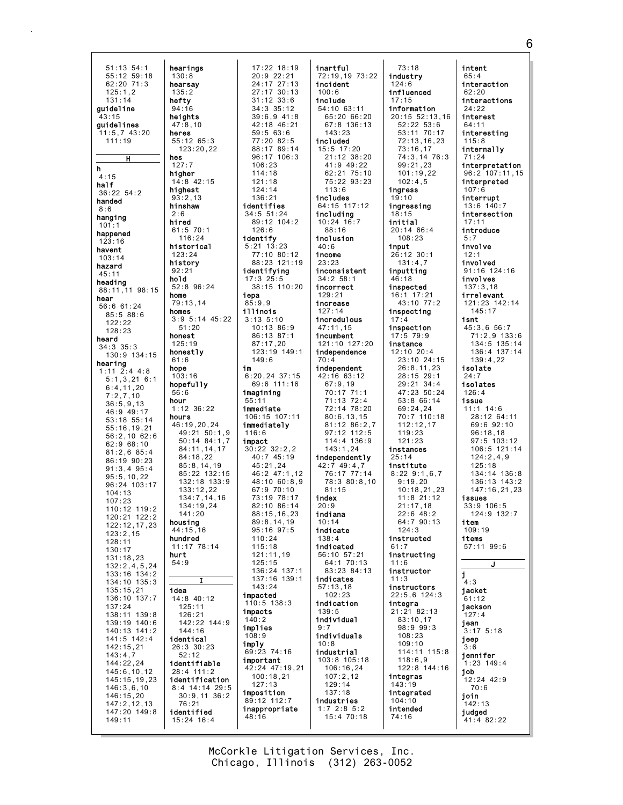hearings 51:13 54:1  $55:12$   $59:18$  $130:8$  $62:20$  71:3 hearsay  $125:1.2$  $135:2$ hefty  $131:14$ guideline  $94:16$  $3.15$ heights guidelines  $47:8.10$ 11:5,7 43:20<br>111:19 heres  $\frac{1}{55}:12$  65:3  $123:20.22$ hes  $\overline{H}$  $127:7$ h higher  $4:15$ 14:8 42:15 half highest  $36:22$   $54:2$  $93:2,13$ handed hinshaw  $8:6$ hanging hired  $101:1$  $61:5$  70:1 happened  $116:24$  $123:16$ historical havent  $123:24$  $103:14$ history hazard  $92:21$  $45:11$ hold heading 52:8 96:24 88:11, 11 98:15 home hear  $79:13,14$  $56.661.24$ homes  $85:588:6$  $3:9$  5:14 45:22  $122:22$  $51:20$  $128:23$ honest heard  $125:19$  $34:3$   $35:3$ honestly  $130:9$   $134:15$  $61:6$ hearing hope  $1:11$  2:4 4:8  $103:16$  $5:1,3,21$  6:1 hopefully  $6:4, 11, 20$ <br> $7:2, 7, 10$  $56:6$ hour  $36:5.9.13$  $1:12$  36:22  $46:9$  49:17 hours 53:18 55:14 46:19.20.24  $55:16.19.21$ 49:21 50:1.9 56:2,10 62:6  $50:14$   $84:1.7$  $62:968:10$ 84:11,14,17  $81:2.6.85:4$  $84.18$  22 86:19 90:23  $85:8.14.19$  $91:3.4$   $95:4$ 85:22 132:15  $95:5.10.22$ 132:18 133:9 96:24 103:17  $133:12.22$  $104:13$  $134.7$  14 16  $107:23$ 134:19.24  $110:12$   $119:2$  $141.20$ 120:21 122:2 housing 122:12,17,23  $44:15.16$  $123:2.15$ hundred  $128:11$  $11 \cdot 17$  78  $\cdot 14$  $130:17$ hurt 131:18,23  $54:9$  $132:2, 4, 5, 24$ 133:16 134:2 134:10 135:3  $135:15,21$ idea 136:10 137:7  $14:8$  40:12  $125:11$  $137:24$ 138:11 139:8 126:21 139:19 140:6 142:22 144:9  $140:13$   $141:2$  $144:16$ 141:5 142:4 identical  $142:15,21$ 26:3 30:23  $143:4,7$  $52:12$ 144:22.24 identifiable  $145:6, 10, 12$ 28:4 111:2 identification 145:15.19.23 8:4 14:14 29:5<br>30:9.11 36:2  $146:3.6.10$ 146:15.20  $147:2.12.13$  $76:21$  $147:20$  149:8 identified  $149:11$  $15:24$  16:4

 $17:22$   $18:19$  $20:9$  22:21  $24:17$   $27:13$  $27:17$  30:13  $31:12$   $33:6$  $34:3$   $35:12$  $39.69 41.8$  $42:18$   $46:21$  $59:563:6$  $77.20.82.5$ 88:17 89:14 96:17 106:3  $106.23$  $114:18$  $121:18$  $124:14$  $136:21$ identifies 34:5 51:24 89:12 104:2  $126.6$ identify  $5:21$   $13:23$ 77:10 80:12 88:23 121:19 identifying  $17:3$   $25:5$ 38:15 110:20 iepa  $85:9,9$ illinois  $3:13$   $5:10$  $10:13.86:9$ 86:13 87:1  $87:17.20$ 123:19 149:1  $149:6$ im  $6:20, 24$  37:15 69:6 111:16 imagining  $55:11$ immediate 106:15 107:11 immediately  $116:6$ impact  $30:22$   $32:2.2$  $40.745.19$  $45:21.24$ 46:2 47:1.12 48:10 60:8.9  $67:970:10$  $73:19$   $78:17$  $82:10.86:14$  $88:15.16.23$  $89:8.14.19$  $95:16$   $97:5$  $110:24$  $115.18$ 121:11,19  $125:15$ 136:24 137:1 137:16 139:1  $143:24$ impacted 110:5 138:3 impacts  $140:2$ implies  $108.9$ imply 69:23 74:16 important 42:24 47:19.21  $100:18,21$  $127:13$ imposition 89:12 112:7 inappropriate  $48:16$ 

inartful 72:19,19 73:22 incident  $100:6$ include  $54:10$  63:11  $65:20$  66:20  $67:8$  136:13  $143.23$ included  $15:5$  17:20 21:12 38:20  $41.949.22$ 62:21 75:10 75:22 93:23  $113.6$ includes 64:15 117:12 including  $10:24$   $16:7$  $88.16$ inclusion  $40:6$ income  $23:23$ inconsistent  $34:2 58:1$ incorrect  $129:21$ increase  $127:14$ incredulous  $47:11,15$ incumbent 121:10 127:20 independence  $70:4$ independent 42:16 63:12  $67:9.19$ 70:17 71:1  $71:13$   $72:4$ 72:14 78:20  $80:6.13.15$ 81:12 86:2,7  $97:12$  112:5  $114:4$  136:9  $143:1.24$ independently 42:7 49:4.7 76:17 77:14 78:3 80:8,10  $81:15$ index  $20:9$ indiana  $10:14$ indicate  $138:4$ indicated 56:10 57:21 64:1 70:13 83:23 84:13 indicates  $57:13.18$  $102:23$ indication  $139.5$ individual  $9:7$ individuals  $10:8$ industrial 103:8 105:18 106:16.24  $107:2,12$  $129:14$  $137:18$ industries  $1:7$  2:8 5:2  $15:4$  70:18

 $73:18$ industry  $124:6$ influenced  $17:15$ information  $20.15$  52.13 16  $52:22.53:6$  $53:11$  70:17  $72:13.16.23$  $73:16.17$ 74:3,14 76:3  $99.21.23$  $101:19.22$  $102:4.5$ ingress  $19:10$ ingressing  $.15$ initial  $20:1466:4$  $108:23$ input 26:12 30:1  $131:4,7$ inputting  $46:18$ inspected 16:1 17:21 43:10 77:2 inspecting  $17:4$ inspection  $17:5$  79:9 instance  $12:10$   $20:4$ 23:10 24:15  $26:8,11,23$  $28:15$  29:1  $29:21 \quad 34:4$ 47:23 50:24  $53:866:14$  $69:24,24$ 70:7 110:18  $112:12.17$  $119:23$  $121:23$ instances  $25.14$ institute  $8:22$  9:1,6,7  $9:19.20$  $10:18.21.23$  $11.8$   $21.12$  $21:17.18$  $22:6$  48:2<br>64:7 90:13  $124.3$ instructed  $61.7$ instructing  $11:6$ instructor  $11:3$ instructors  $22:5,6$  124:3 integra  $21:2182:13$  $83:10,17$ 98:9 99:3  $108.23$  $109:10$ 114:11 115:8  $118:6.9$ 122:8 144:16 integras  $143:19$ integrated  $104:10$ intended  $74:16$ 

intent  $65:4$ interaction  $62:20$ interactions  $24:22$ interest  $64:11$ interesting  $115:8$ internally  $71:24$ interpretation  $96:2$  107:11, 15 interpreted  $107:6$ interrupt  $13:6$   $140:7$ intersection introduce  $5:7$ involve  $12:1$ involved  $91:16$   $124:16$ involves  $137:3.18$ irrelevant 121:23 142:14  $145:17$ isnt  $45:3.6.56:7$  $71:2,9$  133:6 134:5 135:14  $136:4$   $137:14$  $139:4.22$ isolate  $24:7$ isolates  $126:4$ issue  $11:1$  14:6 28:12 64:11  $69:692:10$  $96:18.18$  $97:5 \quad 103:12$  $106:5$  121:14  $124:2.4.9$  $125:18$  $134:14$   $136:8$  $136:13$   $143:2$ 147:16.21.23 issues  $33:9$  106:5 124:9 132:7 item  $109.19$ items  $57.1199.6$ i  $4:3$ jacket  $61:12$ jackson  $127:4$ jean  $3:17$  5:18 ieep  $3.6$ jennifer  $1:23$  149:4 iob 12:24 42:9  $70:6$ join  $142:13$ iudged  $41:4$  82:22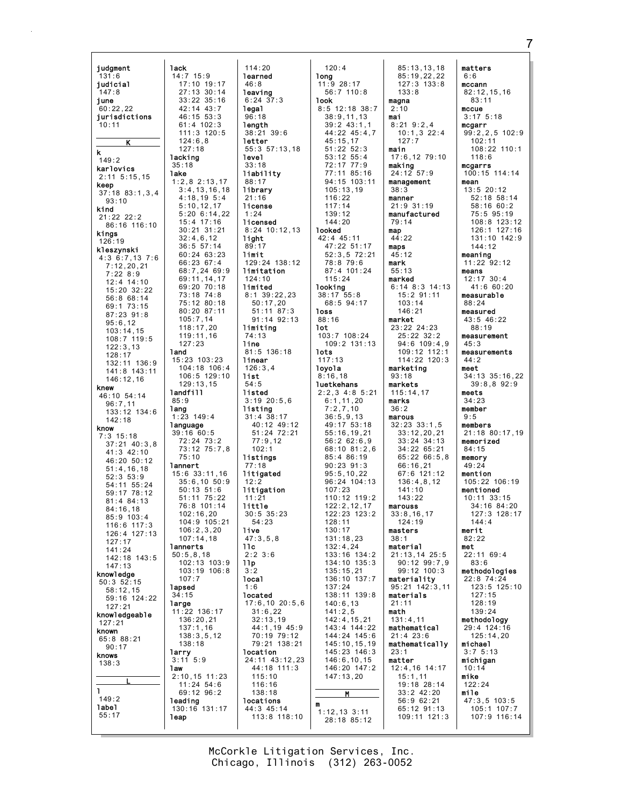judgment **lack**  $14:7$  15:9  $131:6$ judicial 17:10 19:17  $27:13:30:14$  $147:8$  $33:22$   $35:16$ iune  $60:22.22$  $42:14$   $43:7$  $46:15$  53:3 jurisdictions  $61:4$  102:3  $10:11$ 111:3 120:5  $124.6R$ K  $127:18$ k lacking  $149:2$  $35:18$ karlovics **lake**  $2:11 \quad 5:15.15$  $1:2,8$  2:13,17 keep  $3:4, 13, 16, 18$  $37:18$   $83:1.3.4$  $4:18,195:4$  $93:10$  $5:10.12.17$ kind  $5:206:14.22$  $21:22$   $22:2$ 15:4 17:16 86:16 116:10  $30:21$   $31:21$ kings  $32:4,6,12$ 126:19  $36:5$   $57:14$ kleszynski  $60:24$   $63:23$  $4:3$  6:7,13 7:6 66:23 67:4  $7:12.20.21$ 68:7,24 69:9  $7:22.8:9$ 69:11, 14, 17  $12:4$  14:10 69:20 70:18  $15:20$   $32:22$ 73:18 74:8 56:8 68:14 75:12 80:18 69:1 73:15  $80:20.87:11$ 87:23 91:8  $105:7,14$  $95:6.12$  $118:17,20$  $103:14.15$  $119:11,16$  $108:7$  119:5  $127:23$  $122:3.13$ land  $128:17$ 15:23 103:23  $132:11$  136:9 104:18 106:4 141:8 143:11 106:5 129:10  $146:12.16$  $129:13,15$ knew landfill 46:10 54:14  $85:9$  $96:7.11$ lang  $133:12$   $134:6$  $1:23$  149:4  $142.18$ language know  $39:16$  60:5  $7:3$  15:18  $72:24$   $73:2$  $37:21$  40:3.8 73:12 75:7.8  $41:3$  42:10  $75:10$ 46:20 50:12 **lannert**  $51:4.16.18$  $15:6$  33:11.16  $52:3$   $53:9$  $35:6.1050:9$ 54:11 55:24<br>59:17 78:12  $50:13$   $51:6$ <br> $51:11$   $75:22$ 81:4 84:13 76:8 101:14  $84:16.18$  $102:16,20$ 85:9 103:4 104:9 105:21 116:6 117:3  $106:2.3.20$  $126:4$  127:13  $107:14.18$  $127:17$ lannerts 141:24  $50:5, 8, 18$ 142:18 143:5 102:13 103:9  $147:13$  $103:19$   $106:8$ knowledge  $107:7$  $50:3$   $52:15$ lapsed  $58:12,15$  $34:15$ 59:16 124:22 large  $127:21$  $11:22$  136:17 knowledgeable  $136:20,21$  $127:21$  $137:1,16$ known  $138:3.5.12$ 65:8 88:21  $138:18$  $90:17$ larry knows  $3:11$   $5:9$  $138:3$ **law**  $2:10, 15$  11:23  $11:24$  54:6  $\mathbf{I}$  $69:12.96:2$  $149:2$ leading label 130:16 131:17  $55:17$ leap

 $114:20$ learned  $46:8$ leaving  $6:24$  37:3 legal  $96.18$ length  $38:21$  39:6 letter 55:3 57:13.18 level  $33:18$ liability  $88:17$ library  $21:16$ license  $: 24$ licensed  $8:24$  10:12,13 light  $89:17$ limit 129:24 138:12 limitation  $124:10$ limited  $8:1$  39:22,23  $50:17,20$  $51:11$  87:3 91:14 92:13 limiting 74:13 line 81:5 136:18 linear  $126:3,4$ list  $54:5$ listed  $3:19$  20:5.6 listing  $31:4$   $38:17$ 40:12 49:12  $51:24$   $72:21$  $77:9.12$  $102:1$ listings  $77:18$ litigated litigation  $11.21$  $1$ ittle  $30:5$   $35:23$  $54.23$ **live**  $47:3.5.8$  $11c$  $2:2$  3:6  $11p$  $3:2$ **local**  $1:6$ located  $17:6, 10 20:5, 6$  $31:6.22$  $32:13,19$ 44:1,19 45:9 70:19 79:12 79:21 138:21 location 24:11 43:12,23  $44:18$  111:3  $115:10$ 116:16  $138:18$ locations 44:3 45:14 113:8 118:10

 $120:4$ long  $11:9$  28:17  $56:7$  110:8 **look**  $8:5$  12:18 38:7  $38.91113$  $39:2$  43:1.1 44:22 45:4,7  $45:15.17$  $51:22.52:3$ 53:12 55:4<br>72:17 77:9 77:11 85:16 94:15 103:11  $105:13.19$  $116:22$  $117.14$  $139:12$  $144:20$ **looked** 42:4 45:11 47:22 51:17  $52:3.5$   $72:21$  $78:879:6$ 87:4 101:24  $115:24$ looking  $38:17$  55:8 68:5 94:17 **loss**  $88:16$ 1ot  $103:7$   $108:24$  $109:2$  131:13 **lots**  $117:13$ loyola  $8:16,18$ **luetkehans**  $2:2,3$  4:8 5:21  $6:1.11.20$  $7:2,7,10$  $36:5.9.13$ 49:17 53:18  $55:16, 19, 21$  $56:2626.9$ 68:10 81:2.6  $85 \cdot 4 86 \cdot 19$  $90:23.91:3$  $95:5, 10, 22$  $96:24$  104:13  $107:23$ 110:12 119:2  $122:2.12.17$ 122:23 123:2  $128.11$  $130:17$ 131:18,23  $132.121$ 133:16 134:2  $134:10$   $135:3$  $135:15.21$  $136:10$   $137:7$  $137:24$ 138:11 139:8  $140:6, 13$  $141:2.5$  $142:4, 15, 21$ 143:4 144:22 144:24 145:6  $145:10, 15, 19$ 145:23 146:3  $146:6, 10, 15$ 146:20 147:2  $147:13,20$  $\mathbf{M}$  $1:12,13$  3:11  $28:18.85:12$ 

 $85:13,13,18$  $85:19,22,22$  $127:3$  133:8  $133:8$ magna  $2:10$ mai  $8:21$   $9:2$  4  $10:1,3$  22:4  $127.7$ main  $17:6, 12 79:10$ making  $24:12$  57:9 management  $38:3$ manner  $21:9.31 \cdot 19$ manufactured 79:14 map  $44:22$ maps  $45:12$ mark  $55:13$ marked  $6:14$  8:3 14:13  $15:2$   $91:11$  $103:14$  $146:21$ market 23:22 24:23 25:22 32:2  $94:6$  109:4.9 109:12 112:1 114:22 120:3 marketing  $93:18$ markets  $115:14.17$ marks  $36:2$ marous  $32:23$   $33:1.5$  $33:12, 20, 21$  $33:24.34:13$  $34:22$  65:21  $65:2266:5.8$  $66:16.21$ 67:6 121:12<br>136:4,8,12  $141:10$  $143.22$ marouss  $33:8,16,17$  $124.19$ masters  $38:1$ material 21:13,14 25:5  $90:12$   $99:7,9$  $99:12$  100:3 materiality 95:21 142:3,11 materials  $21:11$ math  $131:4,11$ mathematical  $21:4$  23:6 mathematically  $23:1$ matter 12:4,16 14:17  $15:1,11$ 19:18 28:14  $33:2$  42:20 56:9 62:21 65:12 91:13 109:11 121:3

matters  $6:6$  $mccann$  $82:12.15.16$  $83:11$ mccue  $3:17$  5:18 mcgarr  $99:2,2,5$  102:9  $102:11$  $108:22$  110:1  $118:6$ mcgarrs 100:15 114:14 mean  $13:5$  20:12 52:18 58:14  $58.1660.2$  $75:5$  95:19 108:8 123:12<br>126:1 127:16 131:10 142:9 144:12 meaning  $11:22$  92:12 means  $12:17$  30:4  $41:660:20$ measurable  $88:24$ measured 43:5 46:22  $88:19$ measurement  $45:3$ measurements  $44:2$ meet 34:13 35:16,22  $39:8,892:9$ meets  $34:23$ member  $9:5$ members 21:18 80:17,19 memorized  $84:15$ memory  $49:24$ mention  $105:22$  106:19 mentioned  $10.1133.15$  $34:16.84:20$ 127:3 128:17  $144.4$ merit  $82:22$  $met$  $22:11$  69:4  $83:6$ methodologies 22:8 74:24 123:5 125:10  $127:15$ 128:19  $139.24$ methodology 29:4 124:16  $125:14,20$ michael  $3:75:13$ michigan  $10:14$ mike  $122:24$ mile  $47:3.5$  103:5 105:1 107:7 107:9 116:14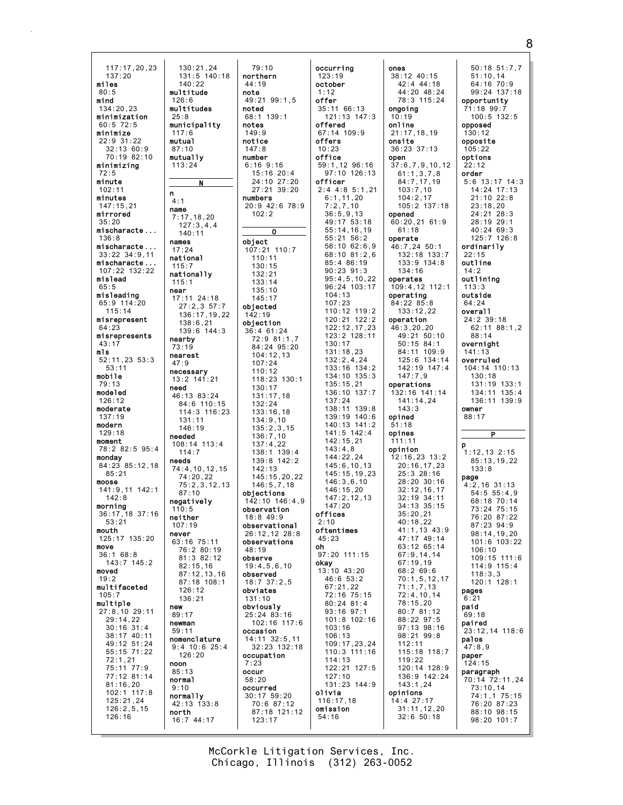117:17,20,23 137:20 miles 80:5 mind 134:20,23 minimization 60:5 72:5 minimize  $22.9$  31.22 32:13 60:9 70:19 82:10 minimizing  $72.5$ minute 102:11 minutes 147:15,21 mirrored 35:20 mischaracte ... 136:8 mischaracte ... 33:22 34:9,11 mischaracte ... 107:22 132:22 mislead 65:5 misleading 65:9 114:20 115:14 misrepresent 64:23 misrepresents 43:17 mls 52:11,23 53:3 53:11 mobile 79:13 modeled 126:12 moderate 137:19 modern 129:18 moment 78:2 82:5 95:4 monday 84:23 85:12,18  $85 \cdot 21$ moose 141:9,11 142:1  $142.8$ morning 36:17,18 37:16 53:21 mouth 125:17 135:20 move 36:1 68:8 143:7 145:2 moved 19:2 multifaceted 105:7 multiple 27:8,10 29:11 29:14,22 30:16 31:4 38:17 40:11 49:12 51:24 55:15 71:22 72:1,21 75:11 77:9 77:12 81:14 81:16,20 102:1 117:8 125:21,24 126:2,5,15 126:16 mutual mutually n name names national near nearby nearest need needs neither never new newman noon normal normally north

126:6

 $25.8$ 

117:6

87:10

113:24

4:1

140:11

17:24

115:7

115:1

73:19

47:9

needed

 $114.7$ 

87:10

 $110:5$ 

107:19

136:21

89:17

59:11

85:13

9:10

N

130:21,24 131:5 140:18 140:22 multitude multitudes municipality 7:17,18,20 127:3,4,4 nationally 17:11 24:18 27:2,3 57:7 136:17,19,22 138:6,21 139:6 144:3 necessary 13:2 141:21 46:13 83:24 84:6 110:15 114:3 116:23 131:11 146:19  $108.14$   $113.4$ 74:4,10,12,15 74:20,22 75:2,3,12,13 negatively 63:16 75:11 76:2 80:19 81:3 82:12 82:15,16 87:12,13,16 87:18 108:1 126:12 nomenclature 9:4 10:6 25:4 126:20 42:13 133:8 16:7 44:17 79:10 northern 44:19 note 49:21 99:1,5 noted 68:1 139:1 notes  $149.9$ notice 147:8 number 6:16 9:16 15:16 20:4 24:10 27:20 27:21 39:20 numbers 20:9 42:6 78:9 102:2 O object 107:21 110:7 110:11 130:15 132:21 133:14 135:10 145:17 objected 142:19 objection 36:4 61:24 72:9 81:1,7 84:24 95:20 104:12,13 107:24 110:12 118:23 130:1 130:17 131:17,18 132:24 133:16,18 134:9,10 135:2,3,15 136:7,10  $137:4.22$ 138:1 139:4 139:8 142:2 142:13 145:15,20,22 146:5,7,18 objections 142:10 146:4,9 observation 18:8 49:9 observational 26:12,12 28:8 observations 48:19 observe 19:4,5,6,10 observed 18:7 37:2,5 obviates 131:10 obviously 25:24 83:16 102:16 117:6 occasion 14:11 32:5,11 32:23 132:18 occupation 7:23 occur 58:20 occurred 30:17 59:20 70:6 87:12 87:18 121:12 123:17

occurring 123:19 october 1:12 offer 35:11 66:13 121:13 147:3 offered 67:14 109:9 offers 10:23 office 59:1,12 96:16 97:10 126:13 officer 2:4 4:8 5:1,21 6:1,11,20 7:2,7,10 36:5,9,13 49:17 53:18 55:14,16,19 55:21 56:2 56:10 62:6,9 68:10 81:2,6 85:4 86:19 90:23 91:3 95:4,5,10,22 96:24 103:17  $104.13$ 107:23 110:12 119:2 120:21 122:2 122:12,17,23 123:2 128:11 130:17 131:18,23 132:2,4,24 133:16 134:2 134:10 135:3 135:15,21 136:10 137:7 137:24 138:11 139:8 139:19 140:6 140:13 141:2 141:5 142:4 142:15,21 143:4,8 144:22,24 145:6,10,13 145:15,19,23 146:3,6,10 146:15,20 147:2,12,13 147:20 offices  $2.10$ oftentimes 45:23 oh 97:20 111:15 **okay**<br>|13:10||43:20 46:6 53:2 67:21,22 72:16 75:15 80:24 81:4 93:16 97:1 101:8 102:16 103:16 106:13 109:17,23,24 110:3 111:16 114:13 122:21 127:5 127:10 131:23 144:9 olivia 116:17,18 omission 54:16

ones 38:12 40:15 42:4 44:18 44:20 48:24 78:3 115:24 ongoing 10:19 online 21:17,18,19 onsite 36:23 37:13 open 37:6,7,9,10,12 61:1,3,7,8 84:7,17,19 103:7,10 104:2,17 105:2 137:18 opened 60:20,21 61:9 61:18 operate 46:7,24 50:1 132:18 133:7 133:9 134:8 134:16 operates 109:4,12 112:1 operating 84:22 85:8 133:12,22 operation 46:3,20,20 49:21 50:10 50:15 84:1 84:11 109:9 125:6 134:14 142:19 147:4 147:7,9 operations 132:16 141:14 141:14,24  $143.3$ opined 51:18 opines 111:11 opinion 12:16,23 13:2 20:16,17,23 25:3 28:16 28:20 30:16 32:12,16,17  $32:19$   $34:11$ 34:13 35:15 35:20,21  $40.18,22$ 41:1,13 43:9 47:17 49:14  $63 \cdot 12 65:14$ 67:9,14,14 67:19,19 68:2 69:6 70:1,5,12,17 71:1,7,13 72:4,10,14 78:15,20 80:7 81:12 88:22 97:5 97:13 98:16 98:21 99:8 112:11 115:18 118:7 119:22 120:14 128:9 136:9 142:24 143:1,24 opinions 14:4 27:17 31:11,12,20 32:6 50:18

50:18 51:7,7 51:10,14 64:16 70:9 99:24 137:18 opportunity 71:18 99:7 100:5 132:5 opposed 130:12 opposite 105:22 options  $22.12$ order 5:6 13:17 14:3 14:24 17:13 21:10 22:8 23:18,20 24:21 28:3 28:19 29:1  $40.24$  69.3 125:7 126:8 ordinarily 22:15 outline 14:2 outlining 113:3 outside 64:24 overall 24:2 39:18 62:11 88:1,2 88:14 overnight 141:13 overruled 104:14 110:13 130:18 131:19 133:1 134:11 135:4 136:11 139:9 owner 88:17 P p 1:12,13 2:15 85:13,19,22 133:8 page 4:2,16 31:13 54:5 55:4,9 68:18 70:14 73:24 75:15 76:20 87:22 87:23 94:9 98:14,19,20 101:6 103:22 106:10 109:15 111:6 114:9 115:4 118:3,3 120:1 128:1 pages 6:21 paid 69:18 paired 23:12,14 118:6 palos 47:8,9 paper 124:15 paragraph 70:14 72:11,24 73:10,14 74:1,1 75:15 76:20 87:23 88:10 98:15 98:20 101:7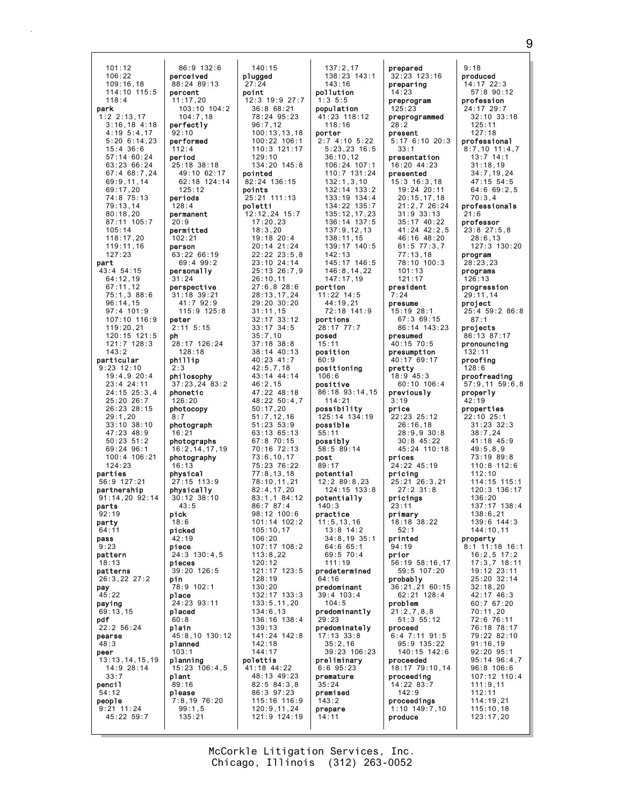| 101:12                          | 86:91                   |
|---------------------------------|-------------------------|
| 106:22                          | perceive                |
| 109:16,18                       | 88:24 89                |
| 114:10<br>115:5                 | percent                 |
| 118:4                           | 11:17,20                |
| park<br>$: 2 \; 2: 13, 17$<br>1 | 103:10<br>104:7,        |
| $3:16,18$ 4:18                  | perfectly               |
| 4:19<br>5:4,17                  | 92:10                   |
| 5:20 6:14,23                    | performe                |
| 15:4<br>36:6                    | 112:4                   |
| 57:14 60:24<br>63:23 66:24      | period                  |
|                                 | 25:18 38                |
| 67:4 68:7,24<br>69:9,11,14      | 49:10<br>62:18          |
| 69:17,20                        | 125:12                  |
| 74:8 75:13                      | periods                 |
| 79:13,14                        | 128:4                   |
| 80:18,20                        | permanen <sup>.</sup>   |
| 87:11 105:7                     | 20:9                    |
| 105:14                          | permitte                |
| 118:17,20<br>119:11,16          | 102:21<br>person        |
| 127:23                          | 63:22 66                |
| part                            | 69:49                   |
| 54:15<br>43:4                   | persona1 <sup>.</sup>   |
| 64:12,19                        | 31:24                   |
| 67:11,12                        | perspect <sup>.</sup>   |
| 75:1,3 88:6                     | 39<br>31:18             |
| 96:14,15<br>97:4 101:9          | 41:79<br>115:9          |
| $107:10$ $116:9$                | peter                   |
| 119:20,21                       | $2:11$ 5:1              |
| 120:15 121:5                    | ph                      |
| 121:7 128:3                     | 28:17<br>12             |
| 143:2                           | 128:18                  |
| particular                      | phillip                 |
| $9:23$ 12:10<br>19:4,9 20:4     | 2:3<br>philosopl        |
| 23:4 24:11                      | 37:23,24                |
| 24:15 25:3,4                    | phonetic                |
| 25:20<br>26:7                   | 126:20                  |
| $26:23$ 28:15                   | photocopy               |
| 29:1,20                         | 8:7                     |
| 33:10<br>38:10<br>47:23 48:9    | photogra                |
| 50:23<br>51:2                   | 16:21<br>photograj      |
| 69:24 96:1                      | 16:2,14,                |
| 100:4 106:21                    | photograj               |
| 124:23                          | 16:13                   |
| parties                         | phvsical                |
| 56:9 127:21                     | 27:15<br>11<br>physical |
| partnership<br>91:14,20 92:14   | 38<br>30:12             |
| parts                           | 43:5                    |
| 92:19                           | pick                    |
| party                           | 18:6                    |
| 64:11                           | picked                  |
| pass<br>9:23                    | 42:19<br>ріесе          |
| pattern                         | 24:3 130                |
| 18:13                           | pieces                  |
| patterns                        | 12<br>39:20             |
| 26:3,22 27:2                    | pin                     |
| pay                             | 78:9 102                |
| 45:22                           | place                   |
| paying                          | 24:23 93                |
| 69:13,15<br>pdf                 | placed<br>60:8          |
| 22:2 56:24                      | plain                   |
| pearse                          | 45:8,10                 |
| 48:3                            | planned                 |
| peer                            | 103:1                   |
| 13:13,14,15,19                  | planning                |
| 14:9 28:14<br>33:7              | 15:23<br>10<br>plant    |
| pencil                          | 89:16                   |
| 54:12                           | please                  |
| people                          | 7:8,197                 |
| $9:21$ 11:24                    | 99:1,5                  |
| 45:22 59:7                      | 135:21                  |
|                                 |                         |

86:9 132:6 perceived 88:24 89:13 11:17,20 103:10 104:2  $104.7,18$ erfectly performed 25:18 38:18 49:10 62:17 62:18 124:14 125:12 permanent permitted 63:22 66:19 69:4 99:2 personally erspective 31:18 39:21 41:7 92:9 115:9 125:8 2:11 5:15 28:17 126:24 128:18 philosophy 37:23,24 83:2 hotocopy hotograph hotographs 16:2,14,17,19 hotography 27:15 113:9 physically 30:12 38:10 24:3 130:4,5 39:20 126:5 78:9 102:1 24:23 93:11 45:8,10 130:12 15:23 106:4,5 7:8,19 76:20 99:1,5 140:15 plugged  $27 \cdot 24$ point 12:3 19:9 27:7 36:8 68:21 78:24 95:23 96:7,12 100:13,13,18 100:22 106:1 110:3 121:17 129:10 134:20 145:8 pointed 82:24 136:15 points 25:21 111:13 poletti 12:12,24 15:7 17:20,23 18:3,20 19:18 20:4 20:14 21:24 22:22 23:5,8 23:10 24:14 25:13 26:7,9 26:10,11 27:6,8 28:6 28:13,17,24 29:20 30:20 31:11,15 32:17 33:12 33:17 34:5 35:7,10 37:18 38:8 38:14 40:13 40:23 41:7 42:5,7,18 43:14 44:14 46:2,15 47:22 48:18 48:22 50:4,7 50:17,20 51:7,12,16 51:23 53:9 63:13 65:13 67:8 70:15 70:16 72:13 73:6,10,17 75:23 76:22 77:8,13,18 78:10,11,21 82:4,17,20  $83 \cdot 1$ , 1,  $84 \cdot 12$ 86:7 87:4 98:12 100:6 101:14 102:2 105:10,17 106:20 107:17 108:2 113:8,22 120:12 121:17 123:5 128:19 130:20 132:17 133:3 133:5,11,20 134:6,13 136:16 138:4 139:13 141:24 142:8 142:18 144:17 polettis 41:18 44:22 48:13 49:23 82:5 84:3,8 86:3 97:23 115:16 116:9 120:9,11,24 121:9 124:19

137:2,17 138:23 143:1 143:16 pollution 1:3 5:5 population 41:23 118:12 118:16 porter  $2.74 \cdot 10.5 \cdot 22$ 5:23,23 16:5 36:10,12 106:24 107:1 110:7 131:24 132:1,3,10 132:14 133:2 133:19 134:4 134:22 135:7 135:12,17,23 136:14 137:5 137:9,12,13 138:11,15 139:17 140:5 142:13 145:17 146:5 146:8,14,22 147:17,19 portion 11:22 14:5 44:19,21 72:18 141:9 portions 28:17 77:7 posed 15:11 position 60:9 positioning 106:6 positive 86:18 93:14,15 114:21 possibility 125:14 134:19 possible 55:11 possibly 58:5 89:14 post 89:17 potential 12:2 89:8,23 124:15 133:8 potentially 140:3 practice 11:5,13,16 13:8 14:2 34:8,19 35:1  $64:6$   $65:1$ 69:5 70:4 111:19 predetermined 64:16 predominant 39:4 103:4 104:5 predominantly 29:23 predominately 17:13 33:8 35:2,16 39:23 106:23 preliminary 6:6 95:23 premature 35:24 premised 143:2 prepare 14:11

prepared 32:23 123:16 preparing 14:23 preprogram 125:23 preprogrammed 28:2 present 5:17 6:10 20:3 33:1 presentation 16:20 44:23 presented 15:3 16:3,18 19:24 20:11 20:15,17,18 21:2,7 26:24 31:9 33:13 35:17 40:22 41:24 42:2,5 46:16 48:20 61:5 77:3,7 77:13,18 78:10 100:3 101:13 121:17 president 7:24 presume 15:19 28:1 67:3 69:15 86:14 143:23 presumed 40:15 70:5 presumption 40:17 69:17 pretty 18:9 45:3 60:10 106:4 previously 3:19 price 22:23 25:12 26:16,18 28:9,9 30:8 30:8 45:22 45:24 110:18 prices 24:22 45:19 pricing 25:21 26:3,21 27:2 31:8 pricings 23:11 primary 18:18 38:22  $52.1$ printed  $94.19$ prior 56:19 58:16,17 59:5 107:20 probably 36:21,21 60:15 62:21 128:4 problem 21:2,7,8,8 51:3 55:12 proceed 6:4 7:11 91:5 95:9 135:22 140:15 142:6 proceeded 18:17 79:10,14 proceeding 14:22 83:7 142:9 proceedings 1:10 149:7,10 produce

9:18 produced 14:17 22:3 57:8 90:12 profession 24:17 29:7  $32:10$  33:18 125:11 127:18 professional 8:7,10 11:4,7 13:7 14:1 31:18,19 34:7,19,24 47:15 54:5 64:6 69:2,5 70:3,4 professionals 21:6 professor 23:8 27:5,8 28:6,13 127:3 130:20 program 28:23,23 programs 126:13 progression 29:11,14 project 25:4 59:2 86:8 87:1 projects 86:13 87:17 pronouncing 132:11 proofing  $128.6$ proofreading 57:9,11 59:6,8 properly  $42:19$ properties 22:10 25:1 31:23 32:3 38:7,24 41:18 45:9 49:5,8,9 73:19 89:8 110:8 112:6 112:10 114:15 115:1 120:3 136:17 136:20 137:17 138:4 138:6,21 139:6 144:3 144:10,11 property 8:1 11:18 16:1 16:2,5 17:2 17:3,7 18:11 19:12 23:11 25:20 32:14 32:18,20 42:17 46:3 60:7 67:20 70:11,20 72:6 76:11 76:18 78:17 79:22 82:10 91:16,19 92:20 95:1 95:14 96:4,7 96:8 106:6 107:12 110:4 111:9,11 112:11 114:19,21 115:10,18 123:17,20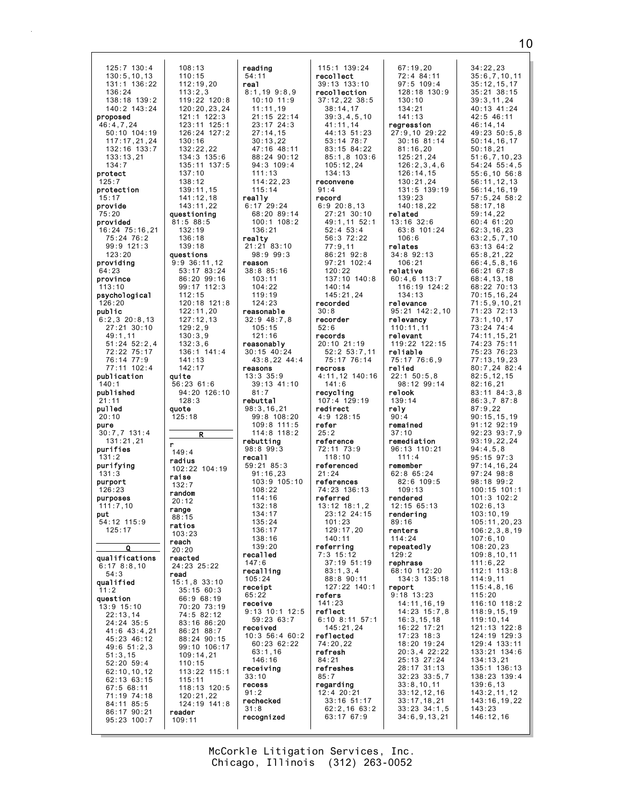125:7 130:4  $108:13$  $130:5.10.13$  $110:15$  $131:1$   $136:22$  $112:19.20$  $136:24$  $113:2.3$  $138:18$  139:2 119:22 120:8  $140:2$   $143:24$ 120:20.23.24  $121 \cdot 1 \cdot 122 \cdot 3$ proposed  $123:11$   $125:1$ 46:4,7,24 50:10 104:19<br>117:17,21,24 126:24 127:2  $130 \cdot 16$  $132:22.22$  $132:16$   $133:7$ 134:3 135:6<br>135:11 137:5  $133:13.21$  $134:7$ protect  $137:10$  $125:7$  $138:12$ protection 139:11.15  $141:12,18$  $15:17$ provide  $143:11.22$ questioning 75:20 provided  $81:5 88:5$ 16:24 75:16.21  $132.19$  $75:24$  76:2  $136:18$ 99:9 121:3 139:18  $123 \cdot 20$ questions providing  $9:9$  36:11,12 53:17 83:24 64:23 86:20 99:16 province 99:17 112:3  $113:10$ psychological  $112.15$ 120:18 121:8  $126:20$ public  $122:11,20$  $6:2,3$  20:8,13  $127:12,13$  $27:21$  30:10  $129:2.9$ 49:1,11  $130:3,9$  $51:24$   $52:2.4$  $132:3.6$ 72:22 75:17 136:1 141:4 76:14 77:9  $141:13$  $77:11$  102:4  $142:17$ publication quite  $56:2361:6$  $140 \cdot 1$ published 94:20 126:10  $128:3$  $21:11$ pulled quote  $125:18$  $20:10$ pure  $30:7.7$  131:4  $131:21.21$ 'n purifies  $149:4$  $131.2$ radius purifying 102:22 104:19  $131:3$ raise purport  $132:7$  $126:23$ random purposes  $20:12$  $111:7.10$ range put  $88:15$  $54.12$  115.9 ratios  $125:17$  $103:23$ reach  $\overline{0}$  $20:20$ qualifications reacted 24:23 25:22  $6:178:8.10$  $54:3$ read qualified 15:1,8 33:10  $35:1560:3$  $11:2$ 66:9 68:19 question 70:20 73:19 13:9 15:10  $22:13,14$ 74:5 82:12  $24:24^{6}35:5$ 83:16 86:20  $41:6$   $43:4,21$ 86:21 88:7 45:23 46:12 88:24 90:15  $49:651:2,3$ 99:10 106:17  $109:14,21$  $51:3.15$  $52:20$   $59:4$  $110:15$  $62:10, 10, 12$ 113:22 115:1 62:13 63:15  $115:11$  $67:568:11$  $118:13$   $120:5$ 71:19 74:18  $120:21.22$ 84:11 85:5  $124:19.141:8$  $86:17$  90:21 reader  $95:23:100:7$  $109:11$ 

 $\overline{\mathbf{R}}$ 

reading  $54:11$ real  $8:1.199:8.9$  $10:10$  11:9  $11:11,19$  $21 \cdot 15 \cdot 22 \cdot 14$  $23:17$   $24:3$  $27:14.15$  $30:13.22$  $47:16$   $48:11$ 88:24 90:12  $94:3$  109:4  $111:13$  $114:22.23$  $115:14$ really  $6:17$  29:24 68:20 89:14  $100:1$   $108:2$  $136.21$ realty  $21:21$  83:10  $98:999:3$ reason 38:8 85:16  $103:11$  $104:22$  $119.19$  $124:23$ reasonable  $32:9$  48:7,8  $105:15$  $121:16$ reasonably  $30:15$  40:24 43:8,22 44:4 reasons  $13:3$   $35:9$  $39:13$  41:10  $81:7$ rebuttal  $98:3,16,21$  $99:8 108:20$ 109:8 111:5<br>114:8 118:2 rebutting  $98:899:3$ recal1  $59:21.85:3$  $91:16,23$ <br> $103:9$   $105:10$  $108:22$  $114.16$  $132:18$  $134:17$  $135.24$  $136:17$ 138:16  $130.20$ recalled  $147:6$ recalling  $105:24$ receipt  $65:22$ receive  $9:13$  10:1 12:5  $59:23.63:7$ received  $10:3$  56:4 60:2 60:23 62:22  $63:1,16$  $146:16$ receiving  $33:10$ recess  $91:2$ rechecked  $31:8$ recognized

 $115:1$  139:24 recollect 39:13 133:10 recollection 37:12.22 38:5  $38:14.17$  $39.34510$  $41:11.14$ 44:13 51:23  $53.14$  78.7  $83:15$   $84:22$ 85:1,8 103:6  $105:12.24$  $134:13$ reconvene  $91:4$ record  $6:920:8,13$ 27:21 30:10 49:1,11 52:1  $52:4$   $53:4$ 56:3 72:22  $77:9,11$ 86:21 92:8  $97:21$  102:4  $120:22$ 137:10 140:8  $140:14$  $145:21,24$ recorded  $30:8$ recorder  $52:6$ records  $20:10$  21:19  $52:2$   $53:7,11$ 75:17 76:14 recross  $4:11,12$  140:16  $141:6$ recycling  $107:4$  129:19 redirect  $4:9$  128:15 refer  $25:2$ reference 72:11 73:9  $118:10$ referenced  $21.24$ references 74:23 136:13 referred  $13:12$   $18:1.2$ 23:12 24:15  $101.23$  $129:17.20$  $140:11$ referring  $7:3$  15:12 37:19 51:19  $83:1,3,4$  $88:8.90:11$ 127:22 140:1 refers  $141:23$ reflect  $6:10$  8:11 57:1  $145:21,24$ reflected 74:20.22 refresh  $84:21$ refreshes  $85:7$ regarding  $12:4$  20:21 33:16 51:17  $62:2,1663:2$ 63:17 67:9

 $67:19.20$  $72:4$  84:11  $97:5$  109:4  $128:18$   $130:9$  $130:10$  $134:21$  $141 \cdot 13$ regression 27:9,10 29:22  $30.16$   $81.14$  $81:16.20$ 125:21,24  $126:2.3.4.6$  $126:14.15$ 130:21,24 131:5 139:19  $139:23$  $140:18.22$ related  $13:16$   $32:6$ 63:8 101:24  $106:6$ relates  $34:8$  92:13  $106:21$ relative  $60:4,6$  113:7 116:19 124:2  $134.13$ relevance 95:21 142:2,10 relevancy  $110:11,11$ relevant 119:22 122:15 reliable 75:17 76:6.9 relied  $22:1$  50:5,8 98:12 99:14 relook  $139:14$ relv  $90:4$ remained  $37:10$ remediation  $96:13$  110:21  $111 \cdot 4$ remember 62:8 65:24  $82:6$  109:5  $109:13$ rendered  $12:15.65:13$ rendering  $89:16$ renters 114:24 repeatedly  $129:2$ rephrase 68:10 112:20 134:3 135:18 report  $9:18$  13:23 14:11,16,19  $14:23$   $15:7.8$  $16:3, 15, 18$ 16:22 17:21  $17:23$  18:3 18:20 19:24 20:3,4 22:22  $25:13$  27:24 28:17 31:13  $32:23$   $33:5,7$  $33:8.10.11$  $33:12,12,16$  $33:17, 18, 21$  $33:23$  34:1,5  $34:6,9,13,21$ 146:12.16

 $34:22,23$  $35:6, 7, 10, 11$  $35:12.15.17$  $35:21$   $38:15$  $39:3.11.24$  $40:13$   $41:24$  $42.546.11$  $46:14.14$ 49:23 50:5.8  $50:14.16.17$  $50:18.21$  $51:6, 7, 10, 23$  $54:24$   $55:4.5$  $55:6, 10, 56:8$  $56:11, 12, 13$  $56:14.16.19$  $57:5, 24$   $58:2$  $58:17.18$  $59:14.22$  $60:4$  61:20  $62:3, 16, 23$  $63:2,5,7,10$ 63:13 64:2  $65:8,21,22$  $66:4,5,8,16$ 66:21 67:8  $68:4, 13, 18$ 68:22 70:13  $70:15, 16, 24$  $71:5, 9, 10, 21$ 71:23 72:13  $73:1, 10, 17$ 73:24 74:4 74:11,15,21 74:23 75:11 75:23 76:23  $77:13.19.23$  $80:7,24$  82:4  $82:5.12.15$  $82:16.21$  $83:11$   $84:3,8$ 86:3.7 87:8  $87:9,22$  $90:15.15.19$  $91:12$   $92:19$  $92:23$   $93:7.9$  $93:19.22.24$  $94:4.5.8$  $95.15.97.3$  $97:14.16.24$  $97:24$   $98:8$  $98.1899.2$  $100:15$  101:1  $101:3$   $102:2$  $102:6.13$  $103:10,19$  $105:11.20.23$  $106:2.3.8.19$  $107:6, 10$  $108.20.23$  $109:8, 10, 11$  $111:6,22$  $112:1$   $113:8$  $114:9,11$  $115:4,8,16$  $115:20$ 116:10 118:2 118:9,15,19  $119:10,14$ 121:13 122:8 124:19 129:3 129:4 133:11  $133:21$   $134:6$  $134:13.21$ 135:1 136:13 138:23 139:4  $139:6.13$  $143:2,11,12$ 143:16,19,22  $143:23$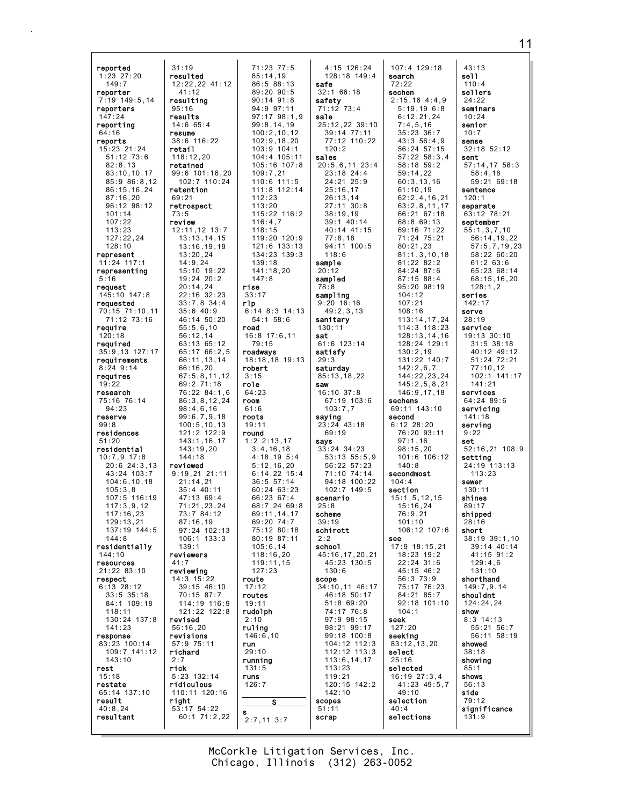| reported                      | 31:19                       | 71:23 77:5                     | 4:15 126:24                     | 107:4 129:18                 | 43:13                            |
|-------------------------------|-----------------------------|--------------------------------|---------------------------------|------------------------------|----------------------------------|
| $1:23$ 27:20                  | resulted                    | 85:14,19                       | 128:18 149:4                    | search                       | se11                             |
| 149:7                         | 12:22,22 41:12              | 86:588:13                      | safe                            | 72:22                        | 110:4                            |
| reporter                      | 41:12                       | 89:20 90:5                     | 32:166:18                       | sechen                       | sellers                          |
| 7:19 149:5,14                 | resulting                   | $90:14$ $91:8$                 | safety                          | $2:15,16$ 4:4,9              | 24:22                            |
| reporters                     | 95:16                       | 94:9 97:11                     | 71:12 73:4                      | 5:19,196::8                  | seminars                         |
| 147:24                        | results                     | $97:17$ $98:1,9$               | sale                            | 6:12,21,24                   | 10:24                            |
| reporting                     | 14:665:4                    | 99:8,14,19                     | 25:12,22 39:10                  | 7:4,5,16                     | senior<br>10:7                   |
| 64:16<br>reports              | resume<br>38:6 116:22       | 100:2, 10, 12<br>102:9, 18, 20 | $39:14$ $77:11$<br>77:12 110:22 | $35:23$ $36:7$<br>43:356:4.9 | sense                            |
| 15:23 21:24                   | retail                      | 103:9 104:1                    | 120:2                           | 56:24 57:15                  | $32:18$ $52:12$                  |
| $51:12$ $73:6$                | 118:12,20                   | 104:4 105:11                   | sales                           | $57:22$ $58:3,4$             | sent                             |
| 82:8,13                       | retained                    | $105:16$ $107:8$               | $20:5,6,11$ 23:4                | 58:18 59:2                   | $57:14,17$ $58:3$                |
| 83:10, 10, 17                 | 99:6 101:16,20              | 109:7,21                       | $23:18$ 24:4                    | 59:14,22                     | 58:4,18                          |
| 85:986:8,12                   | 102:7 110:24                | $110:6$ 111:5                  | 24:21 25:9                      | 60:3,13,16                   | 59:21 69:18                      |
| 86:15,16,24                   | retention                   | 111:8 112:14                   | 25:16,17                        | 61:10,19                     | sentence                         |
| 87:16,20                      | 69:21                       | 112:23                         | 26:13,14                        | 62:2,4,16,21                 | 120:1                            |
| $96:12$ $98:12$               | retrospect                  | 113:20                         | 27:11 30:8                      | 63:2,8,11,17                 | separate                         |
| 101:14<br>107:22              | 73:5                        | 115:22 116:2                   | 38:19.19                        | 66:21 67:18<br>68:8 69:13    | 63:12 78:21                      |
| 113:23                        | review<br>$12:11,12$ 13:7   | 116:4,7<br>118:15              | $39:1$ 40:14<br>40:14 41:15     | 69:16 71:22                  | september<br>55:1,3,7,10         |
| 127:22,24                     | 13:13,14,15                 | 119:20 120:9                   | 77:8,18                         | 71:24 75:21                  | 56:14,19,22                      |
| 128:10                        | 13:16,19,19                 | $121:6$ $133:13$               | 94:11 100:5                     | 80:21,23                     | 57:5,7,19,23                     |
| represent                     | 13:20,24                    | 134:23 139:3                   | 118:6                           | 81:1,3,10,18                 | 58:22 60:20                      |
| $11:24$ 117:1                 | 14:9.24                     | 139:18                         | sample                          | 81:22 82:2                   | 61:263:6                         |
| representing                  | 15:10 19:22                 | 141:18,20                      | 20:12                           | 84:24 87:6                   | 65:23 68:14                      |
| 5:16                          | 19:24 20:2                  | 147:8                          | sampled                         | 87:15 88:4                   | 68:15,16,20                      |
| request                       | 20:14,24                    | rise                           | 78:8                            | $95:20$ $98:19$              | 128:1,2                          |
| 145:10 147:8                  | 22:16 32:23                 | 33:17                          | sampling                        | 104:12                       | series                           |
| requested                     | $33:7,8$ $34:4$<br>35:640:9 | rlp<br>$6:14$ 8:3 14:13        | $9:20$ 16:16                    | 107:21<br>108:16             | 142:17<br>serve                  |
| 70:15 71:10,11<br>71:12 73:16 | 46:14 50:20                 | $54:1$ $58:6$                  | 49:2,3,13<br>sanitary           | 113:14,17,24                 | 28:19                            |
| reguire                       | 55:5.6.10                   | road                           | 130:11                          | 114:3 118:23                 | service                          |
| 120:18                        | 56:12,14                    | $16:8$ 17:6,11                 | sat                             | 128:13,14,16                 | $19:13$ $30:10$                  |
| reauired                      | 63:13 65:12                 | 79:15                          | 61:6 123:14                     | 128:24 129:1                 | $31:5$ $38:18$                   |
| $35:9,13$ 127:17              | 65:17 66:2,5                | roadways                       | satisfy                         | 130:2,19                     | 40:12 49:12                      |
| requirements                  | 66:11,13,14                 | 18:18,18 19:13                 | 29:3                            | 131:22 140:7                 | 51:24 72:21                      |
| $8:24$ 9:14                   | 66:16,20                    | robert                         | saturday                        | 142:2,6,7                    | 77:10,12                         |
| requires                      | 67:5,8,11,12                | 3:15                           | 85:13,18,22                     | 144:22,23,24                 | 102:1 141:17                     |
| 19:22                         | 69:2 71:18                  | role                           | saw                             | 145:2,5,8,21                 | 141:21                           |
| research<br>75:16 76:14       | 76:22 84:1,6                | 64:23<br>room                  | $16:10$ 37:8<br>67:19 103:6     | 146:9,17,18<br>sechens       | services<br>$64:24$ 89:6         |
| 94:23                         | 86:3,8,12,24<br>98:4,6,16   | 61:6                           | 103:7,7                         | 69:11 143:10                 | servicing                        |
| reserve                       | 99:6,7,9,18                 | roots                          | saying                          | second                       | 141:18                           |
| 99:8                          | 100:5, 10, 13               | 19:11                          | $23:24$ 43:18                   | $6:12$ 28:20                 | serving                          |
| residences                    | 121:2 122:9                 | round                          | 69:19                           | 76:20 93:11                  | 9:22                             |
| 51:20                         | 143:1, 16, 17               | $1:2$ 2:13,17                  | says                            | 97:1,16                      | set                              |
| residential                   | 143:19,20                   | 3:4,16,18                      | $33:24$ $34:23$                 | 98:15,20                     | 52:16,21 108:9                   |
| $10:7,9$ 17:8                 | 144:18                      | 4:18,19.5:4                    | $53:13$ $55:5,9$                | 101:6 106:12                 | setting                          |
| $20:6$ 24:3,13                | reviewed                    | 5:12,16,20                     | $56:22$ $57:23$                 | 140:8                        | 24:19 113:13                     |
| 43:24 103:7<br>104:6, 10, 18  | $9:19,21$ 21:11<br>21:14,21 | $6:14,22$ 15:4<br>$36:5$ 57:14 | 71:10 74:14<br>94:18 100:22     | secondmost<br>104:4          | 113:23<br>sewer                  |
| 105:3,8                       | 35:440:11                   | $60:24$ 63:23                  | 102:7 149:5                     | section                      | 130:11                           |
| 107:5 116:19                  | 47:13 69:4                  | 66:23 67:4                     | scenario                        | 15:1, 5, 12, 15              | shines                           |
| 117:3,9,12                    | 71:21,23,24                 | 68:7,24 69:8                   | 25:8                            | 15:16,24                     | 89:17                            |
| 117:16,23                     | 73:7 84:12                  | 69:11,14,17                    | scheme                          | 76:9,21                      | shipped                          |
| 129:13,21                     | 87:16,19                    | 69:20 74:7                     | 39:19                           | 101:10                       | 28:16                            |
| 137:19 144:5                  | 97:24 102:13                | 75:12 80:18                    | schirott                        | 106:12 107:6                 | short                            |
| 144:8<br>residentially        | $106:1$ $133:3$<br>139:1    | 80:19 87:11<br>105:6,14        | 2:2<br>schoo1                   | see<br>17:9 18:15.21         | $38:19$ $39:1,10$<br>39:14 40:14 |
| 144:10                        | reviewers                   | 118:16,20                      | 45:16,17,20,21                  | $18:23$ $19:2$               | 41:15 91:2                       |
| resources                     | 41:7                        | 119:11,15                      | 45:23 130:5                     | 22:24 31:6                   | 129:4,6                          |
| 21:2283:10                    | reviewing                   | 127:23                         | 130:6                           | 45:15 46:2                   | 131:10                           |
| respect                       | 14:3 15:22                  | route                          | scope                           | 56:3 73:9                    | shorthand                        |
| $6:13$ 28:12                  | $39:15$ 46:10               | 17:12                          | 34:10,11 46:17                  | 75:17 76:23                  | 149:7,9,14                       |
| $33:5$ $35:18$                | 70:15 87:7                  | routes                         | 46:18 50:17                     | 84:21 85:7                   | shouldnt                         |
| 84:1 109:18                   | 114:19 116:9                | 19:11                          | $51:8$ 69:20                    | $92:18$ 101:10               | 124:24,24                        |
| 118:11                        | $121:22$ $122:8$            | rudolph                        | 74:17 76:8                      | 104:1                        | show                             |
| 130:24 137:8                  | revised                     | 2:10                           | $97:9$ $98:15$                  | seek                         | $8:3$ 14:13                      |
| 141:23<br>response            | 56:16,20<br>revisions       | ruling<br>146:6,10             | 98:21 99:17<br>99:18 100:8      | 127:20<br>seeking            | 55:21 56:7<br>$56:11$ $58:19$    |
| 83:23 100:14                  | 57:9 75:11                  | run                            | 104:12 112:3                    | 83:12,13,20                  | showed                           |
| 109:7 141:12                  | richard                     | 29:10                          | $112:12$ $113:3$                | select                       | 38:18                            |
| 143:10                        | 2:7                         | running                        | 113:6, 14, 17                   | 25:16                        | showing                          |
| rest                          | rick                        | 131:5                          | 113:23                          | selected                     | 85:1                             |
| 15:18                         | $5:23$ 132:14               | runs                           | 119:21                          | $16:19$ $27:3,4$             | shows                            |
| restate                       | ridiculous                  | 126:7                          | 120:15 142:2                    | 41:23 49:5,7                 | 56:13                            |
| 65:14 137:10                  | 110:11 120:16               |                                | 142:10                          | 49:10                        | side                             |
| result<br>40:8,24             | right<br>53:17 54:22        | s                              | scopes<br>51:11                 | selection<br>40:4            | 79:12<br>significance            |
| resultant                     | $60:1$ 71:2,22              | s                              | scrap                           | selections                   | 131:9                            |
|                               |                             | $2:7,11$ 3:7                   |                                 |                              |                                  |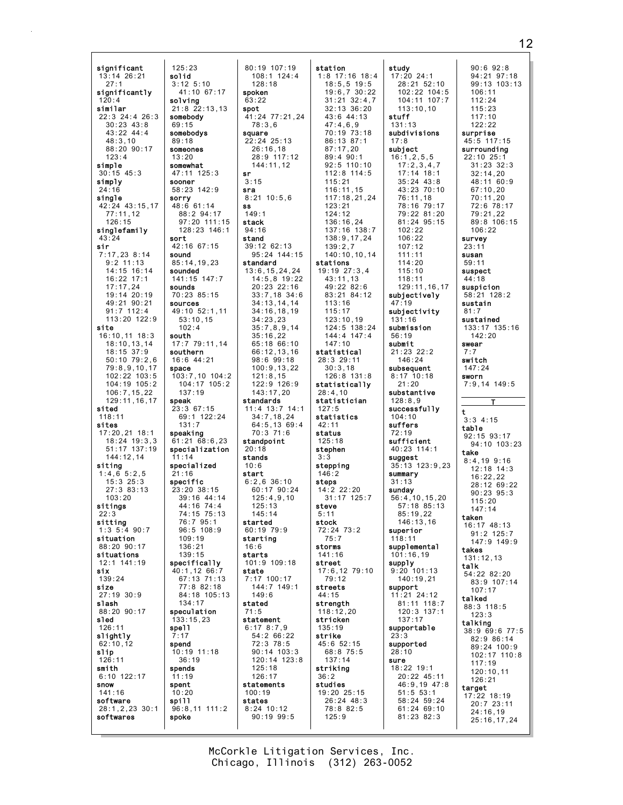significant  $125:23$  $13:14$   $26:21$ hifoa  $3:12$  5:10  $27:1$  $41:10$  67:17 sionificantly solving  $120:4$ similar  $21:8$  22:13.13  $22:3$  24:4 26:3 somebody  $30:23.43:8$  $69:15$  $43:22$   $44:4$ somebodys  $48:3.10$  $89.18$ 88:20 90:17 someones  $123:4$  $13:20$ simple somewhat  $30:15$  45:3 47:11 125:3 simply sooner 58:23 142:9  $24:16$ single sorry  $48:661:14$ 42:24 43:15.17  $77:11.12$ 88:2 94:17  $126:15$ singlefamily  $43:24$ sort sir 42:16 67:15  $7:17,23$  8:14 sound  $9:2$  11:13  $85:14, 19, 23$ 14:15 16:14 sounded  $16:22$  17:1 141:15 147:7 sounds  $17:17,24$  $19.14720.19$ 70:23 85:15 49:21 90:21 sources  $91:7$  112:4 49:10 52:1,11 113:20 122:9  $53:10,15$ site  $102:4$  $16:10, 11$  18:3 south  $18:10, 13, 14$ 17:7 79:11.14  $18:15$  37:9 southern 16:6 44:21  $50:10$   $79:2.6$ 79:8,9,10,17 space 102:22 103:5 103:7,10 104:2 104:19 105:2  $106:7, 15, 22$  $137:19$  $129:11.16.17$ speak sited  $23:367:15$ 69:1 122:24  $118:11$ sites  $131:7$  $17:20,21$  18:1 speaking  $18:24$  19:3.3  $61:21$   $68:6,23$  $51:17$   $137:19$  $\frac{1}{2}$  specialization  $144:12.14$  $11.14$ specialized siting  $1:4,6.5:2,5$  $21:16$ specific  $15:3$   $25:3$  $27:3.83:13$  $23:20.38:15$  $103.20$  $39.16$   $44.14$ sitings  $44:16$  74:4  $22.3$ 74:15 75:13 76:7 95:1 sitting  $1:3\ 5:4\ 90:7$  $96:5 108:9$ situation  $109:19$  $88.2090.17$  $136.21$ situations  $139:15$ 12:1 141:19 specifically six 40:1,12 66:7 139:24 67:13 71:13 77:8 82:18 size  $27:19$  30:9 slash 134:17 88:20 90:17 speculation  $133:15,23$ sled 126:11 spell slightly  $62:10.12$ spend slip 10:19 11:18  $126:11$  $36:19$ smith spends  $6:10$  122:17  $11:19$ snow spent  $141:16$  $10:20$ software spill  $28:1, 2, 23$  30:1 96:8,11 111:2 softwares spoke

80:19 107:19  $108:1$  124:4  $128:18$ spoken  $63:22$ spot  $41:24$   $77:21.24$  $78:3.6$ square  $22:24$   $25:13$  $26:16.18$ 28:9 117:12 144:11.12 sr  $3:15$ sra  $8:21$  10:5,6 ss  $149:1$ 97:20 111:15 stack  $128:23$   $146:1$  $94:16$ stand 39:12 62:13 95:24 144:15 standard  $13:6, 15, 24, 24$  $14:5,8$  19:22 20:23 22:16  $33:7,18$  34:6  $34:13,14,14$  $34:16, 18, 19$  $34:23.23$  $35:7,8,9,14$  $35:16,22$  $65:1866:10$  $66:12, 13, 16$ 98:6 99:18  $100:9, 13, 22$  $121:8,15$  $104:17$   $105:2$ 122:9 126:9  $143:17,20$ standards  $11:4$  13:7 14:1  $34:7.18.24$  $64:5, 13$  69:4<br>70:3 71:6 standpoint  $20:18$ stands  $10:6$ start  $6:2.6.36:10$ 60:17 90:24<br>125:4.9.10  $125:13$  $145.14$ started  $60:19.79:9$ starting  $16.6$ starts 101:9 109:18 state  $7:17$  100:17 144:7 149:1 84:18 105:13  $149:6$ stated  $71.5$ statement  $6:178:7,9$  $54:266:22$ 72:3 78:5  $90:14$   $103:3$  $120:14$   $123:8$  $125:18$  $126:17$ statements  $100:19$ states  $8:24$  10:12  $90:199:5$ 

station  $1:8$  17:16 18:4  $18:5, 5$  19:5  $19:6,7$   $30:22$  $31:21$   $32:4.7$  $32:13.36:20$  $43.644.13$  $47:4.6.9$ 70:19 73:18  $86 \cdot 13$   $87 \cdot 1$  $87:17.20$ 89:4 90:1  $92.5$  110.10  $112:8$  114:5  $115:21$  $116:11.15$  $117:18.21.24$  $123.21$  $124:12$ 136:16,24 137:16 138:7 138:9,17,24  $139:2,7$ 140:10,10,14 stations 19:19 27:3,4  $43:11,13$ 49:22 82:6 83:21 84:12  $113:16$  $115:17$  $123:10,19$ 124:5 138:24  $144:4$   $147:4$  $147:10$ statistical 28:3 29:11  $30:3,18$  $126:8$  131:8 statistically  $28:4.10$ statistician  $127:5$ statistics  $42:11$ status  $125:18$ stephen  $3.3$ stepping  $146:2$ steps  $14:2$  22:20 31:17 125:7 steve  $5:11$ stock 72:24 73:2  $75:7$ storms  $141:16$ street  $17:6, 12 79:10$  $79:12$ streets  $44:15$ strength  $118:12,20$ stricken  $135:19$ strike 45:6 52:15 68:8 75:5  $137:14$ striking 36:2 studies 19:20 25:15  $26:24$  48:3 78:8 82:5  $125:9$ 

study  $17:20$  24:1  $28:21.52:10$  $102:22$  104:5  $104:11$   $107:7$  $113:10.10$ stuff  $131:13$ subdivisions  $17.8$ subject  $16:1, 2, 5, 5$  $17:2.3.4.7$  $17:14$  18:1  $35:24$   $43:8$  $43:23:70:10$  $76:11,18$  $78.16$   $70.17$ 79:22 81:20 81:24 95:15  $102.22$  $106:22$  $107:12$  $111:11$  $114:20$  $115:10$  $118:11$ 129:11.16.17 subjectively  $47:19$ subjectivity  $131:16$ submission  $56:19$ submit  $21:23$   $22:2$ 146:24 subsequent  $8:17$  10:18  $21:20$ substantive  $128:8.9$ successfully  $104:10$ suffers  $72:19$ sufficient  $40:23$  114:1 suggest 35:13 123:9,23 summary  $31:13$ sunday  $56:4, 10, 15, 20$ <br> $57:18$  85:13  $85:19.22$  $146 \cdot 13$  16 superior 118:11 supplemental  $101:16.19$ supply  $9:20$  101:13  $140:19.21$ support  $11:21$  24:12 81:11 118:7  $120:3$  137:1  $137:17$ supportable supported  $28:10$ sure 18:22 19:1 20:22 45:11 46:9.19 47:8  $51:5.53:1$ 58:24 59:24  $61:24$  69:10 81:23 82:3

 $90:6$   $92:8$  $94:21$   $97:18$  $99:13$  103:13  $106:11$  $112:24$  $115:23$  $117.10$  $122:22$ surprise 45:5 117:15 surrounding 22:10 25:1  $31 \cdot 23$   $32 \cdot 3$  $32:14.20$ 48:11 60:9  $67:10.20$  $70:11.20$  $72.678.17$ 79:21.22 89:8 106:15  $106.22$ survev  $23:11$ susan  $59:11$ suspect  $44:18$ suspicion 58:21 128:2 sustain  $81:7$ sustained 133:17 135:16  $142:20$ swear  $7:7$ switch  $147.24$ sworn  $7:9.14$  149:5 t  $3:3$  4:15 table 92:15 93:17  $94.10 \cdot 103.23$ take  $8:4,19$  9:16  $12:18$  14:3  $16:22.22$ 28:12 69:22  $90:23.95:3$  $115:20$  $147.14$ taken 16:17 48:13  $91:2$  125:7 147:9 149:9 takes  $131:12.13$ talk 54:22 82:20 83:9 107:14  $107:17$ talked 88:3 118:5  $123:3$ talking  $38:9$  69:6 77:5 82:9 86:14 89:24 100:9 102:17 110:8  $117:19$  $120:10,11$  $126:21$ target  $17:22$  18:19  $20:7$  23:11  $24:16.19$  $25:16.17.24$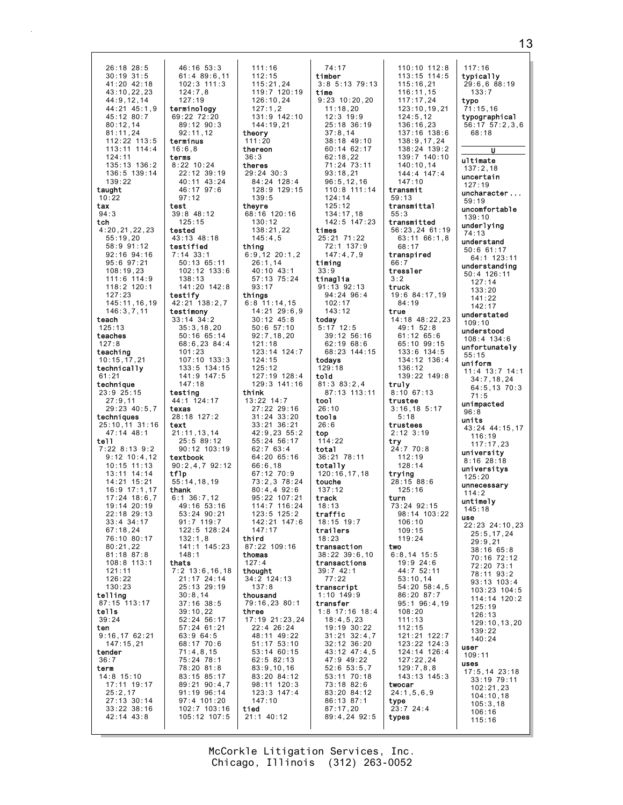$46:16$   $53:3$ 26:18 28:5  $30:19$  31:5  $61:489:6.11$  $41:20$   $42:18$ 102:3 111:3  $124:7.8$  $43:10.22.23$  $127:19$ 44:9.12.14 44:21 45:1,9<br>45:12 80:7 terminology  $69.2272.20$  $89:12.90:3$  $80:12.14$  $81:11.24$  $92:11.12$ 112:22 113:5 terminus  $113:11$   $114:4$  $16:6.8$ 124:11 terms  $8:22$  10:24  $135:13$   $136:2$ 136:5 139:14  $22:12.39:19$  $139:22$ 40:11 43:24 taught  $46:17.97:6$  $97:12$  $10:22$ tax test  $94:3$  $39:8$  48:12 tch  $125:15$  $4:20, 21, 22, 23$ tested 43:13 48:18  $55:19.20$ 58:9 91:12 testified  $7:14$  33:1  $92:16$   $94:16$ 95:6 97:21 50:13 65:11  $108:19.23$ 102:12 133:6 111:6 114:9 138:13 118:2 120:1 141:20 142:8  $127.23$ testify 145:11,16,19 42:21 138:2,7  $146:3,7,11$ testimony  $33:14$   $34:2$ teach  $125:13$  $35:3.18.20$ teaches 50:16 65:14 68:6.23 84:4  $127:8$ teaching  $101:23$  $107:10$   $133:3$  $10:15,17,21$ technically 133:5 134:15 141:9 147:5  $61:21$ technique  $147:18$  $23:9$   $25:15$ testina  $27:9.11$  $44:1$  124:17  $29:23$  40:5,7 texas 28:18 127:2 techniques 25:10,11 31:16 text  $47:14$   $48:1$  $21:11.13.14$  $25:5 89:12$  $t$ ell 90:12 103:19  $7:22$  8:13 9:2  $9.12 10.4 12$ textbook  $90:2,4,7$   $92:12$  $10:15$   $11:13$  $\frac{1}{10}$ <br>55:14,18,19 13:11 14:14<br>14:21 15:21  $16:9$  17:1.17 thank  $17:24$  18:6.7  $6:1$  36:7.12  $19:14$   $20:19$ 49:16 53:16  $22:18$   $29:13$ 53:24 90:21  $33.4.34.17$  $91.7$  119.7 122:5 128:24  $67:18.24$ 76:10 80:17  $132:1,8$  $141:1$   $145:23$  $80.21.22$ 81:18 87:8  $148:1$ 108:8 113:1 thats  $121:11$  $7:2$  13:6, 16, 18  $126:22$ 21:17 24:14  $130:23$ 25:13 29:19 telling  $30:8,14$ 87:15 113:17  $37:16$   $38:5$ tells  $39:10.22$ 52:24 56:17  $39:24$ ten 57:24 61:21  $9:16,1762:21$ 63:9 64:5  $147:15,21$ 68:17 70:6 tender  $71:4,8,15$ 75:24 78:1  $36:7$ 78:20 81:8 term 14:8 15:10 83:15 85:17 17:11 19:17 89:21 90:4.7  $25:2,17$ 91:19 96:14  $27:13$  30:14 97:4 101:20  $33:22$   $38:16$  $102:7$  103:16 105:12 107:5  $42:14$   $43:8$ 

 $111:16$  $112:15$  $115:21.24$ 119:7 120:19<br>126:10.24  $127:1,2$ <br> $131:9$   $142:10$ 144:19.21 theory  $111:20$ thereon  $36:3$ theres 29:24 30:3 84:24 128:4 128:9 129:15  $139:5$ theyre 68:16 120:16  $130:12$ 138:21.22  $145:4,5$ thing  $6:9,12$  20:1.2  $26:1,14$ 40:10 43:1 57:13 75:24  $93:17$ things  $6:8$  11:14,15 14:21 29:6,9  $30:12$  45:8  $50:657:10$  $92:7, 18, 20$  $121:18$ 123:14 124:7  $124:15$  $125:12$ 127:19 128:4 129:3 141:16 think  $13:22$   $14:7$ 27:22 29:16  $31:24$   $33:20$  $33:21$   $36:21$ 42:9,23 55:2  $55:24.56:17$  $62:763:4$  $64.2065.16$ 66:6.18 67:12 70:9  $73:2.3.78:24$  $80:4.492:6$ 95:22 107:21 114:7 116:24  $123:5$   $125:2$  $142:21$   $147:6$  $147:17$ third 87:22 109:16 thomas  $127:4$ thought 34:2 124:13  $137:8$ thousand 79:16,23 80:1 three 17:19 21:23,24 22:4 26:24 48:11 49:22 51:17 53:10 53:14 60:15  $62:582:13$  $83:9,10,16$ 83:20 84:12 98:11 120:3  $123:3$   $147:4$  $147:10$ tied  $21:1$  40:12

 $74:17$ timber  $3:8$  5:13 79:13 time  $9:23$  10:20.20  $11:18.20$  $12:3$  19:9  $25:18.36:19$  $37:8.14$  $38:18$  49:10  $60:14$  62:17  $62:18,22$  $71.24$   $73.11$  $93:18.21$  $96:5, 12, 16$ 110:8 111:14  $124:14$  $125.12$ 134:17.18 142:5 147:23 times 25:21 71:22 72:1 137:9  $147:4,7,9$ timina  $33:9$ tinaglia  $91:13$   $92:13$ 94:24 96:4  $102:17$  $143:12$ today  $5:17$  12:5 39:12 56:16  $62:1968:6$ 68:23 144:15 todavs  $129:18$ told  $81:383:2,4$ 87:13 113:11 too1  $26:10$ tools  $26:6$ top  $114:22$ total  $36:21$  78:11 totally 120:16,17,18 touche  $137:12$ track  $18:13$ traffic  $18:15$  19:7 trailers  $18:23$ transaction  $38:22$   $39:6.10$ transactions  $39:742:1$  $77:22$ transcript  $1:10$  149:9 transfer  $1:8$  17:16 18:4  $18:4,5,23$ 19:19 30:22  $31:21$   $32:4.7$ 32:12 36:20 43:12 47:4,5 47:9 49:22  $52:6$   $53:5,7$ 53:11 70:18 73:18 82:6 83:20 84:12 86:13 87:1  $87:17,20$ 89:4,24 92:5

110:10 112:8  $113:15$  114:5  $115:16.21$ 116:11,15<br>117:17.24 typo 123:10.19.21  $124.5$  12  $136:16.23$ 137:16 138:6 138:9.17.24  $138:24$   $139:2$ 139:7 140:10  $140 \cdot 10$  14  $144:4$   $147:4$  $147:10$ transmit  $59:13$  $59:19$ transmittal  $55:3$ transmitted 56:23,24 61:19 74:13 63:11 66:1,8 68:17 transpired  $66:7$ tressler truck 19:6 84:17,19 84:19 true 14:18 48:22,23  $49:1$  52:8  $61:12$   $65:6$ 65:10 99:15 133:6 134:5  $55:15$ 134:12 136:4  $136 \cdot 12$ 139:22 149:8 truly  $8:10$  67:13 trustee  $3:16, 18$  5:17  $96.8$  $5:18$ units trustees  $2:12 \t3:19$ try<br> $24:770:8$  $112.19$  $128:14$ trying<br>28:15 88:6  $125:16$  $114:2$ turn 73:24 92:15 98:14 103:22 use  $106 \cdot 10$  $109.15$  $119:24$ two  $6:8.14$  15:5 19:9 24:6 44:7 52:11  $53:10,14$ 54:20 58:4,5 86:20 87:7  $95:1$   $96:4,19$  $108:20$  $111:13$  $112:15$ 121:21 122:7 123:22 124:3 user 124:14 126:4  $127:22.24$ **uses**  $129:7, 8, 8$ 143:13 145:3 twocar  $24:1,5,6,9$ type  $23:7$  24:4  $106:16$ types  $115:16$ 

 $117:16$ typicallv  $29:6,6$  88:19  $133:7$  $71:15.16$ typographical  $56:17$   $57:2.3.6$  $68:18$  $\overline{\mathbf{u}}$ ultimate  $137:2.18$ uncertain  $127:19$ uncharacter... uncomfortable  $139:10$ underlying understand  $50:661:17$ 64:1 123:11 understanding 50:4 126:11  $127:14$  $133:20$  $141:22$  $142.17$ understated  $109:10$ understood  $108:4$  134:6 unfortunately uniform 11:4 13:7 14:1<br>34:7,18,24 64:5,13 70:3  $71.5$ unimpacted 43:24 44:15.17 116:19  $117.17.23$ university  $8:16$  28:18 universitys  $125:20$ unnecessary untimely  $145:18$ 22:23 24:10,23  $25:5, 17, 24$  $29:9,21$ 38:16 65:8 70:16 72:12 72:20 73:1 78:11 93:2 93:13 103:4 103:23 104:5 114:14 120:2  $125:19$  $126:13$  $129:10.13.20$  $139:22$  $140:24$  $109:11$  $17:5, 14$  23:18  $33:19$  79:11  $102:21.23$  $104:10.18$  $105:3.18$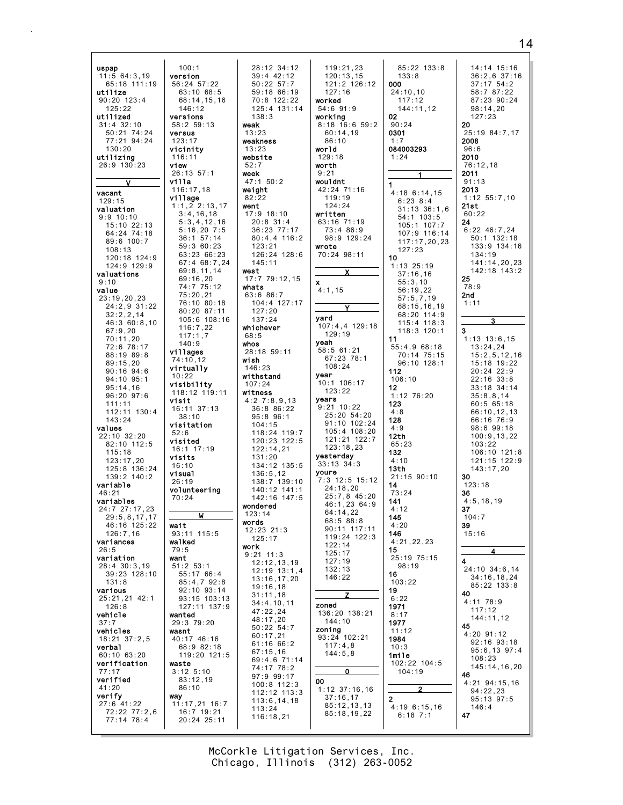$100:1$ 28:12 34:12  $119:21.23$  $85:22$  133:8  $\frac{11:5}{11:5}$  64:3.19 14:14 15:16  $39:4$  42:12  $36:2.6$  37:16 version  $120:13.15$  $133:8$ 56:24 57:22<br>56:24 57:22<br>63:10 68:5 65:18 111:19  $50:22$   $57:7$ 000  $121:2$   $126:12$  $37:17.54:2$  $59:186:19$  $24:10.10$ 58:7 87:22  $127:16$ utilize  $90:20$  123:4  $68:14.15.16$  $87:23.90:24$  $70:8$  122:22 worked  $117:12$  $125:22$  $146:12$ 125:4 131:14  $54:6.91:9$ 144:11.12  $98:14.20$ 02 utilized versions  $138.3$ working  $127.23$  $8:18$  16:6 59:2  $31:4$  32:10  $90:24$ 20  $58:259:13$ weak 0301 50:21 74:24 versus  $13.23$  $60:14,19$ 25:19 84:7,17 2008  $77.2194.24$  $123:17$ weakness  $86 \cdot 10$  $1.7$ 084003293  $130:20$ vicinity  $13:23$ world  $96:6$ utilizing 116:11 wehsite  $129:18$  $1:24$ 2010  $26:9$  130:23  $view$  $52:7$ worth  $76:12.18$ 2011  $26:13.57:1$ week  $9:21$ villa 47:1 50:2 wouldnt  $91:13$  $116:17.18$ weight 42:24 71:16 2013 vacant  $4:186:14,15$ village  $82:22$  $119:19$  $1:12$  55:7.10  $129:15$  $6:23 8:4$  $1:1,2$  2:13.17 went  $121.21$  $21st$  $31:13$   $36:1.6$ valuation  $3:4,16,18$ 17:9 18:10 written  $60:22$  $54:1$  103:5  $9:9$  10:10  $5:3,4,12,16$  $20:8$  31:4 63:16 71:19 24  $105:1$  107:7  $15:10$  22:13  $6:22$  46:7,24  $5:16.207:5$  $36.23$  77.17  $73:486:9$ 64:24 74:18 107:9 116:14  $36:1$  57:14  $80:4,4$  116:2 98:9 129:24  $50:1$  132:18 89:6 100:7  $117:17,20,23$ 59:3 60:23  $123:21$ wrote 133:9 134:16  $108:13$  $127:23$ 63:23 66:23  $126:24$   $128:6$ 70:24 98:11  $134:19$  $10$ 120:18 124:9 67:4 68:7,24  $145:11$ 141:14,20,23 124:9 129:9  $1:13$  25:19 69:8,11,14 west 142:18 143:2 valuations  $37:16,16$  $69:16,20$ 17:7 79:12,15 25  $\mathbf{x}$  $55:3,10$  $9:10$ 74:7 75:12 whats  $78:9$  $4:1,15$  $56:19,22$ value  $75:20,21$ 63:6 86:7  $2nd$  $23:19, 20, 23$  $57:5,7,19$ 76:10 80:18 104:4 127:17  $1:11$  $24:2,9$  31:22  $68:15,16,19$ 80:20 87:11  $127:20$  $68:20$  114:9  $32:2,2,14$ yard 105:6 108:16  $137:24$ 3  $46:360:8.10$  $115:4$  118:3 107:4.4 129:18  $116:7.22$ whichever  $67:9.20$  $118:3$  120:1  $\overline{\mathbf{3}}$ 129:19  $117:1,7$  $68:5$  $70:11.20$  $11$  $1:13$   $13:6.15$ yeah  $140:9$ whos  $72:6$  78:17  $55:4.968:18$  $13:24.24$ 58:5 61:21 villages  $28:18.59:11$  $70:14$   $75:15$ 88:19 89:8  $15:2.5.12.16$ 67:23 78:1  $74:10,12$ wish  $96:10$  128:1  $89:15.20$  $15:18$  19:22  $108:24$ virtually  $146:23$  $90:16$   $94:6$ 112  $20:24$  22:9 year withstand  $94:10$   $95:1$  $10:22$  $106:10$  $22:16.33:8$ visibility 10:1 106:17  $107:24$  $95:14,16$ <br> $96:20$   $97:6$  $12$  $33:18$   $34:14$ 118:12 119:11  $123:22$ witness  $1:12$  76:20  $35.8814$ years visit  $4:2$  7:8.9.13 123  $60:565:18$  $111:11$  $16:11$  37:13  $9:21$  10.22  $36:886:22$  $112:11$   $130:4$  $4:8$  $66:10, 12, 13$ 25:20 54:20  $95:896:1$  $38:10$ 128  $143.24$  $66.1676.9$ 91:10 102:24 visitation  $104:15$ values  $4:9$  $98:699:18$  $105:4$  108:20 118:24 119:7  $52:6$ 22:10 32:20  $12th$  $100:9, 13, 22$ 121:21 122:7 visited  $120:23$   $122:5$ 82:10 112:5  $65.23$  $103.22$  $123:18,23$  $16:1$  17:19 122:14,21  $115:18$ 132  $106:10$   $121:8$ vesterdav visits  $131.20$  $123:17,20$  $4:10$ 121:15 122:9 33:13 34:3  $134:12$   $135:5$  $16:10$ 125:8 136:24  $13th$  $143:17.20$ youre 136:5,12<br>138:7 139:10 **Tausty** 139:2 140:2 21:15 90:10 30 7:3 12:5 15:12  $26:19$ variable  $14$  $123:18$  $24:18,20$ 140:12 141:1<br>142:16 147:5 volunteering  $46:21$  $73:24$ 36  $25:7.845:20$  $70.24$ variables 141  $4:5, 18, 19$ 46:1,23 64:9 wondered 24:7 27:17,23  $4:12$ 37  $64:14,22$  $123:14$  $29:5, 8, 17, 17$ 145  $104:7$  $68:588:8$ words 46:16 125:22 wait  $4:20$ 39  $90:11$  117:11  $12:23$   $21:3$  $126 \cdot 7$  16  $93:11$  115:5 146  $15:16$ 119:24 122:3  $125:17$ variances walked  $4:21,22,23$  $122:14$ work  $26:5$  $79:5$ 15 4  $125:17$  $9:21$  11:3 variation 25:19 75:15 want  $127:19$  $12:12,13,19$  $51:2$   $53:1$  $98:19$ 28:4 30:3.19  $132:13$ 24:10 34:6,14  $12:19$   $13:1.4$ 39:23 128:10 55:17 66:4 16 146:22  $34:16, 18, 24$  $13:16.17.20$  $131:8$  $85:4,792:8$  $103:22$ 85:22 133:8  $19:16, 18$ 92:10 93:14 various 19 40  $31:11,18$ z 25:21.21 42:1 93:15 103:13  $6:22$  $4:11$  78:9  $34:4,10,11$ 127:11 137:9 zoned  $126:8$ 1971  $117:12$  $47:22.24$ 136:20 138:21 vehicle wanted  $8:17$ 144:11.12  $48:17,20$ 29:3 79:20  $144 \cdot 10$ 1977 45 50:22 54:7 zoning  $11:12$ vehicles wasnt  $4:20$  91:12  $60:17,21$ 93:24 102:21  $18:21$   $37:2,5$ 40:17 46:16 1984  $92:16$  93:18  $61:16$  66:2  $117:4.8$  $68:982:18$ verbal  $10.3$  $95:6,13$   $97:4$  $67:15,16$  $60:10$   $63:20$ 119:20 121:5  $144:5,8$ 1mile  $108.23$ 69:4,6 71:14 verification 102:22 104:5 waste  $74:1778:2$ 145:14.16.20  $3:12$   $5:10$  $104:19$  $77:17$  $\Omega$ 46 97:9 99:17 verified  $83:12.19$ 00  $4:21$   $94:15.16$  $100:8$  112:3  $86:10$  $41:20$  $1:12$  37:16.16 112:12 113:3  $94:22.23$ verify wav  $37:16,17$  $95.13.97.5$  $\overline{2}$  $113:6, 14, 18$  $27:6.41:22$  $11:17.21.16:7$  $85:12,13,13$  $4:196:15.16$  $113:24$  $146:4$  $72:22$   $77:2.6$  $16:7$  19:21 85:18,19,22  $47$  $6:18$  7:1  $116:18.21$  $77:14$  78:4 20:24 25:11

> McCorkle Litigation Services, Inc. Chicago, Illinois (312) 263-0052

## $14$